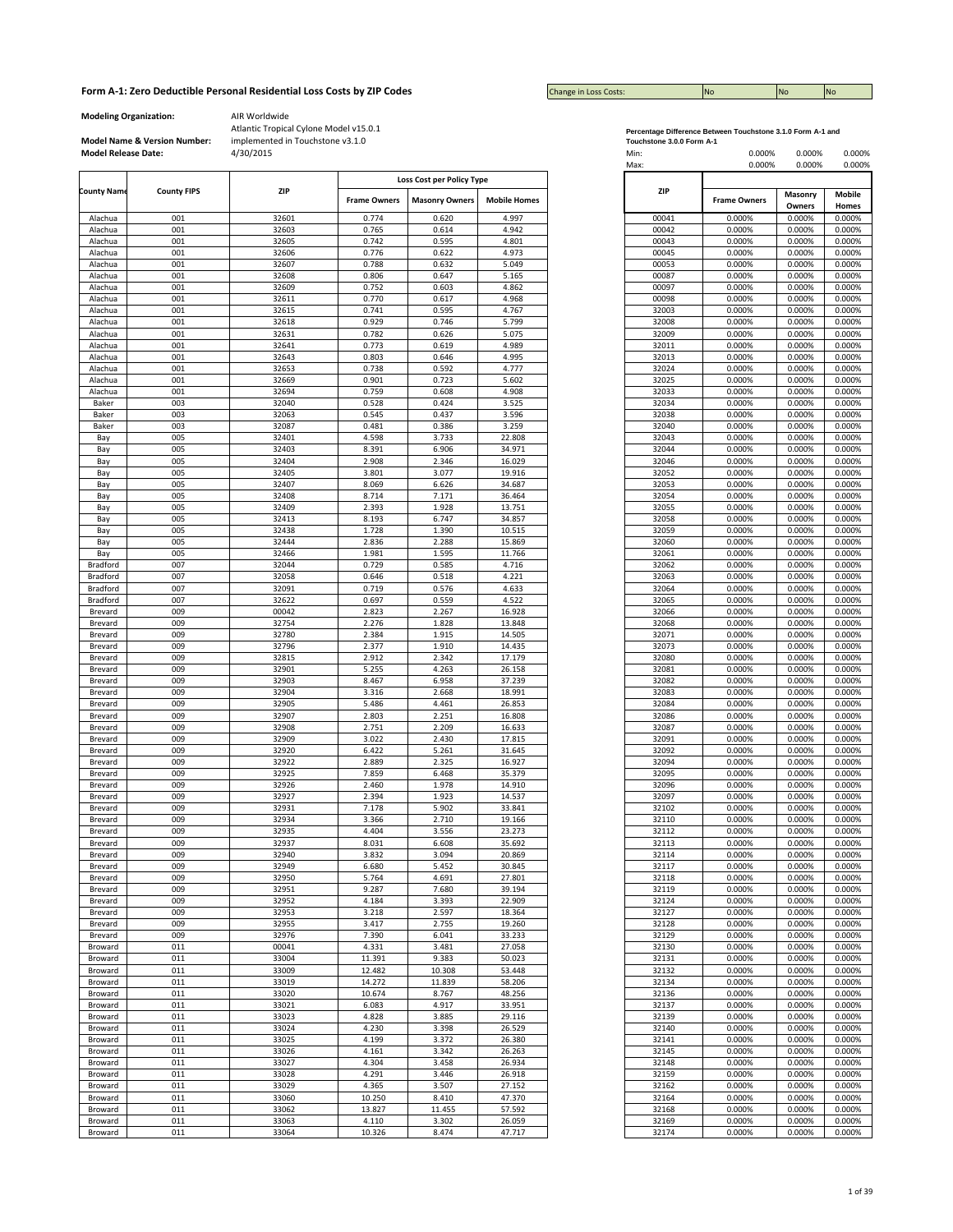#### **Form A-1: Zero Deductible Personal Residential Loss Costs by ZIP Codes No No No No No No No No No No No No No**

Change in Loss Costs:

**Modeling Organization:** AIR Worldwide

|                    |                    |            |                     | Loss Cost per Policy Type |                     |                |                     |  |
|--------------------|--------------------|------------|---------------------|---------------------------|---------------------|----------------|---------------------|--|
| <b>County Name</b> | <b>County FIPS</b> | <b>ZIP</b> | <b>Frame Owners</b> | <b>Masonry Owners</b>     | <b>Mobile Homes</b> | ZIP            | <b>Frame Owners</b> |  |
| Alachua            | 001                | 32601      | 0.774               | 0.620                     | 4.997               | 00041          | 0.000%              |  |
| Alachua            | 001                | 32603      | 0.765               | 0.614                     | 4.942               | 00042          | 0.000%              |  |
| Alachua            | 001                | 32605      | 0.742               | 0.595                     | 4.801               | 00043          | 0.000%              |  |
| Alachua            | 001                | 32606      | 0.776               | 0.622                     | 4.973               | 00045          | 0.000%              |  |
| Alachua            | 001                | 32607      | 0.788               | 0.632                     | 5.049               | 00053          | 0.000%              |  |
| Alachua            | 001                | 32608      | 0.806               | 0.647                     | 5.165               | 00087          | 0.000%              |  |
| Alachua            | 001                | 32609      | 0.752               | 0.603                     | 4.862               | 00097          | 0.000%              |  |
| Alachua            | 001                | 32611      | 0.770               | 0.617                     | 4.968               | 00098          | 0.000%              |  |
| Alachua            | 001                | 32615      | 0.741               | 0.595                     | 4.767               | 32003          | 0.000%              |  |
| Alachua            | 001                | 32618      | 0.929               | 0.746                     | 5.799               | 32008          | 0.000%              |  |
| Alachua            | 001                | 32631      | 0.782               | 0.626                     | 5.075               | 32009          | 0.000%              |  |
|                    | 001                |            | 0.773               |                           | 4.989               | 32011          | 0.000%              |  |
| Alachua            |                    | 32641      |                     | 0.619                     | 4.995               |                |                     |  |
| Alachua            | 001                | 32643      | 0.803               | 0.646                     |                     | 32013          | 0.000%              |  |
| Alachua            | 001                | 32653      | 0.738               | 0.592                     | 4.777               | 32024          | 0.000%              |  |
| Alachua            | 001                | 32669      | 0.901               | 0.723                     | 5.602               | 32025          | 0.000%              |  |
| Alachua            | 001                | 32694      | 0.759               | 0.608                     | 4.908               | 32033          | 0.000%              |  |
| Baker              | 003                | 32040      | 0.528               | 0.424                     | 3.525               | 32034          | 0.000%              |  |
| Baker              | 003                | 32063      | 0.545               | 0.437                     | 3.596               | 32038          | 0.000%              |  |
| Baker              | 003                | 32087      | 0.481               | 0.386                     | 3.259               | 32040          | 0.000%              |  |
| Bay                | 005                | 32401      | 4.598               | 3.733                     | 22.808              | 32043          | 0.000%              |  |
| Bay                | 005                | 32403      | 8.391               | 6.906                     | 34.971              | 32044          | 0.000%              |  |
| Bay                | 005                | 32404      | 2.908               | 2.346                     | 16.029              | 32046          | 0.000%              |  |
| Bay                | 005                | 32405      | 3.801               | 3.077                     | 19.916              | 32052          | 0.000%              |  |
| Bay                | 005                | 32407      | 8.069               | 6.626                     | 34.687              | 32053          | 0.000%              |  |
| Bay                | 005                | 32408      | 8.714               | 7.171                     | 36.464              | 32054          | 0.000%              |  |
| Bay                | 005                | 32409      | 2.393               | 1.928                     | 13.751              | 32055          | 0.000%              |  |
| Bay                | 005                | 32413      | 8.193               | 6.747                     | 34.857              | 32058          | 0.000%              |  |
| Bay                | 005                | 32438      | 1.728               | 1.390                     | 10.515              | 32059          | 0.000%              |  |
| Bay                | 005                | 32444      | 2.836               | 2.288                     | 15.869              | 32060          | 0.000%              |  |
| Bay                | 005                | 32466      | 1.981               | 1.595                     | 11.766              | 32061          | 0.000%              |  |
| Bradford           | 007                | 32044      | 0.729               | 0.585                     | 4.716               | 32062          | 0.000%              |  |
| Bradford           | 007                | 32058      | 0.646               | 0.518                     | 4.221               | 32063          | 0.000%              |  |
| Bradford           | 007                | 32091      | 0.719               | 0.576                     | 4.633               | 32064          | 0.000%              |  |
| <b>Bradford</b>    | 007                | 32622      | 0.697               | 0.559                     | 4.522               | 32065          | 0.000%              |  |
|                    | 009                | 00042      | 2.823               | 2.267                     | 16.928              | 32066          | 0.000%              |  |
| Brevard            |                    | 32754      |                     |                           |                     |                |                     |  |
| Brevard            | 009                |            | 2.276               | 1.828                     | 13.848              | 32068<br>32071 | 0.000%              |  |
| Brevard            | 009                | 32780      | 2.384               | 1.915                     | 14.505              |                | 0.000%              |  |
| Brevard            | 009                | 32796      | 2.377               | 1.910                     | 14.435              | 32073          | 0.000%              |  |
| Brevard            | 009                | 32815      | 2.912               | 2.342                     | 17.179              | 32080          | 0.000%              |  |
| Brevard            | 009                | 32901      | 5.255               | 4.263                     | 26.158              | 32081          | 0.000%              |  |
| Brevard            | 009                | 32903      | 8.467               | 6.958                     | 37.239              | 32082          | 0.000%              |  |
| Brevard            | 009                | 32904      | 3.316               | 2.668                     | 18.991              | 32083          | 0.000%              |  |
| Brevard            | 009                | 32905      | 5.486               | 4.461                     | 26.853              | 32084          | 0.000%              |  |
| Brevard            | 009                | 32907      | 2.803               | 2.251                     | 16.808              | 32086          | 0.000%              |  |
| Brevard            | 009                | 32908      | 2.751               | 2.209                     | 16.633              | 32087          | 0.000%              |  |
| Brevard            | 009                | 32909      | 3.022               | 2.430                     | 17.815              | 32091          | 0.000%              |  |
| Brevard            | 009                | 32920      | 6.422               | 5.261                     | 31.645              | 32092          | 0.000%              |  |
| Brevard            | 009                | 32922      | 2.889               | 2.325                     | 16.927              | 32094          | 0.000%              |  |
| Brevard            | 009                | 32925      | 7.859               | 6.468                     | 35.379              | 32095          | 0.000%              |  |
| Brevard            | 009                | 32926      | 2.460               | 1.978                     | 14.910              | 32096          | 0.000%              |  |
| Brevard            | 009                | 32927      | 2.394               | 1.923                     | 14.537              | 32097          | 0.000%              |  |
| Brevard            | 009                | 32931      | 7.178               | 5.902                     | 33.841              | 32102          | 0.000%              |  |
| Brevard            | 009                | 32934      | 3.366               | 2.710                     | 19.166              | 32110          | 0.000%              |  |
| Brevard            | 009                | 32935      | 4.404               | 3.556                     | 23.273              | 32112          | 0.000%              |  |
| Brevard            | 009                | 32937      | 8.031               | 6.608                     | 35.692              | 32113          | 0.000%              |  |
| Brevard            | 009                | 32940      | 3.832               | 3.094                     | 20.869              | 32114          | 0.000%              |  |
| Brevard            | 009                | 32949      | 6.680               | 5.452                     | 30.845              | 32117          | 0.000%              |  |
| Brevard            | 009                | 32950      | 5.764               | 4.691                     | 27.801              | 32118          | 0.000%              |  |
| Brevard            | 009                | 32951      | 9.287               | 7.680                     | 39.194              | 32119          | 0.000%              |  |
| Brevard            | 009                | 32952      | 4.184               | 3.393                     | 22.909              | 32124          | 0.000%              |  |
| Brevard            | 009                | 32953      | 3.218               | 2.597                     | 18.364              | 32127          | 0.000%              |  |
| Brevard            | 009                | 32955      | 3.417               | 2.755                     | 19.260              | 32128          | 0.000%              |  |
| Brevard            | 009                | 32976      | 7.390               | 6.041                     | 33.233              | 32129          | 0.000%              |  |
| Broward            | 011                | 00041      | 4.331               | 3.481                     | 27.058              | 32130          | 0.000%              |  |
| Broward            | 011                | 33004      | 11.391              | 9.383                     | 50.023              | 32131          | 0.000%              |  |
| Broward            | 011                | 33009      | 12.482              | 10.308                    | 53.448              | 32132          | 0.000%              |  |
| Broward            | 011                | 33019      | 14.272              | 11.839                    | 58.206              | 32134          | 0.000%              |  |
| Broward            | 011                | 33020      | 10.674              | 8.767                     | 48.256              | 32136          | 0.000%              |  |
|                    |                    |            |                     |                           |                     |                |                     |  |
| Broward            | 011                | 33021      | 6.083               | 4.917                     | 33.951              | 32137          | 0.000%              |  |
| Broward            | 011                | 33023      | 4.828               | 3.885                     | 29.116              | 32139          | 0.000%              |  |
| Broward            | 011                | 33024      | 4.230               | 3.398                     | 26.529              | 32140          | 0.000%              |  |
| Broward            | 011                | 33025      | 4.199               | 3.372                     | 26.380              | 32141          | 0.000%              |  |
| Broward            | 011                | 33026      | 4.161               | 3.342                     | 26.263              | 32145          | 0.000%              |  |
| Broward            | 011                | 33027      | 4.304               | 3.458                     | 26.934              | 32148          | 0.000%              |  |
| Broward            | 011                | 33028      | 4.291               | 3.446                     | 26.918              | 32159          | 0.000%              |  |
| Broward            | 011                | 33029      | 4.365               | 3.507                     | 27.152              | 32162          | 0.000%              |  |
| Broward            | 011                | 33060      | 10.250              | 8.410                     | 47.370              | 32164          | 0.000%              |  |
| Broward            | 011                | 33062      | 13.827              | 11.455                    | 57.592              | 32168          | 0.000%              |  |
| Broward            | 011                | 33063      | 4.110               | 3.302                     | 26.059              | 32169          | 0.000%              |  |
| <b>Broward</b>     | 011                | 33064      | 10326               | 8 4 7 4                   | 47717               | 32174          | 0.000%              |  |

|                           | Percentage Difference Between Touchstone 3.1.0 Form A-1 and |  |
|---------------------------|-------------------------------------------------------------|--|
| Touchstone 3.0.0 Form A-1 |                                                             |  |

|                            | <b>Model Name &amp; Version Number:</b> | implemented in Touchstone v3.1.0 |                     |                           |                     | Touchstone 3.0.0 Form A-1 |                     |                   |                        |
|----------------------------|-----------------------------------------|----------------------------------|---------------------|---------------------------|---------------------|---------------------------|---------------------|-------------------|------------------------|
| <b>Model Release Date:</b> |                                         | 4/30/2015                        |                     |                           |                     | Min:<br>Max:              | 0.000%<br>0.000%    | 0.000%<br>0.000%  | 0.000%<br>0.000%       |
|                            |                                         |                                  |                     | Loss Cost per Policy Type |                     |                           |                     |                   |                        |
| <b>County Name</b>         | <b>County FIPS</b>                      | ZIP                              | <b>Frame Owners</b> | <b>Masonry Owners</b>     | <b>Mobile Homes</b> | ZIP                       | <b>Frame Owners</b> | Masonry<br>Owners | <b>Mobile</b><br>Homes |
| Alachua                    | 001                                     | 32601                            | 0.774               | 0.620                     | 4.997               | 00041                     | 0.000%              | 0.000%            | 0.000%                 |
| Alachua                    | 001                                     | 32603                            | 0.765               | 0.614                     | 4.942               | 00042                     | 0.000%              | 0.000%            | 0.000%                 |
| Alachua                    | 001                                     | 32605                            | 0.742               | 0.595                     | 4.801               | 00043                     | 0.000%              | 0.000%            | 0.000%                 |
| Alachua                    | 001                                     | 32606                            | 0.776               | 0.622                     | 4.973               | 00045                     | 0.000%              | 0.000%            | 0.000%                 |
| Alachua                    | 001                                     | 32607                            | 0.788               | 0.632                     | 5.049               | 00053<br>00087            | 0.000%              | 0.000%            | 0.000%                 |
| Alachua<br>Alachua         | 001<br>001                              | 32608<br>32609                   | 0.806<br>0.752      | 0.647<br>0.603            | 5.165<br>4.862      | 00097                     | 0.000%<br>0.000%    | 0.000%<br>0.000%  | 0.000%<br>0.000%       |
| Alachua                    | 001                                     | 32611                            | 0.770               | 0.617                     | 4.968               | 00098                     | 0.000%              | 0.000%            | 0.000%                 |
| Alachua                    | 001                                     | 32615                            | 0.741               | 0.595                     | 4.767               | 32003                     | 0.000%              | 0.000%            | 0.000%                 |
| Alachua                    | 001                                     | 32618                            | 0.929               | 0.746                     | 5.799               | 32008                     | 0.000%              | 0.000%            | 0.000%                 |
| Alachua                    | 001                                     | 32631                            | 0.782               | 0.626                     | 5.075               | 32009                     | 0.000%              | 0.000%            | 0.000%                 |
| Alachua                    | 001                                     | 32641                            | 0.773               | 0.619                     | 4.989               | 32011                     | 0.000%              | 0.000%            | 0.000%                 |
| Alachua                    | 001                                     | 32643                            | 0.803               | 0.646                     | 4.995               | 32013                     | 0.000%              | 0.000%            | 0.000%                 |
| Alachua                    | 001                                     | 32653                            | 0.738               | 0.592                     | 4.777               | 32024                     | 0.000%              | 0.000%            | 0.000%                 |
| Alachua                    | 001                                     | 32669                            | 0.901               | 0.723                     | 5.602               | 32025                     | 0.000%              | 0.000%            | 0.000%                 |
| Alachua<br>Baker           | 001<br>003                              | 32694<br>32040                   | 0.759<br>0.528      | 0.608<br>0.424            | 4.908<br>3.525      | 32033<br>32034            | 0.000%<br>0.000%    | 0.000%<br>0.000%  | 0.000%<br>0.000%       |
| Baker                      | 003                                     | 32063                            | 0.545               | 0.437                     | 3.596               | 32038                     | 0.000%              | 0.000%            | 0.000%                 |
| Baker                      | 003                                     | 32087                            | 0.481               | 0.386                     | 3.259               | 32040                     | 0.000%              | 0.000%            | 0.000%                 |
| Bay                        | 005                                     | 32401                            | 4.598               | 3.733                     | 22.808              | 32043                     | 0.000%              | 0.000%            | 0.000%                 |
| Bay                        | 005                                     | 32403                            | 8.391               | 6.906                     | 34.971              | 32044                     | 0.000%              | 0.000%            | 0.000%                 |
| Bay                        | 005                                     | 32404                            | 2.908               | 2.346                     | 16.029              | 32046                     | 0.000%              | 0.000%            | 0.000%                 |
| Bay                        | 005                                     | 32405                            | 3.801               | 3.077                     | 19.916              | 32052                     | 0.000%              | 0.000%            | 0.000%                 |
| Bay                        | 005                                     | 32407                            | 8.069               | 6.626                     | 34.687              | 32053                     | 0.000%              | 0.000%            | 0.000%                 |
| Bay                        | 005                                     | 32408                            | 8.714               | 7.171                     | 36.464              | 32054                     | 0.000%              | 0.000%            | 0.000%                 |
| Bay                        | 005                                     | 32409                            | 2.393               | 1.928                     | 13.751              | 32055                     | 0.000%              | 0.000%            | 0.000%                 |
| Bay                        | 005<br>005                              | 32413<br>32438                   | 8.193<br>1.728      | 6.747<br>1.390            | 34.857<br>10.515    | 32058<br>32059            | 0.000%<br>0.000%    | 0.000%<br>0.000%  | 0.000%                 |
| Bay<br>Bay                 | 005                                     | 32444                            | 2.836               | 2.288                     | 15.869              | 32060                     | 0.000%              | 0.000%            | 0.000%<br>0.000%       |
| Bay                        | 005                                     | 32466                            | 1.981               | 1.595                     | 11.766              | 32061                     | 0.000%              | 0.000%            | 0.000%                 |
| Bradford                   | 007                                     | 32044                            | 0.729               | 0.585                     | 4.716               | 32062                     | 0.000%              | 0.000%            | 0.000%                 |
| Bradford                   | 007                                     | 32058                            | 0.646               | 0.518                     | 4.221               | 32063                     | 0.000%              | 0.000%            | 0.000%                 |
| Bradford                   | 007                                     | 32091                            | 0.719               | 0.576                     | 4.633               | 32064                     | 0.000%              | 0.000%            | 0.000%                 |
| Bradford                   | 007                                     | 32622                            | 0.697               | 0.559                     | 4.522               | 32065                     | 0.000%              | 0.000%            | 0.000%                 |
| Brevard                    | 009                                     | 00042                            | 2.823               | 2.267                     | 16.928              | 32066                     | 0.000%              | 0.000%            | 0.000%                 |
| Brevard                    | 009                                     | 32754                            | 2.276               | 1.828                     | 13.848              | 32068                     | 0.000%              | 0.000%            | 0.000%                 |
| Brevard                    | 009                                     | 32780                            | 2.384               | 1.915                     | 14.505              | 32071                     | 0.000%              | 0.000%            | 0.000%                 |
| Brevard<br>Brevard         | 009<br>009                              | 32796<br>32815                   | 2.377<br>2.912      | 1.910<br>2.342            | 14.435<br>17.179    | 32073<br>32080            | 0.000%<br>0.000%    | 0.000%<br>0.000%  | 0.000%<br>0.000%       |
| Brevard                    | 009                                     | 32901                            | 5.255               | 4.263                     | 26.158              | 32081                     | 0.000%              | 0.000%            | 0.000%                 |
| Brevard                    | 009                                     | 32903                            | 8.467               | 6.958                     | 37.239              | 32082                     | 0.000%              | 0.000%            | 0.000%                 |
| Brevard                    | 009                                     | 32904                            | 3.316               | 2.668                     | 18.991              | 32083                     | 0.000%              | 0.000%            | 0.000%                 |
| Brevard                    | 009                                     | 32905                            | 5.486               | 4.461                     | 26.853              | 32084                     | 0.000%              | 0.000%            | 0.000%                 |
| Brevard                    | 009                                     | 32907                            | 2.803               | 2.251                     | 16.808              | 32086                     | 0.000%              | 0.000%            | 0.000%                 |
| Brevard                    | 009                                     | 32908                            | 2.751               | 2.209                     | 16.633              | 32087                     | 0.000%              | 0.000%            | 0.000%                 |
| Brevard                    | 009                                     | 32909                            | 3.022               | 2.430                     | 17.815              | 32091                     | 0.000%              | 0.000%            | 0.000%                 |
| Brevard                    | 009                                     | 32920                            | 6.422               | 5.261                     | 31.645              | 32092                     | 0.000%              | 0.000%            | 0.000%                 |
| Brevard                    | 009                                     | 32922                            | 2.889               | 2.325                     | 16.927<br>35.379    | 32094<br>32095            | 0.000%              | 0.000%            | 0.000%                 |
| Brevard<br>Brevard         | 009<br>009                              | 32925<br>32926                   | 7.859<br>2.460      | 6.468<br>1.978            | 14.910              | 32096                     | 0.000%<br>0.000%    | 0.000%<br>0.000%  | 0.000%<br>0.000%       |
| Brevard                    | 009                                     | 32927                            | 2.394               | 1.923                     | 14.537              | 32097                     | 0.000%              | 0.000%            | 0.000%                 |
| Brevard                    | 009                                     | 32931                            | 7.178               | 5.902                     | 33.841              | 32102                     | 0.000%              | 0.000%            | 0.000%                 |
| Brevard                    | 009                                     | 32934                            | 3.366               | 2.710                     | 19.166              | 32110                     | 0.000%              | 0.000%            | 0.000%                 |
| Brevard                    | 009                                     | 32935                            | 4.404               | 3.556                     | 23.273              | 32112                     | 0.000%              | 0.000%            | 0.000%                 |
| Brevard                    | 009                                     | 32937                            | 8.031               | 6.608                     | 35.692              | 32113                     | 0.000%              | 0.000%            | 0.000%                 |
| Brevard                    | 009                                     | 32940                            | 3.832               | 3.094                     | 20.869              | 32114                     | 0.000%              | 0.000%            | 0.000%                 |
| Brevard                    | 009                                     | 32949                            | 6.680               | 5.452                     | 30.845              | 32117                     | 0.000%              | 0.000%            | 0.000%                 |
| Brevard                    | 009                                     | 32950                            | 5.764               | 4.691                     | 27.801              | 32118                     | 0.000%              | 0.000%            | 0.000%                 |
| Brevard<br>Brevard         | 009<br>009                              | 32951<br>32952                   | 9.287<br>4.184      | 7.680<br>3.393            | 39.194<br>22.909    | 32119<br>32124            | 0.000%<br>0.000%    | 0.000%<br>0.000%  | 0.000%<br>0.000%       |
| Brevard                    | 009                                     | 32953                            | 3.218               | 2.597                     | 18.364              | 32127                     | 0.000%              | 0.000%            | 0.000%                 |
| Brevard                    | 009                                     | 32955                            | 3.417               | 2.755                     | 19.260              | 32128                     | 0.000%              | 0.000%            | 0.000%                 |
| Brevard                    | 009                                     | 32976                            | 7.390               | 6.041                     | 33.233              | 32129                     | 0.000%              | 0.000%            | 0.000%                 |
| Broward                    | 011                                     | 00041                            | 4.331               | 3.481                     | 27.058              | 32130                     | 0.000%              | 0.000%            | 0.000%                 |
| Broward                    | 011                                     | 33004                            | 11.391              | 9.383                     | 50.023              | 32131                     | 0.000%              | 0.000%            | 0.000%                 |
| Broward                    | 011                                     | 33009                            | 12.482              | 10.308                    | 53.448              | 32132                     | 0.000%              | 0.000%            | 0.000%                 |
| Broward                    | 011                                     | 33019                            | 14.272              | 11.839                    | 58.206              | 32134                     | 0.000%              | 0.000%            | 0.000%                 |
| Broward                    | 011                                     | 33020                            | 10.674              | 8.767                     | 48.256              | 32136                     | 0.000%              | 0.000%            | 0.000%                 |
| Broward                    | 011                                     | 33021                            | 6.083               | 4.917                     | 33.951              | 32137                     | 0.000%              | 0.000%            | 0.000%                 |
| Broward                    | 011                                     | 33023                            | 4.828               | 3.885                     | 29.116              | 32139                     | 0.000%              | 0.000%            | 0.000%                 |
| Broward                    | 011                                     | 33024                            | 4.230               | 3.398                     | 26.529              | 32140                     | 0.000%              | 0.000%            | 0.000%                 |
| Broward                    | 011                                     | 33025                            | 4.199<br>4.161      | 3.372<br>3.342            | 26.380              | 32141<br>32145            | 0.000%              | 0.000%            | 0.000%                 |
| Broward<br>Broward         | 011<br>011                              | 33026<br>33027                   | 4.304               | 3.458                     | 26.263<br>26.934    | 32148                     | 0.000%<br>0.000%    | 0.000%<br>0.000%  | 0.000%<br>0.000%       |
| Broward                    | 011                                     | 33028                            | 4.291               | 3.446                     | 26.918              | 32159                     | 0.000%              | 0.000%            | 0.000%                 |
| Broward                    | 011                                     | 33029                            | 4.365               | 3.507                     | 27.152              | 32162                     | 0.000%              | 0.000%            | 0.000%                 |
| Broward                    | 011                                     | 33060                            | 10.250              | 8.410                     | 47.370              | 32164                     | 0.000%              | 0.000%            | 0.000%                 |
| Broward                    | 011                                     | 33062                            | 13.827              | 11.455                    | 57.592              | 32168                     | 0.000%              | 0.000%            | 0.000%                 |
| Broward                    | 011                                     | 33063                            | 4.110               | 3.302                     | 26.059              | 32169                     | 0.000%              | 0.000%            | 0.000%                 |
| Broward                    | 011                                     | 33064                            | 10.326              | 8.474                     | 47.717              | 32174                     | 0.000%              | 0.000%            | 0.000%                 |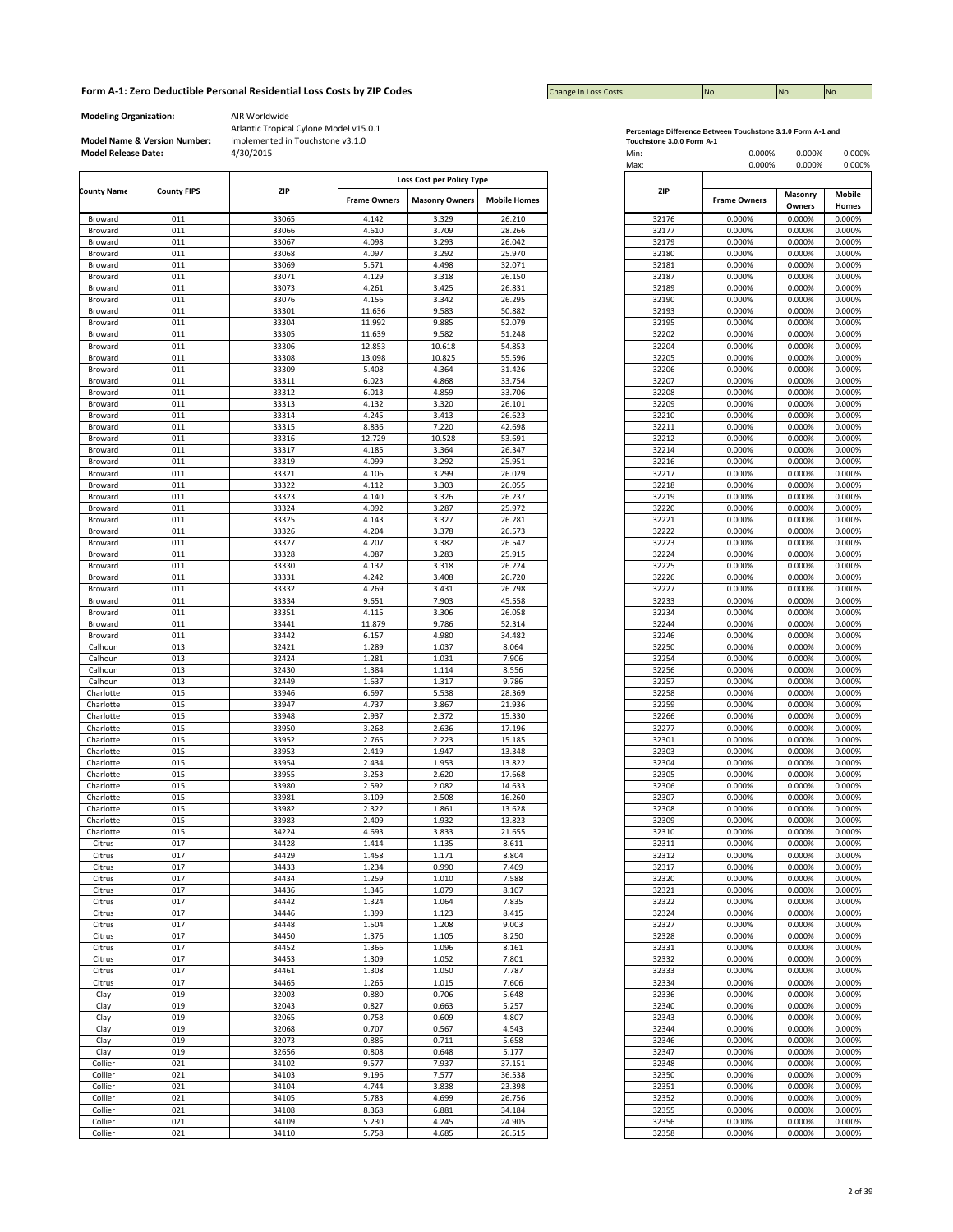Change in Loss Costs:

**Modeling Organization:** AIR Worldwide

|                        |                    |                |                     | Loss Cost per Policy Type |                     |                |                     |                   |                              |
|------------------------|--------------------|----------------|---------------------|---------------------------|---------------------|----------------|---------------------|-------------------|------------------------------|
| <b>County Name</b>     | <b>County FIPS</b> | ZIP            | <b>Frame Owners</b> | <b>Masonry Owners</b>     | <b>Mobile Homes</b> | ZIP            | <b>Frame Owners</b> | Masonry<br>Owners | <b>Mobile</b><br>Homes       |
| Broward                | 011                | 33065          | 4.142               | 3.329                     | 26.210              | 32176          | 0.000%              | 0.000%            | 0.000%                       |
| Broward                | 011                | 33066          | 4.610               | 3.709                     | 28.266              | 32177          | 0.000%              | 0.000%            | 0.000%                       |
| Broward                | 011                | 33067          | 4.098               | 3.293                     | 26.042              | 32179          | 0.000%              | 0.000%            | 0.000%                       |
| Broward                | 011                | 33068          | 4.097               | 3.292                     | 25.970              | 32180          | 0.000%              | 0.000%            | 0.000%                       |
| Broward                | 011                | 33069          | 5.571               | 4.498                     | 32.071              | 32181          | 0.000%              | 0.000%            | 0.000%                       |
| Broward                | 011                | 33071          | 4.129               | 3.318                     | 26.150              | 32187          | 0.000%              | 0.000%            | 0.000%                       |
| Broward                | 011                | 33073          | 4.261               | 3.425                     | 26.831              | 32189          | 0.000%              | 0.000%            | 0.000%                       |
| Broward                | 011                | 33076          | 4.156               | 3.342                     | 26.295              | 32190          | 0.000%              | 0.000%            | 0.000%                       |
| Broward<br>Broward     | 011<br>011         | 33301<br>33304 | 11.636<br>11.992    | 9.583<br>9.885            | 50.882<br>52.079    | 32193<br>32195 | 0.000%<br>0.000%    | 0.000%<br>0.000%  | 0.000%<br>0.000%             |
| Broward                | 011                | 33305          | 11.639              | 9.582                     | 51.248              | 32202          | 0.000%              | 0.000%            | 0.000%                       |
| Broward                | 011                | 33306          | 12.853              | 10.618                    | 54.853              | 32204          | 0.000%              | 0.000%            | 0.000%                       |
| Broward                | 011                | 33308          | 13.098              | 10.825                    | 55.596              | 32205          | 0.000%              | 0.000%            | 0.000%                       |
| Broward                | 011                | 33309          | 5.408               | 4.364                     | 31.426              | 32206          | 0.000%              | 0.000%            | 0.000%                       |
| Broward                | 011                | 33311          | 6.023               | 4.868                     | 33.754              | 32207          | 0.000%              | 0.000%            | 0.000%                       |
| Broward                | 011                | 33312          | 6.013               | 4.859                     | 33.706              | 32208          | 0.000%              | 0.000%            | 0.000%                       |
| Broward                | 011                | 33313          | 4.132               | 3.320                     | 26.101              | 32209          | 0.000%              | 0.000%            | 0.000%                       |
| Broward                | 011                | 33314          | 4.245               | 3.413                     | 26.623              | 32210          | 0.000%              | 0.000%            | 0.000%                       |
| Broward                | 011                | 33315          | 8.836               | 7.220                     | 42.698              | 32211          | 0.000%              | 0.000%            | 0.000%                       |
| Broward                | 011                | 33316          | 12.729              | 10.528                    | 53.691              | 32212          | 0.000%              | 0.000%            | 0.000%                       |
| Broward                | 011                | 33317          | 4.185               | 3.364                     | 26.347              | 32214          | 0.000%              | 0.000%            | 0.000%                       |
| Broward                | 011                | 33319          | 4.099               | 3.292                     | 25.951              | 32216          | 0.000%              | 0.000%            | 0.000%                       |
| Broward                | 011                | 33321          | 4.106               | 3.299                     | 26.029              | 32217          | 0.000%              | 0.000%            | 0.000%                       |
| Broward                | 011                | 33322          | 4.112               | 3.303                     | 26.055              | 32218          | 0.000%              | 0.000%            | 0.000%                       |
| Broward<br>Broward     | 011<br>011         | 33323<br>33324 | 4.140<br>4.092      | 3.326<br>3.287            | 26.237<br>25.972    | 32219<br>32220 | 0.000%<br>0.000%    | 0.000%<br>0.000%  | 0.000%<br>0.000%             |
| Broward                | 011                | 33325          | 4.143               | 3.327                     | 26.281              | 32221          | 0.000%              | 0.000%            | 0.000%                       |
| Broward                | 011                | 33326          | 4.204               | 3.378                     | 26.573              | 32222          | 0.000%              | 0.000%            | 0.000%                       |
| Broward                | 011                | 33327          | 4.207               | 3.382                     | 26.542              | 32223          | 0.000%              | 0.000%            | 0.000%                       |
| Broward                | 011                | 33328          | 4.087               | 3.283                     | 25.915              | 32224          | 0.000%              | 0.000%            | 0.000%                       |
| Broward                | 011                | 33330          | 4.132               | 3.318                     | 26.224              | 32225          | 0.000%              | 0.000%            | 0.000%                       |
| Broward                | 011                | 33331          | 4.242               | 3.408                     | 26.720              | 32226          | 0.000%              | 0.000%            | 0.000%                       |
| Broward                | 011                | 33332          | 4.269               | 3.431                     | 26.798              | 32227          | 0.000%              | 0.000%            | 0.000%                       |
| Broward                | 011                | 33334          | 9.651               | 7.903                     | 45.558              | 32233          | 0.000%              | 0.000%            | 0.000%                       |
| Broward                | 011                | 33351          | 4.115               | 3.306                     | 26.058              | 32234          | 0.000%              | 0.000%            | 0.000%                       |
| Broward                | 011                | 33441          | 11.879              | 9.786                     | 52.314              | 32244          | 0.000%              | 0.000%            | 0.000%                       |
| Broward                | 011                | 33442          | 6.157               | 4.980                     | 34.482              | 32246          | 0.000%              | 0.000%            | 0.000%                       |
| Calhoun                | 013                | 32421          | 1.289               | 1.037                     | 8.064               | 32250          | 0.000%              | 0.000%            | 0.000%                       |
| Calhoun                | 013                | 32424          | 1.281               | 1.031                     | 7.906               | 32254          | 0.000%              | 0.000%            | 0.000%                       |
| Calhoun                | 013                | 32430          | 1.384               | 1.114                     | 8.556               | 32256          | 0.000%              | 0.000%            | 0.000%                       |
| Calhoun                | 013<br>015         | 32449          | 1.637               | 1.317                     | 9.786               | 32257          | 0.000%              | 0.000%            | 0.000%<br>0.000%             |
| Charlotte<br>Charlotte | 015                | 33946<br>33947 | 6.697<br>4.737      | 5.538<br>3.867            | 28.369<br>21.936    | 32258<br>32259 | 0.000%<br>0.000%    | 0.000%<br>0.000%  | 0.000%                       |
| Charlotte              | 015                | 33948          | 2.937               | 2.372                     | 15.330              | 32266          | 0.000%              | 0.000%            | 0.000%                       |
| Charlotte              | 015                | 33950          | 3.268               | 2.636                     | 17.196              | 32277          | 0.000%              | 0.000%            | 0.000%                       |
| Charlotte              | 015                | 33952          | 2.765               | 2.223                     | 15.185              | 32301          | 0.000%              | 0.000%            | 0.000%                       |
| Charlotte              | 015                | 33953          | 2.419               | 1.947                     | 13.348              | 32303          | 0.000%              | 0.000%            | 0.000%                       |
| Charlotte              | 015                | 33954          | 2.434               | 1.953                     | 13.822              | 32304          | 0.000%              | 0.000%            | 0.000%                       |
| Charlotte              | 015                | 33955          | 3.253               | 2.620                     | 17.668              | 32305          | 0.000%              | 0.000%            | 0.000%                       |
| Charlotte              | 015                | 33980          | 2.592               | 2.082                     | 14.633              | 32306          | 0.000%              | 0.000%            | 0.000%                       |
| Charlotte              | 015                | 33981          | 3.109               | 2.508                     | 16.260              | 32307          | 0.000%              | 0.000%            | 0.000%                       |
| Charlotte              | 015                | 33982          | 2.322               | 1.861                     | 13.628              | 32308          | 0.000%              | 0.000%            | 0.000%                       |
| Charlotte              | 015                | 33983          | 2.409               | 1.932                     | 13.823              | 32309          | 0.000%              | 0.000%            | 0.000%                       |
| Charlotte              | 015                | 34224          | 4.693               | 3.833                     | 21.655              | 32310          | 0.000%              | 0.000%            | 0.000%                       |
| Citrus                 | 017                | 34428          | 1.414               | 1.135                     | 8.611               | 32311          | 0.000%              | 0.000%            | 0.000%                       |
| Citrus<br>Citrus       | 017<br>017         | 34429<br>34433 | 1.458<br>1 234      | 1.171<br>0.990            | 8.804<br>7.469      | 32312<br>32317 | 0.000%<br>0.000%    | 0.000%<br>0.000%  | 0.000%<br>n nnn <sub>%</sub> |
| Citrus                 | 017                | 34434          | 1.259               | 1.010                     | 7.588               | 32320          | 0.000%              | 0.000%            | 0.000%                       |
| Citrus                 | 017                | 34436          | 1.346               | 1.079                     | 8.107               | 32321          | 0.000%              | 0.000%            | 0.000%                       |
| Citrus                 | 017                | 34442          | 1.324               | 1.064                     | 7.835               | 32322          | 0.000%              | 0.000%            | 0.000%                       |
| Citrus                 | 017                | 34446          | 1.399               | 1.123                     | 8.415               | 32324          | 0.000%              | 0.000%            | 0.000%                       |
| Citrus                 | 017                | 34448          | 1.504               | 1.208                     | 9.003               | 32327          | 0.000%              | 0.000%            | 0.000%                       |
| Citrus                 | 017                | 34450          | 1.376               | 1.105                     | 8.250               | 32328          | 0.000%              | 0.000%            | 0.000%                       |
| Citrus                 | 017                | 34452          | 1.366               | 1.096                     | 8.161               | 32331          | 0.000%              | 0.000%            | 0.000%                       |
| Citrus                 | 017                | 34453          | 1.309               | 1.052                     | 7.801               | 32332          | 0.000%              | 0.000%            | 0.000%                       |
| Citrus                 | 017                | 34461          | 1.308               | 1.050                     | 7.787               | 32333          | 0.000%              | 0.000%            | 0.000%                       |
| Citrus                 | 017                | 34465          | 1.265               | 1.015                     | 7.606               | 32334          | 0.000%              | 0.000%            | 0.000%                       |
| Clay                   | 019                | 32003          | 0.880               | 0.706                     | 5.648               | 32336          | 0.000%              | 0.000%            | 0.000%                       |
| Clay                   | 019                | 32043          | 0.827               | 0.663                     | 5.257               | 32340          | 0.000%              | 0.000%            | 0.000%                       |
| Clay                   | 019                | 32065          | 0.758               | 0.609                     | 4.807               | 32343          | 0.000%              | 0.000%            | 0.000%                       |
| Clay                   | 019                | 32068          | 0.707               | 0.567                     | 4.543               | 32344          | 0.000%              | 0.000%            | 0.000%                       |
| Clay                   | 019                | 32073<br>32656 | 0.886               | 0.711<br>0.648            | 5.658               | 32346<br>32347 | 0.000%              | 0.000%            | 0.000%<br>0.000%             |
| Clay<br>Collier        | 019<br>021         | 34102          | 0.808<br>9.577      | 7.937                     | 5.177<br>37.151     | 32348          | 0.000%<br>0.000%    | 0.000%<br>0.000%  | 0.000%                       |
| Collier                | 021                | 34103          | 9.196               | 7.577                     | 36.538              | 32350          | 0.000%              | 0.000%            | 0.000%                       |
| Collier                | 021                | 34104          | 4.744               | 3.838                     | 23.398              | 32351          | 0.000%              | 0.000%            | 0.000%                       |
| Collier                | 021                | 34105          | 5.783               | 4.699                     | 26.756              | 32352          | 0.000%              | 0.000%            | 0.000%                       |
| Collier                | 021                | 34108          | 8.368               | 6.881                     | 34.184              | 32355          | 0.000%              | 0.000%            | 0.000%                       |
| Collier                | 021                | 34109          | 5.230               | 4.245                     | 24.905              | 32356          | 0.000%              | 0.000%            | 0.000%                       |
| Collier                | 021                | 34110          | 5.758               | 4.685                     | 26.515              | 32358          | 0.000%              | 0.000%            | 0.000%                       |

|         |  | Percentage Difference Between Touchstone 3.1.0 Form A-1 and |  |
|---------|--|-------------------------------------------------------------|--|
| $T = 1$ |  |                                                             |  |

| <b>Model Release Date:</b> | <b>Model Name &amp; Version Number:</b> | implemented in Touchstone v3.1.0<br>4/30/2015 |                     |                           |                     | Touchstone 3.0.0 Form A-1<br>Min: | 0.000%              | 0.000%            | 0.000%                 |
|----------------------------|-----------------------------------------|-----------------------------------------------|---------------------|---------------------------|---------------------|-----------------------------------|---------------------|-------------------|------------------------|
|                            |                                         |                                               |                     | Loss Cost per Policy Type |                     | Max:                              | 0.000%              | 0.000%            | 0.000%                 |
| County Name                | <b>County FIPS</b>                      | <b>ZIP</b>                                    | <b>Frame Owners</b> | <b>Masonry Owners</b>     | <b>Mobile Homes</b> | ZIP                               | <b>Frame Owners</b> | Masonry<br>Owners | <b>Mobile</b><br>Homes |
| Broward                    | 011                                     | 33065                                         | 4.142               | 3.329                     | 26.210              | 32176                             | 0.000%              | 0.000%            | 0.000%                 |
| Broward                    | 011                                     | 33066                                         | 4.610               | 3.709                     | 28.266              | 32177                             | 0.000%              | 0.000%            | 0.000%                 |
| Broward                    | 011                                     | 33067                                         | 4.098               | 3.293                     | 26.042              | 32179                             | 0.000%              | 0.000%            | 0.000%                 |
| Broward                    | 011                                     | 33068                                         | 4.097               | 3.292                     | 25.970              | 32180                             | 0.000%              | 0.000%            | 0.000%                 |
| Broward                    | 011                                     | 33069                                         | 5.571               | 4.498                     | 32.071              | 32181                             | 0.000%              | 0.000%            | 0.000%                 |
| Broward                    | 011                                     | 33071                                         | 4.129               | 3.318                     | 26.150              | 32187                             | 0.000%              | 0.000%            | 0.000%                 |
| Broward                    | 011                                     | 33073                                         | 4.261               | 3.425                     | 26.831              | 32189                             | 0.000%              | 0.000%            | 0.000%                 |
| Broward<br>Broward         | 011<br>011                              | 33076<br>33301                                | 4.156<br>11.636     | 3.342<br>9.583            | 26.295<br>50.882    | 32190<br>32193                    | 0.000%<br>0.000%    | 0.000%<br>0.000%  | 0.000%<br>0.000%       |
| Broward                    | 011                                     | 33304                                         | 11.992              | 9.885                     | 52.079              | 32195                             | 0.000%              | 0.000%            | 0.000%                 |
| Broward                    | 011                                     | 33305                                         | 11.639              | 9.582                     | 51.248              | 32202                             | 0.000%              | 0.000%            | 0.000%                 |
| Broward                    | 011                                     | 33306                                         | 12.853              | 10.618                    | 54.853              | 32204                             | 0.000%              | 0.000%            | 0.000%                 |
| Broward                    | 011                                     | 33308                                         | 13.098              | 10.825                    | 55.596              | 32205                             | 0.000%              | 0.000%            | 0.000%                 |
| Broward                    | 011                                     | 33309                                         | 5.408               | 4.364                     | 31.426              | 32206                             | 0.000%              | 0.000%            | 0.000%                 |
| Broward                    | 011                                     | 33311                                         | 6.023               | 4.868                     | 33.754              | 32207                             | 0.000%              | 0.000%            | 0.000%                 |
| Broward                    | 011                                     | 33312                                         | 6.013               | 4.859                     | 33.706              | 32208                             | 0.000%              | 0.000%            | 0.000%                 |
| Broward                    | 011                                     | 33313                                         | 4.132               | 3.320                     | 26.101              | 32209                             | 0.000%              | 0.000%            | 0.000%                 |
| Broward                    | 011                                     | 33314                                         | 4.245               | 3.413                     | 26.623              | 32210                             | 0.000%              | 0.000%            | 0.000%                 |
| Broward                    | 011                                     | 33315                                         | 8.836               | 7.220                     | 42.698              | 32211<br>32212                    | 0.000%              | 0.000%            | 0.000%                 |
| Broward<br>Broward         | 011<br>011                              | 33316<br>33317                                | 12.729<br>4.185     | 10.528<br>3.364           | 53.691<br>26.347    | 32214                             | 0.000%<br>0.000%    | 0.000%<br>0.000%  | 0.000%<br>0.000%       |
| Broward                    | 011                                     | 33319                                         | 4.099               | 3.292                     | 25.951              | 32216                             | 0.000%              | 0.000%            | 0.000%                 |
| Broward                    | 011                                     | 33321                                         | 4.106               | 3.299                     | 26.029              | 32217                             | 0.000%              | 0.000%            | 0.000%                 |
| Broward                    | 011                                     | 33322                                         | 4.112               | 3.303                     | 26.055              | 32218                             | 0.000%              | 0.000%            | 0.000%                 |
| Broward                    | 011                                     | 33323                                         | 4.140               | 3.326                     | 26.237              | 32219                             | 0.000%              | 0.000%            | 0.000%                 |
| Broward                    | 011                                     | 33324                                         | 4.092               | 3.287                     | 25.972              | 32220                             | 0.000%              | 0.000%            | 0.000%                 |
| Broward                    | 011                                     | 33325                                         | 4.143               | 3.327                     | 26.281              | 32221                             | 0.000%              | 0.000%            | 0.000%                 |
| Broward                    | 011                                     | 33326                                         | 4.204               | 3.378                     | 26.573              | 32222                             | 0.000%              | 0.000%            | 0.000%                 |
| Broward                    | 011                                     | 33327                                         | 4.207               | 3.382                     | 26.542              | 32223                             | 0.000%              | 0.000%            | 0.000%                 |
| Broward                    | 011                                     | 33328                                         | 4.087               | 3.283                     | 25.915              | 32224                             | 0.000%              | 0.000%            | 0.000%                 |
| Broward                    | 011                                     | 33330                                         | 4.132               | 3.318                     | 26.224              | 32225                             | 0.000%              | 0.000%            | 0.000%                 |
| Broward<br>Broward         | 011<br>011                              | 33331<br>33332                                | 4.242<br>4.269      | 3.408<br>3.431            | 26.720<br>26.798    | 32226<br>32227                    | 0.000%<br>0.000%    | 0.000%            | 0.000%<br>0.000%       |
| Broward                    | 011                                     | 33334                                         | 9.651               | 7.903                     | 45.558              | 32233                             | 0.000%              | 0.000%<br>0.000%  | 0.000%                 |
| Broward                    | 011                                     | 33351                                         | 4.115               | 3.306                     | 26.058              | 32234                             | 0.000%              | 0.000%            | 0.000%                 |
| Broward                    | 011                                     | 33441                                         | 11.879              | 9.786                     | 52.314              | 32244                             | 0.000%              | 0.000%            | 0.000%                 |
| Broward                    | 011                                     | 33442                                         | 6.157               | 4.980                     | 34.482              | 32246                             | 0.000%              | 0.000%            | 0.000%                 |
| Calhoun                    | 013                                     | 32421                                         | 1.289               | 1.037                     | 8.064               | 32250                             | 0.000%              | 0.000%            | 0.000%                 |
| Calhoun                    | 013                                     | 32424                                         | 1.281               | 1.031                     | 7.906               | 32254                             | 0.000%              | 0.000%            | 0.000%                 |
| Calhoun                    | 013                                     | 32430                                         | 1.384               | 1.114                     | 8.556               | 32256                             | 0.000%              | 0.000%            | 0.000%                 |
| Calhoun                    | 013                                     | 32449                                         | 1.637               | 1.317                     | 9.786               | 32257                             | 0.000%              | 0.000%            | 0.000%                 |
| Charlotte                  | 015                                     | 33946                                         | 6.697               | 5.538                     | 28.369              | 32258                             | 0.000%              | 0.000%            | 0.000%                 |
| Charlotte                  | 015                                     | 33947                                         | 4.737               | 3.867                     | 21.936              | 32259                             | 0.000%              | 0.000%            | 0.000%                 |
| Charlotte                  | 015                                     | 33948                                         | 2.937               | 2.372                     | 15.330              | 32266                             | 0.000%              | 0.000%            | 0.000%                 |
| Charlotte<br>Charlotte     | 015<br>015                              | 33950<br>33952                                | 3.268<br>2.765      | 2.636<br>2.223            | 17.196<br>15.185    | 32277<br>32301                    | 0.000%<br>0.000%    | 0.000%<br>0.000%  | 0.000%<br>0.000%       |
| Charlotte                  | 015                                     | 33953                                         | 2.419               | 1.947                     | 13.348              | 32303                             | 0.000%              | 0.000%            | 0.000%                 |
| Charlotte                  | 015                                     | 33954                                         | 2.434               | 1.953                     | 13.822              | 32304                             | 0.000%              | 0.000%            | 0.000%                 |
| Charlotte                  | 015                                     | 33955                                         | 3.253               | 2.620                     | 17.668              | 32305                             | 0.000%              | 0.000%            | 0.000%                 |
| Charlotte                  | 015                                     | 33980                                         | 2.592               | 2.082                     | 14.633              | 32306                             | 0.000%              | 0.000%            | 0.000%                 |
| Charlotte                  | 015                                     | 33981                                         | 3.109               | 2.508                     | 16.260              | 32307                             | 0.000%              | 0.000%            | 0.000%                 |
| Charlotte                  | 015                                     | 33982                                         | 2.322               | 1.861                     | 13.628              | 32308                             | 0.000%              | 0.000%            | 0.000%                 |
| Charlotte                  | 015                                     | 33983                                         | 2.409               | 1.932                     | 13.823              | 32309                             | 0.000%              | 0.000%            | 0.000%                 |
| Charlotte                  | 015                                     | 34224                                         | 4.693               | 3.833                     | 21.655              | 32310                             | 0.000%              | 0.000%            | 0.000%                 |
| Citrus<br>Citrus           | 017<br>017                              | 34428<br>34429                                | 1.414<br>1.458      | 1.135<br>1.171            | 8.611<br>8.804      | 32311<br>32312                    | 0.000%<br>0.000%    | 0.000%<br>0.000%  | 0.000%<br>0.000%       |
| Citrus                     | 017                                     | 34433                                         | 1.234               | 0.990                     | 7.469               | 32317                             | 0.000%              | 0.000%            | 0.000%                 |
| Citrus                     | 017                                     | 34434                                         | 1.259               | 1.010                     | 7.588               | 32320                             | 0.000%              | 0.000%            | 0.000%                 |
| Citrus                     | 017                                     | 34436                                         | 1.346               | 1.079                     | 8.107               | 32321                             | 0.000%              | 0.000%            | 0.000%                 |
| Citrus                     | 017                                     | 34442                                         | 1.324               | 1.064                     | 7.835               | 32322                             | 0.000%              | 0.000%            | 0.000%                 |
| Citrus                     | 017                                     | 34446                                         | 1.399               | 1.123                     | 8.415               | 32324                             | 0.000%              | 0.000%            | 0.000%                 |
| Citrus                     | 017                                     | 34448                                         | 1.504               | 1.208                     | 9.003               | 32327                             | 0.000%              | 0.000%            | 0.000%                 |
| Citrus                     | 017                                     | 34450                                         | 1.376               | 1.105                     | 8.250               | 32328                             | 0.000%              | 0.000%            | 0.000%                 |
| Citrus                     | 017                                     | 34452                                         | 1.366               | 1.096                     | 8.161               | 32331                             | 0.000%              | 0.000%            | 0.000%                 |
| Citrus                     | 017                                     | 34453                                         | 1.309               | 1.052                     | 7.801               | 32332                             | 0.000%              | 0.000%            | 0.000%                 |
| Citrus                     | 017                                     | 34461                                         | 1.308               | 1.050                     | 7.787               | 32333                             | 0.000%              | 0.000%            | 0.000%                 |
| Citrus                     | 017                                     | 34465                                         | 1.265               | 1.015                     | 7.606               | 32334                             | 0.000%              | 0.000%            | 0.000%                 |
| Clay                       | 019                                     | 32003                                         | 0.880               | 0.706                     | 5.648               | 32336<br>32340                    | 0.000%              | 0.000%            | 0.000%                 |
| Clay<br>Clay               | 019<br>019                              | 32043<br>32065                                | 0.827<br>0.758      | 0.663<br>0.609            | 5.257<br>4.807      | 32343                             | 0.000%<br>0.000%    | 0.000%<br>0.000%  | 0.000%<br>0.000%       |
| Clay                       | 019                                     | 32068                                         | 0.707               | 0.567                     | 4.543               | 32344                             | 0.000%              | 0.000%            | 0.000%                 |
| Clay                       | 019                                     | 32073                                         | 0.886               | 0.711                     | 5.658               | 32346                             | 0.000%              | 0.000%            | 0.000%                 |
| Clay                       | 019                                     | 32656                                         | 0.808               | 0.648                     | 5.177               | 32347                             | 0.000%              | 0.000%            | 0.000%                 |
| Collier                    | 021                                     | 34102                                         | 9.577               | 7.937                     | 37.151              | 32348                             | 0.000%              | 0.000%            | 0.000%                 |
| Collier                    | 021                                     | 34103                                         | 9.196               | 7.577                     | 36.538              | 32350                             | 0.000%              | 0.000%            | 0.000%                 |
| Collier                    | 021                                     | 34104                                         | 4.744               | 3.838                     | 23.398              | 32351                             | 0.000%              | 0.000%            | 0.000%                 |
| Collier                    | 021                                     | 34105                                         | 5.783               | 4.699                     | 26.756              | 32352                             | 0.000%              | 0.000%            | 0.000%                 |
| Collier                    | 021                                     | 34108                                         | 8.368               | 6.881                     | 34.184              | 32355                             | 0.000%              | 0.000%            | 0.000%                 |
| Collier                    | 021                                     | 34109                                         | 5.230               | 4.245                     | 24.905              | 32356                             | 0.000%              | 0.000%            | 0.000%                 |
| Collier                    | 021                                     | 34110                                         | 5.758               | 4.685                     | 26.515              | 32358                             | 0.000%              | 0.000%            | 0.000%                 |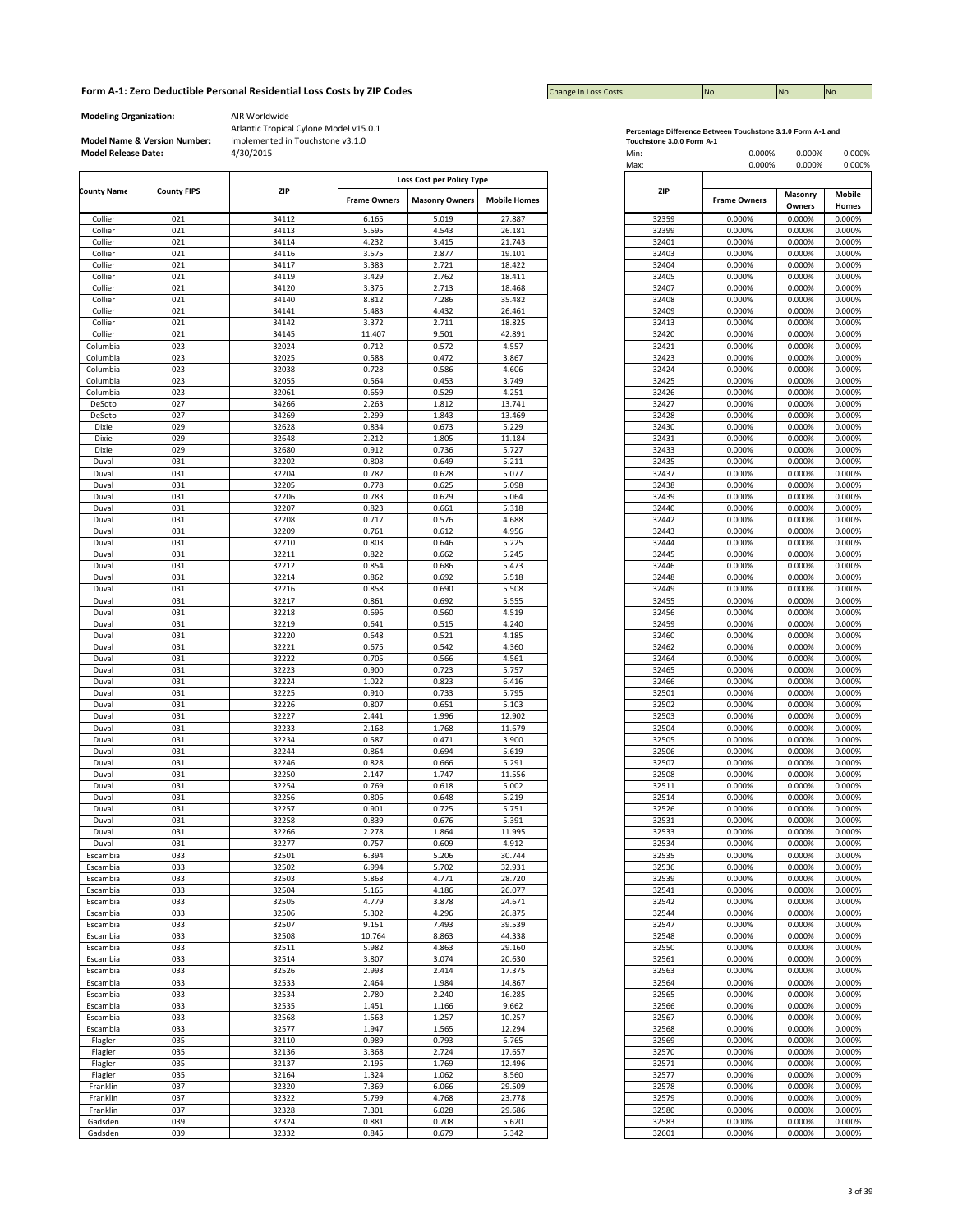Change in Loss Costs:

**Modeling Organization:** AIR Worldwide

Atlantic Tropical Cylone Model v15.0.1 implemented in Touchstone v3.1.0

|                    |                    |                |                     | Loss Cost per Policy Type |                     |                |                     |                   |                        |
|--------------------|--------------------|----------------|---------------------|---------------------------|---------------------|----------------|---------------------|-------------------|------------------------|
| <b>County Name</b> | <b>County FIPS</b> | <b>ZIP</b>     | <b>Frame Owners</b> | <b>Masonry Owners</b>     | <b>Mobile Homes</b> | ZIP            | <b>Frame Owners</b> | Masonry<br>Owners | <b>Mobile</b><br>Homes |
| Collier            | 021                | 34112          | 6.165               | 5.019                     | 27.887              | 32359          | 0.000%              | 0.000%            | 0.000%                 |
| Collier            | 021                | 34113          | 5.595               | 4.543                     | 26.181              | 32399          | 0.000%              | 0.000%            | 0.000%                 |
| Collier            | 021                | 34114          | 4.232               | 3.415                     | 21.743              | 32401          | 0.000%              | 0.000%            | 0.000%                 |
| Collier            | 021                | 34116          | 3.575               | 2.877                     | 19.101              | 32403          | 0.000%              | 0.000%            | 0.000%                 |
| Collier            | 021                | 34117          | 3.383               | 2.721                     | 18.422              | 32404          | 0.000%              | 0.000%            | 0.000%                 |
| Collier            | 021                | 34119          | 3.429               | 2.762                     | 18.411              | 32405          | 0.000%              | 0.000%            | 0.000%                 |
| Collier            | 021                | 34120          | 3.375               | 2.713                     | 18.468              | 32407          | 0.000%              | 0.000%            | 0.000%                 |
| Collier            | 021                | 34140          | 8.812               | 7.286                     | 35.482              | 32408          | 0.000%              | 0.000%            | 0.000%                 |
| Collier            | 021                | 34141          | 5.483               | 4.432                     | 26.461              | 32409          | 0.000%              | 0.000%            | 0.000%                 |
| Collier            | 021                | 34142          | 3.372               | 2.711                     | 18.825              | 32413          | 0.000%              | 0.000%            | 0.000%                 |
| Collier            | 021                | 34145          | 11.407              | 9.501                     | 42.891              | 32420          | 0.000%              | 0.000%            | 0.000%                 |
| Columbia           | 023                | 32024          | 0.712               | 0.572                     | 4.557               | 32421          | 0.000%              | 0.000%            | 0.000%                 |
| Columbia           | 023                | 32025          | 0.588               | 0.472                     | 3.867               | 32423          | 0.000%              | 0.000%            | 0.000%                 |
| Columbia           | 023                | 32038          | 0.728               | 0.586                     | 4.606               | 32424          | 0.000%              | 0.000%            | 0.000%                 |
| Columbia           | 023                | 32055          | 0.564               | 0.453                     | 3.749               | 32425          | 0.000%              | 0.000%            | 0.000%                 |
| Columbia           | 023                | 32061          | 0.659               | 0.529                     | 4.251               | 32426          | 0.000%              | 0.000%            | 0.000%                 |
| DeSoto             | 027                | 34266          | 2.263               | 1.812                     | 13.741              | 32427          | 0.000%              | 0.000%            | 0.000%                 |
| DeSoto             | 027                | 34269          | 2.299               | 1.843                     | 13.469              | 32428          | 0.000%              | 0.000%            | 0.000%                 |
| Dixie              | 029                | 32628          | 0.834               | 0.673                     | 5.229               | 32430          | 0.000%              | 0.000%            | 0.000%                 |
| Dixie              | 029                | 32648          | 2.212               | 1.805                     | 11.184              | 32431          | 0.000%              | 0.000%            | 0.000%                 |
| Dixie              | 029                | 32680          | 0.912               | 0.736                     | 5.727               | 32433          | 0.000%              | 0.000%            | 0.000%                 |
|                    | 031                | 32202          | 0.808               | 0.649                     | 5.211               | 32435          | 0.000%              | 0.000%            | 0.000%                 |
| Duval<br>Duval     | 031                | 32204          | 0.782               | 0.628                     | 5.077               | 32437          | 0.000%              | 0.000%            | 0.000%                 |
| Duval              | 031                | 32205          | 0.778               | 0.625                     | 5.098               | 32438          | 0.000%              | 0.000%            | 0.000%                 |
|                    |                    |                |                     |                           |                     |                |                     |                   |                        |
| Duval              | 031<br>031         | 32206<br>32207 | 0.783<br>0.823      | 0.629<br>0.661            | 5.064<br>5.318      | 32439<br>32440 | 0.000%<br>0.000%    | 0.000%<br>0.000%  | 0.000%<br>0.000%       |
| Duval              |                    |                |                     |                           |                     |                |                     |                   |                        |
| Duval              | 031                | 32208          | 0.717               | 0.576                     | 4.688               | 32442          | 0.000%              | 0.000%            | 0.000%                 |
| Duval              | 031                | 32209          | 0.761               | 0.612                     | 4.956               | 32443          | 0.000%              | 0.000%            | 0.000%                 |
| Duval              | 031                | 32210          | 0.803               | 0.646                     | 5.225               | 32444          | 0.000%              | 0.000%            | 0.000%                 |
| Duval              | 031                | 32211          | 0.822               | 0.662                     | 5.245               | 32445          | 0.000%              | 0.000%            | 0.000%                 |
| Duval              | 031                | 32212          | 0.854               | 0.686                     | 5.473               | 32446          | 0.000%              | 0.000%            | 0.000%                 |
| Duval              | 031                | 32214          | 0.862               | 0.692                     | 5.518               | 32448          | 0.000%              | 0.000%            | 0.000%                 |
| Duval              | 031                | 32216          | 0.858               | 0.690                     | 5.508               | 32449          | 0.000%              | 0.000%            | 0.000%                 |
| Duval              | 031                | 32217          | 0.861               | 0.692                     | 5.555               | 32455          | 0.000%              | 0.000%            | 0.000%                 |
| Duval              | 031                | 32218          | 0.696               | 0.560                     | 4.519               | 32456          | 0.000%              | 0.000%            | 0.000%                 |
| Duval              | 031                | 32219          | 0.641               | 0.515                     | 4.240               | 32459          | 0.000%              | 0.000%            | 0.000%                 |
| Duval              | 031                | 32220          | 0.648               | 0.521                     | 4.185               | 32460          | 0.000%              | 0.000%            | 0.000%                 |
| Duval              | 031                | 32221          | 0.675               | 0.542                     | 4.360               | 32462          | 0.000%              | 0.000%            | 0.000%                 |
| Duval              | 031                | 32222          | 0.705               | 0.566                     | 4.561               | 32464          | 0.000%              | 0.000%            | 0.000%                 |
| Duval              | 031                | 32223          | 0.900               | 0.723                     | 5.757               | 32465          | 0.000%              | 0.000%            | 0.000%                 |
| Duval              | 031                | 32224          | 1.022               | 0.823                     | 6.416               | 32466          | 0.000%              | 0.000%            | 0.000%                 |
| Duval              | 031                | 32225          | 0.910               | 0.733                     | 5.795               | 32501          | 0.000%              | 0.000%            | 0.000%                 |
| Duval              | 031                | 32226          | 0.807               | 0.651                     | 5.103               | 32502          | 0.000%              | 0.000%            | 0.000%                 |
| Duval              | 031                | 32227          | 2.441               | 1.996                     | 12.902              | 32503          | 0.000%              | 0.000%            | 0.000%                 |
| Duval              | 031                | 32233          | 2.168               | 1.768                     | 11.679              | 32504          | 0.000%              | 0.000%            | 0.000%                 |
| Duval              | 031                | 32234          | 0.587               | 0.471                     | 3.900               | 32505          | 0.000%              | 0.000%            | 0.000%                 |
| Duval              | 031                | 32244          | 0.864               | 0.694                     | 5.619               | 32506          | 0.000%              | 0.000%            | 0.000%                 |
| Duval              | 031                | 32246          | 0.828               | 0.666                     | 5.291               | 32507          | 0.000%              | 0.000%            | 0.000%                 |
| Duval              | 031                | 32250          | 2.147               | 1.747                     | 11.556              | 32508          | 0.000%              | 0.000%            | 0.000%                 |
| Duval              | 031                | 32254          | 0.769               | 0.618                     | 5.002               | 32511          | 0.000%              | 0.000%            | 0.000%                 |
| Duval              | 031                | 32256          | 0.806               | 0.648                     | 5.219               | 32514          | 0.000%              | 0.000%            | 0.000%                 |
| Duval              | 031                | 32257          | 0.901               | 0.725                     | 5.751               | 32526          | 0.000%              | 0.000%            | 0.000%                 |
| Duval              | 031                | 32258          | 0.839               | 0.676                     | 5.391               | 32531          | 0.000%              | 0.000%            | 0.000%                 |
| Duval              | 031                | 32266          | 2.278               | 1.864                     | 11.995              | 32533          | 0.000%              | 0.000%            | 0.000%                 |
| Duval              | 031                | 32277          | 0.757               | 0.609                     | 4.912               | 32534          | 0.000%              | 0.000%            | 0.000%                 |
| Escambia           | 033                | 32501          | 6.394               | 5.206                     | 30.744              | 32535          | 0.000%              | 0.000%            | 0.000%                 |
| Escambia           | 033                | 32502          | 6.994               | 5.702                     | 32.931              | 32536          | 0.000%              | 0.000%            | 0.000%                 |
| Escambia           | 033                | 32503          | 5.868               | 4.771                     | 28.720              | 32539          | 0.000%              | 0.000%            | 0.000%                 |
| Escambia           | 033                | 32504          | 5.165               | 4.186                     | 26.077              | 32541          | 0.000%              | 0.000%            | 0.000%                 |
| Escambia           | 033                | 32505          | 4.779               | 3.878                     | 24.671              | 32542          | 0.000%              | 0.000%            | 0.000%                 |
| Escambia           | 033                | 32506          | 5.302               | 4.296                     | 26.875              | 32544          | 0.000%              | 0.000%            | 0.000%                 |
| Escambia           | 033                | 32507          | 9.151               | 7.493                     | 39.539              | 32547          | 0.000%              | 0.000%            | 0.000%                 |
| Escambia           | 033                | 32508          | 10.764              | 8.863                     | 44.338              | 32548          | 0.000%              | 0.000%            | 0.000%                 |
| Escambia           | 033                | 32511          | 5.982               | 4.863                     | 29.160              | 32550          | 0.000%              | 0.000%            | 0.000%                 |
| Escambia           | 033                | 32514          | 3.807               | 3.074                     | 20.630              | 32561          | 0.000%              | 0.000%            | 0.000%                 |
| Escambia           | 033                | 32526          | 2.993               | 2.414                     | 17.375              | 32563          | 0.000%              | 0.000%            | 0.000%                 |
| Escambia           | 033                | 32533          | 2.464               | 1.984                     | 14.867              | 32564          | 0.000%              | 0.000%            | 0.000%                 |
| Escambia           | 033                | 32534          | 2.780               | 2.240                     | 16.285              | 32565          | 0.000%              | 0.000%            | 0.000%                 |
| Escambia           | 033                | 32535          | 1.451               | 1.166                     | 9.662               | 32566          | 0.000%              | 0.000%            | 0.000%                 |
| Escambia           | 033                | 32568          | 1.563               | 1.257                     | 10.257              | 32567          | 0.000%              | 0.000%            | 0.000%                 |
| Escambia           | 033                | 32577          | 1.947               | 1.565                     | 12.294              | 32568          | 0.000%              | 0.000%            | 0.000%                 |
| Flagler            | 035                | 32110          | 0.989               | 0.793                     | 6.765               | 32569          | 0.000%              | 0.000%            | 0.000%                 |
| Flagler            | 035                | 32136          | 3.368               | 2.724                     | 17.657              | 32570          | 0.000%              | 0.000%            | 0.000%                 |
| Flagler            | 035                | 32137          | 2.195               | 1.769                     | 12.496              | 32571          | 0.000%              | 0.000%            | 0.000%                 |
| Flagler            | 035                | 32164          | 1.324               | 1.062                     | 8.560               | 32577          | 0.000%              | 0.000%            | 0.000%                 |
| Franklin           | 037                | 32320          | 7.369               | 6.066                     | 29.509              | 32578          | 0.000%              | 0.000%            | 0.000%                 |
| Franklin           | 037                | 32322          | 5.799               | 4.768                     | 23.778              | 32579          | 0.000%              | 0.000%            | 0.000%                 |
| Franklin           | 037                | 32328          | 7.301               | 6.028                     | 29.686              | 32580          | 0.000%              | 0.000%            | 0.000%                 |
| Gadsden            | 039                | 32324          | 0.881               | 0.708                     | 5.620               | 32583          | 0.000%              | 0.000%            | 0.000%                 |
| Gadsden            | 039                | 32332          | 0.845               | 0.679                     | 5342                | 32601          | 0.000%              | 0.000%            | 0.000%                 |

| <b>Model Release Date:</b> |                    | 4/30/2015 |                     |                           |                     | Min:<br>Max: | 0.000%<br>0.000%    | 0.000%<br>0.000%  | 0.000%<br>0.000%       |
|----------------------------|--------------------|-----------|---------------------|---------------------------|---------------------|--------------|---------------------|-------------------|------------------------|
|                            |                    |           |                     | Loss Cost per Policy Type |                     |              |                     |                   |                        |
| <b>County Name</b>         | <b>County FIPS</b> | ZIP       | <b>Frame Owners</b> | <b>Masonry Owners</b>     | <b>Mobile Homes</b> | <b>ZIP</b>   | <b>Frame Owners</b> | Masonry<br>Owners | <b>Mobile</b><br>Homes |
| Collier                    | 021                | 34112     | 6.165               | 5.019                     | 27.887              | 32359        | 0.000%              | 0.000%            | 0.000%                 |
| Collier                    | 021                | 34113     | 5.595               | 4.543                     | 26.181              | 32399        | 0.000%              | 0.000%            | 0.000%                 |
| Collier                    | 021                | 34114     | 4.232               | 3.415                     | 21.743              | 32401        | 0.000%              | 0.000%            | 0.000%                 |
| Collier                    | 021                | 34116     | 3.575               | 2.877                     | 19.101              | 32403        | 0.000%              | 0.000%            | 0.000%                 |
| Collier                    | 021                | 34117     | 3.383               | 2.721                     | 18.422              | 32404        | 0.000%              | 0.000%            | 0.000%                 |
| Collier                    | 021                | 34119     | 3.429               | 2.762                     | 18.411              | 32405        | 0.000%              | 0.000%            | 0.000%                 |
| Collier                    | 021                | 34120     | 3.375               | 2.713                     | 18.468              | 32407        | 0.000%              | 0.000%            | 0.000%                 |
| Collier                    | 021                | 34140     | 8.812               | 7.286                     | 35.482              | 32408        | 0.000%              | 0.000%            | 0.000%                 |
| Collier                    | 021                | 34141     | 5.483               | 4.432                     | 26.461              | 32409        | 0.000%              | 0.000%            | 0.000%                 |
| Collier                    | 021                | 34142     | 3.372               | 2.711                     | 18.825              | 32413        | 0.000%              | 0.000%            | 0.000%                 |
| Collier                    | 021                | 34145     | 11.407              | 9.501                     | 42.891              | 32420        | 0.000%              | 0.000%            | 0.000%                 |
| Columbia                   | 023                | 32024     | 0.712               | 0.572                     | 4.557               | 32421        | 0.000%              | 0.000%            | 0.000%                 |
| Columbia                   | 023                | 32025     | 0.588               | 0.472                     | 3.867               | 32423        | 0.000%              | 0.000%            | 0.000%                 |
| Columbia                   | 023                | 32038     | 0.728               | 0.586                     | 4.606               | 32424        | 0.000%              | 0.000%            | 0.000%                 |
| Columbia                   | 023                | 32055     | 0.564               | 0.453                     | 3.749               | 32425        | 0.000%              | 0.000%            | 0.000%                 |
| Columbia                   | 023                | 32061     | 0.659               | 0.529                     | 4.251               | 32426        | 0.000%              | 0.000%            | 0.000%                 |
| DeSoto                     | 027                | 34266     | 2.263               | 1.812                     | 13.741              | 32427        | 0.000%              | 0.000%            | 0.000%                 |
| DeSoto                     | 027                | 34269     | 2.299               | 1.843                     | 13.469              | 32428        | 0.000%              | 0.000%            | 0.000%                 |
| Dixie                      | 029                | 32628     | 0.834               | 0.673                     | 5.229               | 32430        | 0.000%              | 0.000%            | 0.000%                 |
| Dixie                      | 029                | 32648     | 2.212               | 1.805                     | 11.184              | 32431        | 0.000%              | 0.000%            | 0.000%                 |
| Dixie                      | 029                | 32680     | 0.912               | 0.736                     | 5.727               | 32433        | 0.000%              | 0.000%            | 0.000%                 |
| Duval                      | 031                | 32202     | 0.808               | 0.649                     | 5.211               | 32435        | 0.000%              | 0.000%            | 0.000%                 |
| Duval                      | 031                | 32204     | 0.782               | 0.628                     | 5.077               | 32437        | 0.000%              | 0.000%            | 0.000%                 |
| Duval                      | 031                | 32205     | 0.778               | 0.625                     | 5.098               | 32438        | 0.000%              | 0.000%            | 0.000%                 |
| Duval                      | 031                | 32206     | 0.783               | 0.629                     | 5.064               | 32439        | 0.000%              | 0.000%            | 0.000%                 |
| Duval                      | 031                | 32207     | 0.823               | 0.661                     | 5.318               | 32440        | 0.000%              | 0.000%            | 0.000%                 |
| Duval                      | 031                | 32208     | 0.717               | 0.576                     | 4.688               | 32442        | 0.000%              | 0.000%            | 0.000%                 |
| Duval                      | 031                | 32209     | 0.761               | 0.612                     | 4.956               | 32443        | 0.000%              | 0.000%            | 0.000%                 |
| Duval                      | 031                | 32210     | 0.803               | 0.646                     | 5.225               | 32444        | 0.000%              | 0.000%            | 0.000%                 |
| Duval                      | 031                | 32211     | 0.822               | 0.662                     | 5.245               | 32445        | 0.000%              | 0.000%            | 0.000%                 |
| Duval                      | 031                | 32212     | 0.854               | 0.686                     | 5.473               | 32446        | 0.000%              | 0.000%            | 0.000%                 |
| Duval                      | 031                | 32214     | 0.862               | 0.692                     | 5.518               | 32448        | 0.000%              | 0.000%            | 0.000%                 |
| Duval                      | 031                | 32216     | 0.858               | 0.690                     | 5.508               | 32449        | 0.000%              | 0.000%            | 0.000%                 |
| Duval                      | 031                | 32217     | 0.861               | 0.692                     | 5.555               | 32455        | 0.000%              | 0.000%            | 0.000%                 |
| Duval                      | 031                | 32218     | 0.696               | 0.560                     | 4.519               | 32456        | 0.000%              | 0.000%            | 0.000%                 |
| Duval                      | 031                | 32219     | 0.641               | 0.515                     | 4.240               | 32459        | 0.000%              | 0.000%            | 0.000%                 |
| Duval                      | 031                | 32220     | 0.648               | 0.521                     | 4.185               | 32460        | 0.000%              | 0.000%            | 0.000%                 |
| Duval                      | 031                | 32221     | 0.675               | 0.542                     | 4.360               | 32462        | 0.000%              | 0.000%            | 0.000%                 |
| Duval                      | 031                | 32222     | 0.705               | 0.566                     | 4.561               | 32464        | 0.000%              | 0.000%            | 0.000%                 |
| Duval                      | 031                | 32223     | 0.900               | 0.723                     | 5.757               | 32465        | 0.000%              | 0.000%            | 0.000%                 |
| Duval                      | 031                | 32224     | 1.022               | 0.823                     | 6.416               | 32466        | 0.000%              | 0.000%            | 0.000%                 |
| Duval                      | 031                | 32225     | 0.910               | 0.733                     | 5.795               | 32501        | 0.000%              | 0.000%            | 0.000%                 |
| Duval                      | 031                | 32226     | 0.807               | 0.651                     | 5.103               | 32502        | 0.000%              | 0.000%            | 0.000%                 |
| Duval                      | 031                | 32227     | 2.441               | 1.996                     | 12.902              | 32503        | 0.000%              | 0.000%            | 0.000%                 |
| Duval                      | 031                | 32233     | 2.168               | 1.768                     | 11.679              | 32504        | 0.000%              | 0.000%            | 0.000%                 |
| Duval                      | 031                | 32234     | 0.587               | 0.471                     | 3.900               | 32505        | 0.000%              | 0.000%            | 0.000%                 |
| Duval                      | 031                | 32244     | 0.864               | 0.694                     | 5.619               | 32506        | 0.000%              | 0.000%            | 0.000%                 |
| Duval                      | 031                | 32246     | 0.828               | 0.666                     | 5.291               | 32507        | 0.000%              | 0.000%            | 0.000%                 |
| Duval                      | 031                | 32250     | 2.147               | 1.747                     | 11.556              | 32508        | 0.000%              | 0.000%            | 0.000%                 |
| Duval                      | 031                | 32254     | 0.769               | 0.618                     | 5.002               | 32511        | 0.000%              | 0.000%            | 0.000%                 |
| Duval                      | 031                | 32256     | 0.806               | 0.648                     | 5.219               | 32514        | 0.000%              | 0.000%            | 0.000%                 |
| Duval                      | 031                | 32257     | 0.901               | 0.725                     | 5.751               | 32526        | 0.000%              | 0.000%            | 0.000%                 |
| Duval                      | 031                | 32258     | 0.839               | 0.676                     | 5.391               | 32531        | 0.000%              | 0.000%            | 0.000%                 |
| Duva                       | 031                | 32266     | 2.278               | 1.864                     | 11.995              | 32533        | n nnn%              | 0.000%            | 0.000%                 |
| Duval                      | 031                | 32277     | 0.757               | 0.609                     | 4.912               | 32534        | 0.000%              | 0.000%            | 0.000%                 |
| Escambia                   | 033                | 32501     | 6.394               | 5.206                     | 30.744              | 32535        | 0.000%              | 0.000%            | 0.000%                 |
| Escambia                   | 033                | 32502     | 6.994               | 5.702                     | 32.931              | 32536        | 0.000%              | 0.000%            | 0.000%                 |
| Escambia                   | 033                | 32503     | 5.868               | 4.771                     | 28.720              | 32539        | 0.000%              | 0.000%            | 0.000%                 |
| Escambia                   | 033                | 32504     | 5.165               | 4.186                     | 26.077              | 32541        | 0.000%              | 0.000%            | 0.000%                 |
| Escambia                   | 033                | 32505     | 4.779               | 3.878                     | 24.671              | 32542        | 0.000%              | 0.000%            | 0.000%                 |
| Escambia                   | 033                | 32506     | 5.302               | 4.296                     | 26.875              | 32544        | 0.000%              | 0.000%            | 0.000%                 |
| Escambia                   | 033                | 32507     | 9.151               | 7.493                     | 39.539              | 32547        | 0.000%              | 0.000%            | 0.000%                 |
| Escambia                   | 033                | 32508     | 10.764              | 8.863                     | 44.338              | 32548        | 0.000%              | 0.000%            | 0.000%                 |
| Escambia                   | 033                | 32511     | 5.982               | 4.863                     | 29.160              | 32550        | 0.000%              | 0.000%            | 0.000%                 |
| Escambia                   | 033                | 32514     | 3.807               | 3.074                     | 20.630              | 32561        | 0.000%              | 0.000%            | 0.000%                 |
| Escambia                   | 033                | 32526     | 2.993               | 2.414                     | 17.375              | 32563        | 0.000%              | 0.000%            | 0.000%                 |
| Escambia                   | 033                | 32533     | 2.464               | 1.984                     | 14.867              | 32564        | 0.000%              | 0.000%            | 0.000%                 |
| Escambia                   | 033                | 32534     | 2.780               | 2.240                     | 16.285              | 32565        | 0.000%              | 0.000%            | 0.000%                 |
| Escambia                   | 033                | 32535     | 1.451               | 1.166                     | 9.662               | 32566        | 0.000%              | 0.000%            | 0.000%                 |
| Escambia                   | 033                | 32568     | 1.563               | 1.257                     | 10.257              | 32567        | 0.000%              | 0.000%            | 0.000%                 |
| Escambia                   | 033                | 32577     | 1.947               | 1.565                     | 12.294              | 32568        | 0.000%              | 0.000%            | 0.000%                 |
| Flagler                    | 035                | 32110     | 0.989               | 0.793                     | 6.765               | 32569        | 0.000%              | 0.000%            | 0.000%                 |
| Flagler                    | 035                | 32136     | 3.368               | 2.724                     | 17.657              | 32570        | 0.000%              | 0.000%            | 0.000%                 |
| Flagler                    | 035                | 32137     | 2.195               | 1.769                     | 12.496              | 32571        | 0.000%              | 0.000%            | 0.000%                 |
| Flagler                    | 035                | 32164     | 1.324               | 1.062                     | 8.560               | 32577        | 0.000%              | 0.000%            | 0.000%                 |
| Franklin                   | 037                | 32320     | 7.369               | 6.066                     | 29.509              | 32578        | 0.000%              | 0.000%            | 0.000%                 |
| Franklin                   | 037                | 32322     | 5.799               | 4.768                     | 23.778              | 32579        | 0.000%              | 0.000%            | 0.000%                 |
| Franklin                   | 037                | 32328     | 7.301               | 6.028                     | 29.686              | 32580        | 0.000%              | 0.000%            | 0.000%                 |
| Gadsden                    | 039                | 32324     | 0.881               | 0.708                     | 5.620               | 32583        | 0.000%              | 0.000%            | 0.000%                 |
| Gadsden                    | 039                | 32332     | 0.845               | 0.679                     | 5.342               | 32601        | 0.000%              | 0.000%            | 0.000%                 |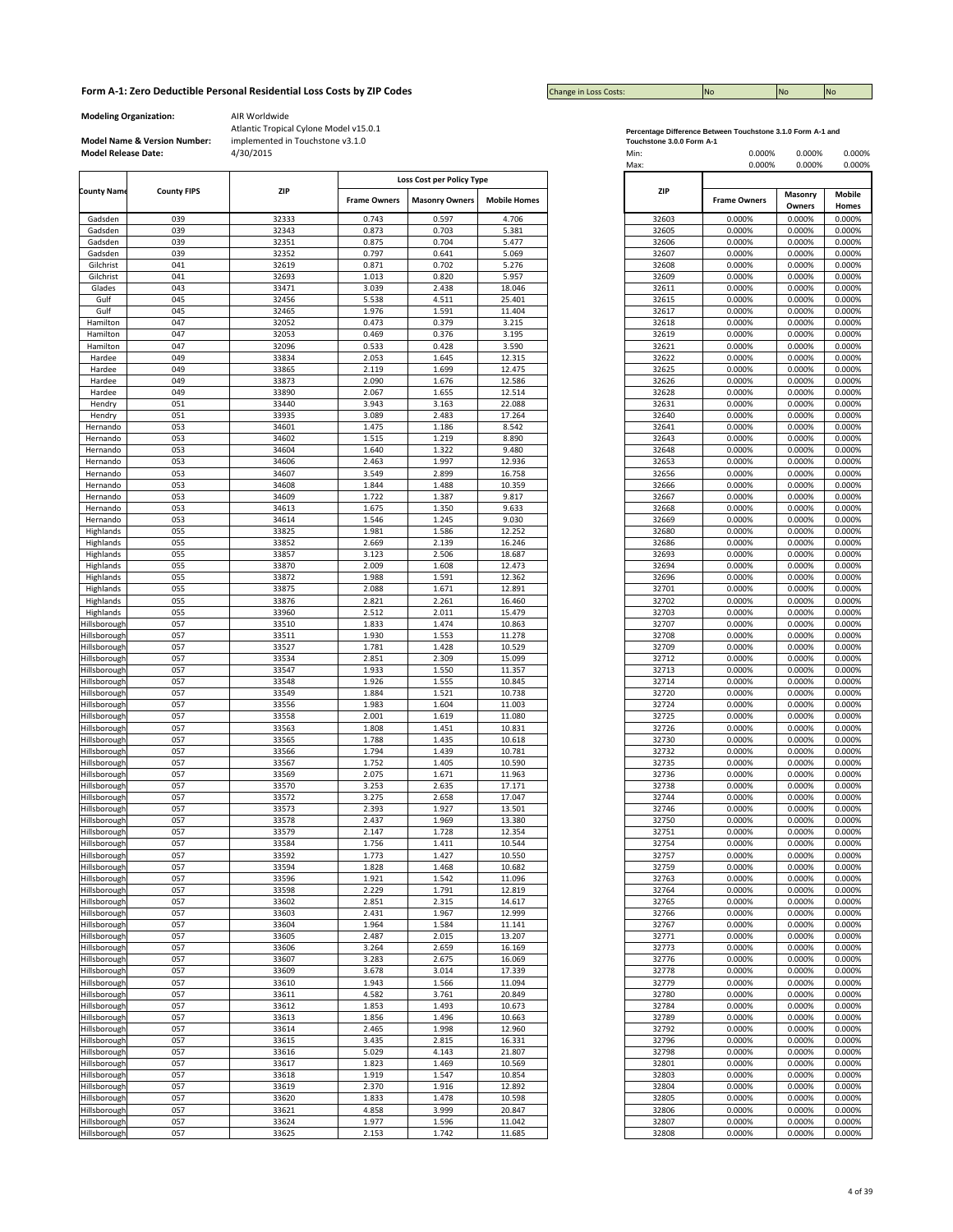Change in Loss Costs:

**Modeling Organization:** AIR Worldwide

Atlantic Tropical Cylone Model v15.0.1 implemented in Touchstone v3.1.0

|                              |                    |                |                     | Loss Cost per Policy Type |                     |
|------------------------------|--------------------|----------------|---------------------|---------------------------|---------------------|
| <b>County Name</b>           | <b>County FIPS</b> | <b>ZIP</b>     | <b>Frame Owners</b> | <b>Masonry Owners</b>     | <b>Mobile Homes</b> |
| Gadsden                      | 039                | 32333          | 0.743               | 0.597                     | 4.706               |
| Gadsden                      | 039                | 32343          | 0.873               | 0.703                     | 5.381               |
| Gadsden                      | 039                | 32351          | 0.875               | 0.704                     | 5.477               |
| Gadsden                      | 039                | 32352          | 0.797               | 0.641                     | 5.069               |
| Gilchrist<br>Gilchrist       | 041<br>041         | 32619<br>32693 | 0.871<br>1.013      | 0.702<br>0.820            | 5.276<br>5.957      |
| Glades                       | 043                | 33471          | 3.039               | 2.438                     | 18.046              |
| Gulf                         | 045                | 32456          | 5.538               | 4.511                     | 25.401              |
| Gulf                         | 045                | 32465          | 1.976               | 1.591                     | 11.404              |
| Hamilton                     | 047                | 32052          | 0.473               | 0.379                     | 3.215               |
| Hamilton                     | 047                | 32053          | 0.469               | 0.376                     | 3.195               |
| Hamilton                     | 047                | 32096          | 0.533               | 0.428                     | 3.590               |
| Hardee                       | 049                | 33834          | 2.053               | 1.645                     | 12.315              |
| Hardee                       | 049                | 33865          | 2.119               | 1.699                     | 12.475              |
| Hardee                       | 049                | 33873          | 2.090               | 1.676                     | 12.586              |
| Hardee                       | 049                | 33890          | 2.067               | 1.655                     | 12.514              |
| Hendry                       | 051                | 33440          | 3.943               | 3.163                     | 22.088              |
| Hendry                       | 051                | 33935          | 3.089               | 2.483                     | 17.264              |
| Hernando                     | 053                | 34601          | 1.475               | 1.186                     | 8.542               |
| Hernando                     | 053                | 34602          | 1.515               | 1.219                     | 8.890               |
| Hernando                     | 053                | 34604          | 1.640               | 1.322                     | 9.480               |
| Hernando                     | 053                | 34606          | 2.463               | 1.997                     | 12.936              |
| Hernando<br>Hernando         | 053<br>053         | 34607<br>34608 | 3.549<br>1.844      | 2.899<br>1.488            | 16.758<br>10.359    |
| Hernando                     | 053                | 34609          | 1.722               | 1.387                     | 9.817               |
| Hernando                     | 053                | 34613          | 1.675               | 1.350                     | 9.633               |
| Hernando                     | 053                | 34614          | 1.546               | 1.245                     | 9.030               |
| Highlands                    | 055                | 33825          | 1.981               | 1.586                     | 12.252              |
| Highlands                    | 055                | 33852          | 2.669               | 2.139                     | 16.246              |
| Highlands                    | 055                | 33857          | 3.123               | 2.506                     | 18.687              |
| Highlands                    | 055                | 33870          | 2.009               | 1.608                     | 12.473              |
| Highlands                    | 055                | 33872          | 1.988               | 1.591                     | 12.362              |
| Highlands                    | 055                | 33875          | 2.088               | 1.671                     | 12.891              |
| Highlands                    | 055                | 33876          | 2.821               | 2.261                     | 16.460              |
| Highlands                    | 055                | 33960          | 2.512               | 2.011                     | 15.479              |
| Hillsborough                 | 057                | 33510          | 1.833               | 1.474                     | 10.863              |
| Hillsborough                 | 057                | 33511          | 1.930               | 1.553                     | 11.278              |
| Hillsborough                 | 057                | 33527          | 1.781               | 1.428                     | 10.529              |
| Hillsborough                 | 057                | 33534          | 2.851               | 2.309                     | 15.099              |
| Hillsborough                 | 057                | 33547          | 1.933               | 1.550                     | 11.357              |
| Hillsborough                 | 057                | 33548          | 1.926               | 1.555                     | 10.845              |
| Hillsborough                 | 057                | 33549          | 1.884               | 1.521                     | 10.738              |
| Hillsborough                 | 057                | 33556          | 1.983               | 1.604                     | 11.003              |
| Hillsborough                 | 057                | 33558          | 2.001               | 1.619                     | 11.080              |
| Hillsborough                 | 057                | 33563          | 1.808               | 1.451                     | 10.831              |
| Hillsborough                 | 057                | 33565          | 1.788               | 1.435                     | 10.618              |
| Hillsborough                 | 057                | 33566          | 1.794               | 1.439                     | 10.781              |
| Hillsborough                 | 057                | 33567          | 1.752               | 1.405                     | 10.590              |
| Hillsborough                 | 057                | 33569          | 2.075               | 1.671                     | 11.963              |
| Hillsborough                 | 057                | 33570          | 3.253               | 2.635                     | 17.171              |
| Hillsborough                 | 057                | 33572          | 3.275               | 2.658                     | 17.047              |
| Hillsborough                 | 057                | 33573          | 2.393               | 1.927                     | 13.501              |
| Hillsborough                 | 057                | 33578          | 2.437               | 1.969                     | 13.380              |
| Hillsborough                 | 057                | 33579          | 2.147               | 1.728                     | 12.354              |
| Hillsborough                 | 057                | 33584          | 1.756               | 1.411                     | 10.544              |
| Hillsborough                 | 057                | 33592          | 1.773               | 1.427                     | 10.550              |
| Hillsborough                 | 057                | 33594          | 1.828               | 1.468                     | 10.682              |
| Hillsborough                 | 057                | 33596          | 1.921               | 1.542                     | 11.096              |
| Hillsborough                 | 057                | 33598          | 2.229               | 1.791                     | 12.819              |
| Hillsborough                 | 057                | 33602          | 2.851               | 2.315                     | 14.617              |
| Hillsborough<br>Hillsborough | 057<br>057         | 33603<br>33604 | 2.431<br>1.964      | 1.967<br>1.584            | 12.999<br>11.141    |
| Hillsborough                 | 057                | 33605          | 2.487               | 2.015                     | 13.207              |
| Hillsborough                 | 057                | 33606          | 3.264               | 2.659                     | 16.169              |
| Hillsborough                 | 057                | 33607          | 3.283               | 2.675                     | 16.069              |
| Hillsborough                 | 057                | 33609          | 3.678               | 3.014                     | 17.339              |
| Hillsborough                 | 057                | 33610          | 1.943               | 1.566                     | 11.094              |
| Hillsborough                 | 057                | 33611          | 4.582               | 3.761                     | 20.849              |
| Hillsborough                 | 057                | 33612          | 1.853               | 1.493                     | 10.673              |
| Hillsborough                 | 057                | 33613          | 1.856               | 1.496                     | 10.663              |
| Hillsborough                 | 057                | 33614          | 2.465               | 1.998                     | 12.960              |
| Hillsborough                 | 057                | 33615          | 3.435               | 2.815                     | 16.331              |
| Hillsborough                 | 057                | 33616          | 5.029               | 4.143                     | 21.807              |
| Hillsborough                 | 057                | 33617          | 1.823               | 1.469                     | 10.569              |
| Hillsborough                 | 057                | 33618          | 1.919               | 1.547                     | 10.854              |
| Hillsborough                 | 057                | 33619          | 2.370               | 1.916                     | 12.892              |
| Hillsborough                 | 057                | 33620          | 1.833               | 1.478                     | 10.598              |
| Hillsborough                 | 057                | 33621          | 4.858               | 3.999                     | 20.847              |
| Hillsborough                 | 057                | 33624          | 1.977               | 1.596                     | 11.042              |
| Hillsborough                 | 057                | 33625          | 2.153               | 1.742                     | 11.685              |

| <b>Model Release Date:</b>   | <b>Model Name &amp; Version Number:</b> | implemented in Touchstone v3.1.0<br>4/30/2015 |                     |                           |                     | Touchstone 3.0.0 Form A-1<br>Min:<br>Max: | 0.000%<br>0.000%    | 0.000%<br>0.000%  | 0.000%<br>0.000%       |
|------------------------------|-----------------------------------------|-----------------------------------------------|---------------------|---------------------------|---------------------|-------------------------------------------|---------------------|-------------------|------------------------|
|                              |                                         |                                               |                     | Loss Cost per Policy Type |                     |                                           |                     |                   |                        |
| County Name                  | <b>County FIPS</b>                      | <b>ZIP</b>                                    | <b>Frame Owners</b> | <b>Masonry Owners</b>     | <b>Mobile Homes</b> | ZIP                                       | <b>Frame Owners</b> | Masonry<br>Owners | <b>Mobile</b><br>Homes |
| Gadsden                      | 039                                     | 32333                                         | 0.743               | 0.597                     | 4.706               | 32603                                     | 0.000%              | 0.000%            | 0.000%                 |
| Gadsden                      | 039                                     | 32343                                         | 0.873               | 0.703                     | 5.381               | 32605                                     | 0.000%              | 0.000%            | 0.000%                 |
| Gadsden                      | 039                                     | 32351                                         | 0.875               | 0.704                     | 5.477               | 32606                                     | 0.000%              | 0.000%            | 0.000%                 |
| Gadsden<br>Gilchrist         | 039<br>041                              | 32352<br>32619                                | 0.797<br>0.871      | 0.641<br>0.702            | 5.069<br>5.276      | 32607<br>32608                            | 0.000%<br>0.000%    | 0.000%<br>0.000%  | 0.000%<br>0.000%       |
| Gilchrist                    | 041                                     | 32693                                         | 1.013               | 0.820                     | 5.957               | 32609                                     | 0.000%              | 0.000%            | 0.000%                 |
| Glades                       | 043                                     | 33471                                         | 3.039               | 2.438                     | 18.046              | 32611                                     | 0.000%              | 0.000%            | 0.000%                 |
| Gulf                         | 045                                     | 32456                                         | 5.538               | 4.511                     | 25.401              | 32615                                     | 0.000%              | 0.000%            | 0.000%                 |
| Gulf                         | 045                                     | 32465                                         | 1.976               | 1.591                     | 11.404              | 32617                                     | 0.000%              | 0.000%            | 0.000%                 |
| Hamilton                     | 047                                     | 32052                                         | 0.473               | 0.379                     | 3.215               | 32618                                     | 0.000%              | 0.000%            | 0.000%                 |
| Hamilton                     | 047                                     | 32053                                         | 0.469               | 0.376                     | 3.195               | 32619                                     | 0.000%              | 0.000%            | 0.000%                 |
| Hamilton                     | 047                                     | 32096                                         | 0.533               | 0.428                     | 3.590               | 32621                                     | 0.000%              | 0.000%            | 0.000%                 |
| Hardee                       | 049                                     | 33834                                         | 2.053               | 1.645                     | 12.315              | 32622                                     | 0.000%              | 0.000%            | 0.000%                 |
| Hardee<br>Hardee             | 049<br>049                              | 33865<br>33873                                | 2.119<br>2.090      | 1.699<br>1.676            | 12.475<br>12.586    | 32625<br>32626                            | 0.000%<br>0.000%    | 0.000%<br>0.000%  | 0.000%<br>0.000%       |
| Hardee                       | 049                                     | 33890                                         | 2.067               | 1.655                     | 12.514              | 32628                                     | 0.000%              | 0.000%            | 0.000%                 |
| Hendry                       | 051                                     | 33440                                         | 3.943               | 3.163                     | 22.088              | 32631                                     | 0.000%              | 0.000%            | 0.000%                 |
| Hendry                       | 051                                     | 33935                                         | 3.089               | 2.483                     | 17.264              | 32640                                     | 0.000%              | 0.000%            | 0.000%                 |
| Hernando                     | 053                                     | 34601                                         | 1.475               | 1.186                     | 8.542               | 32641                                     | 0.000%              | 0.000%            | 0.000%                 |
| Hernando                     | 053                                     | 34602                                         | 1.515               | 1.219                     | 8.890               | 32643                                     | 0.000%              | 0.000%            | 0.000%                 |
| Hernando                     | 053                                     | 34604                                         | 1.640               | 1.322                     | 9.480               | 32648                                     | 0.000%              | 0.000%            | 0.000%                 |
| Hernando                     | 053                                     | 34606                                         | 2.463               | 1.997                     | 12.936              | 32653                                     | 0.000%              | 0.000%            | 0.000%                 |
| Hernando                     | 053                                     | 34607                                         | 3.549               | 2.899                     | 16.758              | 32656                                     | 0.000%              | 0.000%            | 0.000%                 |
| Hernando                     | 053                                     | 34608                                         | 1.844               | 1.488                     | 10.359              | 32666                                     | 0.000%              | 0.000%            | 0.000%                 |
| Hernando<br>Hernando         | 053<br>053                              | 34609<br>34613                                | 1.722<br>1.675      | 1.387<br>1.350            | 9.817<br>9.633      | 32667<br>32668                            | 0.000%<br>0.000%    | 0.000%<br>0.000%  | 0.000%<br>0.000%       |
| Hernando                     | 053                                     | 34614                                         | 1.546               | 1.245                     | 9.030               | 32669                                     | 0.000%              | 0.000%            | 0.000%                 |
| Highlands                    | 055                                     | 33825                                         | 1.981               | 1.586                     | 12.252              | 32680                                     | 0.000%              | 0.000%            | 0.000%                 |
| Highlands                    | 055                                     | 33852                                         | 2.669               | 2.139                     | 16.246              | 32686                                     | 0.000%              | 0.000%            | 0.000%                 |
| Highlands                    | 055                                     | 33857                                         | 3.123               | 2.506                     | 18.687              | 32693                                     | 0.000%              | 0.000%            | 0.000%                 |
| Highlands                    | 055                                     | 33870                                         | 2.009               | 1.608                     | 12.473              | 32694                                     | 0.000%              | 0.000%            | 0.000%                 |
| Highlands                    | 055                                     | 33872                                         | 1.988               | 1.591                     | 12.362              | 32696                                     | 0.000%              | 0.000%            | 0.000%                 |
| Highlands                    | 055                                     | 33875                                         | 2.088               | 1.671                     | 12.891              | 32701                                     | 0.000%              | 0.000%            | 0.000%                 |
| Highlands                    | 055                                     | 33876                                         | 2.821               | 2.261                     | 16.460              | 32702                                     | 0.000%              | 0.000%            | 0.000%                 |
| Highlands                    | 055                                     | 33960                                         | 2.512               | 2.011                     | 15.479              | 32703                                     | 0.000%              | 0.000%            | 0.000%                 |
| Hillsborough<br>Hillsborough | 057<br>057                              | 33510<br>33511                                | 1.833<br>1.930      | 1.474<br>1.553            | 10.863<br>11.278    | 32707<br>32708                            | 0.000%<br>0.000%    | 0.000%<br>0.000%  | 0.000%<br>0.000%       |
| Hillsborough                 | 057                                     | 33527                                         | 1.781               | 1.428                     | 10.529              | 32709                                     | 0.000%              | 0.000%            | 0.000%                 |
| Hillsborough                 | 057                                     | 33534                                         | 2.851               | 2.309                     | 15.099              | 32712                                     | 0.000%              | 0.000%            | 0.000%                 |
| Hillsborough                 | 057                                     | 33547                                         | 1.933               | 1.550                     | 11.357              | 32713                                     | 0.000%              | 0.000%            | 0.000%                 |
| Hillsborough                 | 057                                     | 33548                                         | 1.926               | 1.555                     | 10.845              | 32714                                     | 0.000%              | 0.000%            | 0.000%                 |
| Hillsborough                 | 057                                     | 33549                                         | 1.884               | 1.521                     | 10.738              | 32720                                     | 0.000%              | 0.000%            | 0.000%                 |
| Hillsborough                 | 057                                     | 33556                                         | 1.983               | 1.604                     | 11.003              | 32724                                     | 0.000%              | 0.000%            | 0.000%                 |
| Hillsborough                 | 057                                     | 33558                                         | 2.001               | 1.619                     | 11.080              | 32725                                     | 0.000%              | 0.000%            | 0.000%                 |
| Hillsborough                 | 057                                     | 33563                                         | 1.808               | 1.451                     | 10.831              | 32726                                     | 0.000%              | 0.000%            | 0.000%                 |
| Hillsborough<br>Hillsborough | 057<br>057                              | 33565<br>33566                                | 1.788<br>1.794      | 1.435<br>1.439            | 10.618<br>10.781    | 32730<br>32732                            | 0.000%<br>0.000%    | 0.000%<br>0.000%  | 0.000%<br>0.000%       |
| Hillsborough                 | 057                                     | 33567                                         | 1.752               | 1.405                     | 10.590              | 32735                                     | 0.000%              | 0.000%            | 0.000%                 |
| Hillsborough                 | 057                                     | 33569                                         | 2.075               | 1.671                     | 11.963              | 32736                                     | 0.000%              | 0.000%            | 0.000%                 |
| Hillsborough                 | 057                                     | 33570                                         | 3.253               | 2.635                     | 17.171              | 32738                                     | 0.000%              | 0.000%            | 0.000%                 |
| Hillsborough                 | 057                                     | 33572                                         | 3.275               | 2.658                     | 17.047              | 32744                                     | 0.000%              | 0.000%            | 0.000%                 |
| Hillsborough                 | 057                                     | 33573                                         | 2.393               | 1.927                     | 13.501              | 32746                                     | 0.000%              | 0.000%            | 0.000%                 |
| Hillsborough                 | 057                                     | 33578                                         | 2.437               | 1.969                     | 13.380              | 32750                                     | 0.000%              | 0.000%            | 0.000%                 |
| Hillsborough                 | 057                                     | 33579                                         | 2.147               | 1.728                     | 12.354              | 32751                                     | 0.000%              | 0.000%            | 0.000%                 |
| Hillsborough                 | 057                                     | 33584                                         | 1.756               | 1.411                     | 10.544              | 32754                                     | 0.000%              | 0.000%            | 0.000%                 |
| <b>Hillsborough</b>          | 057                                     | 33592                                         | 1.773               | 1.427                     | 10.550              | 32757                                     | 0.000%              | 0.000%            | 0.000%                 |
| Hillsborough<br>Hillsborough | 057<br>057                              | 33594<br>33596                                | 1.828<br>1.921      | 1.468<br>1.542            | 10.682<br>11.096    | 32759<br>32763                            | 0.000%<br>0.000%    | 0.000%<br>0.000%  | 0.000%<br>0.000%       |
| Hillsborough                 | 057                                     | 33598                                         | 2.229               | 1.791                     | 12.819              | 32764                                     | 0.000%              | 0.000%            | 0.000%                 |
| Hillsborough                 | 057                                     | 33602                                         | 2.851               | 2.315                     | 14.617              | 32765                                     | 0.000%              | 0.000%            | 0.000%                 |
| Hillsborough                 | 057                                     | 33603                                         | 2.431               | 1.967                     | 12.999              | 32766                                     | 0.000%              | 0.000%            | 0.000%                 |
| Hillsborough                 | 057                                     | 33604                                         | 1.964               | 1.584                     | 11.141              | 32767                                     | 0.000%              | 0.000%            | 0.000%                 |
| Hillsborough                 | 057                                     | 33605                                         | 2.487               | 2.015                     | 13.207              | 32771                                     | 0.000%              | 0.000%            | 0.000%                 |
| Hillsborough                 | 057                                     | 33606                                         | 3.264               | 2.659                     | 16.169              | 32773                                     | 0.000%              | 0.000%            | 0.000%                 |
| Hillsborough                 | 057                                     | 33607                                         | 3.283               | 2.675                     | 16.069              | 32776                                     | 0.000%              | 0.000%            | 0.000%                 |
| Hillsborough                 | 057                                     | 33609                                         | 3.678               | 3.014                     | 17.339              | 32778                                     | 0.000%              | 0.000%            | 0.000%                 |
| Hillsborough                 | 057                                     | 33610                                         | 1.943               | 1.566                     | 11.094              | 32779                                     | 0.000%              | 0.000%            | 0.000%                 |
| Hillsborough<br>Hillsborough | 057<br>057                              | 33611<br>33612                                | 4.582<br>1.853      | 3.761<br>1.493            | 20.849<br>10.673    | 32780<br>32784                            | 0.000%<br>0.000%    | 0.000%<br>0.000%  | 0.000%<br>0.000%       |
| Hillsborough                 | 057                                     | 33613                                         | 1.856               | 1.496                     | 10.663              | 32789                                     | 0.000%              | 0.000%            | 0.000%                 |
| Hillsborough                 | 057                                     | 33614                                         | 2.465               | 1.998                     | 12.960              | 32792                                     | 0.000%              | 0.000%            | 0.000%                 |
| Hillsborough                 | 057                                     | 33615                                         | 3.435               | 2.815                     | 16.331              | 32796                                     | 0.000%              | 0.000%            | 0.000%                 |
| Hillsborough                 | 057                                     | 33616                                         | 5.029               | 4.143                     | 21.807              | 32798                                     | 0.000%              | 0.000%            | 0.000%                 |
| Hillsborough                 | 057                                     | 33617                                         | 1.823               | 1.469                     | 10.569              | 32801                                     | 0.000%              | 0.000%            | 0.000%                 |
| Hillsborough                 | 057                                     | 33618                                         | 1.919               | 1.547                     | 10.854              | 32803                                     | 0.000%              | 0.000%            | 0.000%                 |
| Hillsborough                 | 057                                     | 33619                                         | 2.370               | 1.916                     | 12.892              | 32804                                     | 0.000%              | 0.000%            | 0.000%                 |
| Hillsborough                 | 057                                     | 33620                                         | 1.833               | 1.478                     | 10.598              | 32805                                     | 0.000%              | 0.000%            | 0.000%                 |
| Hillsborough                 | 057                                     | 33621                                         | 4.858               | 3.999                     | 20.847              | 32806                                     | 0.000%              | 0.000%            | 0.000%                 |
| Hillsborough                 | 057                                     | 33624                                         | 1.977               | 1.596                     | 11.042              | 32807                                     | 0.000%              | 0.000%            | 0.000%                 |
| Hillsborough                 | 057                                     | 33625                                         | 2.153               | 1.742                     | 11.685              | 32808                                     | 0.000%              | 0.000%            | 0.000%                 |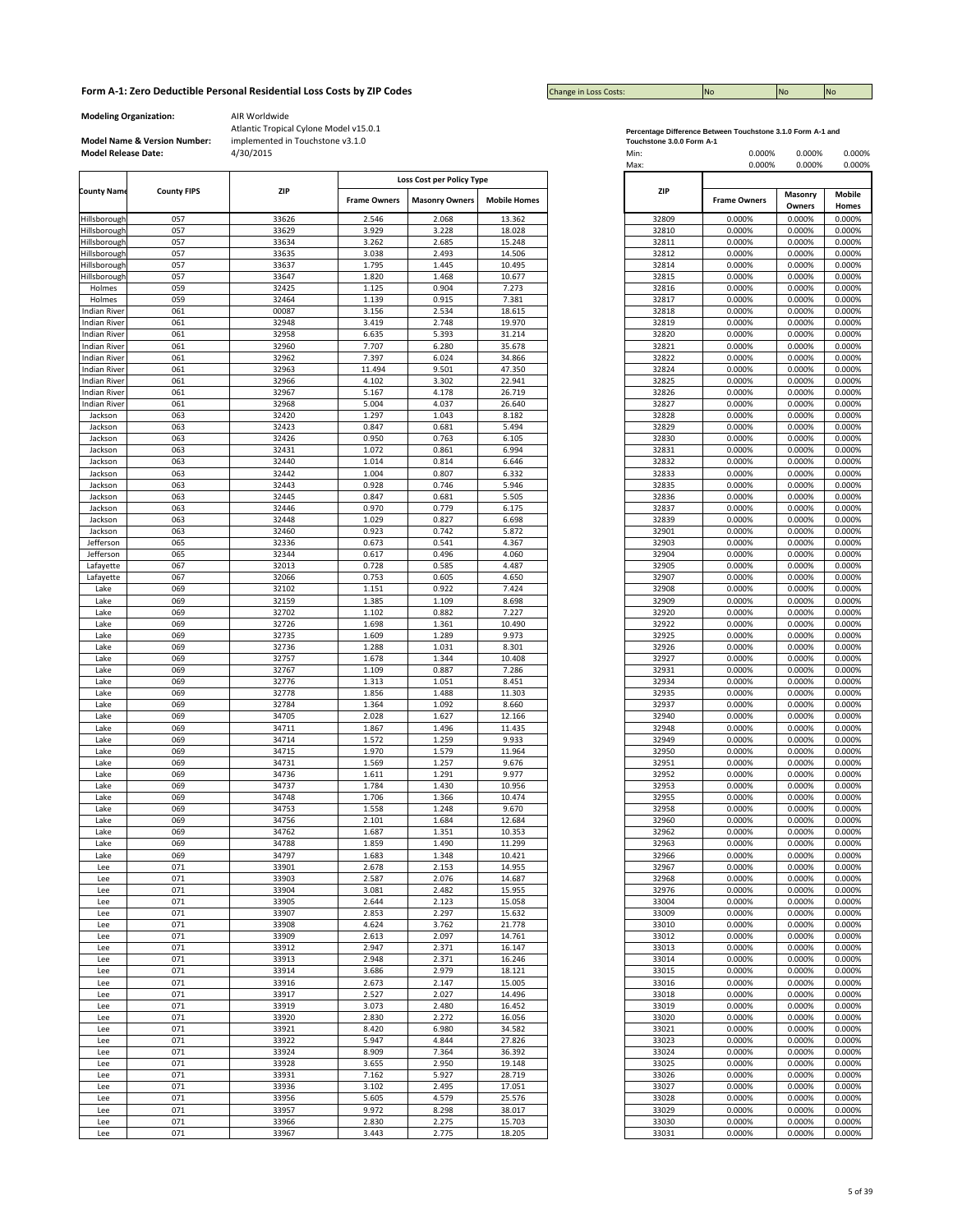Change in Loss Costs:

**Modeling Organization:** AIR Worldwide

Atlantic Tropical Cylone Model v15.0.1 implemented in Touchstone v3.1.0<br>4/30/2015

|                     |                    |       |                     | Loss Cost per Policy Type |                     |       |                     |                   |                        |
|---------------------|--------------------|-------|---------------------|---------------------------|---------------------|-------|---------------------|-------------------|------------------------|
| <b>County Name</b>  | <b>County FIPS</b> | ZIP   | <b>Frame Owners</b> | <b>Masonry Owners</b>     | <b>Mobile Homes</b> | ZIP   | <b>Frame Owners</b> | Masonry<br>Owners | <b>Mobile</b><br>Homes |
| Hillsborough        | 057                | 33626 | 2.546               | 2.068                     | 13.362              | 32809 | 0.000%              | 0.000%            | 0.000%                 |
| Hillsborough        | 057                | 33629 | 3.929               | 3.228                     | 18.028              | 32810 | 0.000%              | 0.000%            | 0.000%                 |
| Hillsborough        | 057                | 33634 | 3.262               | 2.685                     | 15.248              | 32811 | 0.000%              | 0.000%            | 0.000%                 |
| Hillsborough        | 057                | 33635 | 3.038               | 2.493                     | 14.506              | 32812 | 0.000%              | 0.000%            | 0.000%                 |
| Hillsborough        | 057                | 33637 | 1.795               | 1.445                     | 10.495              | 32814 | 0.000%              | 0.000%            | 0.000%                 |
| Hillsborough        | 057                | 33647 | 1.820               | 1.468                     | 10.677              | 32815 | 0.000%              | 0.000%            | 0.000%                 |
| Holmes              | 059                | 32425 | 1.125               | 0.904                     | 7.273               | 32816 | 0.000%              | 0.000%            | 0.000%                 |
| Holmes              | 059                | 32464 | 1.139               | 0.915                     | 7.381               | 32817 | 0.000%              | 0.000%            | 0.000%                 |
| <b>Indian River</b> | 061                | 00087 | 3.156               | 2.534                     | 18.615              | 32818 | 0.000%              | 0.000%            | 0.000%                 |
| <b>Indian River</b> | 061                | 32948 | 3.419               | 2.748                     | 19.970              | 32819 | 0.000%              | 0.000%            | 0.000%                 |
| Indian River        | 061                | 32958 | 6.635               | 5.393                     | 31.214              | 32820 | 0.000%              | 0.000%            | 0.000%                 |
| Indian River        | 061                | 32960 | 7.707               | 6.280                     | 35.678              | 32821 | 0.000%              | 0.000%            | 0.000%                 |
| <b>Indian River</b> | 061                | 32962 | 7.397               | 6.024                     | 34.866              | 32822 | 0.000%              | 0.000%            | 0.000%                 |
| <b>Indian River</b> | 061                | 32963 | 11.494              | 9.501                     | 47.350              | 32824 | 0.000%              | 0.000%            | 0.000%                 |
| <b>Indian River</b> | 061                | 32966 | 4.102               | 3.302                     | 22.941              | 32825 | 0.000%              | 0.000%            | 0.000%                 |
| <b>Indian River</b> | 061                | 32967 | 5.167               | 4.178                     | 26.719              | 32826 | 0.000%              | 0.000%            | 0.000%                 |
| <b>Indian River</b> | 061                | 32968 | 5.004               | 4.037                     | 26.640              | 32827 | 0.000%              | 0.000%            | 0.000%                 |
| Jackson             | 063                | 32420 | 1.297               | 1.043                     | 8.182               | 32828 | 0.000%              | 0.000%            | 0.000%                 |
| Jackson             | 063                | 32423 | 0.847               | 0.681                     | 5.494               | 32829 | 0.000%              | 0.000%            | 0.000%                 |
| Jackson             | 063                | 32426 | 0.950               | 0.763                     | 6.105               | 32830 | 0.000%              | 0.000%            | 0.000%                 |
| Jackson             | 063                | 32431 | 1.072               | 0.861                     | 6.994               | 32831 | 0.000%              | 0.000%            | 0.000%                 |
| Jackson             | 063                | 32440 | 1.014               | 0.814                     | 6.646               | 32832 | 0.000%              | 0.000%            | 0.000%                 |
| Jackson             | 063                | 32442 | 1.004               | 0.807                     | 6.332               | 32833 | 0.000%              | 0.000%            | 0.000%                 |
| Jackson             | 063                | 32443 | 0.928               | 0.746                     | 5.946               | 32835 | 0.000%              | 0.000%            | 0.000%                 |
| Jackson             | 063                | 32445 | 0.847               | 0.681                     | 5.505               | 32836 | 0.000%              | 0.000%            | 0.000%                 |
| Jackson             | 063                | 32446 | 0.970               | 0.779                     | 6.175               | 32837 | 0.000%              | 0.000%            | 0.000%                 |
| Jackson             | 063                | 32448 | 1.029               | 0.827                     | 6.698               | 32839 | 0.000%              | 0.000%            | 0.000%                 |
| Jackson             | 063                | 32460 | 0.923               | 0.742                     | 5.872               | 32901 | 0.000%              | 0.000%            | 0.000%                 |
| Jefferson           | 065                | 32336 | 0.673               | 0.541                     | 4.367               | 32903 | 0.000%              | 0.000%            | 0.000%                 |
| Jefferson           | 065                | 32344 | 0.617               | 0.496                     | 4.060               | 32904 | 0.000%              | 0.000%            | 0.000%                 |
| Lafayette           | 067                | 32013 | 0.728               | 0.585                     | 4.487               | 32905 | 0.000%              | 0.000%            | 0.000%                 |
| Lafayette           | 067                | 32066 | 0.753               | 0.605                     | 4.650               | 32907 | 0.000%              | 0.000%            | 0.000%                 |
| Lake                | 069                | 32102 | 1.151               | 0.922                     | 7.424               | 32908 | 0.000%              | 0.000%            | 0.000%                 |
| Lake                | 069                | 32159 | 1.385               | 1.109                     | 8.698               | 32909 | 0.000%              | 0.000%            | 0.000%                 |
| Lake                | 069                | 32702 | 1.102               | 0.882                     | 7.227               | 32920 | 0.000%              | 0.000%            | 0.000%                 |
| Lake                | 069                | 32726 | 1.698               | 1.361                     | 10.490              | 32922 | 0.000%              | 0.000%            | 0.000%                 |
| Lake                | 069                | 32735 | 1.609               | 1.289                     | 9.973               | 32925 | 0.000%              | 0.000%            | 0.000%                 |
| Lake                | 069                | 32736 | 1.288               | 1.031                     | 8.301               | 32926 | 0.000%              | 0.000%            | 0.000%                 |
| Lake                | 069                | 32757 | 1.678               | 1.344                     | 10.408              | 32927 | 0.000%              | 0.000%            | 0.000%                 |
| Lake                | 069                | 32767 | 1.109               | 0.887                     | 7.286               | 32931 | 0.000%              | 0.000%            | 0.000%                 |
| Lake                | 069                | 32776 | 1.313               | 1.051                     | 8.451               | 32934 | 0.000%              | 0.000%            | 0.000%                 |
| Lake                | 069                | 32778 | 1.856               | 1.488                     | 11.303              | 32935 | 0.000%              | 0.000%            | 0.000%                 |
| Lake                | 069                | 32784 | 1.364               | 1.092                     | 8.660               | 32937 | 0.000%              | 0.000%            | 0.000%                 |
|                     | 069                | 34705 | 2.028               |                           | 12.166              | 32940 | 0.000%              |                   |                        |
| Lake                | 069                | 34711 |                     | 1.627                     |                     | 32948 |                     | 0.000%            | 0.000%                 |
| Lake                |                    |       | 1.867               | 1.496                     | 11.435              |       | 0.000%              | 0.000%            | 0.000%                 |
| Lake                | 069                | 34714 | 1.572               | 1.259                     | 9.933               | 32949 | 0.000%              | 0.000%            | 0.000%                 |
| Lake                | 069                | 34715 | 1.970               | 1.579                     | 11.964              | 32950 | 0.000%              | 0.000%            | 0.000%                 |
| Lake                | 069                | 34731 | 1.569               | 1.257                     | 9.676               | 32951 | 0.000%              | 0.000%            | 0.000%                 |
| Lake                | 069                | 34736 | 1.611               | 1.291                     | 9.977               | 32952 | 0.000%              | 0.000%            | 0.000%                 |
| Lake                | 069                | 34737 | 1.784               | 1.430                     | 10.956              | 32953 | 0.000%              | 0.000%            | 0.000%                 |
| Lake                | 069                | 34748 | 1.706               | 1.366                     | 10.474              | 32955 | 0.000%              | 0.000%            | 0.000%                 |
| Lake                | 069                | 34753 | 1.558               | 1.248                     | 9.670               | 32958 | 0.000%              | 0.000%            | 0.000%                 |
| Lake                | 069                | 34756 | 2.101               | 1.684                     | 12.684              | 32960 | 0.000%              | 0.000%            | 0.000%                 |
| Lake                | 069                | 34762 | 1.687               | 1.351                     | 10.353              | 32962 | 0.000%              | 0.000%            | 0.000%                 |
| Lake                | 069                | 34788 | 1.859               | 1.490                     | 11.299              | 32963 | 0.000%              | 0.000%            | 0.000%                 |
| Lake                | 069                | 34797 | 1.683               | 1.348                     | 10.421              | 32966 | 0.000%              | 0.000%            | 0.000%                 |
|                     | 071                | 33901 | 2.678               | 2.153                     | 14.955              | 32967 | 0.000%              | 0.000%            | 0.000%                 |
| Lee                 | 071                | 33903 | 2.587               | 2.076                     | 14.687              | 32968 | 0.000%              | 0.000%            | 0.000%                 |
| Lee                 | 071                | 33904 | 3.081               | 2.482                     | 15.955              | 32976 | 0.000%              | 0.000%            | 0.000%                 |
| Lee                 | 071                | 33905 | 2.644               | 2.123                     | 15.058              | 33004 | 0.000%              | 0.000%            | 0.000%                 |
| Lee                 | 071                | 33907 | 2.853               | 2.297                     | 15.632              | 33009 | 0.000%              | 0.000%            | 0.000%                 |
| Lee                 | 071                | 33908 | 4.624               | 3.762                     | 21.778              | 33010 | 0.000%              | 0.000%            | 0.000%                 |
| Lee                 | 071                | 33909 | 2.613               | 2.097                     | 14.761              | 33012 | 0.000%              | 0.000%            | 0.000%                 |
| Lee                 | 071                | 33912 | 2.947               | 2.371                     | 16.147              | 33013 | 0.000%              | 0.000%            | 0.000%                 |
| Lee                 | 071                | 33913 | 2.948               | 2.371                     | 16.246              | 33014 | 0.000%              | 0.000%            | 0.000%                 |
| Lee                 | 071                | 33914 | 3.686               | 2.979                     | 18.121              | 33015 | 0.000%              | 0.000%            | 0.000%                 |
| Lee                 | 071                | 33916 | 2.673               | 2.147                     | 15.005              | 33016 | 0.000%              | 0.000%            | 0.000%                 |
| Lee                 | 071                | 33917 | 2.527               | 2.027                     | 14.496              | 33018 | 0.000%              | 0.000%            | 0.000%                 |
| Lee                 | 071                | 33919 | 3.073               | 2.480                     | 16.452              | 33019 | 0.000%              | 0.000%            | 0.000%                 |
| Lee                 | 071                | 33920 | 2.830               | 2.272                     | 16.056              | 33020 | 0.000%              | 0.000%            | 0.000%                 |
| Lee                 | 071                | 33921 | 8.420               | 6.980                     | 34.582              | 33021 | 0.000%              | 0.000%            | 0.000%                 |
| Lee                 | 071                | 33922 | 5.947               | 4.844                     | 27.826              | 33023 | 0.000%              | 0.000%            | 0.000%                 |
| Lee                 | 071                | 33924 | 8.909               | 7.364                     | 36.392              | 33024 | 0.000%              | 0.000%            | 0.000%                 |
| Lee                 | 071                | 33928 | 3.655               | 2.950                     | 19.148              | 33025 | 0.000%              | 0.000%            | 0.000%                 |
| Lee                 | 071                | 33931 | 7.162               | 5.927                     | 28.719              | 33026 | 0.000%              | 0.000%            | 0.000%                 |
| Lee                 | 071                | 33936 | 3.102               | 2.495                     | 17.051              | 33027 | 0.000%              | 0.000%            | 0.000%                 |
| Lee                 | 071                | 33956 | 5.605               | 4.579                     | 25.576              | 33028 | 0.000%              | 0.000%            | 0.000%                 |
| Lee                 | 071                | 33957 | 9.972               | 8.298                     | 38.017              | 33029 | 0.000%              | 0.000%            | 0.000%                 |
| Lee                 | 071                | 33966 | 2.830               | 2.275                     | 15.703              | 33030 | 0.000%              | 0.000%            | 0.000%                 |
| Lee                 | 071                | 33967 | 3.443               | 2.775                     | 18.205              | 33031 | 0.000%              | 0.000%            | 0.000%                 |

| <b>Model Release Date:</b> | <b>Model Name &amp; Version Number:</b> | implemented in Touchstone v3.1.0<br>4/30/2015 |                     |                           |                     | Touchstone 3.0.0 Form A-1<br>Min:<br>Max: | 0.000%<br>0.000%    | 0.000%<br>0.000%  | 0.000%<br>0.000%       |
|----------------------------|-----------------------------------------|-----------------------------------------------|---------------------|---------------------------|---------------------|-------------------------------------------|---------------------|-------------------|------------------------|
|                            |                                         |                                               |                     | Loss Cost per Policy Type |                     |                                           |                     |                   |                        |
| <b>County Name</b>         | <b>County FIPS</b>                      | ZIP                                           | <b>Frame Owners</b> | <b>Masonry Owners</b>     | <b>Mobile Homes</b> | ZIP                                       | <b>Frame Owners</b> | Masonry<br>Owners | <b>Mobile</b><br>Homes |
| Hillsborough               | 057                                     | 33626                                         | 2.546               | 2.068                     | 13.362              | 32809                                     | 0.000%              | 0.000%            | 0.000%                 |
| Hillsborough               | 057                                     | 33629                                         | 3.929               | 3.228                     | 18.028              | 32810                                     | 0.000%              | 0.000%            | 0.000%                 |
| Hillsborough               | 057                                     | 33634                                         | 3.262               | 2.685                     | 15.248              | 32811                                     | 0.000%              | 0.000%            | 0.000%                 |
| Hillsborough               | 057                                     | 33635                                         | 3.038               | 2.493                     | 14.506              | 32812                                     | 0.000%              | 0.000%            | 0.000%                 |
| Hillsborough               | 057                                     | 33637                                         | 1.795               | 1.445                     | 10.495              | 32814                                     | 0.000%              | 0.000%            | 0.000%                 |
| <b>Hillsborough</b>        | 057                                     | 33647                                         | 1.820               | 1.468                     | 10.677              | 32815                                     | 0.000%              | 0.000%            | 0.000%                 |
| Holmes                     | 059                                     | 32425                                         | 1.125               | 0.904                     | 7.273               | 32816                                     | 0.000%              | 0.000%            | 0.000%                 |
| Holmes                     | 059                                     | 32464                                         | 1.139               | 0.915                     | 7.381               | 32817                                     | 0.000%              | 0.000%            | 0.000%                 |
| <b>Indian River</b>        | 061                                     | 00087                                         | 3.156               | 2.534                     | 18.615              | 32818                                     | 0.000%              | 0.000%            | 0.000%                 |
| <b>Indian River</b>        | 061                                     | 32948                                         | 3.419               | 2.748                     | 19.970              | 32819                                     | 0.000%              | 0.000%            | 0.000%                 |
| <b>Indian River</b>        | 061                                     | 32958                                         | 6.635               | 5.393                     | 31.214              | 32820                                     | 0.000%              | 0.000%            | 0.000%                 |
| Indian River               | 061                                     | 32960                                         | 7.707               | 6.280                     | 35.678              | 32821                                     | 0.000%              | 0.000%            | 0.000%                 |
| <b>Indian River</b>        | 061                                     | 32962                                         | 7.397               | 6.024                     | 34.866              | 32822                                     | 0.000%              | 0.000%            | 0.000%                 |
| <b>Indian River</b>        | 061                                     | 32963                                         | 11.494              | 9.501                     | 47.350              | 32824                                     | 0.000%              | 0.000%            | 0.000%                 |
| <b>Indian River</b>        | 061                                     | 32966                                         | 4.102               | 3.302                     | 22.941              | 32825                                     | 0.000%              | 0.000%            | 0.000%                 |
| <b>Indian River</b>        | 061                                     | 32967                                         | 5.167               | 4.178                     | 26.719              | 32826                                     | 0.000%              | 0.000%            | 0.000%                 |
| <b>Indian River</b>        | 061                                     | 32968                                         | 5.004               | 4.037                     | 26.640              | 32827                                     | 0.000%              | 0.000%            | 0.000%                 |
| Jackson                    | 063                                     | 32420                                         | 1.297               | 1.043                     | 8.182               | 32828                                     | 0.000%              | 0.000%            | 0.000%                 |
| Jackson                    | 063                                     | 32423                                         | 0.847               | 0.681                     | 5.494               | 32829                                     | 0.000%              | 0.000%            | 0.000%                 |
| Jackson                    | 063                                     | 32426                                         | 0.950               | 0.763                     | 6.105               | 32830                                     | 0.000%              | 0.000%            | 0.000%                 |
| Jackson                    | 063                                     | 32431                                         | 1.072               | 0.861                     | 6.994               | 32831                                     | 0.000%              | 0.000%            | 0.000%                 |
| Jackson                    | 063                                     | 32440                                         | 1.014               | 0.814                     | 6.646               | 32832                                     | 0.000%              | 0.000%            | 0.000%                 |
| Jackson                    | 063                                     | 32442                                         | 1.004               | 0.807                     | 6.332               | 32833                                     | 0.000%              | 0.000%            | 0.000%                 |
| Jackson<br>Jackson         | 063<br>063                              | 32443<br>32445                                | 0.928<br>0.847      | 0.746<br>0.681            | 5.946<br>5.505      | 32835<br>32836                            | 0.000%<br>0.000%    | 0.000%<br>0.000%  | 0.000%<br>0.000%       |
|                            | 063                                     | 32446                                         | 0.970               | 0.779                     | 6.175               | 32837                                     |                     |                   |                        |
| Jackson                    | 063                                     | 32448                                         | 1.029               | 0.827                     | 6.698               | 32839                                     | 0.000%<br>0.000%    | 0.000%<br>0.000%  | 0.000%<br>0.000%       |
| Jackson                    | 063                                     |                                               |                     |                           |                     | 32901                                     |                     |                   |                        |
| Jackson                    |                                         | 32460                                         | 0.923               | 0.742                     | 5.872               |                                           | 0.000%<br>0.000%    | 0.000%<br>0.000%  | 0.000%                 |
| Jefferson                  | 065                                     | 32336                                         | 0.673               | 0.541                     | 4.367               | 32903                                     |                     |                   | 0.000%                 |
| Jefferson<br>Lafayette     | 065<br>067                              | 32344<br>32013                                | 0.617<br>0.728      | 0.496<br>0.585            | 4.060<br>4.487      | 32904<br>32905                            | 0.000%<br>0.000%    | 0.000%<br>0.000%  | 0.000%<br>0.000%       |
|                            | 067                                     | 32066                                         | 0.753               | 0.605                     | 4.650               | 32907                                     | 0.000%              | 0.000%            | 0.000%                 |
| Lafayette<br>Lake          | 069                                     | 32102                                         | 1.151               | 0.922                     | 7.424               | 32908                                     | 0.000%              | 0.000%            | 0.000%                 |
| Lake                       | 069                                     | 32159                                         | 1.385               | 1.109                     | 8.698               | 32909                                     | 0.000%              | 0.000%            | 0.000%                 |
| Lake                       | 069                                     | 32702                                         | 1.102               | 0.882                     | 7.227               | 32920                                     | 0.000%              | 0.000%            | 0.000%                 |
| Lake                       | 069                                     | 32726                                         | 1.698               | 1.361                     | 10.490              | 32922                                     | 0.000%              | 0.000%            | 0.000%                 |
| Lake                       | 069                                     | 32735                                         | 1.609               | 1.289                     | 9.973               | 32925                                     | 0.000%              | 0.000%            | 0.000%                 |
| Lake                       | 069                                     | 32736                                         | 1.288               | 1.031                     | 8.301               | 32926                                     | 0.000%              | 0.000%            | 0.000%                 |
| Lake                       | 069                                     | 32757                                         | 1.678               | 1.344                     | 10.408              | 32927                                     | 0.000%              | 0.000%            | 0.000%                 |
| Lake                       | 069                                     | 32767                                         | 1.109               | 0.887                     | 7.286               | 32931                                     | 0.000%              | 0.000%            | 0.000%                 |
| Lake                       | 069                                     | 32776                                         | 1.313               | 1.051                     | 8.451               | 32934                                     | 0.000%              | 0.000%            | 0.000%                 |
| Lake                       | 069                                     | 32778                                         | 1.856               | 1.488                     | 11.303              | 32935                                     | 0.000%              | 0.000%            | 0.000%                 |
| Lake                       | 069                                     | 32784                                         | 1.364               | 1.092                     | 8.660               | 32937                                     | 0.000%              | 0.000%            | 0.000%                 |
| Lake                       | 069                                     | 34705                                         | 2.028               | 1.627                     | 12.166              | 32940                                     | 0.000%              | 0.000%            | 0.000%                 |
| Lake                       | 069                                     | 34711                                         | 1.867               | 1.496                     | 11.435              | 32948                                     | 0.000%              | 0.000%            | 0.000%                 |
| Lake                       | 069                                     | 34714                                         | 1.572               | 1.259                     | 9.933               | 32949                                     | 0.000%              | 0.000%            | 0.000%                 |
| Lake                       | 069                                     | 34715                                         | 1.970               | 1.579                     | 11.964              | 32950                                     | 0.000%              | 0.000%            | 0.000%                 |
| Lake                       | 069                                     | 34731                                         | 1.569               | 1.257                     | 9.676               | 32951                                     | 0.000%              | 0.000%            | 0.000%                 |
| Lake                       | 069                                     | 34736                                         | 1.611               | 1.291                     | 9.977               | 32952                                     | 0.000%              | 0.000%            | 0.000%                 |
| Lake                       | 069                                     | 34737                                         | 1.784               | 1.430                     | 10.956              | 32953                                     | 0.000%              | 0.000%            | 0.000%                 |
| Lake                       | 069                                     | 34748                                         | 1.706               | 1.366                     | 10.474              | 32955                                     | 0.000%              | 0.000%            | 0.000%                 |
| Lake                       | 069                                     | 34753                                         | 1.558               | 1.248                     | 9.670               | 32958                                     | 0.000%              | 0.000%            | 0.000%                 |
| Lake                       | 069                                     | 34756                                         | 2.101               | 1.684                     | 12.684              | 32960                                     | 0.000%              | 0.000%            | 0.000%                 |
| Lake                       | 069                                     | 34762                                         | 1.687               | 1.351                     | 10.353              | 32962                                     | 0.000%              | 0.000%            | 0.000%                 |
| Lake                       | 069                                     | 34788                                         | 1.859               | 1.490                     | 11.299              | 32963                                     | 0.000%              | 0.000%            | 0.000%                 |
| Lake                       | 069                                     | 34797                                         | 1.683               | 1.348                     | 10.421              | 32966                                     | 0.000%              | 0.000%            | 0.000%                 |
| Lee                        | 071                                     | 33901                                         | 2.678               | 2.153                     | 14.955              | 32967                                     | 0.000%              | 0.000%            | 0.000%                 |
| Lee                        | 071                                     | 33903                                         | 2.587               | 2.076                     | 14.687              | 32968                                     | 0.000%              | 0.000%            | 0.000%                 |
| Lee                        | 071                                     | 33904                                         | 3.081               | 2.482                     | 15.955              | 32976                                     | 0.000%              | 0.000%            | 0.000%                 |
| Lee                        | 071                                     | 33905                                         | 2.644               | 2.123                     | 15.058              | 33004                                     | 0.000%              | 0.000%            | 0.000%                 |
| Lee                        | 071                                     | 33907                                         | 2.853               | 2.297                     | 15.632              | 33009                                     | 0.000%              | 0.000%            | 0.000%                 |
| Lee                        | 071                                     | 33908                                         | 4.624               | 3.762                     | 21.778              | 33010                                     | 0.000%              | 0.000%            | 0.000%                 |
| Lee                        | 071                                     | 33909                                         | 2.613               | 2.097                     | 14.761              | 33012                                     | 0.000%              | 0.000%            | 0.000%                 |
| Lee                        | 071                                     | 33912                                         | 2.947               | 2.371                     | 16.147              | 33013                                     | 0.000%              | 0.000%            | 0.000%                 |
| Lee                        | 071                                     | 33913                                         | 2.948               | 2.371                     | 16.246              | 33014                                     | 0.000%              | 0.000%            | 0.000%                 |
| Lee                        | 071                                     | 33914                                         | 3.686               | 2.979                     | 18.121              | 33015                                     | 0.000%              | 0.000%            | 0.000%                 |
| Lee                        | 071                                     | 33916                                         | 2.673               | 2.147                     | 15.005              | 33016                                     | 0.000%              | 0.000%            | 0.000%                 |
| Lee                        | 071                                     | 33917                                         | 2.527               | 2.027                     | 14.496              | 33018                                     | 0.000%              | 0.000%            | 0.000%                 |
| Lee                        | 071                                     | 33919                                         | 3.073               | 2.480                     | 16.452              | 33019                                     | 0.000%              | 0.000%            | 0.000%                 |
| Lee                        | 071                                     | 33920                                         | 2.830               | 2.272                     | 16.056              | 33020                                     | 0.000%              | 0.000%            | 0.000%                 |
| Lee                        | 071                                     | 33921                                         | 8.420               | 6.980                     | 34.582              | 33021                                     | 0.000%              | 0.000%            | 0.000%                 |
| Lee                        | 071                                     | 33922                                         | 5.947               | 4.844                     | 27.826              | 33023                                     | 0.000%              | 0.000%            | 0.000%                 |
| Lee                        | 071                                     | 33924                                         | 8.909               | 7.364                     | 36.392              | 33024                                     | 0.000%              | 0.000%            | 0.000%                 |
| Lee                        | 071                                     | 33928                                         | 3.655               | 2.950                     | 19.148              | 33025                                     | 0.000%              | 0.000%            | 0.000%                 |
| Lee                        | 071                                     | 33931                                         | 7.162               | 5.927                     | 28.719              | 33026                                     | 0.000%              | 0.000%            | 0.000%                 |
| Lee                        | 071                                     | 33936                                         | 3.102               | 2.495                     | 17.051              | 33027                                     | 0.000%              | 0.000%            | 0.000%                 |
| Lee                        | 071                                     | 33956                                         | 5.605               | 4.579                     | 25.576              | 33028                                     | 0.000%              | 0.000%            | 0.000%                 |
| Lee                        | 071                                     | 33957                                         | 9.972               | 8.298                     | 38.017              | 33029                                     | 0.000%              | 0.000%            | 0.000%                 |
| Lee                        | 071                                     | 33966                                         | 2.830               | 2.275                     | 15.703              | 33030                                     | 0.000%              | 0.000%            | 0.000%                 |
| Lee                        | 071                                     | 33967                                         | 3.443               | 2.775                     | 18.205              | 33031                                     | 0.000%              | 0.000%            | 0.000%                 |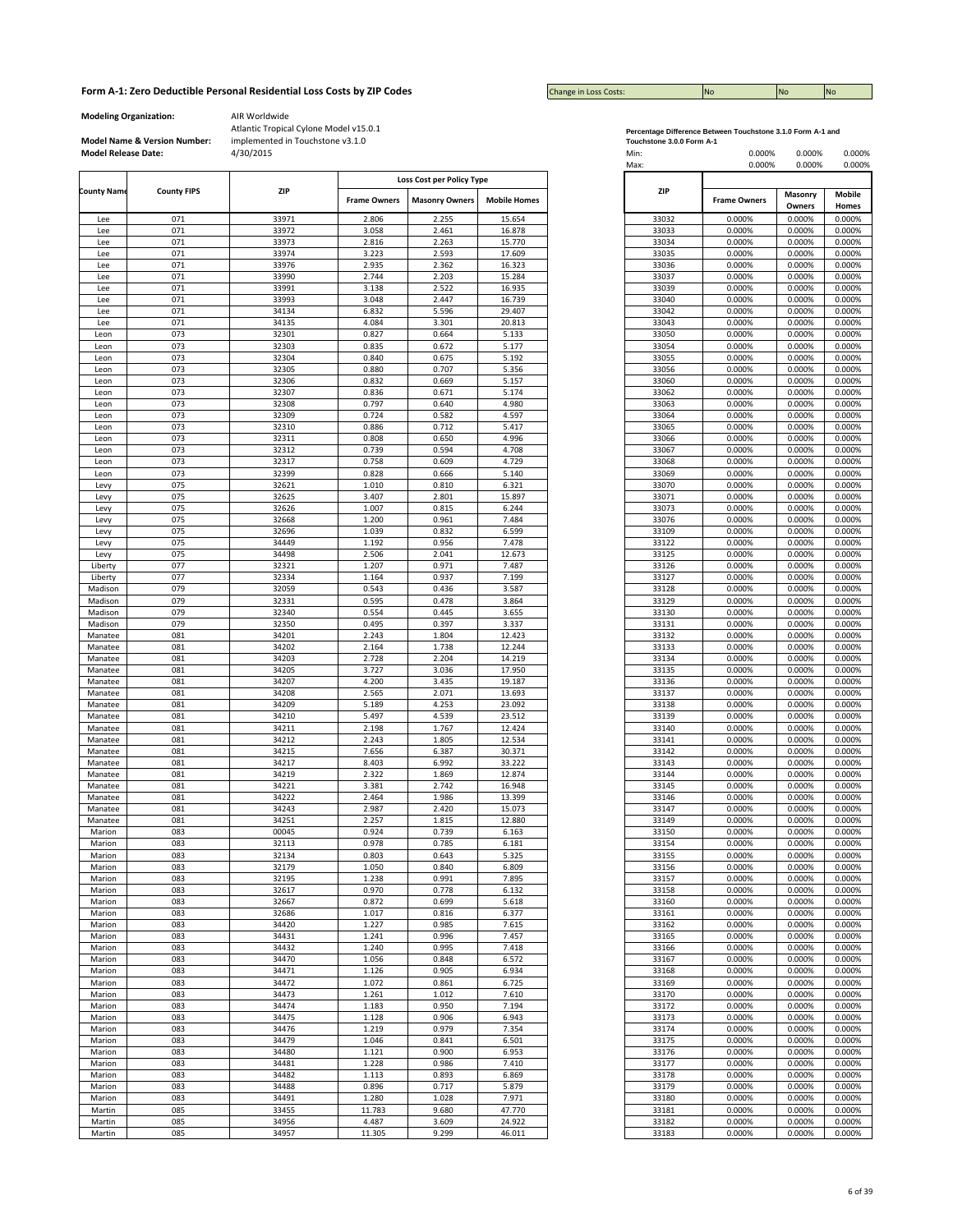Change in Loss Costs:

**Modeling Organization:** AIR Worldwide

|                    |                    |                |                     |                           |                     | אטועו          | 0.0007              | <u>0.00070</u>   |                  |
|--------------------|--------------------|----------------|---------------------|---------------------------|---------------------|----------------|---------------------|------------------|------------------|
| <b>County Name</b> | <b>County FIPS</b> | <b>ZIP</b>     |                     | Loss Cost per Policy Type |                     | ZIP            |                     | Masonry          | <b>Mobile</b>    |
|                    |                    |                | <b>Frame Owners</b> | <b>Masonry Owners</b>     | <b>Mobile Homes</b> |                | <b>Frame Owners</b> | Owners           | Homes            |
| Lee                | 071                | 33971          | 2.806               | 2.255                     | 15.654              | 33032          | 0.000%              | 0.000%           | 0.000%           |
| Lee                | 071                | 33972          | 3.058               | 2.461                     | 16.878              | 33033          | 0.000%              | 0.000%           | 0.000%           |
| Lee                | 071<br>071         | 33973<br>33974 | 2.816<br>3.223      | 2.263<br>2.593            | 15.770<br>17.609    | 33034<br>33035 | 0.000%<br>0.000%    | 0.000%<br>0.000% | 0.000%<br>0.000% |
| Lee<br>Lee         | 071                | 33976          | 2.935               | 2.362                     | 16.323              | 33036          | 0.000%              | 0.000%           | 0.000%           |
| Lee                | 071                | 33990          | 2.744               | 2.203                     | 15.284              | 33037          | 0.000%              | 0.000%           | 0.000%           |
| Lee                | 071                | 33991          | 3.138               | 2.522                     | 16.935              | 33039          | 0.000%              | 0.000%           | 0.000%           |
| Lee                | 071                | 33993          | 3.048               | 2.447                     | 16.739              | 33040          | 0.000%              | 0.000%           | 0.000%           |
| Lee                | 071                | 34134          | 6.832               | 5.596                     | 29.407              | 33042          | 0.000%              | 0.000%           | 0.000%           |
| Lee                | 071                | 34135          | 4.084               | 3.301                     | 20.813              | 33043          | 0.000%              | 0.000%           | 0.000%           |
| Leon               | 073                | 32301          | 0.827               | 0.664                     | 5.133               | 33050          | 0.000%              | 0.000%           | 0.000%           |
| Leon               | 073                | 32303          | 0.835               | 0.672                     | 5.177               | 33054          | 0.000%              | 0.000%           | 0.000%<br>0.000% |
| Leon               | 073                | 32304          | 0.840               | 0.675                     | 5.192               | 33055          | 0.000%              | 0.000%           |                  |
| Leon               | 073                | 32305          | 0.880               | 0.707                     | 5.356               | 33056          | 0.000%              | 0.000%           |                  |
| Leon               | 073                | 32306          | 0.832               | 0.669                     | 5.157               | 33060          | 0.000%              | 0.000%           |                  |
| Leon               | 073                | 32307          | 0.836<br>0.797      | 0.671<br>0.640            | 5.174               | 33062          | 0.000%              | 0.000%           |                  |
| Leon<br>Leon       | 073<br>073         | 32308<br>32309 | 0.724               | 0.582                     | 4.980<br>4.597      | 33063<br>33064 | 0.000%<br>0.000%    | 0.000%<br>0.000% |                  |
| Leon               | 073                | 32310          | 0.886               | 0.712                     | 5.417               | 33065          | 0.000%              | 0.000%           |                  |
| Leon               | 073                | 32311          | 0.808               | 0.650                     | 4.996               | 33066          | 0.000%              | 0.000%           |                  |
| Leon               | 073                | 32312          | 0.739               | 0.594                     | 4.708               | 33067          | 0.000%              | 0.000%           |                  |
| Leon               | 073                | 32317          | 0.758               | 0.609                     | 4.729               | 33068          | 0.000%              | 0.000%           |                  |
| Leon               | 073                | 32399          | 0.828               | 0.666                     | 5.140               | 33069          | 0.000%              | 0.000%           |                  |
| Levy               | 075                | 32621          | 1.010               | 0.810                     | 6.321               | 33070          | 0.000%              | 0.000%           |                  |
| Levy               | 075                | 32625          | 3.407               | 2.801                     | 15.897              | 33071          | 0.000%              | 0.000%           |                  |
| Levy               | 075                | 32626          | 1.007               | 0.815                     | 6.244               | 33073          | 0.000%              | 0.000%           |                  |
| Levy               | 075                | 32668          | 1.200               | 0.961                     | 7.484               | 33076          | 0.000%              | 0.000%           |                  |
| Levy               | 075                | 32696          | 1.039               | 0.832                     | 6.599               | 33109          | 0.000%              | 0.000%           |                  |
| Levy               | 075                | 34449          | 1.192               | 0.956                     | 7.478               | 33122          | 0.000%              | 0.000%           |                  |
| Levy               | 075                | 34498          | 2.506               | 2.041                     | 12.673              | 33125          | 0.000%              | 0.000%           |                  |
| Liberty            | 077                | 32321          | 1.207               | 0.971                     | 7.487               | 33126          | 0.000%              | 0.000%           |                  |
| Liberty            | 077<br>079         | 32334<br>32059 | 1.164<br>0.543      | 0.937<br>0.436            | 7.199<br>3.587      | 33127<br>33128 | 0.000%<br>0.000%    | 0.000%<br>0.000% |                  |
| Madison<br>Madison | 079                | 32331          | 0.595               | 0.478                     | 3.864               | 33129          | 0.000%              | 0.000%           |                  |
| Madison            | 079                | 32340          | 0.554               | 0.445                     | 3.655               | 33130          | 0.000%              | 0.000%           |                  |
| Madison            | 079                | 32350          | 0.495               | 0.397                     | 3.337               | 33131          | 0.000%              | 0.000%           |                  |
| Manatee            | 081                | 34201          | 2.243               | 1.804                     | 12.423              | 33132          | 0.000%              | 0.000%           |                  |
| Manatee            | 081                | 34202          | 2.164               | 1.738                     | 12.244              | 33133          | 0.000%              | 0.000%           |                  |
| Manatee            | 081                | 34203          | 2.728               | 2.204                     | 14.219              | 33134          | 0.000%              | 0.000%           |                  |
| Manatee            | 081                | 34205          | 3.727               | 3.036                     | 17.950              | 33135          | 0.000%              | 0.000%           |                  |
| Manatee            | 081                | 34207          | 4.200               | 3.435                     | 19.187              | 33136          | 0.000%              | 0.000%           |                  |
| Manatee            | 081                | 34208          | 2.565               | 2.071                     | 13.693              | 33137          | 0.000%              | 0.000%           |                  |
| Manatee            | 081                | 34209          | 5.189               | 4.253                     | 23.092              | 33138          | 0.000%              | 0.000%           |                  |
| Manatee            | 081                | 34210          | 5.497               | 4.539                     | 23.512              | 33139          | 0.000%              | 0.000%           |                  |
| Manatee            | 081                | 34211          | 2.198               | 1.767                     | 12.424              | 33140          | 0.000%              | 0.000%           |                  |
| Manatee            | 081                | 34212          | 2.243               | 1.805                     | 12.534              | 33141          | 0.000%              | 0.000%           |                  |
| Manatee<br>Manatee | 081<br>081         | 34215<br>34217 | 7.656<br>8.403      | 6.387<br>6.992            | 30.371<br>33.222    | 33142<br>33143 | 0.000%<br>0.000%    | 0.000%<br>0.000% |                  |
| Manatee            | 081                | 34219          | 2.322               | 1.869                     | 12.874              | 33144          | 0.000%              | 0.000%           |                  |
| Manatee            | 081                | 34221          | 3.381               | 2.742                     | 16.948              | 33145          | 0.000%              | 0.000%           |                  |
| Manatee            | 081                | 34222          | 2.464               | 1.986                     | 13.399              | 33146          | 0.000%              | 0.000%           |                  |
| Manatee            | 081                | 34243          | 2.987               | 2.420                     | 15.073              | 33147          | 0.000%              | 0.000%           |                  |
| Manatee            | 081                | 34251          | 2.257               | 1.815                     | 12.880              | 33149          | 0.000%              | 0.000%           |                  |
| Marion             | 083                | 00045          | 0.924               | 0.739                     | 6.163               | 33150          | 0.000%              | 0.000%           |                  |
| Marion             | 083                | 32113          | 0.978               | 0.785                     | 6.181               | 33154          | 0.000%              | 0.000%           |                  |
| Marion             | 083                | 32134          | 0.803               | 0.643                     | 5.325               | 33155          | 0.000%              | 0.000%           |                  |
| Marion             | 083                | 32179          | 1.050               | 0.840                     | 6.809               | 33156          | 0.000%              | 0.000%           |                  |
| Marion             | 083                | 32195          | 1.238               | 0.991                     | 7.895               | 33157          | 0.000%              | 0.000%           |                  |
| Marion             | 083                | 32617          | 0.970               | 0.778                     | 6.132               | 33158          | 0.000%              | 0.000%           |                  |
| Marion             | 083                | 32667          | 0.872               | 0.699                     | 5.618               | 33160          | 0.000%              | 0.000%           |                  |
| Marion             | 083<br>083         | 32686          | 1.017               | 0.816                     | 6.377               | 33161          | 0.000%              | 0.000%           |                  |
| Marion<br>Marion   | 083                | 34420<br>34431 | 1.227<br>1.241      | 0.985<br>0.996            | 7.615<br>7.457      | 33162<br>33165 | 0.000%<br>0.000%    | 0.000%<br>0.000% |                  |
| Marion             | 083                | 34432          | 1.240               | 0.995                     | 7.418               | 33166          | 0.000%              | 0.000%           |                  |
| Marion             | 083                | 34470          | 1.056               | 0.848                     | 6.572               | 33167          | 0.000%              | 0.000%           |                  |
| Marion             | 083                | 34471          | 1.126               | 0.905                     | 6.934               | 33168          | 0.000%              | 0.000%           |                  |
| Marion             | 083                | 34472          | 1.072               | 0.861                     | 6.725               | 33169          | 0.000%              | 0.000%           |                  |
| Marion             | 083                | 34473          | 1.261               | 1.012                     | 7.610               | 33170          | 0.000%              | 0.000%           |                  |
| Marion             | 083                | 34474          | 1.183               | 0.950                     | 7.194               | 33172          | 0.000%              | 0.000%           |                  |
| Marion             | 083                | 34475          | 1.128               | 0.906                     | 6.943               | 33173          | 0.000%              | 0.000%           |                  |
| Marion             | 083                | 34476          | 1.219               | 0.979                     | 7.354               | 33174          | 0.000%              | 0.000%           |                  |
| Marion             | 083                | 34479          | 1.046               | 0.841                     | 6.501               | 33175          | 0.000%              | 0.000%           |                  |
| Marion             | 083                | 34480          | 1.121               | 0.900                     | 6.953               | 33176          | 0.000%              | 0.000%           |                  |
| Marion             | 083                | 34481          | 1.228               | 0.986                     | 7.410               | 33177          | 0.000%              | 0.000%           |                  |
| Marion             | 083                | 34482          | 1.113               | 0.893                     | 6.869               | 33178          | 0.000%              | 0.000%           |                  |
| Marion             | 083                | 34488<br>34491 | 0.896               | 0.717<br>1.028            | 5.879<br>7.971      | 33179          | 0.000%              | 0.000%           |                  |
| Marion<br>Martin   | 083<br>085         | 33455          | 1.280<br>11.783     | 9.680                     | 47.770              | 33180<br>33181 | 0.000%<br>0.000%    | 0.000%<br>0.000% |                  |
| Martin             | 085                | 34956          | 4.487               | 3.609                     | 24.922              | 33182          | 0.000%              | 0.000%           |                  |
| Martin             | 085                | 34957          | 11.305              | 9.299                     | 46.011              | 33183          | 0.000%              | 0.000%           |                  |
|                    |                    |                |                     |                           |                     |                |                     |                  |                  |

| Percentage Difference Between Touchstone 3.1.0 Form A-1 and |  |
|-------------------------------------------------------------|--|
| Toughstane 200 Farm Ad                                      |  |

|                            | <b>Model Name &amp; Version Number:</b> | implemented in Touchstone v3.1.0 |                     |                           |                     | creditage Diriciclice Dett<br>Touchstone 3.0.0 Form A-1 |                     |                   |                        |  |  |
|----------------------------|-----------------------------------------|----------------------------------|---------------------|---------------------------|---------------------|---------------------------------------------------------|---------------------|-------------------|------------------------|--|--|
| <b>Model Release Date:</b> |                                         | 4/30/2015                        |                     |                           |                     | Min:<br>Max:                                            | 0.000%<br>0.000%    | 0.000%<br>0.000%  | 0.000%                 |  |  |
|                            |                                         |                                  |                     |                           |                     |                                                         |                     |                   | 0.000%                 |  |  |
| <b>County Name</b>         | <b>County FIPS</b>                      | <b>ZIP</b>                       |                     | Loss Cost per Policy Type |                     | ZIP                                                     |                     |                   |                        |  |  |
|                            |                                         |                                  | <b>Frame Owners</b> | <b>Masonry Owners</b>     | <b>Mobile Homes</b> |                                                         | <b>Frame Owners</b> | Masonry<br>Owners | <b>Mobile</b><br>Homes |  |  |
| Lee                        | 071                                     | 33971                            | 2.806               | 2.255                     | 15.654              | 33032                                                   | 0.000%              | 0.000%            | 0.000%                 |  |  |
| Lee                        | 071                                     | 33972                            | 3.058               | 2.461                     | 16.878              | 33033                                                   | 0.000%              | 0.000%            | 0.000%                 |  |  |
| Lee                        | 071                                     | 33973                            | 2.816               | 2.263                     | 15.770              | 33034                                                   | 0.000%              | 0.000%            | 0.000%                 |  |  |
| Lee                        | 071                                     | 33974                            | 3.223               | 2.593                     | 17.609              | 33035                                                   | 0.000%              | 0.000%            | 0.000%                 |  |  |
| Lee                        | 071                                     | 33976                            | 2.935               | 2.362                     | 16.323              | 33036                                                   | 0.000%              | 0.000%            | 0.000%                 |  |  |
| Lee                        | 071                                     | 33990                            | 2.744               | 2.203                     | 15.284              | 33037                                                   | 0.000%              | 0.000%            | 0.000%                 |  |  |
| Lee                        | 071                                     | 33991                            | 3.138               | 2.522                     | 16.935              | 33039                                                   | 0.000%              | 0.000%            | 0.000%                 |  |  |
| Lee                        | 071<br>071                              | 33993<br>34134                   | 3.048<br>6.832      | 2.447<br>5.596            | 16.739<br>29.407    | 33040<br>33042                                          | 0.000%              | 0.000%            | 0.000%                 |  |  |
| Lee<br>Lee                 | 071                                     | 34135                            | 4.084               | 3.301                     | 20.813              | 33043                                                   | 0.000%<br>0.000%    | 0.000%<br>0.000%  | 0.000%<br>0.000%       |  |  |
| Leon                       | 073                                     | 32301                            | 0.827               | 0.664                     | 5.133               | 33050                                                   | 0.000%              | 0.000%            | 0.000%                 |  |  |
| Leon                       | 073                                     | 32303                            | 0.835               | 0.672                     | 5.177               | 33054                                                   | 0.000%              | 0.000%            | 0.000%                 |  |  |
| Leon                       | 073                                     | 32304                            | 0.840               | 0.675                     | 5.192               | 33055                                                   | 0.000%              | 0.000%            | 0.000%                 |  |  |
| Leon                       | 073                                     | 32305                            | 0.880               | 0.707                     | 5.356               | 33056                                                   | 0.000%              | 0.000%            | 0.000%                 |  |  |
| Leon                       | 073                                     | 32306                            | 0.832               | 0.669                     | 5.157               | 33060                                                   | 0.000%              | 0.000%            | 0.000%                 |  |  |
| Leon                       | 073                                     | 32307                            | 0.836               | 0.671                     | 5.174               | 33062                                                   | 0.000%              | 0.000%            | 0.000%                 |  |  |
| Leon                       | 073                                     | 32308                            | 0.797               | 0.640                     | 4.980               | 33063                                                   | 0.000%              | 0.000%            | 0.000%                 |  |  |
| Leon                       | 073                                     | 32309                            | 0.724               | 0.582                     | 4.597               | 33064                                                   | 0.000%              | 0.000%            | 0.000%                 |  |  |
| Leon                       | 073                                     | 32310                            | 0.886               | 0.712                     | 5.417               | 33065                                                   | 0.000%              | 0.000%            | 0.000%                 |  |  |
| Leon                       | 073                                     | 32311                            | 0.808               | 0.650                     | 4.996               | 33066                                                   | 0.000%              | 0.000%            | 0.000%                 |  |  |
| Leon                       | 073                                     | 32312                            | 0.739               | 0.594                     | 4.708               | 33067                                                   | 0.000%              | 0.000%            | 0.000%                 |  |  |
| Leon<br>Leon               | 073<br>073                              | 32317<br>32399                   | 0.758<br>0.828      | 0.609<br>0.666            | 4.729<br>5.140      | 33068<br>33069                                          | 0.000%<br>0.000%    | 0.000%<br>0.000%  | 0.000%<br>0.000%       |  |  |
| Levy                       | 075                                     | 32621                            | 1.010               | 0.810                     | 6.321               | 33070                                                   | 0.000%              | 0.000%            | 0.000%                 |  |  |
| Levy                       | 075                                     | 32625                            | 3.407               | 2.801                     | 15.897              | 33071                                                   | 0.000%              | 0.000%            | 0.000%                 |  |  |
| Levy                       | 075                                     | 32626                            | 1.007               | 0.815                     | 6.244               | 33073                                                   | 0.000%              | 0.000%            | 0.000%                 |  |  |
| Levy                       | 075                                     | 32668                            | 1.200               | 0.961                     | 7.484               | 33076                                                   | 0.000%              | 0.000%            | 0.000%                 |  |  |
| Levy                       | 075                                     | 32696                            | 1.039               | 0.832                     | 6.599               | 33109                                                   | 0.000%              | 0.000%            | 0.000%                 |  |  |
| Levy                       | 075                                     | 34449                            | 1.192               | 0.956                     | 7.478               | 33122                                                   | 0.000%              | 0.000%            | 0.000%                 |  |  |
| Levy                       | 075                                     | 34498                            | 2.506               | 2.041                     | 12.673              | 33125                                                   | 0.000%              | 0.000%            | 0.000%                 |  |  |
| Liberty                    | 077                                     | 32321                            | 1.207               | 0.971                     | 7.487               | 33126                                                   | 0.000%              | 0.000%            | 0.000%                 |  |  |
| Liberty                    | 077                                     | 32334                            | 1.164               | 0.937                     | 7.199               | 33127                                                   | 0.000%              | 0.000%            | 0.000%                 |  |  |
| Madison                    | 079                                     | 32059                            | 0.543               | 0.436                     | 3.587               | 33128                                                   | 0.000%              | 0.000%            | 0.000%                 |  |  |
| Madison                    | 079                                     | 32331                            | 0.595               | 0.478                     | 3.864               | 33129                                                   | 0.000%              | 0.000%            | 0.000%                 |  |  |
| Madison                    | 079                                     | 32340                            | 0.554               | 0.445                     | 3.655               | 33130                                                   | 0.000%              | 0.000%            | 0.000%                 |  |  |
| Madison                    | 079<br>081                              | 32350                            | 0.495<br>2.243      | 0.397                     | 3.337<br>12.423     | 33131                                                   | 0.000%              | 0.000%            | 0.000%                 |  |  |
| Manatee<br>Manatee         | 081                                     | 34201<br>34202                   | 2.164               | 1.804<br>1.738            | 12.244              | 33132<br>33133                                          | 0.000%<br>0.000%    | 0.000%<br>0.000%  | 0.000%<br>0.000%       |  |  |
| Manatee                    | 081                                     | 34203                            | 2.728               | 2.204                     | 14.219              | 33134                                                   | 0.000%              | 0.000%            | 0.000%                 |  |  |
| Manatee                    | 081                                     | 34205                            | 3.727               | 3.036                     | 17.950              | 33135                                                   | 0.000%              | 0.000%            | 0.000%                 |  |  |
| Manatee                    | 081                                     | 34207                            | 4.200               | 3.435                     | 19.187              | 33136                                                   | 0.000%              | 0.000%            | 0.000%                 |  |  |
| Manatee                    | 081                                     | 34208                            | 2.565               | 2.071                     | 13.693              | 33137                                                   | 0.000%              | 0.000%            | 0.000%                 |  |  |
| Manatee                    | 081                                     | 34209                            | 5.189               | 4.253                     | 23.092              | 33138                                                   | 0.000%              | 0.000%            | 0.000%                 |  |  |
| Manatee                    | 081                                     | 34210                            | 5.497               | 4.539                     | 23.512              | 33139                                                   | 0.000%              | 0.000%            | 0.000%                 |  |  |
| Manatee                    | 081                                     | 34211                            | 2.198               | 1.767                     | 12.424              | 33140                                                   | 0.000%              | 0.000%            | 0.000%                 |  |  |
| Manatee                    | 081                                     | 34212                            | 2.243               | 1.805                     | 12.534              | 33141                                                   | 0.000%              | 0.000%            | 0.000%                 |  |  |
| Manatee                    | 081                                     | 34215                            | 7.656               | 6.387                     | 30.371              | 33142                                                   | 0.000%              | 0.000%            | 0.000%                 |  |  |
| Manatee                    | 081                                     | 34217                            | 8.403               | 6.992                     | 33.222              | 33143                                                   | 0.000%              | 0.000%            | 0.000%                 |  |  |
| Manatee                    | 081                                     | 34219                            | 2.322               | 1.869                     | 12.874              | 33144                                                   | 0.000%              | 0.000%            | 0.000%                 |  |  |
| Manatee                    | 081<br>081                              | 34221<br>34222                   | 3.381<br>2.464      | 2.742<br>1.986            | 16.948<br>13.399    | 33145<br>33146                                          | 0.000%<br>0.000%    | 0.000%<br>0.000%  | 0.000%<br>0.000%       |  |  |
| Manatee<br>Manatee         | 081                                     | 34243                            | 2.987               | 2.420                     | 15.073              | 33147                                                   | 0.000%              | 0.000%            | 0.000%                 |  |  |
| Manatee                    | 081                                     | 34251                            | 2.257               | 1.815                     | 12.880              | 33149                                                   | 0.000%              | 0.000%            | 0.000%                 |  |  |
| Marion                     | 083                                     | 00045                            | 0.924               | 0.739                     | 6.163               | 33150                                                   | 0.000%              | 0.000%            | 0.000%                 |  |  |
| Marion                     | 083                                     | 32113                            | 0.978               | 0.785                     | 6.181               | 33154                                                   | 0.000%              | 0.000%            | 0.000%                 |  |  |
| Marion                     | 083                                     | 32134                            | 0.803               | 0.643                     | 5.325               | 33155                                                   | 0.000%              | 0.000%            | 0.000%                 |  |  |
| Marion                     | 083                                     | 32179                            | 1.050               | 0.840                     | 6.809               | 33156                                                   | 0.000%              | 0.000%            | 0.000%                 |  |  |
| Marion                     | 083                                     | 32195                            | 1.238               | 0.991                     | 7.895               | 33157                                                   | 0.000%              | 0.000%            | 0.000%                 |  |  |
| Marion                     | 083                                     | 32617                            | 0.970               | 0.778                     | 6.132               | 33158                                                   | 0.000%              | 0.000%            | 0.000%                 |  |  |
| Marion                     | 083                                     | 32667                            | 0.872               | 0.699                     | 5.618               | 33160                                                   | 0.000%              | 0.000%            | 0.000%                 |  |  |
| Marion                     | 083                                     | 32686                            | 1.017               | 0.816                     | 6.377               | 33161                                                   | 0.000%              | 0.000%            | 0.000%                 |  |  |
| Marion                     | 083                                     | 34420                            | 1.227               | 0.985                     | 7.615               | 33162                                                   | 0.000%              | 0.000%            | 0.000%                 |  |  |
| Marion                     | 083                                     | 34431                            | 1.241               | 0.996                     | 7.457<br>7.418      | 33165                                                   | 0.000%              | 0.000%            | 0.000%                 |  |  |
| Marion                     | 083<br>083                              | 34432<br>34470                   | 1.240               | 0.995                     |                     | 33166                                                   | 0.000%              | 0.000%            | 0.000%                 |  |  |
| Marion<br>Marion           | 083                                     | 34471                            | 1.056<br>1.126      | 0.848<br>0.905            | 6.572<br>6.934      | 33167<br>33168                                          | 0.000%<br>0.000%    | 0.000%<br>0.000%  | 0.000%<br>0.000%       |  |  |
| Marion                     | 083                                     | 34472                            | 1.072               | 0.861                     | 6.725               | 33169                                                   | 0.000%              | 0.000%            | 0.000%                 |  |  |
| Marion                     | 083                                     | 34473                            | 1.261               | 1.012                     | 7.610               | 33170                                                   | 0.000%              | 0.000%            | 0.000%                 |  |  |
| Marion                     | 083                                     | 34474                            | 1.183               | 0.950                     | 7.194               | 33172                                                   | 0.000%              | 0.000%            | 0.000%                 |  |  |
| Marion                     | 083                                     | 34475                            | 1.128               | 0.906                     | 6.943               | 33173                                                   | 0.000%              | 0.000%            | 0.000%                 |  |  |
| Marion                     | 083                                     | 34476                            | 1.219               | 0.979                     | 7.354               | 33174                                                   | 0.000%              | 0.000%            | 0.000%                 |  |  |
| Marion                     | 083                                     | 34479                            | 1.046               | 0.841                     | 6.501               | 33175                                                   | 0.000%              | 0.000%            | 0.000%                 |  |  |
| Marion                     | 083                                     | 34480                            | 1.121               | 0.900                     | 6.953               | 33176                                                   | 0.000%              | 0.000%            | 0.000%                 |  |  |
| Marion                     | 083                                     | 34481                            | 1.228               | 0.986                     | 7.410               | 33177                                                   | 0.000%              | 0.000%            | 0.000%                 |  |  |
| Marion                     | 083                                     | 34482                            | 1.113               | 0.893                     | 6.869               | 33178                                                   | 0.000%              | 0.000%            | 0.000%                 |  |  |
| Marion                     | 083                                     | 34488                            | 0.896               | 0.717                     | 5.879               | 33179                                                   | 0.000%              | 0.000%            | 0.000%                 |  |  |
| Marion                     | 083                                     | 34491                            | 1.280               | 1.028                     | 7.971               | 33180                                                   | 0.000%              | 0.000%            | 0.000%                 |  |  |
| Martin                     | 085                                     | 33455                            | 11.783              | 9.680                     | 47.770              | 33181                                                   | 0.000%              | 0.000%            | 0.000%                 |  |  |
| Martin<br>Martin           | 085<br>085                              | 34956<br>34957                   | 4.487<br>11 305     | 3.609<br>9 2 9 9          | 24.922<br>46.011    | 33182<br>33183                                          | 0.000%<br>0.000%    | 0.000%<br>0.000%  | 0.000%<br>0.000%       |  |  |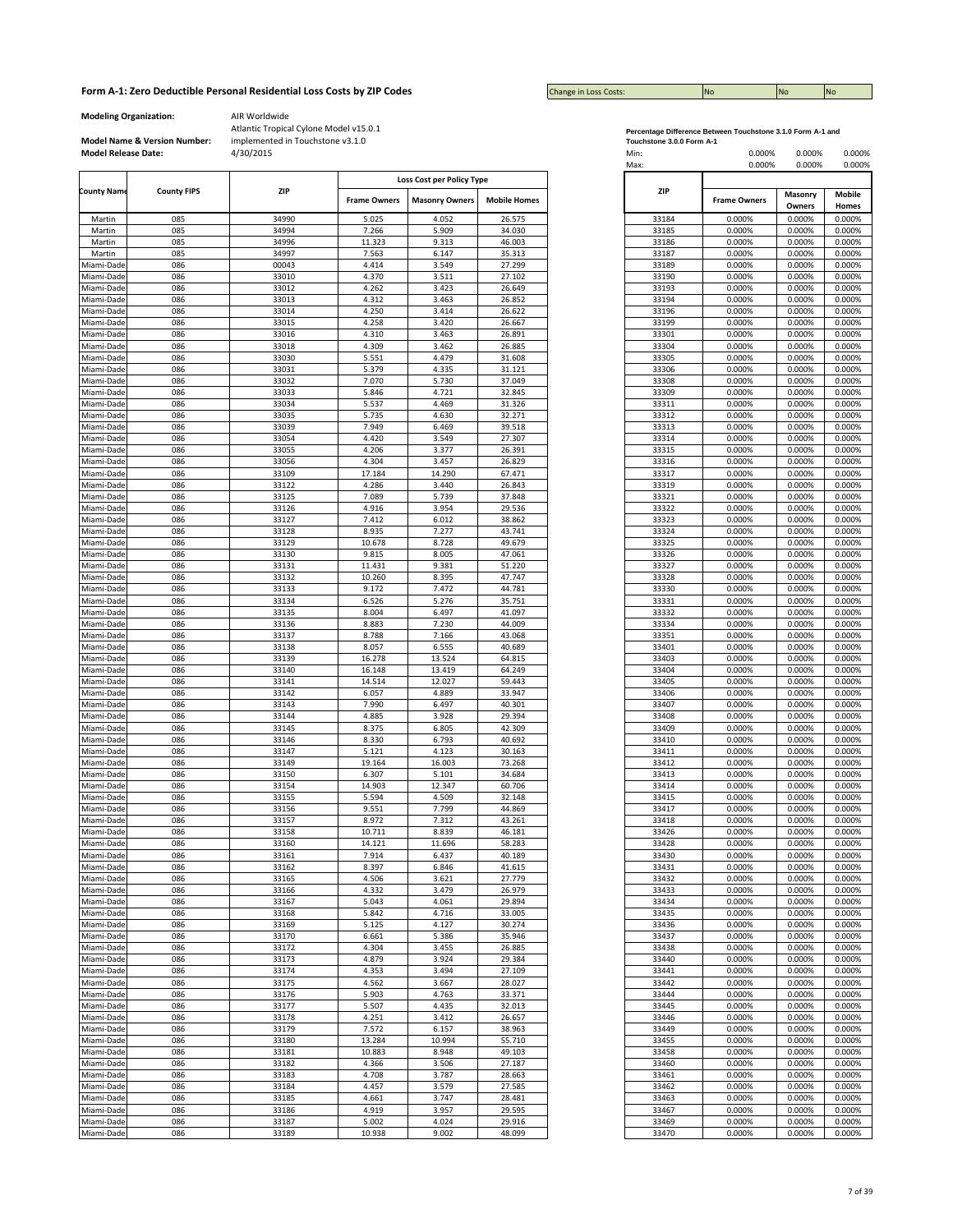Change in Loss Costs:

**Modeling Organization:** AIR Worldwide

Atlantic Tropical Cylone Model v15.0.1 implemented in Touchstone v3.1.0

|                    |                    |            |                     |                           |                     | Max: |       | 0.000%              | 0.000%            |
|--------------------|--------------------|------------|---------------------|---------------------------|---------------------|------|-------|---------------------|-------------------|
|                    |                    |            |                     | Loss Cost per Policy Type |                     |      |       |                     |                   |
| <b>County Name</b> | <b>County FIPS</b> | <b>ZIP</b> | <b>Frame Owners</b> | <b>Masonry Owners</b>     | <b>Mobile Homes</b> |      | ZIP   | <b>Frame Owners</b> | Masonry<br>Owners |
| Martin             | 085                | 34990      | 5.025               | 4.052                     | 26.575              |      | 33184 | 0.000%              | 0.000%            |
| Martin             | 085                | 34994      | 7.266               | 5.909                     | 34.030              |      | 33185 | 0.000%              | 0.000%            |
| Martin             | 085                | 34996      | 11.323              | 9.313                     | 46.003              |      | 33186 | 0.000%              | 0.000%            |
| Martin             | 085                | 34997      | 7.563               | 6.147                     | 35.313              |      | 33187 | 0.000%              | 0.000%            |
| Miami-Dade         | 086                | 00043      | 4.414               | 3.549                     | 27.299              |      | 33189 | 0.000%              | 0.000%            |
|                    | 086                | 33010      | 4.370               | 3.511                     | 27.102              |      | 33190 | 0.000%              | 0.000%            |
| Miami-Dade         |                    |            |                     |                           |                     |      |       |                     |                   |
| Miami-Dade         | 086                | 33012      | 4.262               | 3.423                     | 26.649              |      | 33193 | 0.000%              | 0.000%            |
| Miami-Dade         | 086                | 33013      | 4.312               | 3.463                     | 26.852              |      | 33194 | 0.000%              | 0.000%            |
| Miami-Dade         | 086                | 33014      | 4.250               | 3.414                     | 26.622              |      | 33196 | 0.000%              | 0.000%            |
| Miami-Dade         | 086                | 33015      | 4.258               | 3.420                     | 26.667              |      | 33199 | 0.000%              | 0.000%            |
| Miami-Dade         | 086                | 33016      | 4.310               | 3.463                     | 26.891              |      | 33301 | 0.000%              | 0.000%            |
| Miami-Dade         | 086                | 33018      | 4.309               | 3.462                     | 26.885              |      | 33304 | 0.000%              | 0.000%            |
| Miami-Dade         | 086                | 33030      | 5.551               | 4.479                     | 31.608              |      | 33305 | 0.000%              | 0.000%            |
| Miami-Dade         | 086                | 33031      | 5.379               | 4.335                     | 31.121              |      | 33306 | 0.000%              | 0.000%            |
|                    |                    |            |                     |                           |                     |      |       |                     |                   |
| Miami-Dade         | 086                | 33032      | 7.070               | 5.730                     | 37.049              |      | 33308 | 0.000%              | 0.000%            |
| Miami-Dade         | 086                | 33033      | 5.846               | 4.721                     | 32.845              |      | 33309 | 0.000%              | 0.000%            |
| Miami-Dade         | 086                | 33034      | 5.537               | 4.469                     | 31.326              |      | 33311 | 0.000%              | 0.000%            |
| Miami-Dade         | 086                | 33035      | 5.735               | 4.630                     | 32.271              |      | 33312 | 0.000%              | 0.000%            |
| Miami-Dade         | 086                | 33039      | 7.949               | 6.469                     | 39.518              |      | 33313 | 0.000%              | 0.000%            |
| Miami-Dade         | 086                | 33054      | 4.420               | 3.549                     | 27.307              |      | 33314 | 0.000%              | 0.000%            |
| Miami-Dade         | 086                | 33055      | 4.206               | 3.377                     | 26.391              |      | 33315 | 0.000%              | 0.000%            |
|                    |                    |            | 4.304               |                           |                     |      |       |                     |                   |
| Miami-Dade         | 086                | 33056      |                     | 3.457                     | 26.829              |      | 33316 | 0.000%              | 0.000%            |
| Miami-Dade         | 086                | 33109      | 17.184              | 14.290                    | 67.471              |      | 33317 | 0.000%              | 0.000%            |
| Miami-Dade         | 086                | 33122      | 4.286               | 3.440                     | 26.843              |      | 33319 | 0.000%              | 0.000%            |
| Miami-Dade         | 086                | 33125      | 7.089               | 5.739                     | 37.848              |      | 33321 | 0.000%              | 0.000%            |
| Miami-Dade         | 086                | 33126      | 4.916               | 3.954                     | 29.536              |      | 33322 | 0.000%              | 0.000%            |
| Miami-Dade         | 086                | 33127      | 7.412               | 6.012                     | 38.862              |      | 33323 | 0.000%              | 0.000%            |
| Miami-Dade         | 086                | 33128      | 8.935               | 7.277                     | 43.741              |      | 33324 | 0.000%              | 0.000%            |
| Miami-Dade         | 086                | 33129      | 10.678              | 8.728                     | 49.679              |      | 33325 | 0.000%              | 0.000%            |
| Miami-Dade         | 086                | 33130      | 9.815               | 8.005                     | 47.061              |      | 33326 | 0.000%              | 0.000%            |
|                    |                    |            |                     |                           |                     |      |       |                     |                   |
| Miami-Dade         | 086                | 33131      | 11.431              | 9.381                     | 51.220              |      | 33327 | 0.000%              | 0.000%            |
| Miami-Dade         | 086                | 33132      | 10.260              | 8.395                     | 47.747              |      | 33328 | 0.000%              | 0.000%            |
| Miami-Dade         | 086                | 33133      | 9.172               | 7.472                     | 44.781              |      | 33330 | 0.000%              | 0.000%            |
| Miami-Dade         | 086                | 33134      | 6.526               | 5.276                     | 35.751              |      | 33331 | 0.000%              | 0.000%            |
| Miami-Dade         | 086                | 33135      | 8.004               | 6.497                     | 41.097              |      | 33332 | 0.000%              | 0.000%            |
| Miami-Dade         | 086                | 33136      | 8.883               | 7.230                     | 44.009              |      | 33334 | 0.000%              | 0.000%            |
| Miami-Dade         | 086                | 33137      | 8.788               | 7.166                     | 43.068              |      | 33351 | 0.000%              | 0.000%            |
| Miami-Dade         | 086                | 33138      | 8.057               | 6.555                     | 40.689              |      | 33401 | 0.000%              | 0.000%            |
| Miami-Dade         | 086                | 33139      | 16.278              | 13.524                    | 64.815              |      | 33403 | 0.000%              | 0.000%            |
| Miami-Dade         | 086                | 33140      | 16.148              | 13.419                    | 64.249              |      | 33404 | 0.000%              | 0.000%            |
|                    |                    |            |                     |                           |                     |      |       |                     |                   |
| Miami-Dade         | 086                | 33141      | 14.514              | 12.027                    | 59.443              |      | 33405 | 0.000%              | 0.000%            |
| Miami-Dade         | 086                | 33142      | 6.057               | 4.889                     | 33.947              |      | 33406 | 0.000%              | 0.000%            |
| Miami-Dade         | 086                | 33143      | 7.990               | 6.497                     | 40.301              |      | 33407 | 0.000%              | 0.000%            |
| Miami-Dade         | 086                | 33144      | 4.885               | 3.928                     | 29.394              |      | 33408 | 0.000%              | 0.000%            |
| Miami-Dade         | 086                | 33145      | 8.375               | 6.805                     | 42.309              |      | 33409 | 0.000%              | 0.000%            |
| Miami-Dade         | 086                | 33146      | 8.330               | 6.793                     | 40.692              |      | 33410 | 0.000%              | 0.000%            |
| Miami-Dade         | 086                | 33147      | 5.121               | 4.123                     | 30.163              |      | 33411 | 0.000%              | 0.000%            |
| Miami-Dade         | 086                | 33149      | 19.164              | 16.003                    | 73.268              |      | 33412 | 0.000%              | 0.000%            |
| Miami-Dade         | 086                | 33150      | 6.307               | 5.101                     | 34.684              |      | 33413 | 0.000%              | 0.000%            |
| Miami-Dade         |                    | 33154      |                     |                           | 60.706              |      | 33414 |                     |                   |
|                    | 086                |            | 14.903              | 12.347                    |                     |      |       | 0.000%              | 0.000%            |
| Miami-Dade         | 086                | 33155      | 5.594               | 4.509                     | 32.148              |      | 33415 | 0.000%              | 0.000%            |
| Miami-Dade         | 086                | 33156      | 9.551               | 7.799                     | 44.869              |      | 33417 | 0.000%              | 0.000%            |
| Miami-Dade         | 086                | 33157      | 8.972               | 7.312                     | 43.261              |      | 33418 | 0.000%              | 0.000%            |
| Miami-Dade         | 086                | 33158      | 10.711              | 8.839                     | 46.181              |      | 33426 | 0.000%              | 0.000%            |
| Miami-Dade         | 086                | 33160      | 14.121              | 11.696                    | 58.283              |      | 33428 | 0.000%              | 0.000%            |
| Miami-Dade         | 086                | 33161      | 7.914               | 6.437                     | 40.189              |      | 33430 | 0.000%              | 0.000%            |
| Miami-Dade         | 086                | 33162      | 8.397               | 6.846                     | 41.615              |      | 33431 | 0.000%              | 0.000%            |
| Miami-Dade         | 086                | 33165      | 4.506               | 3.621                     | 27.779              |      | 33432 | 0.000%              | 0.000%            |
| Miami-Dade         | 086                | 33166      | 4.332               | 3.479                     | 26.979              |      | 33433 | 0.000%              | 0.000%            |
|                    |                    |            |                     |                           |                     |      |       |                     |                   |
| Miami-Dade         | 086                | 33167      | 5.043               | 4.061                     | 29.894              |      | 33434 | 0.000%              | 0.000%            |
| Miami-Dade         | 086                | 33168      | 5.842               | 4.716                     | 33.005              |      | 33435 | 0.000%              | 0.000%            |
| Miami-Dade         | 086                | 33169      | 5.125               | 4.127                     | 30.274              |      | 33436 | 0.000%              | 0.000%            |
| Miami-Dade         | 086                | 33170      | 6.661               | 5.386                     | 35.946              |      | 33437 | 0.000%              | 0.000%            |
| Miami-Dade         | 086                | 33172      | 4.304               | 3.455                     | 26.885              |      | 33438 | 0.000%              | 0.000%            |
| Miami-Dade         | 086                | 33173      | 4.879               | 3.924                     | 29.384              |      | 33440 | 0.000%              | 0.000%            |
| Miami-Dade         | 086                | 33174      | 4.353               | 3.494                     | 27.109              |      | 33441 | 0.000%              | 0.000%            |
| Miami-Dade         | 086                | 33175      | 4.562               | 3.667                     | 28.027              |      | 33442 | 0.000%              | 0.000%            |
|                    | 086                | 33176      |                     | 4.763                     | 33.371              |      | 33444 | 0.000%              |                   |
| Miami-Dade         |                    |            | 5.903               |                           |                     |      |       |                     | 0.000%            |
| Miami-Dade         | 086                | 33177      | 5.507               | 4.435                     | 32.013              |      | 33445 | 0.000%              | 0.000%            |
| Miami-Dade         | 086                | 33178      | 4.251               | 3.412                     | 26.657              |      | 33446 | 0.000%              | 0.000%            |
| Miami-Dade         | 086                | 33179      | 7.572               | 6.157                     | 38.963              |      | 33449 | 0.000%              | 0.000%            |
| Miami-Dade         | 086                | 33180      | 13.284              | 10.994                    | 55.710              |      | 33455 | 0.000%              | 0.000%            |
| Miami-Dade         | 086                | 33181      | 10.883              | 8.948                     | 49.103              |      | 33458 | 0.000%              | 0.000%            |
| Miami-Dade         | 086                | 33182      | 4.366               | 3.506                     | 27.187              |      | 33460 | 0.000%              | 0.000%            |
| Miami-Dade         | 086                | 33183      | 4.708               | 3.787                     | 28.663              |      | 33461 | 0.000%              | 0.000%            |
|                    | 086                | 33184      | 4.457               |                           | 27.585              |      | 33462 |                     |                   |
| Miami-Dade         |                    |            |                     | 3.579                     |                     |      |       | 0.000%              | 0.000%            |
| Miami-Dade         | 086                | 33185      | 4.661               | 3.747                     | 28.481              |      | 33463 | 0.000%              | 0.000%            |
| Miami-Dade         | 086                | 33186      | 4.919               | 3.957                     | 29.595              |      | 33467 | 0.000%              | 0.000%            |
| Miami-Dade         | 086                | 33187      | 5.002               | 4.024                     | 29.916              |      | 33469 | 0.000%              | 0.000%            |
| Miami-Dade         | 086                | 33189      | 10.938              | 9.002                     | 48.099              |      | 33470 | 0.000%              | 0.000%            |

| <b>Model Release Date:</b> | <b>Model Name &amp; Version Number:</b> | implemented in Touchstone v3.1.0<br>4/30/2015 |                     |                           |                     | Touchstone 3.0.0 Form A-1<br>Min: | 0.000%              | 0.000%<br>0.000%  | 0.000%                 |
|----------------------------|-----------------------------------------|-----------------------------------------------|---------------------|---------------------------|---------------------|-----------------------------------|---------------------|-------------------|------------------------|
|                            |                                         |                                               |                     | Loss Cost per Policy Type |                     | Max:                              | 0.000%              |                   | 0.000%                 |
| <b>County Name</b>         | <b>County FIPS</b>                      | ZIP                                           | <b>Frame Owners</b> | <b>Masonry Owners</b>     | <b>Mobile Homes</b> | ZIP                               | <b>Frame Owners</b> | Masonry<br>Owners | <b>Mobile</b><br>Homes |
| Martin                     | 085                                     | 34990                                         | 5.025               | 4.052                     | 26.575              | 33184                             | 0.000%              | 0.000%            | 0.000%                 |
| Martin                     | 085                                     | 34994                                         | 7.266               | 5.909                     | 34.030              | 33185                             | 0.000%              | 0.000%            | 0.000%                 |
| Martin                     | 085                                     | 34996                                         | 11.323              | 9.313                     | 46.003              | 33186                             | 0.000%              | 0.000%            | 0.000%                 |
| Martin                     | 085                                     | 34997                                         | 7.563               | 6.147                     | 35.313              | 33187                             | 0.000%              | 0.000%            | 0.000%                 |
| Miami-Dade                 | 086                                     | 00043                                         | 4.414               | 3.549                     | 27.299              | 33189                             | 0.000%              | 0.000%            | 0.000%                 |
| Miami-Dade                 | 086                                     | 33010                                         | 4.370               | 3.511                     | 27.102              | 33190                             | 0.000%              | 0.000%            | 0.000%                 |
| Miami-Dade                 | 086                                     | 33012                                         | 4.262               | 3.423                     | 26.649              | 33193                             | 0.000%              | 0.000%            | 0.000%                 |
| Miami-Dade                 | 086                                     | 33013                                         | 4.312               | 3.463                     | 26.852              | 33194                             | 0.000%              | 0.000%            | 0.000%                 |
| Miami-Dade                 | 086                                     | 33014                                         | 4.250               | 3.414                     | 26.622              | 33196                             | 0.000%              | 0.000%            | 0.000%                 |
| Miami-Dade                 | 086                                     | 33015                                         | 4.258               | 3.420                     | 26.667              | 33199                             | 0.000%              | 0.000%            | 0.000%                 |
| Miami-Dade                 | 086                                     | 33016                                         | 4.310               | 3.463                     | 26.891              | 33301                             | 0.000%              | 0.000%            | 0.000%                 |
| Miami-Dade                 | 086                                     | 33018                                         | 4.309               | 3.462                     | 26.885              | 33304                             | 0.000%              | 0.000%            | 0.000%                 |
| Miami-Dade                 | 086                                     | 33030                                         | 5.551               | 4.479                     | 31.608              | 33305                             | 0.000%              | 0.000%            | 0.000%                 |
| Miami-Dade                 | 086                                     | 33031                                         | 5.379               | 4.335                     | 31.121              | 33306                             | 0.000%              | 0.000%            | 0.000%                 |
| Miami-Dade                 | 086                                     | 33032                                         | 7.070               | 5.730                     | 37.049              | 33308                             | 0.000%              | 0.000%            | 0.000%                 |
| Miami-Dade                 | 086                                     | 33033                                         | 5.846               | 4.721                     | 32.845              | 33309                             | 0.000%              | 0.000%            | 0.000%                 |
|                            |                                         |                                               |                     |                           |                     |                                   |                     |                   |                        |
| Miami-Dade                 | 086                                     | 33034                                         | 5.537               | 4.469                     | 31.326              | 33311                             | 0.000%              | 0.000%            | 0.000%                 |
| Miami-Dade                 | 086                                     | 33035                                         | 5.735               | 4.630                     | 32.271              | 33312                             | 0.000%              | 0.000%            | 0.000%                 |
| Miami-Dade                 | 086                                     | 33039                                         | 7.949               | 6.469                     | 39.518              | 33313                             | 0.000%              | 0.000%            | 0.000%                 |
| Miami-Dade                 | 086                                     | 33054                                         | 4.420               | 3.549                     | 27.307              | 33314                             | 0.000%              | 0.000%            | 0.000%                 |
| Miami-Dade                 | 086                                     | 33055                                         | 4.206               | 3.377                     | 26.391              | 33315                             | 0.000%              | 0.000%            | 0.000%                 |
| Miami-Dade                 | 086                                     | 33056                                         | 4.304               | 3.457                     | 26.829              | 33316                             | 0.000%              | 0.000%            | 0.000%                 |
| Miami-Dade                 | 086                                     | 33109                                         | 17.184              | 14.290                    | 67.471              | 33317                             | 0.000%              | 0.000%            | 0.000%                 |
| Miami-Dade                 | 086                                     | 33122                                         | 4.286               | 3.440                     | 26.843              | 33319                             | 0.000%              | 0.000%            | 0.000%                 |
| Miami-Dade                 | 086                                     | 33125                                         | 7.089               | 5.739                     | 37.848              | 33321                             | 0.000%              | 0.000%            | 0.000%                 |
| Miami-Dade                 | 086                                     | 33126                                         | 4.916               | 3.954                     | 29.536              | 33322                             | 0.000%              | 0.000%            | 0.000%                 |
| Miami-Dade                 | 086                                     | 33127                                         | 7.412               | 6.012                     | 38.862              | 33323                             | 0.000%              | 0.000%            | 0.000%                 |
| Miami-Dade                 | 086                                     | 33128                                         | 8.935               | 7.277                     | 43.741              | 33324                             | 0.000%              | 0.000%            | 0.000%                 |
| Miami-Dade                 | 086                                     | 33129                                         | 10.678              | 8.728                     | 49.679              | 33325                             | 0.000%              | 0.000%            | 0.000%                 |
| Miami-Dade                 | 086                                     | 33130                                         | 9.815               | 8.005                     | 47.061              | 33326                             | 0.000%              | 0.000%            | 0.000%                 |
| Miami-Dade                 | 086                                     | 33131                                         | 11.431              | 9.381                     | 51.220              | 33327                             | 0.000%              | 0.000%            | 0.000%                 |
| Miami-Dade                 | 086                                     | 33132                                         | 10.260              | 8.395                     | 47.747              | 33328                             | 0.000%              | 0.000%            | 0.000%                 |
|                            |                                         |                                               |                     |                           |                     |                                   |                     |                   |                        |
| Miami-Dade                 | 086                                     | 33133                                         | 9.172               | 7.472                     | 44.781              | 33330                             | 0.000%              | 0.000%            | 0.000%                 |
| Miami-Dade                 | 086                                     | 33134                                         | 6.526               | 5.276                     | 35.751              | 33331                             | 0.000%              | 0.000%            | 0.000%                 |
| Miami-Dade                 | 086                                     | 33135                                         | 8.004               | 6.497                     | 41.097              | 33332                             | 0.000%              | 0.000%            | 0.000%                 |
| Miami-Dade                 | 086                                     | 33136                                         | 8.883               | 7.230                     | 44.009              | 33334                             | 0.000%              | 0.000%            | 0.000%                 |
| Miami-Dade                 | 086                                     | 33137                                         | 8.788               | 7.166                     | 43.068              | 33351                             | 0.000%              | 0.000%            | 0.000%                 |
| Miami-Dade                 | 086                                     | 33138                                         | 8.057               | 6.555                     | 40.689              | 33401                             | 0.000%              | 0.000%            | 0.000%                 |
| Miami-Dade                 | 086                                     | 33139                                         | 16.278              | 13.524                    | 64.815              | 33403                             | 0.000%              | 0.000%            | 0.000%                 |
| Miami-Dade                 | 086                                     | 33140                                         | 16.148              | 13.419                    | 64.249              | 33404                             | 0.000%              | 0.000%            | 0.000%                 |
| Miami-Dade                 | 086                                     | 33141                                         | 14.514              | 12.027                    | 59.443              | 33405                             | 0.000%              | 0.000%            | 0.000%                 |
| Miami-Dade                 | 086                                     | 33142                                         | 6.057               | 4.889                     | 33.947              | 33406                             | 0.000%              | 0.000%            | 0.000%                 |
| Miami-Dade                 | 086                                     | 33143                                         | 7.990               | 6.497                     | 40.301              | 33407                             | 0.000%              | 0.000%            | 0.000%                 |
| Miami-Dade                 | 086                                     | 33144                                         | 4.885               | 3.928                     | 29.394              | 33408                             | 0.000%              | 0.000%            | 0.000%                 |
| Miami-Dade                 | 086                                     | 33145                                         | 8.375               | 6.805                     | 42.309              | 33409                             | 0.000%              | 0.000%            | 0.000%                 |
| Miami-Dade                 | 086                                     | 33146                                         | 8.330               | 6.793                     | 40.692              | 33410                             | 0.000%              | 0.000%            | 0.000%                 |
| Miami-Dade                 | 086                                     | 33147                                         | 5.121               | 4.123                     | 30.163              | 33411                             | 0.000%              | 0.000%            | 0.000%                 |
| Miami-Dade                 | 086                                     | 33149                                         | 19.164              | 16.003                    | 73.268              | 33412                             | 0.000%              | 0.000%            | 0.000%                 |
| Miami-Dade                 | 086                                     | 33150                                         | 6.307               | 5.101                     | 34.684              | 33413                             | 0.000%              | 0.000%            | 0.000%                 |
|                            |                                         |                                               |                     |                           |                     |                                   |                     |                   |                        |
| Miami-Dade                 | 086<br>086                              | 33154                                         | 14.903<br>5.594     | 12.347                    | 60.706              | 33414<br>33415                    | 0.000%              | 0.000%<br>0.000%  | 0.000%<br>0.000%       |
| Miami-Dade<br>Miami-Dade   |                                         | 33155                                         |                     | 4.509<br>7.799            | 32.148              | 33417                             | 0.000%              |                   |                        |
|                            | 086                                     | 33156                                         | 9.551               |                           | 44.869              |                                   | 0.000%              | 0.000%            | 0.000%                 |
| Miami-Dade                 | 086                                     | 33157                                         | 8.972               | 7.312                     | 43.261              | 33418                             | 0.000%              | 0.000%            | 0.000%                 |
| Miami-Dade                 | 086                                     | 33158                                         | 10.711              | 8.839                     | 46.181              | 33426                             | 0.000%              | 0.000%            | 0.000%                 |
| Miami-Dade                 | 086                                     | 33160                                         | 14.121              | 11.696                    | 58.283              | 33428                             | 0.000%              | 0.000%            | 0.000%                 |
| Miami-Dade                 | 086                                     | 33161                                         | 7.914               | 6.437                     | 40.189              | 33430                             | 0.000%              | 0.000%            | 0.000%                 |
| Miami-Dade                 | 086                                     | 33162                                         | 8.397               | 6.846                     | 41.615              | 33431                             | 0.000%              | 0.000%            | 0.000%                 |
| Miami-Dade                 | 086                                     | 33165                                         | 4.506               | 3.621                     | 27.779              | 33432                             | 0.000%              | 0.000%            | 0.000%                 |
| Miami-Dade                 | 086                                     | 33166                                         | 4.332               | 3.479                     | 26.979              | 33433                             | 0.000%              | 0.000%            | 0.000%                 |
| Miami-Dade                 | 086                                     | 33167                                         | 5.043               | 4.061                     | 29.894              | 33434                             | 0.000%              | 0.000%            | 0.000%                 |
| Miami-Dade                 | 086                                     | 33168                                         | 5.842               | 4.716                     | 33.005              | 33435                             | 0.000%              | 0.000%            | 0.000%                 |
| Miami-Dade                 | 086                                     | 33169                                         | 5.125               | 4.127                     | 30.274              | 33436                             | 0.000%              | 0.000%            | 0.000%                 |
| Miami-Dade                 | 086                                     | 33170                                         | 6.661               | 5.386                     | 35.946              | 33437                             | 0.000%              | 0.000%            | 0.000%                 |
| Miami-Dade                 | 086                                     | 33172                                         | 4.304               | 3.455                     | 26.885              | 33438                             | 0.000%              | 0.000%            | 0.000%                 |
| Miami-Dade                 | 086                                     | 33173                                         | 4.879               | 3.924                     | 29.384              | 33440                             | 0.000%              | 0.000%            | 0.000%                 |
| Miami-Dade                 | 086                                     | 33174                                         | 4.353               | 3.494                     | 27.109              | 33441                             | 0.000%              | 0.000%            | 0.000%                 |
|                            |                                         |                                               |                     |                           |                     |                                   |                     | 0.000%            |                        |
| Miami-Dade<br>Miami-Dade   | 086<br>086                              | 33175                                         | 4.562<br>5.903      | 3.667                     | 28.027              | 33442                             | 0.000%              |                   | 0.000%                 |
|                            |                                         | 33176                                         |                     | 4.763                     | 33.371              | 33444                             | 0.000%              | 0.000%            | 0.000%                 |
| Miami-Dade                 | 086                                     | 33177                                         | 5.507               | 4.435                     | 32.013              | 33445                             | 0.000%              | 0.000%            | 0.000%                 |
| Miami-Dade                 | 086                                     | 33178                                         | 4.251               | 3.412                     | 26.657              | 33446                             | 0.000%              | 0.000%            | 0.000%                 |
| Miami-Dade                 | 086                                     | 33179                                         | 7.572               | 6.157                     | 38.963              | 33449                             | 0.000%              | 0.000%            | 0.000%                 |
| Miami-Dade                 | 086                                     | 33180                                         | 13.284              | 10.994                    | 55.710              | 33455                             | 0.000%              | 0.000%            | 0.000%                 |
| Miami-Dade                 | 086                                     | 33181                                         | 10.883              | 8.948                     | 49.103              | 33458                             | 0.000%              | 0.000%            | 0.000%                 |
| Miami-Dade                 | 086                                     | 33182                                         | 4.366               | 3.506                     | 27.187              | 33460                             | 0.000%              | 0.000%            | 0.000%                 |
| Miami-Dade                 | 086                                     | 33183                                         | 4.708               | 3.787                     | 28.663              | 33461                             | 0.000%              | 0.000%            | 0.000%                 |
| Miami-Dade                 | 086                                     | 33184                                         | 4.457               | 3.579                     | 27.585              | 33462                             | 0.000%              | 0.000%            | 0.000%                 |
| Miami-Dade                 | 086                                     | 33185                                         | 4.661               | 3.747                     | 28.481              | 33463                             | 0.000%              | 0.000%            | 0.000%                 |
| Miami-Dade                 | 086                                     | 33186                                         | 4.919               | 3.957                     | 29.595              | 33467                             | 0.000%              | 0.000%            | 0.000%                 |
| Miami-Dade                 | 086                                     | 33187                                         | 5.002               | 4.024                     | 29.916              | 33469                             | 0.000%              | 0.000%            | 0.000%                 |
|                            |                                         |                                               |                     |                           |                     |                                   |                     |                   |                        |
| Miami-Dade                 | 086                                     | 33189                                         | 10.938              | 9.002                     | 48.099              | 33470                             | 0.000%              | 0.000%            | 0.000%                 |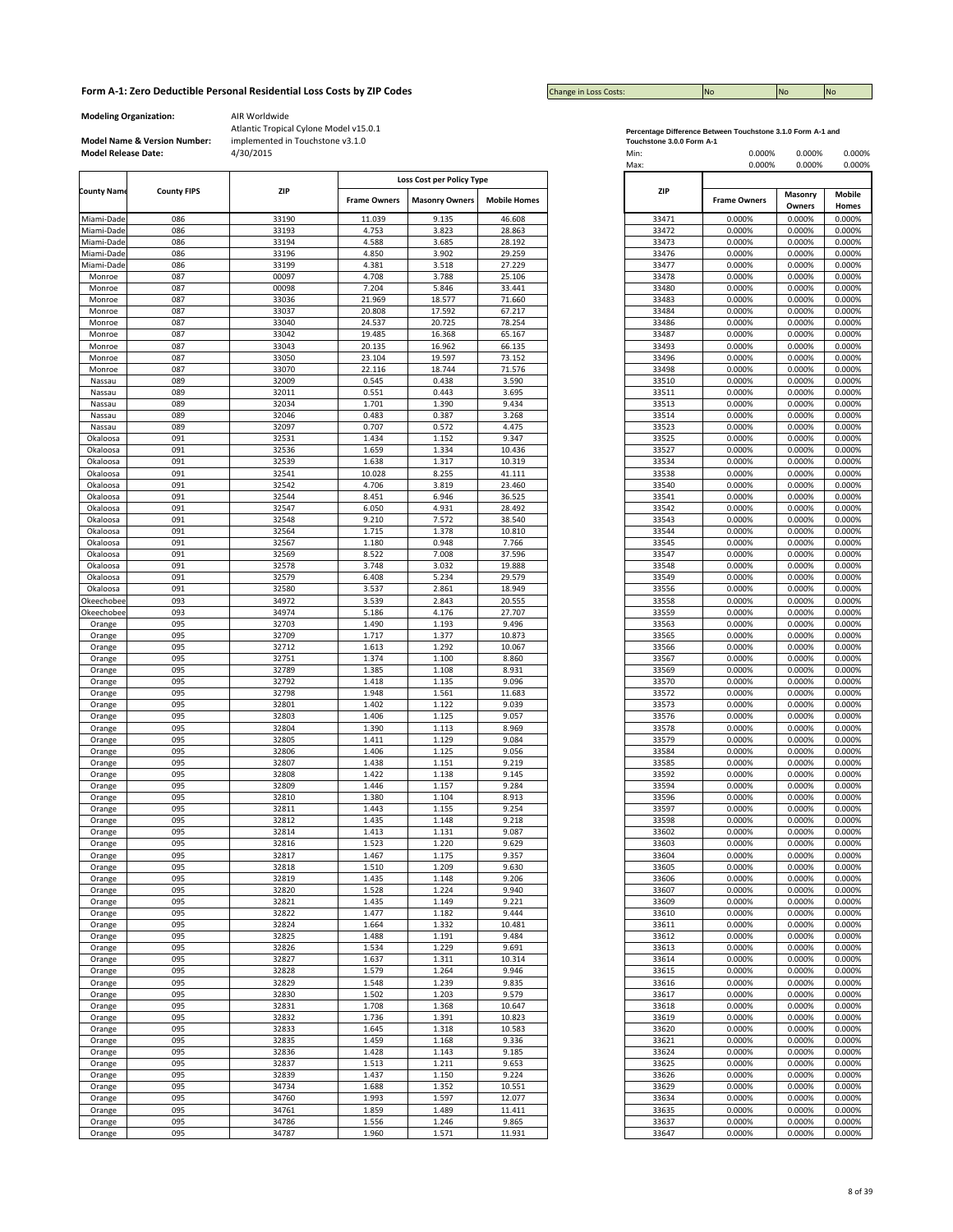Change in Loss Costs:

**Modeling Organization:** AIR Worldwide

Atlantic Tropical Cylone Model v15.0.1 implemented in Touchstone v3.1.0

|                      |                    |            |                     | Loss Cost per Policy Type |                     |
|----------------------|--------------------|------------|---------------------|---------------------------|---------------------|
| <b>County Name</b>   | <b>County FIPS</b> | <b>ZIP</b> | <b>Frame Owners</b> | <b>Masonry Owners</b>     | <b>Mobile Homes</b> |
|                      |                    |            |                     |                           |                     |
| Miami-Dade           | 086                | 33190      | 11.039              | 9.135                     | 46.608              |
| Miami-Dade           | 086                | 33193      | 4.753               | 3.823                     | 28.863              |
| Miami-Dade           | 086                | 33194      | 4.588               | 3.685                     | 28.192              |
| Miami-Dade           | 086                | 33196      | 4.850               | 3.902                     | 29.259              |
| Miami-Dade           | 086                | 33199      | 4.381               | 3.518                     | 27.229              |
| Monroe               | 087                | 00097      | 4.708               | 3.788                     | 25.106              |
| Monroe               | 087                | 00098      | 7.204               | 5.846                     | 33.441              |
| Monroe               | 087                | 33036      | 21.969              | 18.577                    | 71.660              |
| Monroe               | 087                | 33037      | 20.808              | 17.592                    | 67.217              |
| Monroe               | 087                | 33040      | 24.537              | 20.725                    | 78.254              |
| Monroe               | 087                | 33042      | 19.485              | 16.368                    | 65.167              |
| Monroe               | 087                | 33043      | 20.135              | 16.962                    | 66.135              |
|                      |                    |            |                     |                           |                     |
| Monroe               | 087                | 33050      | 23.104              | 19.597                    | 73.152              |
| Monroe               | 087                | 33070      | 22.116              | 18.744                    | 71.576              |
| Nassau               | 089                | 32009      | 0.545               | 0.438                     | 3.590               |
| Nassau               | 089                | 32011      | 0.551               | 0.443                     | 3.695               |
| Nassau               | 089                | 32034      | 1.701               | 1.390                     | 9.434               |
| Nassau               | 089                | 32046      | 0.483               | 0.387                     | 3.268               |
| Nassau               | 089                | 32097      | 0.707               | 0.572                     | 4.475               |
| Okaloosa             | 091                | 32531      | 1.434               | 1.152                     | 9.347               |
| Okaloosa             | 091                | 32536      | 1.659               | 1.334                     | 10.436              |
|                      |                    |            |                     |                           |                     |
| Okaloosa             | 091                | 32539      | 1.638               | 1.317                     | 10.319              |
| Okaloosa             | 091                | 32541      | 10.028              | 8.255                     | 41.111              |
| Okaloosa             | 091                | 32542      | 4.706               | 3.819                     | 23.460              |
| Okaloosa             | 091                | 32544      | 8.451               | 6.946                     | 36.525              |
| Okaloosa             | 091                | 32547      | 6.050               | 4.931                     | 28.492              |
| Okaloosa             | 091                | 32548      | 9.210               | 7.572                     | 38.540              |
| Okaloosa             | 091                | 32564      | 1.715               | 1.378                     | 10.810              |
| Okaloosa             | 091                | 32567      | 1.180               | 0.948                     | 7.766               |
|                      | 091                | 32569      | 8.522               | 7.008                     | 37.596              |
| Okaloosa<br>Okaloosa | 091                |            |                     |                           | 19.888              |
|                      |                    | 32578      | 3.748               | 3.032                     |                     |
| Okaloosa             | 091                | 32579      | 6.408               | 5.234                     | 29.579              |
| Okaloosa             | 091                | 32580      | 3.537               | 2.861                     | 18.949              |
| <b>Okeechobee</b>    | 093                | 34972      | 3.539               | 2.843                     | 20.555              |
| <b>Okeechobee</b>    | 093                | 34974      | 5.186               | 4.176                     | 27.707              |
| Orange               | 095                | 32703      | 1.490               | 1.193                     | 9.496               |
| Orange               | 095                | 32709      | 1.717               | 1.377                     | 10.873              |
| Orange               | 095                | 32712      | 1.613               | 1.292                     | 10.067              |
| Orange               | 095                | 32751      | 1.374               | 1.100                     | 8.860               |
| Orange               | 095                | 32789      | 1.385               | 1.108                     | 8.931               |
|                      | 095                | 32792      | 1.418               | 1.135                     | 9.096               |
| Orange               |                    |            |                     |                           |                     |
| Orange               | 095                | 32798      | 1.948               | 1.561                     | 11.683              |
| Orange               | 095                | 32801      | 1.402               | 1.122                     | 9.039               |
| Orange               | 095                | 32803      | 1.406               | 1.125                     | 9.057               |
| Orange               | 095                | 32804      | 1.390               | 1.113                     | 8.969               |
| Orange               | 095                | 32805      | 1.411               | 1.129                     | 9.084               |
| Orange               | 095                | 32806      | 1.406               | 1.125                     | 9.056               |
| Orange               | 095                | 32807      | 1.438               | 1.151                     | 9.219               |
| Orange               | 095                | 32808      | 1.422               | 1.138                     | 9.145               |
| Orange               | 095                | 32809      | 1.446               | 1.157                     | 9.284               |
| Orange               | 095                | 32810      | 1.380               | 1.104                     | 8.913               |
|                      |                    |            |                     |                           |                     |
| Orange               | 095                | 32811      | 1.443               | 1.155                     | 9.254               |
| Orange               | 095                | 32812      | 1.435               | 1.148                     | 9.218               |
| Orange               | 095                | 32814      | 1.413               | 1.131                     | 9.087               |
| Orange               | 095                | 32816      | 1.523               | 1.220                     | 9.629               |
| Orange               | 095                | 32817      | 1.467               | 1.175                     | 9.357               |
| Orange               | 095                | 32818      | 1.510               | 1.209                     | 9.630               |
| Orange               | 095                | 32819      | 1.435               | 1.148                     | 9.206               |
| Orange               | 095                | 32820      | 1.528               | 1.224                     | 9.940               |
| Orange               | 095                | 32821      | 1.435               | 1.149                     | 9.221               |
|                      |                    |            |                     |                           | 9.444               |
| Orange               | 095                | 32822      | 1.477               | 1.182                     |                     |
| Orange               | 095                | 32824      | 1.664               | 1.332                     | 10.481              |
| Orange               | 095                | 32825      | 1.488               | 1.191                     | 9.484               |
| Orange               | 095                | 32826      | 1.534               | 1.229                     | 9.691               |
| Orange               | 095                | 32827      | 1.637               | 1.311                     | 10.314              |
| Orange               | 095                | 32828      | 1.579               | 1.264                     | 9.946               |
| Orange               | 095                | 32829      | 1.548               | 1.239                     | 9.835               |
| Orange               | 095                | 32830      | 1.502               | 1.203                     | 9.579               |
|                      |                    |            |                     |                           |                     |
| Orange               | 095                | 32831      | 1.708               | 1.368                     | 10.647              |
| Orange               | 095                | 32832      | 1.736               | 1.391                     | 10.823              |
| Orange               | 095                | 32833      | 1.645               | 1.318                     | 10.583              |
| Orange               | 095                | 32835      | 1.459               | 1.168                     | 9.336               |
| Orange               | 095                | 32836      | 1.428               | 1.143                     | 9.185               |
| Orange               | 095                | 32837      | 1.513               | 1.211                     | 9.653               |
| Orange               | 095                | 32839      | 1.437               | 1.150                     | 9.224               |
| Orange               | 095                | 34734      | 1.688               | 1.352                     | 10.551              |
|                      |                    |            |                     |                           |                     |
| Orange               | 095                | 34760      | 1.993               | 1.597                     | 12.077              |
| Orange               | 095                | 34761      | 1.859               | 1.489                     | 11.411              |
| Orange               | 095                | 34786      | 1.556               | 1.246                     | 9.865               |
| Orange               | 095                | 34787      | 1.960               | 1.571                     | 11.931              |

|                    |                    |       |                     |                           |                     | Max:       | 0.000%              | 0.000%            | 0.000%        |
|--------------------|--------------------|-------|---------------------|---------------------------|---------------------|------------|---------------------|-------------------|---------------|
|                    |                    |       |                     | Loss Cost per Policy Type |                     |            |                     |                   |               |
| <b>County Name</b> | <b>County FIPS</b> | ZIP   |                     |                           |                     | <b>ZIP</b> |                     |                   | <b>Mobile</b> |
|                    |                    |       | <b>Frame Owners</b> | <b>Masonry Owners</b>     | <b>Mobile Homes</b> |            | <b>Frame Owners</b> | Masonry<br>Owners | Homes         |
| Miami-Dade         | 086                | 33190 | 11.039              | 9.135                     | 46.608              | 33471      | 0.000%              | 0.000%            | 0.000%        |
| Miami-Dade         | 086                | 33193 | 4.753               | 3.823                     | 28.863              | 33472      | 0.000%              | 0.000%            | 0.000%        |
| Miami-Dade         | 086                | 33194 | 4.588               | 3.685                     | 28.192              | 33473      | 0.000%              | 0.000%            | 0.000%        |
| Miami-Dade         | 086                | 33196 | 4.850               | 3.902                     | 29.259              | 33476      | 0.000%              | 0.000%            | 0.000%        |
| Miami-Dade         | 086                | 33199 | 4.381               | 3.518                     | 27.229              | 33477      | 0.000%              | 0.000%            | 0.000%        |
| Monroe             | 087                | 00097 | 4.708               | 3.788                     | 25.106              | 33478      | 0.000%              | 0.000%            | 0.000%        |
| Monroe             | 087                | 00098 | 7.204               | 5.846                     | 33.441              | 33480      | 0.000%              | 0.000%            | 0.000%        |
| Monroe             | 087                | 33036 | 21.969              | 18.577                    | 71.660              | 33483      | 0.000%              | 0.000%            | 0.000%        |
| Monroe             | 087                | 33037 | 20.808              | 17.592                    | 67.217              | 33484      | 0.000%              | 0.000%            | 0.000%        |
| Monroe             | 087                | 33040 | 24.537              | 20.725                    | 78.254              | 33486      | 0.000%              | 0.000%            | 0.000%        |
| Monroe             | 087                | 33042 | 19.485              | 16.368                    | 65.167              | 33487      | 0.000%              | 0.000%            | 0.000%        |
| Monroe             | 087                | 33043 | 20.135              | 16.962                    | 66.135              | 33493      | 0.000%              | 0.000%            | 0.000%        |
| Monroe             | 087                | 33050 | 23.104              | 19.597                    | 73.152              | 33496      | 0.000%              | 0.000%            | 0.000%        |
| Monroe             | 087                | 33070 | 22.116              | 18.744                    | 71.576              | 33498      | 0.000%              | 0.000%            | 0.000%        |
| Nassau             | 089                | 32009 | 0.545               | 0.438                     | 3.590               | 33510      | 0.000%              | 0.000%            | 0.000%        |
| Nassau             | 089                | 32011 | 0.551               | 0.443                     | 3.695               | 33511      | 0.000%              | 0.000%            | 0.000%        |
| Nassau             | 089                | 32034 | 1.701               | 1.390                     | 9.434               | 33513      | 0.000%              | 0.000%            | 0.000%        |
| Nassau             | 089                | 32046 | 0.483               | 0.387                     | 3.268               | 33514      | 0.000%              | 0.000%            | 0.000%        |
| Nassau             | 089                | 32097 | 0.707               | 0.572                     | 4.475               | 33523      | 0.000%              | 0.000%            | 0.000%        |
| Okaloosa           | 091                | 32531 | 1.434               | 1.152                     | 9.347               | 33525      | 0.000%              | 0.000%            | 0.000%        |
| Okaloosa           | 091                | 32536 | 1.659               | 1.334                     | 10.436              | 33527      | 0.000%              | 0.000%            | 0.000%        |
| Okaloosa           | 091                | 32539 | 1.638               | 1.317                     | 10.319              | 33534      | 0.000%              | 0.000%            | 0.000%        |
| Okaloosa           | 091                | 32541 | 10.028              | 8.255                     | 41.111              | 33538      | 0.000%              | 0.000%            | 0.000%        |
| Okaloosa           | 091                | 32542 | 4.706               | 3.819                     | 23.460              | 33540      | 0.000%              | 0.000%            | 0.000%        |
| Okaloosa           | 091                | 32544 | 8.451               | 6.946                     | 36.525              | 33541      | 0.000%              | 0.000%            | 0.000%        |
| Okaloosa           | 091                | 32547 | 6.050               | 4.931                     | 28.492              | 33542      | 0.000%              | 0.000%            | 0.000%        |
| Okaloosa           | 091                | 32548 | 9.210               | 7.572                     | 38.540              | 33543      | 0.000%              | 0.000%            | 0.000%        |
| Okaloosa           | 091                | 32564 | 1.715               | 1.378                     | 10.810              | 33544      | 0.000%              | 0.000%            | 0.000%        |
| Okaloosa           | 091                | 32567 | 1.180               | 0.948                     | 7.766               | 33545      | 0.000%              | 0.000%            | 0.000%        |
| Okaloosa           | 091                | 32569 | 8.522               | 7.008                     | 37.596              | 33547      | 0.000%              | 0.000%            | 0.000%        |
| Okaloosa           | 091                | 32578 | 3.748               | 3.032                     | 19.888              | 33548      | 0.000%              | 0.000%            | 0.000%        |
| Okaloosa           | 091                | 32579 | 6.408               | 5.234                     | 29.579              | 33549      | 0.000%              | 0.000%            | 0.000%        |
| Okaloosa           | 091                | 32580 | 3.537               | 2.861                     | 18.949              | 33556      | 0.000%              | 0.000%            | 0.000%        |
| Okeechobee         | 093                | 34972 | 3.539               | 2.843                     | 20.555              | 33558      | 0.000%              | 0.000%            | 0.000%        |
| Okeechobee         | 093                | 34974 | 5.186               | 4.176                     | 27.707              | 33559      | 0.000%              | 0.000%            | 0.000%        |
| Orange             | 095                | 32703 | 1.490               | 1.193                     | 9.496               | 33563      | 0.000%              | 0.000%            | 0.000%        |
| Orange             | 095                | 32709 | 1.717               | 1.377                     | 10.873              | 33565      | 0.000%              | 0.000%            | 0.000%        |
| Orange             | 095                | 32712 | 1.613               | 1.292                     | 10.067              | 33566      | 0.000%              | 0.000%            | 0.000%        |
| Orange             | 095                | 32751 | 1.374               | 1.100                     | 8.860               | 33567      | 0.000%              | 0.000%            | 0.000%        |
| Orange             | 095                | 32789 | 1.385               | 1.108                     | 8.931               | 33569      | 0.000%              | 0.000%            | 0.000%        |
| Orange             | 095                | 32792 | 1.418               | 1.135                     | 9.096               | 33570      | 0.000%              | 0.000%            | 0.000%        |
| Orange             | 095                | 32798 | 1.948               | 1.561                     | 11.683              | 33572      | 0.000%              | 0.000%            | 0.000%        |
| Orange             | 095                | 32801 | 1.402               | 1.122                     | 9.039               | 33573      | 0.000%              | 0.000%            | 0.000%        |
| Orange             | 095                | 32803 | 1.406               | 1.125                     | 9.057               | 33576      | 0.000%              | 0.000%            | 0.000%        |
| Orange             | 095                | 32804 | 1.390               | 1.113                     | 8.969               | 33578      | 0.000%              | 0.000%            | 0.000%        |
| Orange             | 095                | 32805 | 1.411               | 1.129                     | 9.084               | 33579      | 0.000%              | 0.000%            | 0.000%        |
| Orange             | 095                | 32806 | 1.406               | 1.125                     | 9.056               | 33584      | 0.000%              | 0.000%            | 0.000%        |
| Orange             | 095                | 32807 | 1.438               | 1.151                     | 9.219               | 33585      | 0.000%              | 0.000%            | 0.000%        |
| Orange             | 095                | 32808 | 1.422               | 1.138                     | 9.145               | 33592      | 0.000%              | 0.000%            | 0.000%        |
| Orange             | 095                | 32809 | 1.446               | 1.157                     | 9.284               | 33594      | 0.000%              | 0.000%            | 0.000%        |
| Orange             | 095                | 32810 | 1.380               | 1.104                     | 8.913               | 33596      | 0.000%              | 0.000%            | 0.000%        |
| Orange             | 095                | 32811 | 1.443               | 1.155                     | 9.254               | 33597      | 0.000%              | 0.000%            | 0.000%        |
| Orange             | 095                | 32812 | 1.435               | 1.148                     | 9.218               | 33598      | 0.000%              | 0.000%            | 0.000%        |
| Orange             | 095                | 32814 | 1.413               | 1.131                     | 9.087               | 33602      | 0.000%              | 0.000%            | 0.000%        |
| Orange             | 095                | 32816 | 1.523               | 1.220                     | 9.629               | 33603      | 0.000%              | 0.000%            | 0.000%        |
| Orange             | 095                | 32817 | 1.467               | 1.175                     | 9.357               | 33604      | 0.000%              | 0.000%            | 0.000%        |
| Orange             | 095                | 32818 | 1.510               | 1.209                     | 9.630               | 33605      | 0.000%              | 0.000%            | 0.000%        |
| Orange             | 095                | 32819 | 1.435               | 1.148                     | 9.206               | 33606      | 0.000%              | 0.000%            | 0.000%        |
| Orange             | 095                | 32820 | 1.528               | 1.224                     | 9.940               | 33607      | 0.000%              | 0.000%            | 0.000%        |
| Orange             | 095                | 32821 | 1.435               | 1.149                     | 9.221               | 33609      | 0.000%              | 0.000%            | 0.000%        |
| Orange             | 095                | 32822 | 1.477               | 1.182                     | 9.444               | 33610      | 0.000%              | 0.000%            | 0.000%        |
| Orange             | 095                | 32824 | 1.664               | 1.332                     | 10.481              | 33611      | 0.000%              | 0.000%            | 0.000%        |
| Orange             | 095                | 32825 | 1.488               | 1.191                     | 9.484               | 33612      | 0.000%              | 0.000%            | 0.000%        |
| Orange             | 095                | 32826 | 1.534               | 1.229                     | 9.691               | 33613      | 0.000%              | 0.000%            | 0.000%        |
| Orange             | 095                | 32827 | 1.637               | 1.311                     | 10.314              | 33614      | 0.000%              | 0.000%            | 0.000%        |
| Orange             | 095                | 32828 | 1.579               | 1.264                     | 9.946               | 33615      | 0.000%              | 0.000%            | 0.000%        |
| Orange             | 095                | 32829 | 1.548               | 1.239                     | 9.835               | 33616      | 0.000%              | 0.000%            | 0.000%        |
| Orange             | 095                | 32830 | 1.502               | 1.203                     | 9.579               | 33617      | 0.000%              | 0.000%            | 0.000%        |
| Orange             | 095                | 32831 | 1.708               | 1.368                     | 10.647              | 33618      | 0.000%              | 0.000%            | 0.000%        |
| Orange             | 095                | 32832 | 1.736               | 1.391                     | 10.823              | 33619      | 0.000%              | 0.000%            | 0.000%        |
| Orange             | 095                | 32833 | 1.645               | 1.318                     | 10.583              | 33620      | 0.000%              | 0.000%            | 0.000%        |
| Orange             | 095                | 32835 | 1.459               | 1.168                     | 9.336               | 33621      | 0.000%              | 0.000%            | 0.000%        |
| Orange             | 095                | 32836 | 1.428               | 1.143                     | 9.185               | 33624      | 0.000%              | 0.000%            | 0.000%        |
| Orange             | 095                | 32837 | 1.513               | 1.211                     | 9.653               | 33625      | 0.000%              | 0.000%            | 0.000%        |
| Orange             | 095                | 32839 | 1.437               | 1.150                     | 9.224               | 33626      | 0.000%              | 0.000%            | 0.000%        |
| Orange             | 095                | 34734 | 1.688               | 1.352                     | 10.551              | 33629      | 0.000%              | 0.000%            | 0.000%        |
| Orange             | 095                | 34760 | 1.993               | 1.597                     | 12.077              | 33634      | 0.000%              | 0.000%            | 0.000%        |
| Orange             | 095                | 34761 | 1.859               | 1.489                     | 11.411              | 33635      | 0.000%              | 0.000%            | 0.000%        |
| Orange             | 095                | 34786 | 1.556               | 1.246                     | 9.865               | 33637      | 0.000%              | 0.000%            | 0.000%        |
| Orange             | 095                | 34787 | 1.960               | 1.571                     | 11.931              | 33647      | 0.000%              | 0.000%            | 0.000%        |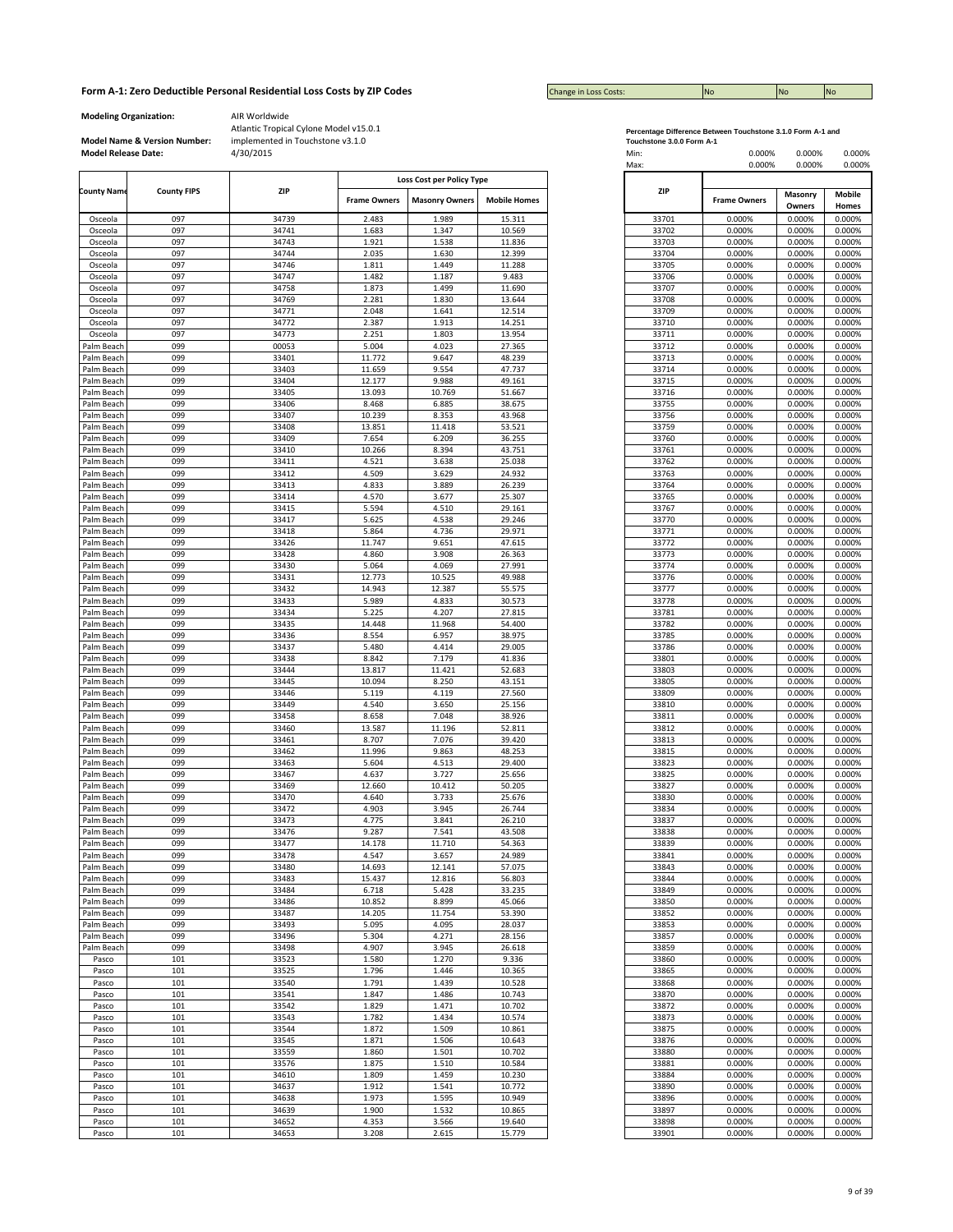Change in Loss Costs:

**Modeling Organization:** AIR Worldwide

|                          |                    |                |                     | Loss Cost per Policy Type |                     |                |                     |                   |                        |
|--------------------------|--------------------|----------------|---------------------|---------------------------|---------------------|----------------|---------------------|-------------------|------------------------|
| <b>County Name</b>       | <b>County FIPS</b> | ZIP            | <b>Frame Owners</b> | <b>Masonry Owners</b>     | <b>Mobile Homes</b> | ZIP            | <b>Frame Owners</b> | Masonry<br>Owners | <b>Mobile</b><br>Homes |
| Osceola                  | 097                | 34739          | 2.483               | 1.989                     | 15.311              | 33701          | 0.000%              | 0.000%            | 0.000%                 |
| Osceola                  | 097                | 34741          | 1.683               | 1.347                     | 10.569              | 33702          | 0.000%              | 0.000%            | 0.000%                 |
| Osceola                  | 097                | 34743          | 1.921               | 1.538                     | 11.836              | 33703          | 0.000%              | 0.000%            | 0.000%                 |
| Osceola                  | 097                | 34744          | 2.035               | 1.630                     | 12.399              | 33704          | 0.000%              | 0.000%            | 0.000%                 |
| Osceola                  | 097                | 34746          | 1.811               | 1.449                     | 11.288              | 33705          | 0.000%              | 0.000%            | 0.000%                 |
| Osceola                  | 097                | 34747          | 1.482               | 1.187                     | 9.483               | 33706          | 0.000%              | 0.000%            | 0.000%                 |
| Osceola                  | 097                | 34758          | 1.873               | 1.499                     | 11.690              | 33707          | 0.000%              | 0.000%            | 0.000%                 |
| Osceola                  | 097                | 34769          | 2.281               | 1.830                     | 13.644              | 33708          | 0.000%              | 0.000%            | 0.000%                 |
| Osceola                  | 097                | 34771          | 2.048               | 1.641                     | 12.514              | 33709          | 0.000%              | 0.000%            | 0.000%                 |
| Osceola<br>Osceola       | 097<br>097         | 34772<br>34773 | 2.387<br>2.251      | 1.913<br>1.803            | 14.251<br>13.954    | 33710<br>33711 | 0.000%<br>0.000%    | 0.000%<br>0.000%  | 0.000%<br>0.000%       |
| Palm Beach               | 099                | 00053          | 5.004               | 4.023                     | 27.365              | 33712          | 0.000%              | 0.000%            | 0.000%                 |
| Palm Beach               | 099                | 33401          | 11.772              | 9.647                     | 48.239              | 33713          | 0.000%              | 0.000%            | 0.000%                 |
| Palm Beach               | 099                | 33403          | 11.659              | 9.554                     | 47.737              | 33714          | 0.000%              | 0.000%            | 0.000%                 |
| Palm Beach               | 099                | 33404          | 12.177              | 9.988                     | 49.161              | 33715          | 0.000%              | 0.000%            | 0.000%                 |
| Palm Beach               | 099                | 33405          | 13.093              | 10.769                    | 51.667              | 33716          | 0.000%              | 0.000%            | 0.000%                 |
| Palm Beach               | 099                | 33406          | 8.468               | 6.885                     | 38.675              | 33755          | 0.000%              | 0.000%            | 0.000%                 |
| Palm Beach               | 099                | 33407          | 10.239              | 8.353                     | 43.968              | 33756          | 0.000%              | 0.000%            | 0.000%                 |
| Palm Beach               | 099                | 33408          | 13.851              | 11.418                    | 53.521              | 33759          | 0.000%              | 0.000%            | 0.000%                 |
| Palm Beach               | 099                | 33409          | 7.654               | 6.209                     | 36.255              | 33760          | 0.000%              | 0.000%            | 0.000%                 |
| Palm Beach               | 099                | 33410          | 10.266              | 8.394                     | 43.751              | 33761          | 0.000%              | 0.000%            | 0.000%                 |
| Palm Beach               | 099                | 33411          | 4.521               | 3.638                     | 25.038              | 33762          | 0.000%              | 0.000%            | 0.000%                 |
| Palm Beach               | 099                | 33412          | 4.509               | 3.629                     | 24.932              | 33763          | 0.000%              | 0.000%            | 0.000%                 |
| Palm Beach               | 099                | 33413          | 4.833               | 3.889                     | 26.239              | 33764          | 0.000%              | 0.000%            | 0.000%                 |
| Palm Beach               | 099                | 33414          | 4.570               | 3.677                     | 25.307              | 33765          | 0.000%              | 0.000%            | 0.000%                 |
| Palm Beach<br>Palm Beach | 099<br>099         | 33415<br>33417 | 5.594<br>5.625      | 4.510<br>4.538            | 29.161<br>29.246    | 33767<br>33770 | 0.000%<br>0.000%    | 0.000%<br>0.000%  | 0.000%<br>0.000%       |
| Palm Beach               | 099                | 33418          | 5.864               | 4.736                     | 29.971              | 33771          | 0.000%              | 0.000%            | 0.000%                 |
| Palm Beach               | 099                | 33426          | 11.747              | 9.651                     | 47.615              | 33772          | 0.000%              | 0.000%            | 0.000%                 |
| Palm Beach               | 099                | 33428          | 4.860               | 3.908                     | 26.363              | 33773          | 0.000%              | 0.000%            | 0.000%                 |
| Palm Beach               | 099                | 33430          | 5.064               | 4.069                     | 27.991              | 33774          | 0.000%              | 0.000%            | 0.000%                 |
| Palm Beach               | 099                | 33431          | 12.773              | 10.525                    | 49.988              | 33776          | 0.000%              | 0.000%            | 0.000%                 |
| Palm Beach               | 099                | 33432          | 14.943              | 12.387                    | 55.575              | 33777          | 0.000%              | 0.000%            | 0.000%                 |
| Palm Beach               | 099                | 33433          | 5.989               | 4.833                     | 30.573              | 33778          | 0.000%              | 0.000%            | 0.000%                 |
| Palm Beach               | 099                | 33434          | 5.225               | 4.207                     | 27.815              | 33781          | 0.000%              | 0.000%            | 0.000%                 |
| Palm Beach               | 099                | 33435          | 14.448              | 11.968                    | 54.400              | 33782          | 0.000%              | 0.000%            | 0.000%                 |
| Palm Beach               | 099                | 33436          | 8.554               | 6.957                     | 38.975              | 33785          | 0.000%              | 0.000%            | 0.000%                 |
| Palm Beach               | 099                | 33437          | 5.480               | 4.414                     | 29.005              | 33786          | 0.000%              | 0.000%            | 0.000%                 |
| Palm Beach               | 099                | 33438          | 8.842               | 7.179                     | 41.836              | 33801          | 0.000%              | 0.000%            | 0.000%                 |
| Palm Beach               | 099                | 33444          | 13.817              | 11.421                    | 52.683              | 33803          | 0.000%              | 0.000%            | 0.000%                 |
| Palm Beach               | 099                | 33445          | 10.094              | 8.250                     | 43.151              | 33805          | 0.000%              | 0.000%            | 0.000%                 |
| Palm Beach<br>Palm Beach | 099<br>099         | 33446<br>33449 | 5.119<br>4.540      | 4.119<br>3.650            | 27.560<br>25.156    | 33809<br>33810 | 0.000%<br>0.000%    | 0.000%<br>0.000%  | 0.000%<br>0.000%       |
| Palm Beach               | 099                | 33458          | 8.658               | 7.048                     | 38.926              | 33811          | 0.000%              | 0.000%            | 0.000%                 |
| Palm Beach               | 099                | 33460          | 13.587              | 11.196                    | 52.811              | 33812          | 0.000%              | 0.000%            | 0.000%                 |
| Palm Beach               | 099                | 33461          | 8.707               | 7.076                     | 39.420              | 33813          | 0.000%              | 0.000%            | 0.000%                 |
| Palm Beach               | 099                | 33462          | 11.996              | 9.863                     | 48.253              | 33815          | 0.000%              | 0.000%            | 0.000%                 |
| Palm Beach               | 099                | 33463          | 5.604               | 4.513                     | 29.400              | 33823          | 0.000%              | 0.000%            | 0.000%                 |
| Palm Beach               | 099                | 33467          | 4.637               | 3.727                     | 25.656              | 33825          | 0.000%              | 0.000%            | 0.000%                 |
| Palm Beach               | 099                | 33469          | 12.660              | 10.412                    | 50.205              | 33827          | 0.000%              | 0.000%            | 0.000%                 |
| Palm Beach               | 099                | 33470          | 4.640               | 3.733                     | 25.676              | 33830          | 0.000%              | 0.000%            | 0.000%                 |
| Palm Beach               | 099                | 33472          | 4.903               | 3.945                     | 26.744              | 33834          | 0.000%              | 0.000%            | 0.000%                 |
| Palm Beach               | 099                | 33473          | 4.775               | 3.841                     | 26.210              | 33837          | 0.000%              | 0.000%            | 0.000%                 |
| Palm Beach               | 099                | 33476          | 9.287               | 7.541                     | 43.508              | 33838          | 0.000%              | 0.000%            | 0.000%                 |
| Palm Beach               | 099                | 33477          | 14.178              | 11.710                    | 54.363              | 33839          | 0.000%              | 0.000%            | 0.000%                 |
| Palm Beach               | 099                | 33478          | 4.547               | 3.657                     | 24.989              | 33841          | 0.000%              | 0.000%            | 0.000%                 |
| Palm Beach               | 099                | 33480          | 14.693              | 12.141                    | 57.075              | 33843          | 0.000%              | 0.000%            | 0.000%                 |
| Palm Beach               | 099                | 33483          | 15.437              | 12.816                    | 56.803              | 33844          | 0.000%              | 0.000%            | 0.000%                 |
| Palm Beach<br>Palm Beach | 099<br>099         | 33484<br>33486 | 6.718<br>10.852     | 5.428<br>8.899            | 33.235<br>45.066    | 33849<br>33850 | 0.000%<br>0.000%    | 0.000%<br>0.000%  | 0.000%<br>0.000%       |
| Palm Beach               | 099                | 33487          | 14.205              | 11.754                    | 53.390              | 33852          | 0.000%              | 0.000%            | 0.000%                 |
| Palm Beach               | 099                | 33493          | 5.095               | 4.095                     | 28.037              | 33853          | 0.000%              | 0.000%            | 0.000%                 |
| Palm Beach               | 099                | 33496          | 5.304               | 4.271                     | 28.156              | 33857          | 0.000%              | 0.000%            | 0.000%                 |
| Palm Beach               | 099                | 33498          | 4.907               | 3.945                     | 26.618              | 33859          | 0.000%              | 0.000%            | 0.000%                 |
| Pasco                    | 101                | 33523          | 1.580               | 1.270                     | 9.336               | 33860          | 0.000%              | 0.000%            | 0.000%                 |
| Pasco                    | 101                | 33525          | 1.796               | 1.446                     | 10.365              | 33865          | 0.000%              | 0.000%            | 0.000%                 |
| Pasco                    | 101                | 33540          | 1.791               | 1.439                     | 10.528              | 33868          | 0.000%              | 0.000%            | 0.000%                 |
| Pasco                    | 101                | 33541          | 1.847               | 1.486                     | 10.743              | 33870          | 0.000%              | 0.000%            | 0.000%                 |
| Pasco                    | 101                | 33542          | 1.829               | 1.471                     | 10.702              | 33872          | 0.000%              | 0.000%            | 0.000%                 |
| Pasco                    | 101                | 33543          | 1.782               | 1.434                     | 10.574              | 33873          | 0.000%              | 0.000%            | 0.000%                 |
| Pasco                    | 101                | 33544          | 1.872               | 1.509                     | 10.861              | 33875          | 0.000%              | 0.000%            | 0.000%                 |
| Pasco                    | 101                | 33545          | 1.871               | 1.506                     | 10.643              | 33876          | 0.000%              | 0.000%            | 0.000%                 |
| Pasco                    | 101                | 33559          | 1.860               | 1.501                     | 10.702              | 33880          | 0.000%              | 0.000%            | 0.000%                 |
| Pasco                    | 101                | 33576          | 1.875               | 1.510                     | 10.584              | 33881          | 0.000%              | 0.000%            | 0.000%                 |
| Pasco                    | 101                | 34610          | 1.809               | 1.459                     | 10.230              | 33884          | 0.000%              | 0.000%            | 0.000%                 |
| Pasco                    | 101                | 34637          | 1.912               | 1.541                     | 10.772              | 33890          | 0.000%              | 0.000%            | 0.000%                 |
| Pasco                    | 101                | 34638          | 1.973               | 1.595                     | 10.949              | 33896          | 0.000%              | 0.000%            | 0.000%                 |
| Pasco                    | 101<br>101         | 34639<br>34652 | 1.900               | 1.532                     | 10.865<br>19.640    | 33897<br>33898 | 0.000%<br>0.000%    | 0.000%<br>0.000%  | 0.000%<br>0.000%       |
| Pasco<br>Pasco           | 101                | 34653          | 4.353<br>3.208      | 3.566<br>2.615            | 15.779              | 33901          | 0.000%              | 0.000%            | 0.000%                 |
|                          |                    |                |                     |                           |                     |                |                     |                   |                        |

| Percentage Difference Between Touchstone 3.1.0 Form A-1 and |  |
|-------------------------------------------------------------|--|
| $T = 1$                                                     |  |

|                            | <b>Model Name &amp; Version Number:</b> | implemented in Touchstone v3.1.0 |                     |                           |                     | Touchstone 3.0.0 Form A-1 |                     |                   |                        |
|----------------------------|-----------------------------------------|----------------------------------|---------------------|---------------------------|---------------------|---------------------------|---------------------|-------------------|------------------------|
| <b>Model Release Date:</b> |                                         | 4/30/2015                        |                     |                           |                     | Min:<br>Max:              | 0.000%<br>0.000%    | 0.000%<br>0.000%  | 0.000%<br>0.000%       |
|                            |                                         |                                  |                     | Loss Cost per Policy Type |                     |                           |                     |                   |                        |
| <b>County Name</b>         | <b>County FIPS</b>                      | ZIP                              | <b>Frame Owners</b> | <b>Masonry Owners</b>     | <b>Mobile Homes</b> | <b>ZIP</b>                | <b>Frame Owners</b> | Masonry<br>Owners | <b>Mobile</b><br>Homes |
| Osceola                    | 097                                     | 34739                            | 2.483               | 1.989                     | 15.311              | 33701                     | 0.000%              | 0.000%            | 0.000%                 |
| Osceola                    | 097                                     | 34741                            | 1.683               | 1.347                     | 10.569              | 33702                     | 0.000%              | 0.000%            | 0.000%                 |
| Osceola<br>Osceola         | 097<br>097                              | 34743<br>34744                   | 1.921<br>2.035      | 1.538<br>1.630            | 11.836<br>12.399    | 33703<br>33704            | 0.000%<br>0.000%    | 0.000%<br>0.000%  | 0.000%<br>0.000%       |
| Osceola                    | 097                                     | 34746                            | 1.811               | 1.449                     | 11.288              | 33705                     | 0.000%              | 0.000%            | 0.000%                 |
| Osceola                    | 097                                     | 34747                            | 1.482               | 1.187                     | 9.483               | 33706                     | 0.000%              | 0.000%            | 0.000%                 |
| Osceola                    | 097                                     | 34758                            | 1.873               | 1.499                     | 11.690              | 33707                     | 0.000%              | 0.000%            | 0.000%                 |
| Osceola                    | 097<br>097                              | 34769<br>34771                   | 2.281<br>2.048      | 1.830<br>1.641            | 13.644<br>12.514    | 33708<br>33709            | 0.000%<br>0.000%    | 0.000%            | 0.000%<br>0.000%       |
| Osceola<br>Osceola         | 097                                     | 34772                            | 2.387               | 1.913                     | 14.251              | 33710                     | 0.000%              | 0.000%<br>0.000%  | 0.000%                 |
| Osceola                    | 097                                     | 34773                            | 2.251               | 1.803                     | 13.954              | 33711                     | 0.000%              | 0.000%            | 0.000%                 |
| Palm Beach                 | 099                                     | 00053                            | 5.004               | 4.023                     | 27.365              | 33712                     | 0.000%              | 0.000%            | 0.000%                 |
| Palm Beach                 | 099                                     | 33401                            | 11.772              | 9.647                     | 48.239              | 33713                     | 0.000%              | 0.000%            | 0.000%                 |
| Palm Beach<br>Palm Beach   | 099<br>099                              | 33403<br>33404                   | 11.659<br>12.177    | 9.554<br>9.988            | 47.737<br>49.161    | 33714<br>33715            | 0.000%<br>0.000%    | 0.000%<br>0.000%  | 0.000%<br>0.000%       |
| Palm Beach                 | 099                                     | 33405                            | 13.093              | 10.769                    | 51.667              | 33716                     | 0.000%              | 0.000%            | 0.000%                 |
| Palm Beach                 | 099                                     | 33406                            | 8.468               | 6.885                     | 38.675              | 33755                     | 0.000%              | 0.000%            | 0.000%                 |
| Palm Beach                 | 099                                     | 33407                            | 10.239              | 8.353                     | 43.968              | 33756                     | 0.000%              | 0.000%            | 0.000%                 |
| Palm Beach                 | 099                                     | 33408                            | 13.851              | 11.418                    | 53.521              | 33759                     | 0.000%              | 0.000%            | 0.000%                 |
| Palm Beach                 | 099<br>099                              | 33409                            | 7.654               | 6.209                     | 36.255              | 33760<br>33761            | 0.000%              | 0.000%            | 0.000%                 |
| Palm Beach<br>Palm Beach   | 099                                     | 33410<br>33411                   | 10.266<br>4.521     | 8.394<br>3.638            | 43.751<br>25.038    | 33762                     | 0.000%<br>0.000%    | 0.000%<br>0.000%  | 0.000%<br>0.000%       |
| Palm Beach                 | 099                                     | 33412                            | 4.509               | 3.629                     | 24.932              | 33763                     | 0.000%              | 0.000%            | 0.000%                 |
| Palm Beach                 | 099                                     | 33413                            | 4.833               | 3.889                     | 26.239              | 33764                     | 0.000%              | 0.000%            | 0.000%                 |
| Palm Beach                 | 099                                     | 33414                            | 4.570               | 3.677                     | 25.307              | 33765                     | 0.000%              | 0.000%            | 0.000%                 |
| Palm Beach                 | 099                                     | 33415                            | 5.594               | 4.510                     | 29.161              | 33767                     | 0.000%              | 0.000%            | 0.000%                 |
| Palm Beach<br>Palm Beach   | 099<br>099                              | 33417<br>33418                   | 5.625<br>5.864      | 4.538<br>4.736            | 29.246<br>29.971    | 33770<br>33771            | 0.000%<br>0.000%    | 0.000%<br>0.000%  | 0.000%<br>0.000%       |
| Palm Beach                 | 099                                     | 33426                            | 11.747              | 9.651                     | 47.615              | 33772                     | 0.000%              | 0.000%            | 0.000%                 |
| Palm Beach                 | 099                                     | 33428                            | 4.860               | 3.908                     | 26.363              | 33773                     | 0.000%              | 0.000%            | 0.000%                 |
| Palm Beach                 | 099                                     | 33430                            | 5.064               | 4.069                     | 27.991              | 33774                     | 0.000%              | 0.000%            | 0.000%                 |
| Palm Beach                 | 099                                     | 33431                            | 12.773              | 10.525                    | 49.988              | 33776                     | 0.000%              | 0.000%            | 0.000%                 |
| Palm Beach<br>Palm Beach   | 099<br>099                              | 33432<br>33433                   | 14.943<br>5.989     | 12.387<br>4.833           | 55.575<br>30.573    | 33777<br>33778            | 0.000%<br>0.000%    | 0.000%<br>0.000%  | 0.000%<br>0.000%       |
| Palm Beach                 | 099                                     | 33434                            | 5.225               | 4.207                     | 27.815              | 33781                     | 0.000%              | 0.000%            | 0.000%                 |
| Palm Beach                 | 099                                     | 33435                            | 14.448              | 11.968                    | 54.400              | 33782                     | 0.000%              | 0.000%            | 0.000%                 |
| Palm Beach                 | 099                                     | 33436                            | 8.554               | 6.957                     | 38.975              | 33785                     | 0.000%              | 0.000%            | 0.000%                 |
| Palm Beach                 | 099                                     | 33437                            | 5.480               | 4.414                     | 29.005              | 33786                     | 0.000%              | 0.000%            | 0.000%                 |
| Palm Beach<br>Palm Beach   | 099<br>099                              | 33438<br>33444                   | 8.842<br>13.817     | 7.179<br>11.421           | 41.836<br>52.683    | 33801<br>33803            | 0.000%<br>0.000%    | 0.000%<br>0.000%  | 0.000%<br>0.000%       |
| Palm Beach                 | 099                                     | 33445                            | 10.094              | 8.250                     | 43.151              | 33805                     | 0.000%              | 0.000%            | 0.000%                 |
| Palm Beach                 | 099                                     | 33446                            | 5.119               | 4.119                     | 27.560              | 33809                     | 0.000%              | 0.000%            | 0.000%                 |
| Palm Beach                 | 099                                     | 33449                            | 4.540               | 3.650                     | 25.156              | 33810                     | 0.000%              | 0.000%            | 0.000%                 |
| Palm Beach                 | 099                                     | 33458                            | 8.658               | 7.048                     | 38.926              | 33811                     | 0.000%              | 0.000%            | 0.000%                 |
| Palm Beach                 | 099                                     | 33460                            | 13.587              | 11.196                    | 52.811              | 33812                     | 0.000%              | 0.000%            | 0.000%                 |
| Palm Beach<br>Palm Beach   | 099<br>099                              | 33461<br>33462                   | 8.707<br>11.996     | 7.076<br>9.863            | 39.420<br>48.253    | 33813<br>33815            | 0.000%<br>0.000%    | 0.000%<br>0.000%  | 0.000%<br>0.000%       |
| Palm Beach                 | 099                                     | 33463                            | 5.604               | 4.513                     | 29.400              | 33823                     | 0.000%              | 0.000%            | 0.000%                 |
| Palm Beach                 | 099                                     | 33467                            | 4.637               | 3.727                     | 25.656              | 33825                     | 0.000%              | 0.000%            | 0.000%                 |
| Palm Beach                 | 099                                     | 33469                            | 12.660              | 10.412                    | 50.205              | 33827                     | 0.000%              | 0.000%            | 0.000%                 |
| Palm Beach                 | 099                                     | 33470                            | 4.640               | 3.733                     | 25.676              | 33830                     | 0.000%              | 0.000%            | 0.000%                 |
| Palm Beach<br>Palm Beach   | 099<br>099                              | 33472<br>33473                   | 4.903<br>4.775      | 3.945<br>3.841            | 26.744<br>26.210    | 33834<br>33837            | 0.000%<br>0.000%    | 0.000%<br>0.000%  | 0.000%<br>0.000%       |
| Palm Beach                 | 099                                     | 33476                            | 9.287               | 7.541                     | 43.508              | 33838                     | 0.000%              | 0.000%            | 0.000%                 |
| Palm Beach                 | 099                                     | 33477                            | 14.178              | 11.710                    | 54.363              | 33839                     | 0.000%              | 0.000%            | 0.000%                 |
| Palm Beach                 | 099                                     | 33478                            | 4.547               | 3.657                     | 24.989              | 33841                     | 0.000%              | 0.000%            | 0.000%                 |
| Palm Beach                 | 099                                     | 33480                            | 14.693              | 12.141                    | 57.075              | 33843                     | 0.000%              | 0.000%            | 0.000%                 |
| Palm Beach<br>Palm Beach   | 099<br>099                              | 33483<br>33484                   | 15.437<br>6.718     | 12.816<br>5.428           | 56.803<br>33.235    | 33844<br>33849            | 0.000%<br>0.000%    | 0.000%<br>0.000%  | 0.000%<br>0.000%       |
| Palm Beach                 | 099                                     | 33486                            | 10.852              | 8.899                     | 45.066              | 33850                     | 0.000%              | 0.000%            | 0.000%                 |
| Palm Beach                 | 099                                     | 33487                            | 14.205              | 11.754                    | 53.390              | 33852                     | 0.000%              | 0.000%            | 0.000%                 |
| Palm Beach                 | 099                                     | 33493                            | 5.095               | 4.095                     | 28.037              | 33853                     | 0.000%              | 0.000%            | 0.000%                 |
| Palm Beach                 | 099                                     | 33496                            | 5.304               | 4.271                     | 28.156              | 33857                     | 0.000%              | 0.000%            | 0.000%                 |
| Palm Beach                 | 099                                     | 33498                            | 4.907               | 3.945                     | 26.618              | 33859                     | 0.000%              | 0.000%            | 0.000%                 |
| Pasco<br>Pasco             | 101<br>101                              | 33523<br>33525                   | 1.580<br>1.796      | 1.270<br>1.446            | 9.336<br>10.365     | 33860<br>33865            | 0.000%<br>0.000%    | 0.000%<br>0.000%  | 0.000%<br>0.000%       |
| Pasco                      | 101                                     | 33540                            | 1.791               | 1.439                     | 10.528              | 33868                     | 0.000%              | 0.000%            | 0.000%                 |
| Pasco                      | 101                                     | 33541                            | 1.847               | 1.486                     | 10.743              | 33870                     | 0.000%              | 0.000%            | 0.000%                 |
| Pasco                      | 101                                     | 33542                            | 1.829               | 1.471                     | 10.702              | 33872                     | 0.000%              | 0.000%            | 0.000%                 |
| Pasco                      | 101                                     | 33543                            | 1.782               | 1.434                     | 10.574              | 33873                     | 0.000%              | 0.000%            | 0.000%                 |
| Pasco                      | 101                                     | 33544                            | 1.872               | 1.509                     | 10.861              | 33875                     | 0.000%              | 0.000%            | 0.000%                 |
| Pasco<br>Pasco             | 101<br>101                              | 33545<br>33559                   | 1.871<br>1.860      | 1.506<br>1.501            | 10.643<br>10.702    | 33876<br>33880            | 0.000%<br>0.000%    | 0.000%<br>0.000%  | 0.000%<br>0.000%       |
| Pasco                      | 101                                     | 33576                            | 1.875               | 1.510                     | 10.584              | 33881                     | 0.000%              | 0.000%            | 0.000%                 |
| Pasco                      | 101                                     | 34610                            | 1.809               | 1.459                     | 10.230              | 33884                     | 0.000%              | 0.000%            | 0.000%                 |
| Pasco                      | 101                                     | 34637                            | 1.912               | 1.541                     | 10.772              | 33890                     | 0.000%              | 0.000%            | 0.000%                 |
| Pasco                      | 101                                     | 34638                            | 1.973               | 1.595                     | 10.949              | 33896                     | 0.000%              | 0.000%            | 0.000%                 |
| Pasco                      | 101                                     | 34639                            | 1.900               | 1.532                     | 10.865              | 33897                     | 0.000%              | 0.000%            | 0.000%                 |
| Pasco<br>Pasco             | 101<br>101                              | 34652<br>34653                   | 4.353<br>3.208      | 3.566<br>2.615            | 19.640<br>15.779    | 33898<br>33901            | 0.000%<br>0.000%    | 0.000%<br>0.000%  | 0.000%<br>0.000%       |
|                            |                                         |                                  |                     |                           |                     |                           |                     |                   |                        |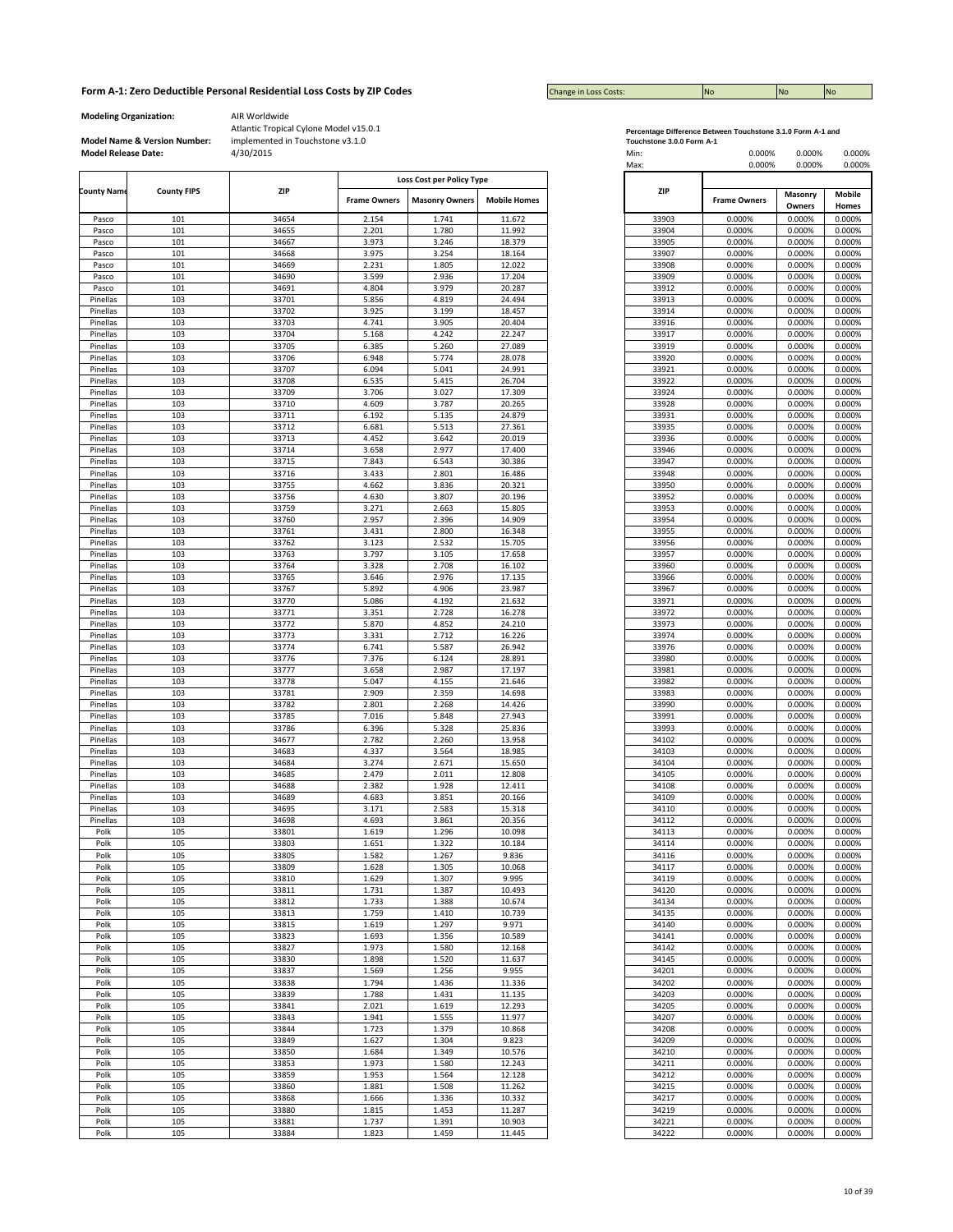Change in Loss Costs:

**Modeling Organization:** AIR Worldwide

|                    |                    |       |                     | Loss Cost per Policy Type |                     |       |                     |                   |                        |
|--------------------|--------------------|-------|---------------------|---------------------------|---------------------|-------|---------------------|-------------------|------------------------|
| <b>County Name</b> | <b>County FIPS</b> | ZIP   | <b>Frame Owners</b> | <b>Masonry Owners</b>     | <b>Mobile Homes</b> | ZIP   | <b>Frame Owners</b> | Masonry<br>Owners | <b>Mobile</b><br>Homes |
| Pasco              | 101                | 34654 | 2.154               | 1.741                     | 11.672              | 33903 | 0.000%              | 0.000%            | 0.000%                 |
| Pasco              | 101                | 34655 | 2.201               | 1.780                     | 11.992              | 33904 | 0.000%              | 0.000%            | 0.000%                 |
| Pasco              | 101                | 34667 | 3.973               | 3.246                     | 18.379              | 33905 | 0.000%              | 0.000%            | 0.000%                 |
| Pasco              | 101                | 34668 | 3.975               | 3.254                     | 18.164              | 33907 | 0.000%              | 0.000%            | 0.000%                 |
| Pasco              | 101                | 34669 | 2.231               | 1.805                     | 12.022              | 33908 | 0.000%              | 0.000%            | 0.000%                 |
| Pasco              | 101                | 34690 | 3.599               | 2.936                     | 17.204              | 33909 | 0.000%              | 0.000%            | 0.000%                 |
| Pasco              | 101                | 34691 | 4.804               | 3.979                     | 20.287              | 33912 | 0.000%              | 0.000%            | 0.000%                 |
| Pinellas           | 103                | 33701 | 5.856               | 4.819                     | 24.494              | 33913 | 0.000%              | 0.000%            | 0.000%                 |
| Pinellas           | 103                | 33702 | 3.925               | 3.199                     | 18.457              | 33914 | 0.000%              | 0.000%            | 0.000%                 |
| Pinellas           | 103                | 33703 | 4.741               | 3.905                     | 20.404              | 33916 | 0.000%              | 0.000%            | 0.000%                 |
| Pinellas           | 103                | 33704 | 5.168               | 4.242                     | 22.247              | 33917 | 0.000%              | 0.000%            | 0.000%                 |
| Pinellas           | 103                | 33705 | 6.385               | 5.260                     | 27.089              | 33919 | 0.000%              | 0.000%            | 0.000%                 |
| Pinellas           | 103                | 33706 | 6.948               | 5.774                     | 28.078              | 33920 | 0.000%              | 0.000%            | 0.000%                 |
| Pinellas           | 103                | 33707 | 6.094               | 5.041                     | 24.991              | 33921 | 0.000%              | 0.000%            | 0.000%                 |
| Pinellas           | 103                | 33708 | 6.535               | 5.415                     | 26.704              | 33922 | 0.000%              | 0.000%            | 0.000%                 |
| Pinellas           | 103                | 33709 | 3.706               | 3.027                     | 17.309              | 33924 | 0.000%              | 0.000%            | 0.000%                 |
| Pinellas           | 103                | 33710 | 4.609               | 3.787                     | 20.265              | 33928 | 0.000%              | 0.000%            | 0.000%                 |
| Pinellas           | 103                | 33711 | 6.192               | 5.135                     | 24.879              | 33931 | 0.000%              | 0.000%            | 0.000%                 |
| Pinellas           | 103                | 33712 | 6.681               | 5.513                     | 27.361              | 33935 | 0.000%              | 0.000%            | 0.000%                 |
| Pinellas           | 103                | 33713 | 4.452               | 3.642                     | 20.019              | 33936 | 0.000%              | 0.000%            | 0.000%                 |
| Pinellas           | 103                | 33714 | 3.658               | 2.977                     | 17.400              | 33946 | 0.000%              | 0.000%            | 0.000%                 |
| Pinellas           | 103                | 33715 | 7.843               | 6.543                     | 30.386              | 33947 | 0.000%              | 0.000%            | 0.000%                 |
| Pinellas           | 103                | 33716 | 3.433               | 2.801                     | 16.486              | 33948 | 0.000%              | 0.000%            | 0.000%                 |
| Pinellas           | 103                | 33755 | 4.662               | 3.836                     | 20.321              | 33950 | 0.000%              | 0.000%            | 0.000%                 |
| Pinellas           | 103                | 33756 | 4.630               | 3.807                     | 20.196              | 33952 | 0.000%              | 0.000%            | 0.000%                 |
| Pinellas           | 103                | 33759 | 3.271               | 2.663                     | 15.805              | 33953 | 0.000%              | 0.000%            | 0.000%                 |
| Pinellas           | 103                | 33760 | 2.957               | 2.396                     | 14.909              | 33954 | 0.000%              | 0.000%            | 0.000%                 |
| Pinellas           | 103                | 33761 | 3.431               | 2.800                     | 16.348              | 33955 | 0.000%              | 0.000%            | 0.000%                 |
| Pinellas           | 103                | 33762 | 3.123               | 2.532                     | 15.705              | 33956 | 0.000%              | 0.000%            | 0.000%                 |
| Pinellas           | 103                | 33763 | 3.797               | 3.105                     | 17.658              | 33957 | 0.000%              | 0.000%            | 0.000%                 |
| Pinellas           | 103                | 33764 | 3.328               | 2.708                     | 16.102              | 33960 | 0.000%              | 0.000%            | 0.000%                 |
| Pinellas           | 103                | 33765 | 3.646               | 2.976                     | 17.135              | 33966 | 0.000%              | 0.000%            | 0.000%                 |
| Pinellas           | 103                | 33767 | 5.892               | 4.906                     | 23.987              | 33967 | 0.000%              | 0.000%            | 0.000%                 |
| Pinellas           | 103                | 33770 | 5.086               | 4.192                     | 21.632              | 33971 | 0.000%              | 0.000%            | 0.000%                 |
| Pinellas           | 103                | 33771 | 3.351               | 2.728                     | 16.278              | 33972 | 0.000%              | 0.000%            | 0.000%                 |
| Pinellas           | 103                | 33772 | 5.870               | 4.852                     | 24.210              | 33973 | 0.000%              | 0.000%            | 0.000%                 |
| Pinellas           | 103                | 33773 | 3.331               | 2.712                     | 16.226              | 33974 | 0.000%              | 0.000%            | 0.000%                 |
| Pinellas           | 103                | 33774 | 6.741               | 5.587                     | 26.942              | 33976 | 0.000%              | 0.000%            | 0.000%                 |
| Pinellas           | 103                | 33776 | 7.376               | 6.124                     | 28.891              | 33980 | 0.000%              | 0.000%            | 0.000%                 |
| Pinellas           | 103                | 33777 | 3.658               | 2.987                     | 17.197              | 33981 | 0.000%              | 0.000%            | 0.000%                 |
| Pinellas           | 103                | 33778 | 5.047               | 4.155                     | 21.646              | 33982 | 0.000%              | 0.000%            | 0.000%                 |
| Pinellas           | 103                | 33781 | 2.909               | 2.359                     | 14.698              | 33983 | 0.000%              | 0.000%            | 0.000%                 |
| Pinellas           | 103                | 33782 | 2.801               | 2.268                     | 14.426              | 33990 | 0.000%              | 0.000%            | 0.000%                 |
| Pinellas           | 103                | 33785 | 7.016               | 5.848                     | 27.943              | 33991 | 0.000%              | 0.000%            | 0.000%                 |
| Pinellas           | 103                | 33786 | 6.396               | 5.328                     | 25.836              | 33993 | 0.000%              | 0.000%            | 0.000%                 |
| Pinellas           | 103                | 34677 | 2.782               | 2.260                     | 13.958              | 34102 | 0.000%              | 0.000%            | 0.000%                 |
| Pinellas           | 103                | 34683 | 4.337               | 3.564                     | 18.985              | 34103 | 0.000%              | 0.000%            | 0.000%                 |
| Pinellas           | 103                | 34684 | 3.274               | 2.671                     | 15.650              | 34104 | 0.000%              | 0.000%            | 0.000%                 |
| Pinellas           | 103                | 34685 | 2.479               | 2.011                     | 12.808              | 34105 | 0.000%              | 0.000%            | 0.000%                 |
| Pinellas           | 103                | 34688 | 2.382               | 1.928                     | 12.411              | 34108 | 0.000%              | 0.000%            | 0.000%                 |
| Pinellas           | 103                | 34689 | 4.683               | 3.851                     | 20.166              | 34109 | 0.000%              | 0.000%            | 0.000%                 |
| Pinellas           | 103                | 34695 | 3.171               | 2.583                     | 15.318              | 34110 | 0.000%              | 0.000%            | 0.000%                 |
| Pinellas           | 103                | 34698 | 4.693               | 3.861                     | 20.356              | 34112 | 0.000%              | 0.000%            | 0.000%                 |
| Polk               | 105                | 33801 | 1.619               | 1.296                     | 10.098              | 34113 | 0.000%              | 0.000%            | 0.000%                 |
| Polk               | 105                | 33803 | 1.651               | 1.322                     | 10.184              | 34114 | 0.000%              | 0.000%            | 0.000%                 |
| Polk               | 105                | 33805 | 1.582               | 1.267                     | 9.836               | 34116 | 0.000%              | 0.000%            | 0.000%                 |
| Polk               | 105                | 33809 | 1.628               | 1.305                     | 10.068              | 34117 | 0.000%              | 0.000%            | 0.000%                 |
| Polk               | 105                | 33810 | 1.629               | 1.307                     | 9.995               | 34119 | 0.000%              | 0.000%            | 0.000%                 |
| Polk               | 105                | 33811 | 1.731               | 1.387                     | 10.493              | 34120 | 0.000%              | 0.000%            | 0.000%                 |
| Polk               | 105                | 33812 | 1.733               | 1.388                     | 10.674              | 34134 | 0.000%              | 0.000%            | 0.000%                 |
| Polk               | 105                | 33813 | 1.759               | 1.410                     | 10.739              | 34135 | 0.000%              | 0.000%            | 0.000%                 |
| Polk               | 105                | 33815 | 1.619               | 1.297                     | 9.971               | 34140 | 0.000%              | 0.000%            | 0.000%                 |
| Polk               | 105                | 33823 | 1.693               | 1.356                     | 10.589              | 34141 | 0.000%              | 0.000%            | 0.000%                 |
| Polk               | 105                | 33827 | 1.973               | 1.580                     | 12.168              | 34142 | 0.000%              | 0.000%            | 0.000%                 |
| Polk               | 105                | 33830 | 1.898               | 1.520                     | 11.637              | 34145 | 0.000%              | 0.000%            | 0.000%                 |
| Polk               | 105                | 33837 | 1.569               | 1.256                     | 9.955               | 34201 | 0.000%              | 0.000%            | 0.000%                 |
| Polk               | 105                | 33838 | 1.794               | 1.436                     | 11.336              | 34202 | 0.000%              | 0.000%            | 0.000%                 |
| Polk               | 105                | 33839 | 1.788               | 1.431                     | 11.135              | 34203 | 0.000%              | 0.000%            | 0.000%                 |
| Polk               | 105                | 33841 | 2.021               | 1.619                     | 12.293              | 34205 | 0.000%              | 0.000%            | 0.000%                 |
| Polk               | 105                | 33843 | 1.941               | 1.555                     | 11.977              | 34207 | 0.000%              | 0.000%            | 0.000%                 |
| Polk               | 105                | 33844 | 1.723               | 1.379                     | 10.868              | 34208 | 0.000%              | 0.000%            | 0.000%                 |
| Polk               | 105                | 33849 | 1.627               | 1.304                     | 9.823               | 34209 | 0.000%              | 0.000%            | 0.000%                 |
| Polk               | 105                | 33850 | 1.684               | 1.349                     | 10.576              | 34210 | 0.000%              | 0.000%            | 0.000%                 |
| Polk               | 105                | 33853 | 1.973               | 1.580                     | 12.243              | 34211 | 0.000%              | 0.000%            | 0.000%                 |
| Polk               | 105                | 33859 | 1.953               | 1.564                     | 12.128              | 34212 | 0.000%              | 0.000%            | 0.000%                 |
| Polk               | 105                | 33860 | 1.881               | 1.508                     | 11.262              | 34215 | 0.000%              | 0.000%            | 0.000%                 |
| Polk               | 105                | 33868 | 1.666               | 1.336                     | 10.332              | 34217 | 0.000%              | 0.000%            | 0.000%                 |
| Polk               | 105                | 33880 | 1.815               | 1.453                     | 11.287              | 34219 | 0.000%              | 0.000%            | 0.000%                 |
| Polk               | 105                | 33881 | 1.737               | 1.391                     | 10.903              | 34221 | 0.000%              | 0.000%            | 0.000%                 |
| Polk               | 105                | 33884 | 1.823               | 1.459                     | 11.445              | 34222 | 0.000%              | 0.000%            | 0.000%                 |
|                    |                    |       |                     |                           |                     |       |                     |                   |                        |

| Percentage Difference Between Touchstone 3.1.0 Form A-1 and |  |
|-------------------------------------------------------------|--|
| Touchstone 2.0.0 Form A.4                                   |  |

| <b>Model Release Date:</b> | <b>Model Name &amp; Version Number:</b> | implemented in Touchstone v3.1.0<br>4/30/2015 |                           |                       |                     |  | Touchstone 3.0.0 Form A-1<br>Min:<br>Max: | 0.000%<br>0.000%    | 0.000%<br>0.000%  | 0.000%<br>0.000%       |
|----------------------------|-----------------------------------------|-----------------------------------------------|---------------------------|-----------------------|---------------------|--|-------------------------------------------|---------------------|-------------------|------------------------|
|                            |                                         |                                               | Loss Cost per Policy Type |                       |                     |  |                                           |                     |                   |                        |
| <b>County Name</b>         | <b>County FIPS</b>                      | <b>ZIP</b>                                    | <b>Frame Owners</b>       | <b>Masonry Owners</b> | <b>Mobile Homes</b> |  | ZIP                                       | <b>Frame Owners</b> | Masonry<br>Owners | <b>Mobile</b><br>Homes |
| Pasco                      | 101                                     | 34654                                         | 2.154                     | 1.741                 | 11.672              |  | 33903                                     | 0.000%              | 0.000%            | 0.000%                 |
| Pasco                      | 101                                     | 34655                                         | 2.201                     | 1.780                 | 11.992              |  | 33904                                     | 0.000%              | 0.000%            | 0.000%                 |
| Pasco<br>Pasco             | 101<br>101                              | 34667<br>34668                                | 3.973<br>3.975            | 3.246<br>3.254        | 18.379<br>18.164    |  | 33905<br>33907                            | 0.000%<br>0.000%    | 0.000%<br>0.000%  | 0.000%<br>0.000%       |
| Pasco                      | 101                                     | 34669                                         | 2.231                     | 1.805                 | 12.022              |  | 33908                                     | 0.000%              | 0.000%            | 0.000%                 |
| Pasco                      | 101                                     | 34690                                         | 3.599                     | 2.936                 | 17.204              |  | 33909                                     | 0.000%              | 0.000%            | 0.000%                 |
| Pasco                      | 101                                     | 34691                                         | 4.804                     | 3.979                 | 20.287              |  | 33912                                     | 0.000%              | 0.000%            | 0.000%                 |
| Pinellas                   | 103                                     | 33701                                         | 5.856                     | 4.819                 | 24.494              |  | 33913                                     | 0.000%              | 0.000%            | 0.000%                 |
| Pinellas                   | 103                                     | 33702                                         | 3.925                     | 3.199                 | 18.457              |  | 33914                                     | 0.000%              | 0.000%            | 0.000%                 |
| Pinellas                   | 103                                     | 33703                                         | 4.741                     | 3.905                 | 20.404              |  | 33916                                     | 0.000%              | 0.000%            | 0.000%                 |
| Pinellas                   | 103                                     | 33704                                         | 5.168                     | 4.242                 | 22.247              |  | 33917                                     | 0.000%              | 0.000%            | 0.000%                 |
| Pinellas                   | 103                                     | 33705                                         | 6.385                     | 5.260                 | 27.089              |  | 33919                                     | 0.000%              | 0.000%            | 0.000%                 |
| Pinellas                   | 103                                     | 33706                                         | 6.948                     | 5.774                 | 28.078              |  | 33920                                     | 0.000%              | 0.000%            | 0.000%                 |
| Pinellas                   | 103<br>103                              | 33707                                         | 6.094<br>6.535            | 5.041<br>5.415        | 24.991              |  | 33921                                     | 0.000%              | 0.000%<br>0.000%  | 0.000%                 |
| Pinellas<br>Pinellas       | 103                                     | 33708<br>33709                                | 3.706                     | 3.027                 | 26.704<br>17.309    |  | 33922<br>33924                            | 0.000%<br>0.000%    | 0.000%            | 0.000%<br>0.000%       |
| Pinellas                   | 103                                     | 33710                                         | 4.609                     | 3.787                 | 20.265              |  | 33928                                     | 0.000%              | 0.000%            | 0.000%                 |
| Pinellas                   | 103                                     | 33711                                         | 6.192                     | 5.135                 | 24.879              |  | 33931                                     | 0.000%              | 0.000%            | 0.000%                 |
| Pinellas                   | 103                                     | 33712                                         | 6.681                     | 5.513                 | 27.361              |  | 33935                                     | 0.000%              | 0.000%            | 0.000%                 |
| Pinellas                   | 103                                     | 33713                                         | 4.452                     | 3.642                 | 20.019              |  | 33936                                     | 0.000%              | 0.000%            | 0.000%                 |
| Pinellas                   | 103                                     | 33714                                         | 3.658                     | 2.977                 | 17.400              |  | 33946                                     | 0.000%              | 0.000%            | 0.000%                 |
| Pinellas                   | 103                                     | 33715                                         | 7.843                     | 6.543                 | 30.386              |  | 33947                                     | 0.000%              | 0.000%            | 0.000%                 |
| Pinellas                   | 103                                     | 33716                                         | 3.433                     | 2.801                 | 16.486              |  | 33948                                     | 0.000%              | 0.000%            | 0.000%                 |
| Pinellas                   | 103                                     | 33755                                         | 4.662                     | 3.836                 | 20.321              |  | 33950                                     | 0.000%              | 0.000%            | 0.000%                 |
| Pinellas                   | 103                                     | 33756                                         | 4.630                     | 3.807                 | 20.196              |  | 33952                                     | 0.000%              | 0.000%            | 0.000%                 |
| Pinellas                   | 103                                     | 33759                                         | 3.271                     | 2.663                 | 15.805              |  | 33953                                     | 0.000%              | 0.000%            | 0.000%                 |
| Pinellas                   | 103                                     | 33760                                         | 2.957                     | 2.396                 | 14.909              |  | 33954                                     | 0.000%              | 0.000%            | 0.000%                 |
| Pinellas                   | 103                                     | 33761                                         | 3.431                     | 2.800                 | 16.348              |  | 33955                                     | 0.000%              | 0.000%            | 0.000%                 |
| Pinellas                   | 103                                     | 33762                                         | 3.123                     | 2.532                 | 15.705              |  | 33956                                     | 0.000%              | 0.000%            | 0.000%                 |
| Pinellas                   | 103                                     | 33763                                         | 3.797                     | 3.105                 | 17.658              |  | 33957                                     | 0.000%              | 0.000%            | 0.000%                 |
| Pinellas                   | 103<br>103                              | 33764                                         | 3.328<br>3.646            | 2.708<br>2.976        | 16.102              |  | 33960                                     | 0.000%              | 0.000%<br>0.000%  | 0.000%                 |
| Pinellas<br>Pinellas       | 103                                     | 33765<br>33767                                | 5.892                     | 4.906                 | 17.135<br>23.987    |  | 33966<br>33967                            | 0.000%<br>0.000%    | 0.000%            | 0.000%<br>0.000%       |
| Pinellas                   | 103                                     | 33770                                         | 5.086                     | 4.192                 | 21.632              |  | 33971                                     | 0.000%              | 0.000%            | 0.000%                 |
| Pinellas                   | 103                                     | 33771                                         | 3.351                     | 2.728                 | 16.278              |  | 33972                                     | 0.000%              | 0.000%            | 0.000%                 |
| Pinellas                   | 103                                     | 33772                                         | 5.870                     | 4.852                 | 24.210              |  | 33973                                     | 0.000%              | 0.000%            | 0.000%                 |
| Pinellas                   | 103                                     | 33773                                         | 3.331                     | 2.712                 | 16.226              |  | 33974                                     | 0.000%              | 0.000%            | 0.000%                 |
| Pinellas                   | 103                                     | 33774                                         | 6.741                     | 5.587                 | 26.942              |  | 33976                                     | 0.000%              | 0.000%            | 0.000%                 |
| Pinellas                   | 103                                     | 33776                                         | 7.376                     | 6.124                 | 28.891              |  | 33980                                     | 0.000%              | 0.000%            | 0.000%                 |
| Pinellas                   | 103                                     | 33777                                         | 3.658                     | 2.987                 | 17.197              |  | 33981                                     | 0.000%              | 0.000%            | 0.000%                 |
| Pinellas                   | 103                                     | 33778                                         | 5.047                     | 4.155                 | 21.646              |  | 33982                                     | 0.000%              | 0.000%            | 0.000%                 |
| Pinellas                   | 103                                     | 33781                                         | 2.909                     | 2.359                 | 14.698              |  | 33983                                     | 0.000%              | 0.000%            | 0.000%                 |
| Pinellas                   | 103                                     | 33782                                         | 2.801                     | 2.268                 | 14.426              |  | 33990                                     | 0.000%              | 0.000%            | 0.000%                 |
| Pinellas                   | 103                                     | 33785                                         | 7.016                     | 5.848                 | 27.943              |  | 33991                                     | 0.000%              | 0.000%            | 0.000%                 |
| Pinellas                   | 103                                     | 33786                                         | 6.396                     | 5.328                 | 25.836              |  | 33993                                     | 0.000%              | 0.000%            | 0.000%                 |
| Pinellas<br>Pinellas       | 103<br>103                              | 34677<br>34683                                | 2.782<br>4.337            | 2.260<br>3.564        | 13.958<br>18.985    |  | 34102<br>34103                            | 0.000%<br>0.000%    | 0.000%<br>0.000%  | 0.000%<br>0.000%       |
| Pinellas                   | 103                                     | 34684                                         | 3.274                     | 2.671                 | 15.650              |  | 34104                                     | 0.000%              | 0.000%            | 0.000%                 |
| Pinellas                   | 103                                     | 34685                                         | 2.479                     | 2.011                 | 12.808              |  | 34105                                     | 0.000%              | 0.000%            | 0.000%                 |
| Pinellas                   | 103                                     | 34688                                         | 2.382                     | 1.928                 | 12.411              |  | 34108                                     | 0.000%              | 0.000%            | 0.000%                 |
| Pinellas                   | 103                                     | 34689                                         | 4.683                     | 3.851                 | 20.166              |  | 34109                                     | 0.000%              | 0.000%            | 0.000%                 |
| Pinellas                   | 103                                     | 34695                                         | 3.171                     | 2.583                 | 15.318              |  | 34110                                     | 0.000%              | 0.000%            | 0.000%                 |
| Pinellas                   | 103                                     | 34698                                         | 4.693                     | 3.861                 | 20.356              |  | 34112                                     | 0.000%              | 0.000%            | 0.000%                 |
| Polk                       | 105                                     | 33801                                         | 1.619                     | 1.296                 | 10.098              |  | 34113                                     | 0.000%              | 0.000%            | 0.000%                 |
| Polk                       | 105                                     | 33803                                         | 1.651                     | 1.322                 | 10.184              |  | 34114                                     | 0.000%              | 0.000%            | 0.000%                 |
| Polk                       | 105                                     | 33805                                         | 1.582                     | 1.267                 | 9.836               |  | 34116                                     | 0.000%              | 0.000%            | 0.000%                 |
| Polk                       | 105                                     | 33809                                         | 1.628                     | 1.305                 | 10.068              |  | 34117                                     | 0.000%              | 0.000%            | 0.000%                 |
| Polk                       | 105                                     | 33810                                         | 1.629                     | 1.307                 | 9.995               |  | 34119                                     | 0.000%              | 0.000%            | 0.000%                 |
| Polk                       | 105                                     | 33811                                         | 1.731                     | 1.387                 | 10.493              |  | 34120                                     | 0.000%              | 0.000%            | 0.000%                 |
| Polk<br>Polk               | 105<br>105                              | 33812<br>33813                                | 1.733<br>1.759            | 1.388<br>1.410        | 10.674<br>10.739    |  | 34134<br>34135                            | 0.000%<br>0.000%    | 0.000%<br>0.000%  | 0.000%                 |
| Polk                       | 105                                     | 33815                                         | 1.619                     | 1.297                 | 9.971               |  | 34140                                     | 0.000%              | 0.000%            | 0.000%<br>0.000%       |
| Polk                       | 105                                     | 33823                                         | 1.693                     | 1.356                 | 10.589              |  | 34141                                     | 0.000%              | 0.000%            | 0.000%                 |
| Polk                       | 105                                     | 33827                                         | 1.973                     | 1.580                 | 12.168              |  | 34142                                     | 0.000%              | 0.000%            | 0.000%                 |
| Polk                       | 105                                     | 33830                                         | 1.898                     | 1.520                 | 11.637              |  | 34145                                     | 0.000%              | 0.000%            | 0.000%                 |
| Polk                       | 105                                     | 33837                                         | 1.569                     | 1.256                 | 9.955               |  | 34201                                     | 0.000%              | 0.000%            | 0.000%                 |
| Polk                       | 105                                     | 33838                                         | 1.794                     | 1.436                 | 11.336              |  | 34202                                     | 0.000%              | 0.000%            | 0.000%                 |
| Polk                       | 105                                     | 33839                                         | 1.788                     | 1.431                 | 11.135              |  | 34203                                     | 0.000%              | 0.000%            | 0.000%                 |
| Polk                       | 105                                     | 33841                                         | 2.021                     | 1.619                 | 12.293              |  | 34205                                     | 0.000%              | 0.000%            | 0.000%                 |
| Polk                       | 105                                     | 33843                                         | 1.941                     | 1.555                 | 11.977              |  | 34207                                     | 0.000%              | 0.000%            | 0.000%                 |
| Polk                       | 105                                     | 33844                                         | 1.723                     | 1.379                 | 10.868              |  | 34208                                     | 0.000%              | 0.000%            | 0.000%                 |
| Polk                       | 105                                     | 33849                                         | 1.627                     | 1.304                 | 9.823               |  | 34209                                     | 0.000%              | 0.000%            | 0.000%                 |
| Polk                       | 105                                     | 33850                                         | 1.684                     | 1.349                 | 10.576              |  | 34210                                     | 0.000%              | 0.000%            | 0.000%                 |
| Polk                       | 105                                     | 33853                                         | 1.973                     | 1.580                 | 12.243              |  | 34211                                     | 0.000%              | 0.000%            | 0.000%                 |
| Polk                       | 105                                     | 33859                                         | 1.953                     | 1.564                 | 12.128              |  | 34212                                     | 0.000%              | 0.000%            | 0.000%                 |
| Polk                       | 105                                     | 33860                                         | 1.881                     | 1.508                 | 11.262              |  | 34215                                     | 0.000%              | 0.000%            | 0.000%                 |
| Polk<br>Polk               | 105<br>105                              | 33868<br>33880                                | 1.666                     | 1.336                 | 10.332<br>11.287    |  | 34217<br>34219                            | 0.000%              | 0.000%<br>0.000%  | 0.000%                 |
| Polk                       | 105                                     | 33881                                         | 1.815<br>1.737            | 1.453<br>1.391        | 10.903              |  | 34221                                     | 0.000%<br>0.000%    | 0.000%            | 0.000%<br>0.000%       |
| Polk                       | 105                                     | 33884                                         | 1.823                     | 1.459                 | 11.445              |  | 34222                                     | 0.000%              | 0.000%            | 0.000%                 |
|                            |                                         |                                               |                           |                       |                     |  |                                           |                     |                   |                        |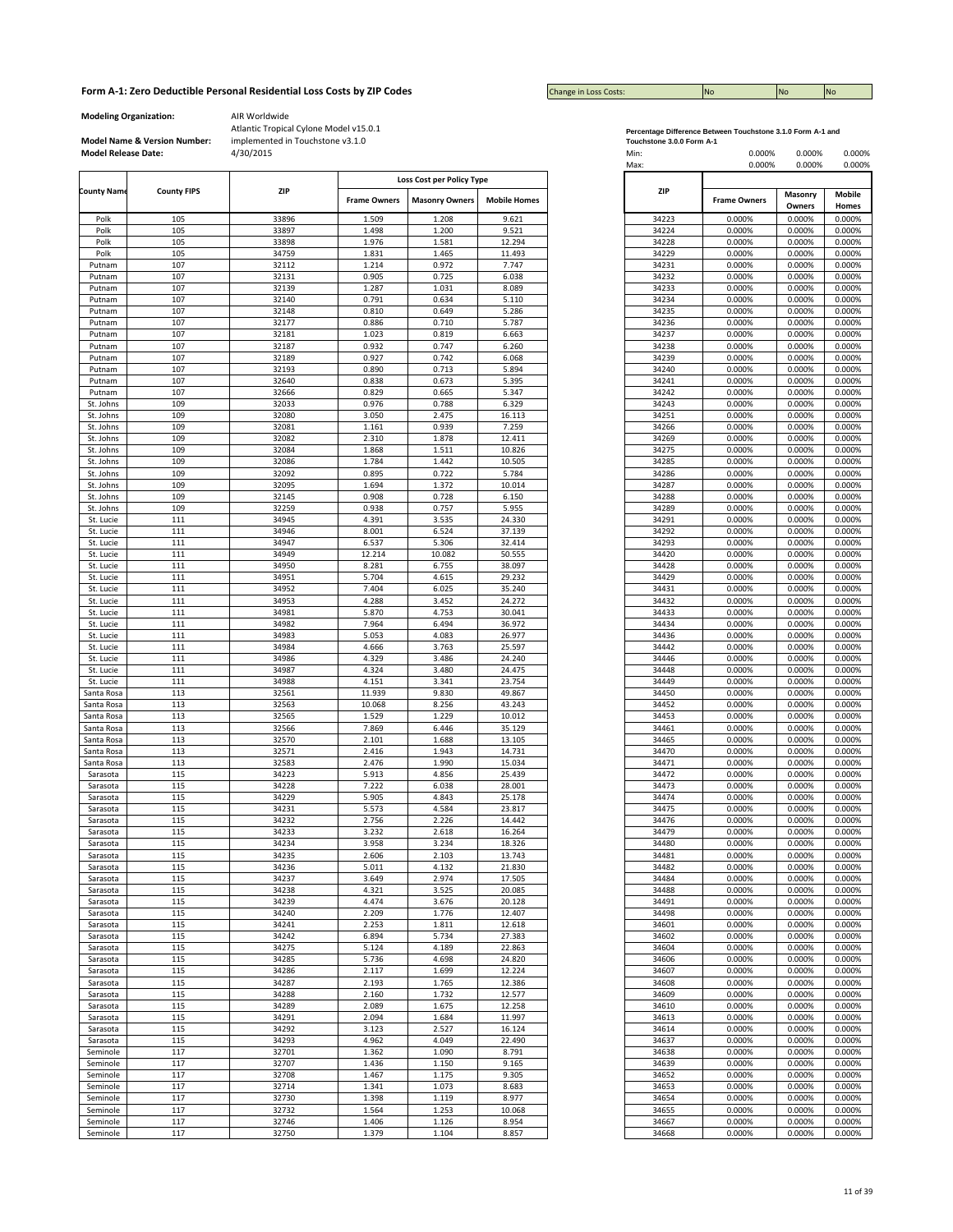#### **Form A-1: Zero Deductible Personal Residential Loss Costs by ZIP Codes** Costs Costs Costs: No No No No No No No

Change in Loss Costs:

**Modeling Organization:** AIR Worldwide

| <b>County Name</b> | <b>County FIPS</b> | ZIP            | <b>Frame Owners</b> | Loss Cost per Policy Type<br><b>Masonry Owners</b> | <b>Mobile Homes</b> | ZIP   | <b>Frame Owners</b> | Masonry          | Mobile          |
|--------------------|--------------------|----------------|---------------------|----------------------------------------------------|---------------------|-------|---------------------|------------------|-----------------|
| Polk               | 105                |                | 1.509               | 1.208                                              | 9.621               | 34223 | 0.000%              | Owners<br>0.000% | Homes<br>0.000% |
| Polk               | 105                | 33896<br>33897 | 1.498               | 1.200                                              | 9.521               | 34224 | 0.000%              | 0.000%           | 0.000%          |
| Polk               | 105                | 33898          | 1.976               | 1.581                                              | 12.294              | 34228 | 0.000%              | 0.000%           | 0.000%          |
| Polk               | 105                | 34759          | 1.831               | 1.465                                              | 11.493              | 34229 | 0.000%              | 0.000%           | 0.000%          |
|                    | 107                | 32112          | 1.214               | 0.972                                              | 7.747               | 34231 | 0.000%              | 0.000%           | 0.000%          |
| Putnam<br>Putnam   | 107                | 32131          | 0.905               | 0.725                                              | 6.038               | 34232 | 0.000%              | 0.000%           | 0.000%          |
|                    |                    |                | 1.287               |                                                    | 8.089               | 34233 | 0.000%              |                  |                 |
| Putnam             | 107                | 32139          |                     | 1.031                                              |                     |       |                     | 0.000%           | 0.000%          |
| Putnam             | 107                | 32140          | 0.791               | 0.634                                              | 5.110               | 34234 | 0.000%              | 0.000%           | 0.000%          |
| Putnam             | 107                | 32148          | 0.810               | 0.649                                              | 5.286               | 34235 | 0.000%              | 0.000%           | 0.000%          |
| Putnam             | 107                | 32177          | 0.886               | 0.710                                              | 5.787               | 34236 | 0.000%              | 0.000%           | 0.000%          |
| Putnam             | 107                | 32181          | 1.023               | 0.819                                              | 6.663               | 34237 | 0.000%              | 0.000%           | 0.000%          |
| Putnam             | 107                | 32187          | 0.932               | 0.747                                              | 6.260               | 34238 | 0.000%              | 0.000%           | 0.000%          |
| Putnam             | 107                | 32189          | 0.927               | 0.742                                              | 6.068               | 34239 | 0.000%              | 0.000%           | 0.000%          |
| Putnam             | 107                | 32193          | 0.890               | 0.713                                              | 5.894               | 34240 | 0.000%              | 0.000%           | 0.000%          |
| Putnam             | 107                | 32640          | 0.838               | 0.673                                              | 5.395               | 34241 | 0.000%              | 0.000%           | 0.000%          |
| Putnam             | 107                | 32666          | 0.829               | 0.665                                              | 5.347               | 34242 | 0.000%              | 0.000%           | 0.000%          |
| St. Johns          | 109                | 32033          | 0.976               | 0.788                                              | 6.329               | 34243 | 0.000%              | 0.000%           | 0.000%          |
| St. Johns          | 109                | 32080          | 3.050               | 2.475                                              | 16.113              | 34251 | 0.000%              | 0.000%           | 0.000%          |
| St. Johns          | 109                | 32081          | 1.161               | 0.939                                              | 7.259               | 34266 | 0.000%              | 0.000%           | 0.000%          |
| St. Johns          | 109                | 32082          | 2.310               | 1.878                                              | 12.411              | 34269 | 0.000%              | 0.000%           | 0.000%          |
| St. Johns          | 109                | 32084          | 1.868               | 1.511                                              | 10.826              | 34275 | 0.000%              | 0.000%           | 0.000%          |
| St. Johns          | 109                | 32086          | 1.784               | 1.442                                              | 10.505              | 34285 | 0.000%              | 0.000%           | 0.000%          |
| St. Johns          | 109                | 32092          | 0.895               | 0.722                                              | 5.784               | 34286 | 0.000%              | 0.000%           | 0.000%          |
| St. Johns          | 109                | 32095          | 1.694               | 1.372                                              | 10.014              | 34287 | 0.000%              | 0.000%           | 0.000%          |
| St. Johns          | 109                | 32145          | 0.908               | 0.728                                              | 6.150               | 34288 | 0.000%              | 0.000%           | 0.000%          |
| St. Johns          | 109                | 32259          | 0.938               | 0.757                                              | 5.955               | 34289 | 0.000%              | 0.000%           | 0.000%          |
| St. Lucie          | 111                | 34945          | 4.391               | 3.535                                              | 24.330              | 34291 | 0.000%              | 0.000%           | 0.000%          |
| St. Lucie          | 111                | 34946          | 8.001               | 6.524                                              | 37.139              | 34292 | 0.000%              | 0.000%           | 0.000%          |
| St. Lucie          | 111                | 34947          | 6.537               | 5.306                                              | 32.414              | 34293 | 0.000%              | 0.000%           | 0.000%          |
| St. Lucie          | 111                | 34949          | 12.214              | 10.082                                             | 50.555              | 34420 | 0.000%              | 0.000%           | 0.000%          |
| St. Lucie          | 111                | 34950          | 8.281               | 6.755                                              | 38.097              | 34428 | 0.000%              | 0.000%           | 0.000%          |
| St. Lucie          | 111                | 34951          | 5.704               | 4.615                                              | 29.232              | 34429 | 0.000%              | 0.000%           | 0.000%          |
| St. Lucie          | 111                | 34952          | 7.404               | 6.025                                              | 35.240              | 34431 | 0.000%              | 0.000%           | 0.000%          |
| St. Lucie          | 111                | 34953          | 4.288               | 3.452                                              | 24.272              | 34432 | 0.000%              | 0.000%           | 0.000%          |
| St. Lucie          | 111                | 34981          | 5.870               | 4.753                                              | 30.041              | 34433 | 0.000%              | 0.000%           | 0.000%          |
| St. Lucie          | 111                | 34982          | 7.964               | 6.494                                              | 36.972              | 34434 | 0.000%              | 0.000%           | 0.000%          |
| St. Lucie          | 111                | 34983          | 5.053               | 4.083                                              | 26.977              | 34436 | 0.000%              | 0.000%           | 0.000%          |
| St. Lucie          | 111                | 34984          | 4.666               | 3.763                                              | 25.597              | 34442 | 0.000%              | 0.000%           | 0.000%          |
| St. Lucie          | 111                | 34986          | 4.329               | 3.486                                              | 24.240              | 34446 | 0.000%              | 0.000%           | 0.000%          |
| St. Lucie          | 111                | 34987          | 4.324               | 3.480                                              | 24.475              | 34448 | 0.000%              | 0.000%           | 0.000%          |
| St. Lucie          | 111                | 34988          | 4.151               | 3.341                                              | 23.754              | 34449 | 0.000%              | 0.000%           | 0.000%          |
| Santa Rosa         | 113                | 32561          | 11.939              | 9.830                                              | 49.867              | 34450 | 0.000%              | 0.000%           | 0.000%          |
| Santa Rosa         | 113                | 32563          | 10.068              | 8.256                                              | 43.243              | 34452 | 0.000%              | 0.000%           | 0.000%          |
| Santa Rosa         | 113                | 32565          | 1.529               | 1.229                                              | 10.012              | 34453 | 0.000%              | 0.000%           | 0.000%          |
| Santa Rosa         | 113                | 32566          | 7.869               | 6.446                                              | 35.129              | 34461 | 0.000%              | 0.000%           | 0.000%          |
| Santa Rosa         | 113                | 32570          | 2.101               | 1.688                                              | 13.105              | 34465 | 0.000%              | 0.000%           | 0.000%          |
| Santa Rosa         | 113                | 32571          | 2.416               | 1.943                                              | 14.731              | 34470 | 0.000%              | 0.000%           | 0.000%          |
| Santa Rosa         | 113                | 32583          | 2.476               | 1.990                                              | 15.034              | 34471 | 0.000%              | 0.000%           | 0.000%          |
| Sarasota           | 115                | 34223          | 5.913               | 4.856                                              | 25.439              | 34472 | 0.000%              | 0.000%           | 0.000%          |
| Sarasota           | 115                | 34228          | 7.222               | 6.038                                              | 28.001              | 34473 | 0.000%              | 0.000%           | 0.000%          |
| Sarasota           | 115                | 34229          | 5.905               | 4.843                                              | 25.178              | 34474 | 0.000%              | 0.000%           | 0.000%          |
| Sarasota           | 115                | 34231          | 5.573               | 4.584                                              | 23.817              | 34475 | 0.000%              | 0.000%           | 0.000%          |
| Sarasota           | 115                | 34232          | 2.756               | 2.226                                              | 14.442              | 34476 | 0.000%              | 0.000%           | 0.000%          |
| Sarasota           | 115                | 34233          | 3.232               | 2.618                                              | 16.264              | 34479 | 0.000%              | 0.000%           | 0.000%          |
| Sarasota           | 115                | 34234          | 3.958               | 3.234                                              | 18.326              | 34480 | 0.000%              | 0.000%           | 0.000%          |
| Sarasota           | 115                | 34235          | 2.606               | 2.103                                              | 13.743              | 34481 | 0.000%              | 0.000%           | 0.000%          |
| Sarasota           | 115                | 34236          | 5.UTT               | 4.132                                              | 21.830              | 34482 | 0.000%              | <b>0.000%</b>    | 0.000%          |
| Sarasota           | 115                | 34237          | 3.649               | 2.974                                              | 17.505              | 34484 | 0.000%              | 0.000%           | 0.000%          |
| Sarasota           | 115                | 34238          | 4.321               | 3.525                                              | 20.085              | 34488 | 0.000%              | 0.000%           | 0.000%          |
| Sarasota           | 115                | 34239          | 4.474               | 3.676                                              | 20.128              | 34491 | 0.000%              | 0.000%           | 0.000%          |
| Sarasota           | 115                | 34240          | 2.209               | 1.776                                              | 12.407              | 34498 | 0.000%              | 0.000%           | 0.000%          |
| Sarasota           | 115                | 34241          | 2.253               | 1.811                                              | 12.618              | 34601 | 0.000%              | 0.000%           | 0.000%          |
| Sarasota           | 115                | 34242          | 6.894               | 5.734                                              | 27.383              | 34602 | 0.000%              | 0.000%           | 0.000%          |
| Sarasota           | 115                | 34275          | 5.124               | 4.189                                              | 22.863              | 34604 | 0.000%              | 0.000%           | 0.000%          |
| Sarasota           | 115                | 34285          | 5.736               | 4.698                                              | 24.820              | 34606 | 0.000%              | 0.000%           | 0.000%          |
| Sarasota           | 115                | 34286          | 2.117               | 1.699                                              | 12.224              | 34607 | 0.000%              | 0.000%           | 0.000%          |
| Sarasota           | 115                | 34287          | 2.193               | 1.765                                              | 12.386              | 34608 | 0.000%              | 0.000%           | 0.000%          |
| Sarasota           | 115                | 34288          | 2.160               | 1.732                                              | 12.577              | 34609 | 0.000%              | 0.000%           | 0.000%          |
| Sarasota           | 115                | 34289          | 2.089               | 1.675                                              | 12.258              | 34610 | 0.000%              | 0.000%           | 0.000%          |
| Sarasota           | 115                | 34291          | 2.094               | 1.684                                              | 11.997              | 34613 | 0.000%              | 0.000%           | 0.000%          |
| Sarasota           | 115                | 34292          | 3.123               | 2.527                                              | 16.124              | 34614 | 0.000%              | 0.000%           | 0.000%          |
| Sarasota           | 115                | 34293          | 4.962               | 4.049                                              | 22.490              | 34637 | 0.000%              | 0.000%           | 0.000%          |
| Seminole           | 117                | 32701          | 1.362               | 1.090                                              | 8.791               | 34638 | 0.000%              | 0.000%           | 0.000%          |
| Seminole           | 117                | 32707          | 1.436               | 1.150                                              | 9.165               | 34639 | 0.000%              | 0.000%           | 0.000%          |
| Seminole           | 117                | 32708          | 1.467               | 1.175                                              | 9.305               | 34652 | 0.000%              | 0.000%           | 0.000%          |
| Seminole           | 117                | 32714          | 1.341               | 1.073                                              | 8.683               | 34653 | 0.000%              | 0.000%           | 0.000%          |
| Seminole           | 117                | 32730          | 1.398               | 1.119                                              | 8.977               | 34654 | 0.000%              | 0.000%           | 0.000%          |
| Seminole           | 117                | 32732          | 1.564               | 1.253                                              | 10.068              | 34655 | 0.000%              | 0.000%           | 0.000%          |
| Seminole           | 117                | 32746          | 1.406               | 1.126                                              | 8.954               | 34667 | 0.000%              | 0.000%           | 0.000%          |
| Seminole           | 117                | 32750          | 1.379               | 1.104                                              | 8.857               | 34668 | 0.000%              | 0.000%           | 0.000%          |
|                    |                    |                |                     |                                                    |                     |       |                     |                  |                 |

| Percentage Difference Between Touchstone 3.1.0 Form A-1 and |  |
|-------------------------------------------------------------|--|
| _                                                           |  |

| <b>Model Release Date:</b> | <b>Model Name &amp; Version Number:</b> | implemented in Touchstone v3.1.0<br>4/30/2015 |                           |                       |                     | Touchstone 3.0.0 Form A-1<br>Min: | 0.000%              | 0.000%            | 0.000%                 |
|----------------------------|-----------------------------------------|-----------------------------------------------|---------------------------|-----------------------|---------------------|-----------------------------------|---------------------|-------------------|------------------------|
|                            |                                         |                                               | Loss Cost per Policy Type |                       | Max:                | 0.000%                            | 0.000%              |                   |                        |
| County Name                | <b>County FIPS</b>                      | ZIP                                           | <b>Frame Owners</b>       | <b>Masonry Owners</b> | <b>Mobile Homes</b> | ZIP                               | <b>Frame Owners</b> | Masonry<br>Owners | <b>Mobile</b><br>Homes |
| Polk                       | 105                                     | 33896                                         | 1.509                     | 1.208                 | 9.621               | 34223                             | 0.000%              | 0.000%            | 0.000%                 |
| Polk                       | 105                                     | 33897                                         | 1.498                     | 1.200                 | 9.521               | 34224                             | 0.000%              | 0.000%            | 0.000%                 |
| Polk                       | 105                                     | 33898                                         | 1.976                     | 1.581                 | 12.294              | 34228                             | 0.000%              | 0.000%            | 0.000%                 |
| Polk                       | 105                                     | 34759                                         | 1.831                     | 1.465                 | 11.493              | 34229                             | 0.000%              | 0.000%            | 0.000%                 |
| Putnam                     | 107                                     | 32112                                         | 1.214                     | 0.972                 | 7.747               | 34231                             | 0.000%              | 0.000%            | 0.000%                 |
| Putnam<br>Putnam           | 107<br>107                              | 32131<br>32139                                | 0.905<br>1.287            | 0.725<br>1.031        | 6.038<br>8.089      | 34232<br>34233                    | 0.000%<br>0.000%    | 0.000%<br>0.000%  | 0.000%<br>0.000%       |
| Putnam                     | 107                                     | 32140                                         | 0.791                     | 0.634                 | 5.110               | 34234                             | 0.000%              | 0.000%            | 0.000%                 |
| Putnam                     | 107                                     | 32148                                         | 0.810                     | 0.649                 | 5.286               | 34235                             | 0.000%              | 0.000%            | 0.000%                 |
| Putnam                     | 107                                     | 32177                                         | 0.886                     | 0.710                 | 5.787               | 34236                             | 0.000%              | 0.000%            | 0.000%                 |
| Putnam                     | 107                                     | 32181                                         | 1.023                     | 0.819                 | 6.663               | 34237                             | 0.000%              | 0.000%            | 0.000%                 |
| Putnam                     | 107                                     | 32187                                         | 0.932                     | 0.747                 | 6.260               | 34238                             | 0.000%              | 0.000%            | 0.000%                 |
| Putnam                     | 107                                     | 32189                                         | 0.927                     | 0.742                 | 6.068               | 34239                             | 0.000%              | 0.000%            | 0.000%                 |
| Putnam                     | 107                                     | 32193                                         | 0.890                     | 0.713                 | 5.894               | 34240                             | 0.000%              | 0.000%            | 0.000%                 |
| Putnam                     | 107                                     | 32640                                         | 0.838                     | 0.673                 | 5.395               | 34241                             | 0.000%              | 0.000%            | 0.000%                 |
| Putnam<br>St. Johns        | 107<br>109                              | 32666<br>32033                                | 0.829<br>0.976            | 0.665<br>0.788        | 5.347<br>6.329      | 34242<br>34243                    | 0.000%<br>0.000%    | 0.000%<br>0.000%  | 0.000%<br>0.000%       |
| St. Johns                  | 109                                     | 32080                                         | 3.050                     | 2.475                 | 16.113              | 34251                             | 0.000%              | 0.000%            | 0.000%                 |
| St. Johns                  | 109                                     | 32081                                         | 1.161                     | 0.939                 | 7.259               | 34266                             | 0.000%              | 0.000%            | 0.000%                 |
| St. Johns                  | 109                                     | 32082                                         | 2.310                     | 1.878                 | 12.411              | 34269                             | 0.000%              | 0.000%            | 0.000%                 |
| St. Johns                  | 109                                     | 32084                                         | 1.868                     | 1.511                 | 10.826              | 34275                             | 0.000%              | 0.000%            | 0.000%                 |
| St. Johns                  | 109                                     | 32086                                         | 1.784                     | 1.442                 | 10.505              | 34285                             | 0.000%              | 0.000%            | 0.000%                 |
| St. Johns                  | 109                                     | 32092                                         | 0.895                     | 0.722                 | 5.784               | 34286                             | 0.000%              | 0.000%            | 0.000%                 |
| St. Johns                  | 109                                     | 32095                                         | 1.694                     | 1.372                 | 10.014              | 34287                             | 0.000%              | 0.000%            | 0.000%                 |
| St. Johns                  | 109                                     | 32145                                         | 0.908                     | 0.728                 | 6.150               | 34288                             | 0.000%              | 0.000%            | 0.000%                 |
| St. Johns                  | 109                                     | 32259<br>34945                                | 0.938<br>4.391            | 0.757<br>3.535        | 5.955<br>24.330     | 34289<br>34291                    | 0.000%              | 0.000%            | 0.000%<br>0.000%       |
| St. Lucie<br>St. Lucie     | 111<br>111                              | 34946                                         | 8.001                     | 6.524                 | 37.139              | 34292                             | 0.000%<br>0.000%    | 0.000%<br>0.000%  | 0.000%                 |
| St. Lucie                  | 111                                     | 34947                                         | 6.537                     | 5.306                 | 32.414              | 34293                             | 0.000%              | 0.000%            | 0.000%                 |
| St. Lucie                  | 111                                     | 34949                                         | 12.214                    | 10.082                | 50.555              | 34420                             | 0.000%              | 0.000%            | 0.000%                 |
| St. Lucie                  | 111                                     | 34950                                         | 8.281                     | 6.755                 | 38.097              | 34428                             | 0.000%              | 0.000%            | 0.000%                 |
| St. Lucie                  | 111                                     | 34951                                         | 5.704                     | 4.615                 | 29.232              | 34429                             | 0.000%              | 0.000%            | 0.000%                 |
| St. Lucie                  | 111                                     | 34952                                         | 7.404                     | 6.025                 | 35.240              | 34431                             | 0.000%              | 0.000%            | 0.000%                 |
| St. Lucie                  | 111                                     | 34953                                         | 4.288                     | 3.452                 | 24.272              | 34432                             | 0.000%              | 0.000%            | 0.000%                 |
| St. Lucie                  | 111                                     | 34981                                         | 5.870                     | 4.753                 | 30.041              | 34433                             | 0.000%              | 0.000%            | 0.000%                 |
| St. Lucie                  | 111                                     | 34982                                         | 7.964                     | 6.494                 | 36.972              | 34434                             | 0.000%              | 0.000%            | 0.000%                 |
| St. Lucie<br>St. Lucie     | 111<br>111                              | 34983<br>34984                                | 5.053<br>4.666            | 4.083<br>3.763        | 26.977<br>25.597    | 34436<br>34442                    | 0.000%<br>0.000%    | 0.000%<br>0.000%  | 0.000%<br>0.000%       |
| St. Lucie                  | 111                                     | 34986                                         | 4.329                     | 3.486                 | 24.240              | 34446                             | 0.000%              | 0.000%            | 0.000%                 |
| St. Lucie                  | 111                                     | 34987                                         | 4.324                     | 3.480                 | 24.475              | 34448                             | 0.000%              | 0.000%            | 0.000%                 |
| St. Lucie                  | 111                                     | 34988                                         | 4.151                     | 3.341                 | 23.754              | 34449                             | 0.000%              | 0.000%            | 0.000%                 |
| Santa Rosa                 | 113                                     | 32561                                         | 11.939                    | 9.830                 | 49.867              | 34450                             | 0.000%              | 0.000%            | 0.000%                 |
| Santa Rosa                 | 113                                     | 32563                                         | 10.068                    | 8.256                 | 43.243              | 34452                             | 0.000%              | 0.000%            | 0.000%                 |
| Santa Rosa                 | 113                                     | 32565                                         | 1.529                     | 1.229                 | 10.012              | 34453                             | 0.000%              | 0.000%            | 0.000%                 |
| Santa Rosa                 | 113                                     | 32566                                         | 7.869                     | 6.446                 | 35.129              | 34461                             | 0.000%              | 0.000%            | 0.000%                 |
| Santa Rosa                 | 113                                     | 32570                                         | 2.101                     | 1.688                 | 13.105              | 34465                             | 0.000%              | 0.000%            | 0.000%                 |
| Santa Rosa<br>Santa Rosa   | 113<br>113                              | 32571<br>32583                                | 2.416<br>2.476            | 1.943<br>1.990        | 14.731<br>15.034    | 34470<br>34471                    | 0.000%              | 0.000%<br>0.000%  | 0.000%<br>0.000%       |
| Sarasota                   | 115                                     | 34223                                         | 5.913                     | 4.856                 | 25.439              | 34472                             | 0.000%<br>0.000%    | 0.000%            | 0.000%                 |
| Sarasota                   | 115                                     | 34228                                         | 7.222                     | 6.038                 | 28.001              | 34473                             | 0.000%              | 0.000%            | 0.000%                 |
| Sarasota                   | 115                                     | 34229                                         | 5.905                     | 4.843                 | 25.178              | 34474                             | 0.000%              | 0.000%            | 0.000%                 |
| Sarasota                   | 115                                     | 34231                                         | 5.573                     | 4.584                 | 23.817              | 34475                             | 0.000%              | 0.000%            | 0.000%                 |
| Sarasota                   | 115                                     | 34232                                         | 2.756                     | 2.226                 | 14.442              | 34476                             | 0.000%              | 0.000%            | 0.000%                 |
| Sarasota                   | 115                                     | 34233                                         | 3.232                     | 2.618                 | 16.264              | 34479                             | 0.000%              | 0.000%            | 0.000%                 |
| Sarasota                   | 115                                     | 34234                                         | 3.958                     | 3.234                 | 18.326              | 34480                             | 0.000%              | 0.000%            | 0.000%                 |
| Sarasota                   | 115                                     | 34235                                         | 2.606                     | 2.103                 | 13.743              | 34481                             | 0.000%              | 0.000%            | 0.000%                 |
| Sarasota                   | 115<br>115                              | 34236<br>34237                                | 5.011<br>3.649            | 4.132<br>2.974        | 21.830<br>17.505    | 34482<br>34484                    | 0.000%<br>0.000%    | 0.000%<br>0.000%  | 0.000%<br>0.000%       |
| Sarasota<br>Sarasota       | 115                                     | 34238                                         | 4.321                     | 3.525                 | 20.085              | 34488                             | 0.000%              | 0.000%            | 0.000%                 |
| Sarasota                   | 115                                     | 34239                                         | 4.474                     | 3.676                 | 20.128              | 34491                             | 0.000%              | 0.000%            | 0.000%                 |
| Sarasota                   | 115                                     | 34240                                         | 2.209                     | 1.776                 | 12.407              | 34498                             | 0.000%              | 0.000%            | 0.000%                 |
| Sarasota                   | 115                                     | 34241                                         | 2.253                     | 1.811                 | 12.618              | 34601                             | 0.000%              | 0.000%            | 0.000%                 |
| Sarasota                   | 115                                     | 34242                                         | 6.894                     | 5.734                 | 27.383              | 34602                             | 0.000%              | 0.000%            | 0.000%                 |
| Sarasota                   | 115                                     | 34275                                         | 5.124                     | 4.189                 | 22.863              | 34604                             | 0.000%              | 0.000%            | 0.000%                 |
| Sarasota                   | 115                                     | 34285                                         | 5.736                     | 4.698                 | 24.820              | 34606                             | 0.000%              | 0.000%            | 0.000%                 |
| Sarasota                   | 115                                     | 34286                                         | 2.117                     | 1.699                 | 12.224              | 34607                             | 0.000%              | 0.000%            | 0.000%                 |
| Sarasota                   | 115                                     | 34287                                         | 2.193                     | 1.765                 | 12.386              | 34608                             | 0.000%              | 0.000%            | 0.000%                 |
| Sarasota                   | 115                                     | 34288                                         | 2.160<br>2.089            | 1.732                 | 12.577              | 34609                             | 0.000%              | 0.000%            | 0.000%                 |
| Sarasota<br>Sarasota       | 115<br>115                              | 34289<br>34291                                | 2.094                     | 1.675<br>1.684        | 12.258<br>11.997    | 34610<br>34613                    | 0.000%<br>0.000%    | 0.000%<br>0.000%  | 0.000%<br>0.000%       |
| Sarasota                   | 115                                     | 34292                                         | 3.123                     | 2.527                 | 16.124              | 34614                             | 0.000%              | 0.000%            | 0.000%                 |
| Sarasota                   | 115                                     | 34293                                         | 4.962                     | 4.049                 | 22.490              | 34637                             | 0.000%              | 0.000%            | 0.000%                 |
| Seminole                   | 117                                     | 32701                                         | 1.362                     | 1.090                 | 8.791               | 34638                             | 0.000%              | 0.000%            | 0.000%                 |
| Seminole                   | 117                                     | 32707                                         | 1.436                     | 1.150                 | 9.165               | 34639                             | 0.000%              | 0.000%            | 0.000%                 |
| Seminole                   | 117                                     | 32708                                         | 1.467                     | 1.175                 | 9.305               | 34652                             | 0.000%              | 0.000%            | 0.000%                 |
| Seminole                   | 117                                     | 32714                                         | 1.341                     | 1.073                 | 8.683               | 34653                             | 0.000%              | 0.000%            | 0.000%                 |
| Seminole                   | 117                                     | 32730                                         | 1.398                     | 1.119                 | 8.977               | 34654                             | 0.000%              | 0.000%            | 0.000%                 |
| Seminole                   | 117                                     | 32732                                         | 1.564                     | 1.253                 | 10.068              | 34655                             | 0.000%              | 0.000%            | 0.000%                 |
| Seminole                   | 117                                     | 32746                                         | 1.406                     | 1.126                 | 8.954               | 34667                             | 0.000%              | 0.000%            | 0.000%                 |
| Seminole                   | 117                                     | 32750                                         | 1.379                     | 1.104                 | 8.857               | 34668                             | 0.000%              | 0.000%            | 0.000%                 |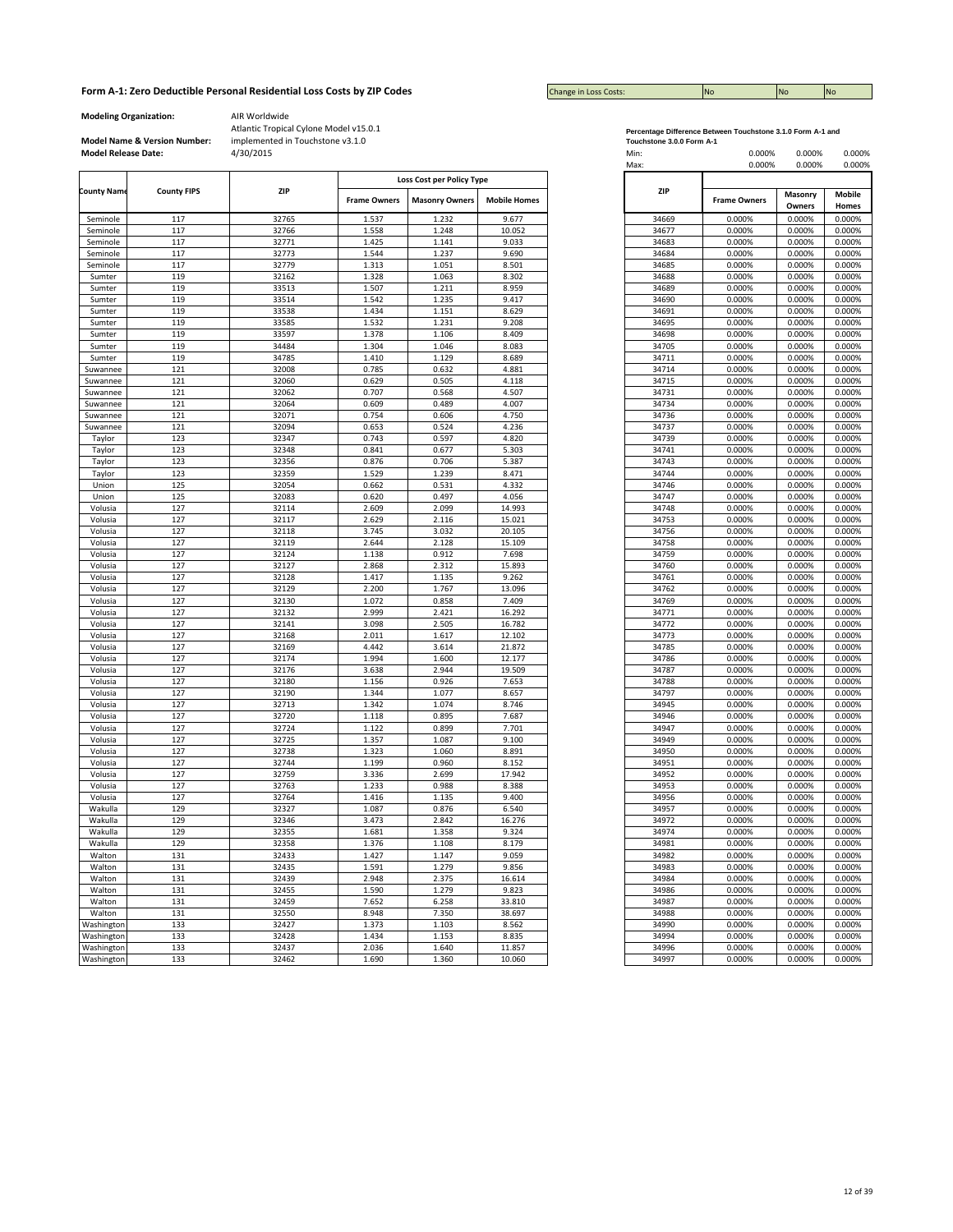#### **Form A-1: Zero Deductible Personal Residential Loss Costs by ZIP Codes No No No No No No No No No No No No No**

Change in Loss Costs:

**Modeling Organization:** AIR Worldwide

|                      |                    |                | Loss Cost per Policy Type |                       |                     |  |                |                     |                   |                        |
|----------------------|--------------------|----------------|---------------------------|-----------------------|---------------------|--|----------------|---------------------|-------------------|------------------------|
| <b>County Name</b>   | <b>County FIPS</b> | <b>ZIP</b>     | <b>Frame Owners</b>       | <b>Masonry Owners</b> | <b>Mobile Homes</b> |  | ZIP            | <b>Frame Owners</b> | Masonry<br>Owners | <b>Mobile</b><br>Homes |
| Seminole             | 117                | 32765          | 1.537                     | 1.232                 | 9.677               |  | 34669          | 0.000%              | 0.000%            | 0.000%                 |
| Seminole             | 117                | 32766          | 1.558                     | 1.248                 | 10.052              |  | 34677          | 0.000%              | 0.000%            | 0.000%                 |
| Seminole             | 117                | 32771          | 1.425                     | 1.141                 | 9.033               |  | 34683          | 0.000%              | 0.000%            | 0.000%                 |
| Seminole             | 117                | 32773          | 1.544                     | 1.237                 | 9.690               |  | 34684          | 0.000%              | 0.000%            | 0.000%                 |
| Seminole             | 117                | 32779          | 1.313                     | 1.051                 | 8.501               |  | 34685          | 0.000%              | 0.000%            | 0.000%                 |
| Sumter               | 119                | 32162          | 1.328                     | 1.063                 | 8.302               |  | 34688          | 0.000%              | 0.000%            | 0.000%                 |
| Sumter               | 119                | 33513          | 1.507                     | 1.211                 | 8.959               |  | 34689          | 0.000%              | 0.000%            | 0.000%                 |
| Sumter               | 119                | 33514          | 1.542                     | 1.235                 | 9.417               |  | 34690          | 0.000%              | 0.000%            | 0.000%                 |
| Sumter               | 119                | 33538          | 1.434                     | 1.151                 | 8.629               |  | 34691          | 0.000%              | 0.000%            | 0.000%                 |
| Sumter               | 119                | 33585          | 1.532                     | 1.231                 | 9.208               |  | 34695          | 0.000%              | 0.000%            | 0.000%                 |
| Sumter               | 119                | 33597          | 1.378                     | 1.106                 | 8.409               |  | 34698          | 0.000%              | 0.000%            | 0.000%                 |
| Sumter               | 119                | 34484          | 1.304                     | 1.046                 | 8.083               |  | 34705          | 0.000%              | 0.000%            | 0.000%                 |
| Sumter               | 119                | 34785          | 1.410                     | 1.129                 | 8.689<br>4.881      |  | 34711          | 0.000%              | 0.000%            | 0.000%                 |
| Suwannee             | 121<br>121         | 32008<br>32060 | 0.785<br>0.629            | 0.632<br>0.505        | 4.118               |  | 34714<br>34715 | 0.000%<br>0.000%    | 0.000%<br>0.000%  | 0.000%<br>0.000%       |
| Suwannee<br>Suwannee | 121                | 32062          | 0.707                     | 0.568                 | 4.507               |  | 34731          | 0.000%              | 0.000%            | 0.000%                 |
| Suwannee             | 121                | 32064          | 0.609                     | 0.489                 | 4.007               |  | 34734          | 0.000%              | 0.000%            | 0.000%                 |
| Suwannee             | 121                | 32071          | 0.754                     | 0.606                 | 4.750               |  | 34736          | 0.000%              | 0.000%            | 0.000%                 |
| Suwannee             | 121                | 32094          | 0.653                     | 0.524                 | 4.236               |  | 34737          | 0.000%              | 0.000%            | 0.000%                 |
| Taylor               | 123                | 32347          | 0.743                     | 0.597                 | 4.820               |  | 34739          | 0.000%              | 0.000%            | 0.000%                 |
| Taylor               | 123                | 32348          | 0.841                     | 0.677                 | 5.303               |  | 34741          | 0.000%              | 0.000%            | 0.000%                 |
| Taylor               | 123                | 32356          | 0.876                     | 0.706                 | 5.387               |  | 34743          | 0.000%              | 0.000%            | 0.000%                 |
| Taylor               | 123                | 32359          | 1.529                     | 1.239                 | 8.471               |  | 34744          | 0.000%              | 0.000%            | 0.000%                 |
| Union                | 125                | 32054          | 0.662                     | 0.531                 | 4.332               |  | 34746          | 0.000%              | 0.000%            | 0.000%                 |
| Union                | 125                | 32083          | 0.620                     | 0.497                 | 4.056               |  | 34747          | 0.000%              | 0.000%            | 0.000%                 |
| Volusia              | 127                | 32114          | 2.609                     | 2.099                 | 14.993              |  | 34748          | 0.000%              | 0.000%            | 0.000%                 |
| Volusia              | 127                | 32117          | 2.629                     | 2.116                 | 15.021              |  | 34753          | 0.000%              | 0.000%            | 0.000%                 |
| Volusia              | 127                | 32118          | 3.745                     | 3.032                 | 20.105              |  | 34756          | 0.000%              | 0.000%            | 0.000%                 |
| Volusia              | 127                | 32119          | 2.644                     | 2.128                 | 15.109              |  | 34758          | 0.000%              | 0.000%            | 0.000%                 |
| Volusia              | 127                | 32124          | 1.138                     | 0.912                 | 7.698               |  | 34759          | 0.000%              | 0.000%            | 0.000%                 |
| Volusia              | 127                | 32127          | 2.868                     | 2.312                 | 15.893              |  | 34760          | 0.000%              | 0.000%            | 0.000%                 |
| Volusia              | 127                | 32128          | 1.417                     | 1.135                 | 9.262               |  | 34761          | 0.000%              | 0.000%            | 0.000%                 |
| Volusia              | 127                | 32129          | 2.200                     | 1.767                 | 13.096              |  | 34762          | 0.000%              | 0.000%            | 0.000%                 |
| Volusia              | 127                | 32130          | 1.072                     | 0.858                 | 7.409               |  | 34769          | 0.000%              | 0.000%            | 0.000%                 |
| Volusia              | 127                | 32132          | 2.999                     | 2.421                 | 16.292              |  | 34771          | 0.000%              | 0.000%            | 0.000%                 |
| Volusia              | 127                | 32141          | 3.098                     | 2.505                 | 16.782              |  | 34772          | 0.000%              | 0.000%            | 0.000%                 |
| Volusia              | 127                | 32168          | 2.011                     | 1.617                 | 12.102              |  | 34773          | 0.000%              | 0.000%            | 0.000%                 |
| Volusia              | 127                | 32169          | 4.442                     | 3.614                 | 21.872              |  | 34785          | 0.000%              | 0.000%            | 0.000%                 |
| Volusia              | 127                | 32174          | 1.994                     | 1.600                 | 12.177              |  | 34786          | 0.000%              | 0.000%            | 0.000%                 |
| Volusia              | 127                | 32176          | 3.638                     | 2.944<br>0.926        | 19.509              |  | 34787          | 0.000%<br>0.000%    | 0.000%            | 0.000%                 |
| Volusia              | 127<br>127         | 32180<br>32190 | 1.156<br>1.344            | 1.077                 | 7.653<br>8.657      |  | 34788<br>34797 | 0.000%              | 0.000%            | 0.000%<br>0.000%       |
| Volusia<br>Volusia   | 127                | 32713          | 1.342                     | 1.074                 | 8.746               |  | 34945          | 0.000%              | 0.000%<br>0.000%  | 0.000%                 |
| Volusia              | 127                | 32720          | 1.118                     | 0.895                 | 7.687               |  | 34946          | 0.000%              | 0.000%            | 0.000%                 |
| Volusia              | 127                | 32724          | 1.122                     | 0.899                 | 7.701               |  | 34947          | 0.000%              | 0.000%            | 0.000%                 |
| Volusia              | 127                | 32725          | 1.357                     | 1.087                 | 9.100               |  | 34949          | 0.000%              | 0.000%            | 0.000%                 |
| Volusia              | 127                | 32738          | 1.323                     | 1.060                 | 8.891               |  | 34950          | 0.000%              | 0.000%            | 0.000%                 |
| Volusia              | 127                | 32744          | 1.199                     | 0.960                 | 8.152               |  | 34951          | 0.000%              | 0.000%            | 0.000%                 |
| Volusia              | 127                | 32759          | 3.336                     | 2.699                 | 17.942              |  | 34952          | 0.000%              | 0.000%            | 0.000%                 |
| Volusia              | 127                | 32763          | 1.233                     | 0.988                 | 8.388               |  | 34953          | 0.000%              | 0.000%            | 0.000%                 |
| Volusia              | 127                | 32764          | 1.416                     | 1.135                 | 9.400               |  | 34956          | 0.000%              | 0.000%            | 0.000%                 |
| Wakulla              | 129                | 32327          | 1.087                     | 0.876                 | 6.540               |  | 34957          | 0.000%              | 0.000%            | 0.000%                 |
| Wakulla              | 129                | 32346          | 3.473                     | 2.842                 | 16.276              |  | 34972          | 0.000%              | 0.000%            | 0.000%                 |
| Wakulla              | 129                | 32355          | 1.681                     | 1.358                 | 9.324               |  | 34974          | 0.000%              | 0.000%            | 0.000%                 |
| Wakulla              | 129                | 32358          | 1.376                     | 1.108                 | 8.179               |  | 34981          | 0.000%              | 0.000%            | 0.000%                 |
| Walton               | 131                | 32433          | 1.427                     | 1.147                 | 9.059               |  | 34982          | 0.000%              | 0.000%            | 0.000%                 |
| Walton               | 131                | 32435          | 1.591                     | 1.279                 | 9.856               |  | 34983          | 0.000%              | 0.000%            | 0.000%                 |
| Walton               | 131                | 32439          | 2.948                     | 2.375                 | 16.614              |  | 34984          | 0.000%              | 0.000%            | 0.000%                 |
| Walton               | 131                | 32455          | 1.590                     | 1.279                 | 9.823               |  | 34986          | 0.000%              | 0.000%            | 0.000%                 |
| Walton               | 131                | 32459          | 7.652                     | 6.258                 | 33.810              |  | 34987          | 0.000%              | 0.000%            | 0.000%                 |
| Walton               | 131                | 32550          | 8.948                     | 7.350                 | 38.697              |  | 34988          | 0.000%              | 0.000%            | 0.000%                 |
| <b>Nashingtor</b>    | 133                | 32427          | 1.373                     | 1.103                 | 8.562               |  | 34990          | 0.000%              | 0.000%            | 0.000%                 |
| Washington           | 133                | 32428          | 1.434                     | 1.153                 | 8.835               |  | 34994          | 0.000%              | 0.000%            | 0.000%                 |
| Washington           | 133                | 32437          | 2.036                     | 1.640                 | 11.857              |  | 34996          | 0.000%              | 0.000%            | 0.000%                 |
| Washington           | 133                | 32462          | 1.690                     | 1.360                 | 10.060              |  | 34997          | 0.000%              | 0.000%            | 0.000%                 |

| Percentage Difference Between Touchstone 3.1.0 Form A-1 and |  |
|-------------------------------------------------------------|--|
| Toughstane 2.0.0 Farm A.4                                   |  |

|                            | <b>Model Name &amp; Version Number:</b> | implemented in Touchstone v3.1.0 |                           |                       |                     | Touchstone 3.0.0 Form A-1 |                     |                  |                  |
|----------------------------|-----------------------------------------|----------------------------------|---------------------------|-----------------------|---------------------|---------------------------|---------------------|------------------|------------------|
| <b>Model Release Date:</b> |                                         | 4/30/2015                        |                           |                       |                     | Min:                      | 0.000%              | 0.000%           | 0.000%           |
|                            |                                         |                                  |                           |                       |                     | Max:                      | 0.000%              | 0.000%           | 0.000%           |
|                            |                                         |                                  | Loss Cost per Policy Type |                       |                     |                           |                     |                  |                  |
| <b>County Name</b>         | <b>County FIPS</b>                      | ZIP                              |                           |                       |                     | ZIP                       |                     | Masonry          | <b>Mobile</b>    |
|                            |                                         |                                  | <b>Frame Owners</b>       | <b>Masonry Owners</b> | <b>Mobile Homes</b> |                           | <b>Frame Owners</b> | Owners           | Homes            |
| Seminole                   | 117                                     | 32765                            | 1.537                     | 1.232                 | 9.677               | 34669                     | 0.000%              | 0.000%           | 0.000%           |
| Seminole                   | 117                                     | 32766                            | 1.558                     | 1.248                 | 10.052              | 34677                     | 0.000%              | 0.000%           | 0.000%           |
| Seminole                   | 117                                     | 32771                            | 1.425                     | 1.141                 | 9.033               | 34683                     | 0.000%              | 0.000%           | 0.000%           |
| Seminole                   | 117                                     | 32773                            | 1.544                     | 1.237                 | 9.690               | 34684                     | 0.000%              | 0.000%           | 0.000%           |
| Seminole                   | 117                                     | 32779                            | 1.313                     | 1.051                 | 8.501               | 34685                     | 0.000%              | 0.000%           | 0.000%           |
| Sumter                     | 119                                     | 32162                            | 1.328                     | 1.063                 | 8.302               | 34688                     | 0.000%              | 0.000%           | 0.000%           |
| Sumter                     | 119                                     | 33513                            | 1.507                     | 1.211                 | 8.959               | 34689                     | 0.000%              | 0.000%           | 0.000%           |
| Sumter                     | 119                                     | 33514                            | 1.542                     | 1.235                 | 9.417               | 34690                     | 0.000%              | 0.000%           | 0.000%           |
| Sumter                     | 119                                     | 33538                            | 1.434                     | 1.151                 | 8.629               | 34691                     | 0.000%              | 0.000%           | 0.000%           |
| Sumter                     | 119                                     | 33585                            | 1.532                     | 1.231                 | 9.208               | 34695                     | 0.000%              | 0.000%           | 0.000%           |
| Sumter                     | 119                                     | 33597                            | 1.378                     | 1.106                 | 8.409               | 34698                     | 0.000%              | 0.000%           | 0.000%           |
| Sumter                     | 119                                     | 34484                            | 1.304                     | 1.046                 | 8.083               | 34705                     | 0.000%              | 0.000%           | 0.000%           |
| Sumter                     | 119                                     | 34785                            | 1.410                     | 1.129                 | 8.689               | 34711                     | 0.000%              | 0.000%           | 0.000%           |
| Suwannee                   | 121                                     | 32008                            | 0.785                     | 0.632                 | 4.881               | 34714                     | 0.000%              | 0.000%           | 0.000%           |
| Suwannee                   | 121                                     | 32060                            | 0.629                     | 0.505                 | 4.118               | 34715                     | 0.000%              | 0.000%           | 0.000%           |
| Suwannee                   | 121                                     | 32062                            | 0.707                     | 0.568                 | 4.507               | 34731                     | 0.000%              | 0.000%           | 0.000%           |
| Suwannee                   | 121                                     | 32064                            | 0.609                     | 0.489                 | 4.007               | 34734                     | 0.000%              | 0.000%           | 0.000%           |
| Suwannee                   | 121                                     | 32071                            | 0.754                     | 0.606                 | 4.750               | 34736                     | 0.000%              | 0.000%           | 0.000%           |
| Suwannee                   | 121                                     | 32094                            | 0.653                     | 0.524                 | 4.236               | 34737                     | 0.000%              | 0.000%           | 0.000%           |
| Taylor                     | 123                                     | 32347                            | 0.743                     | 0.597                 | 4.820               | 34739                     | 0.000%              | 0.000%           | 0.000%           |
| Taylor                     | 123                                     | 32348                            | 0.841                     | 0.677                 | 5.303               | 34741                     | 0.000%              | 0.000%           | 0.000%           |
| Taylor                     | 123                                     | 32356                            | 0.876                     | 0.706                 | 5.387               | 34743                     | 0.000%              | 0.000%           | 0.000%           |
| Taylor                     | 123                                     | 32359                            | 1.529                     | 1.239                 | 8.471               | 34744                     | 0.000%              | 0.000%           | 0.000%           |
| Union                      | 125                                     | 32054                            | 0.662                     | 0.531                 | 4.332               | 34746                     | 0.000%              | 0.000%           | 0.000%           |
| Union                      | 125                                     | 32083                            | 0.620                     | 0.497                 | 4.056               | 34747                     | 0.000%              | 0.000%           | 0.000%           |
| Volusia                    | 127                                     | 32114                            | 2.609                     | 2.099                 | 14.993              | 34748                     | 0.000%              | 0.000%           | 0.000%           |
| Volusia                    | 127                                     | 32117                            | 2.629                     | 2.116                 | 15.021              | 34753                     | 0.000%              | 0.000%           | 0.000%           |
| Volusia                    | 127                                     | 32118                            | 3.745                     | 3.032                 | 20.105              | 34756                     | 0.000%              | 0.000%           | 0.000%           |
| Volusia                    | 127                                     | 32119                            | 2.644                     | 2.128                 | 15.109              | 34758                     | 0.000%              | 0.000%           | 0.000%           |
| Volusia                    | 127                                     | 32124                            | 1.138                     | 0.912                 | 7.698               | 34759                     | 0.000%              | 0.000%           | 0.000%           |
| Volusia                    | 127                                     | 32127                            | 2.868                     | 2.312                 | 15.893              | 34760                     | 0.000%              | 0.000%           | 0.000%           |
| Volusia                    | 127                                     | 32128                            | 1.417                     | 1.135                 | 9.262               | 34761                     | 0.000%              | 0.000%           | 0.000%           |
| Volusia                    | 127                                     | 32129                            | 2.200                     | 1.767                 | 13.096              | 34762                     | 0.000%              | 0.000%           | 0.000%           |
| Volusia                    | 127                                     | 32130                            | 1.072                     | 0.858                 | 7.409               | 34769                     | 0.000%              | 0.000%           | 0.000%           |
| Volusia                    | 127                                     | 32132                            | 2.999                     | 2.421                 | 16.292              | 34771                     | 0.000%              | 0.000%           | 0.000%           |
| Volusia                    | 127                                     | 32141                            | 3.098                     | 2.505                 | 16.782              | 34772                     | 0.000%              | 0.000%           | 0.000%           |
| Volusia                    | 127                                     | 32168                            | 2.011                     | 1.617                 | 12.102              | 34773                     | 0.000%              | 0.000%           | 0.000%           |
| Volusia                    | 127                                     | 32169                            | 4.442                     | 3.614                 | 21.872              | 34785                     | 0.000%              | 0.000%           | 0.000%           |
| Volusia                    | 127                                     | 32174                            | 1.994                     | 1.600                 | 12.177              | 34786                     | 0.000%              | 0.000%           | 0.000%           |
| Volusia                    | 127                                     | 32176                            | 3.638                     | 2.944                 | 19.509              | 34787                     | 0.000%              | 0.000%           | 0.000%           |
| Volusia                    | 127                                     | 32180                            | 1.156                     | 0.926                 | 7.653               | 34788                     | 0.000%              | 0.000%           | 0.000%           |
| Volusia<br>Volusia         | 127<br>127                              | 32190<br>32713                   | 1.344<br>1.342            | 1.077<br>1.074        | 8.657<br>8.746      | 34797<br>34945            | 0.000%<br>0.000%    | 0.000%<br>0.000% | 0.000%<br>0.000% |
| Volusia                    | 127                                     | 32720                            | 1.118                     | 0.895                 | 7.687               | 34946                     | 0.000%              | 0.000%           | 0.000%           |
| Volusia                    | 127                                     | 32724                            | 1.122                     | 0.899                 | 7.701               | 34947                     | 0.000%              | 0.000%           | 0.000%           |
| Volusia                    | 127                                     | 32725                            | 1.357                     | 1.087                 | 9.100               | 34949                     | 0.000%              | 0.000%           | 0.000%           |
| Volusia                    | 127                                     | 32738                            | 1.323                     | 1.060                 | 8.891               | 34950                     | 0.000%              | 0.000%           | 0.000%           |
| Volusia                    | 127                                     | 32744                            | 1.199                     | 0.960                 | 8.152               | 34951                     | 0.000%              | 0.000%           | 0.000%           |
| Volusia                    | 127                                     | 32759                            | 3.336                     | 2.699                 | 17.942              | 34952                     | 0.000%              | 0.000%           | 0.000%           |
| Volusia                    | 127                                     | 32763                            | 1.233                     | 0.988                 | 8.388               | 34953                     | 0.000%              | 0.000%           | 0.000%           |
| Volusia                    | 127                                     | 32764                            | 1.416                     | 1.135                 | 9.400               | 34956                     | 0.000%              | 0.000%           | 0.000%           |
| Wakulla                    | 129                                     | 32327                            | 1.087                     | 0.876                 | 6.540               | 34957                     | 0.000%              | 0.000%           | 0.000%           |
| Wakulla                    | 129                                     | 32346                            | 3.473                     | 2.842                 | 16.276              | 34972                     | 0.000%              | 0.000%           | 0.000%           |
| Wakulla                    | 129                                     | 32355                            | 1.681                     | 1.358                 | 9.324               | 34974                     | 0.000%              | 0.000%           | 0.000%           |
| Wakulla                    | 129                                     | 32358                            | 1.376                     | 1.108                 | 8.179               | 34981                     | 0.000%              | 0.000%           | 0.000%           |
| Walton                     | 131                                     | 32433                            | 1.427                     | 1.147                 | 9.059               | 34982                     | 0.000%              | 0.000%           | 0.000%           |
| Walton                     | 131                                     | 32435                            | 1.591                     | 1.279                 | 9.856               | 34983                     | 0.000%              | 0.000%           | 0.000%           |
| Walton                     | 131                                     | 32439                            | 2.948                     | 2.375                 | 16.614              | 34984                     | 0.000%              | 0.000%           | 0.000%           |
| Walton                     | 131                                     | 32455                            | 1.590                     | 1.279                 | 9.823               | 34986                     | 0.000%              | 0.000%           | 0.000%           |
| Walton                     | 131                                     | 32459                            | 7.652                     | 6.258                 | 33.810              | 34987                     | 0.000%              | 0.000%           | 0.000%           |
| Walton                     | 131                                     | 32550                            | 8.948                     | 7.350                 | 38.697              | 34988                     | 0.000%              | 0.000%           | 0.000%           |
| Washington                 | 133                                     | 32427                            | 1.373                     | 1.103                 | 8.562               | 34990                     | 0.000%              | 0.000%           | 0.000%           |
| Washington                 | 133                                     | 32428                            | 1.434                     | 1.153                 | 8.835               | 34994                     | 0.000%              | 0.000%           | 0.000%           |
| Washington                 | 133                                     | 32437                            | 2.036                     | 1.640                 | 11.857              | 34996                     | 0.000%              | 0.000%           | 0.000%           |
| Washington                 | 133                                     | 32462                            | 1.690                     | 1.360                 | 10.060              | 34997                     | 0.000%              | 0.000%           | 0.000%           |
|                            |                                         |                                  |                           |                       |                     |                           |                     |                  |                  |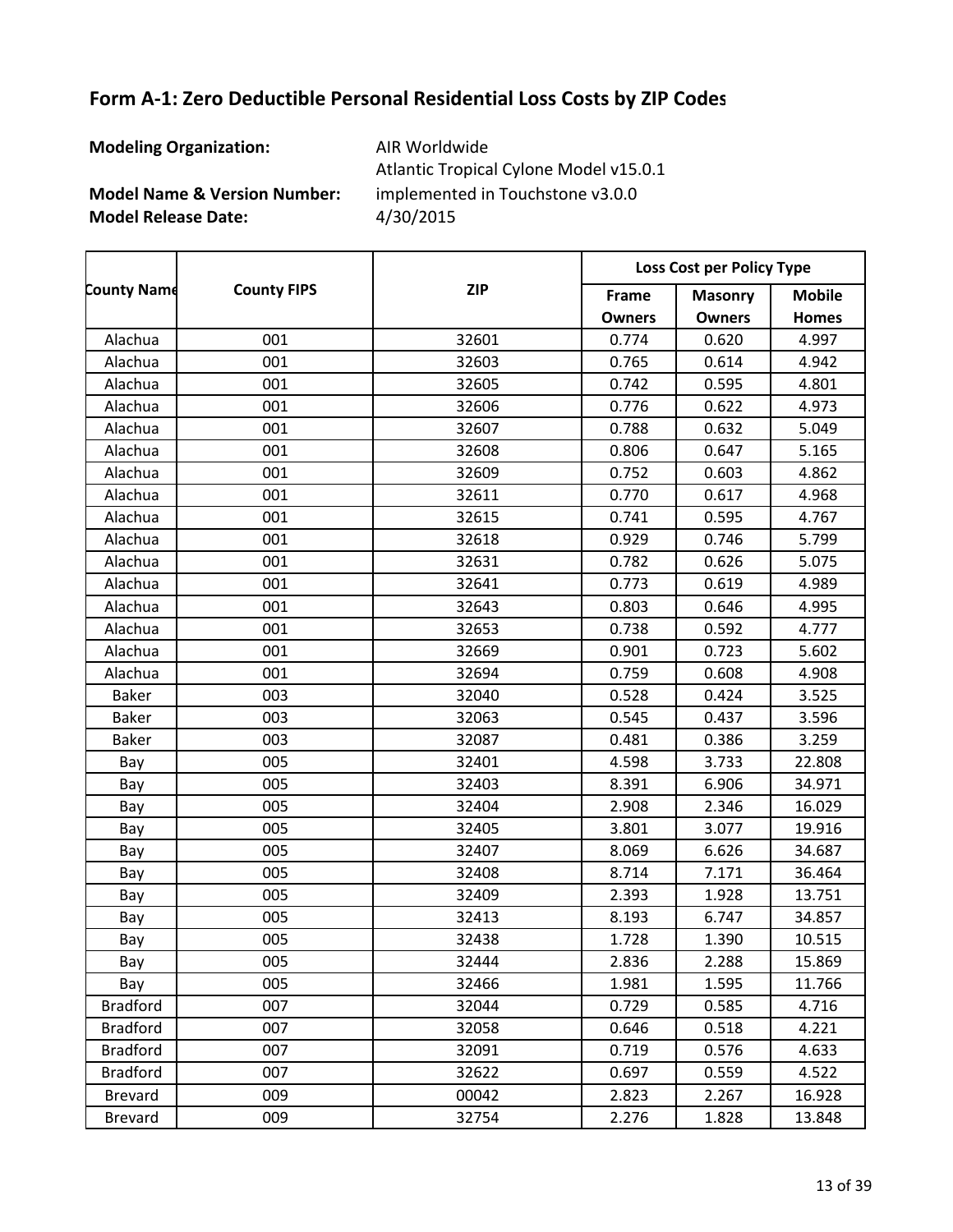**Modeling Organization:** AIR Worldwide

**Model Name & Version Number:**

**Model Release Date:** 4/30/2015 Atlantic Tropical Cylone Model v15.0.1 implemented in Touchstone v3.0.0

**Frame Owners Masonry Owners Mobile Homes** Alachua 001 32601 0.774 0.620 4.997 Alachua 001 32603 0.765 0.614 4.942 Alachua 001 32605 0.742 0.595 4.801 Alachua 001 32606 0.776 0.622 4.973 Alachua 001 32607 0.788 0.632 5.049 Alachua 001 32608 0.806 0.647 5.165 Alachua 001 32609 0.752 0.603 4.862 Alachua 001 32611 0.770 0.617 4.968 Alachua 001 32615 0.741 0.595 4.767 Alachua 001 32618 0.929 0.746 5.799 Alachua 001 32631 0.782 0.626 5.075 Alachua 001 32641 0.773 0.619 4.989 Alachua 001 32643 0.803 0.646 4.995 Alachua 001 32653 0.738 0.592 4.777 Alachua 001 32669 0.901 0.723 5.602 Alachua 001 32694 0.759 0.608 4.908 Baker 003 32040 0.528 0.424 3.525 Baker 003 32063 0.545 0.437 3.596 Baker 003 32087 0.481 0.386 3.259 Bay 005 32401 4.598 3.733 22.808 Bay 005 32403 8.391 6.906 34.971 Bay 005 32404 2.908 2.346 16.029 Bay 005 32405 3.801 3.077 19.916 Bay 005 32407 8.069 6.626 34.687 Bay 005 32408 8.714 7.171 36.464 Bay 005 32409 2.393 1.928 13.751 Bay 005 32413 8.193 6.747 34.857 Bay 005 32438 1.728 1.390 10.515 Bay 005 32444 2.836 2.288 15.869 Bay 005 32466 1.981 1.595 11.766 Bradford 007 32044 0.729 0.585 4.716 Bradford 007 32058 0.646 0.518 4.221 Bradford 007 32091 0.719 0.576 4.633 Bradford 007 32622 0.697 0.559 4.522 Brevard 009 00042 2.823 2.267 16.928 Brevard 009 32754 2.276 1.828 13.848 **County Name County FIPS Loss Cost per Policy Type ZIP**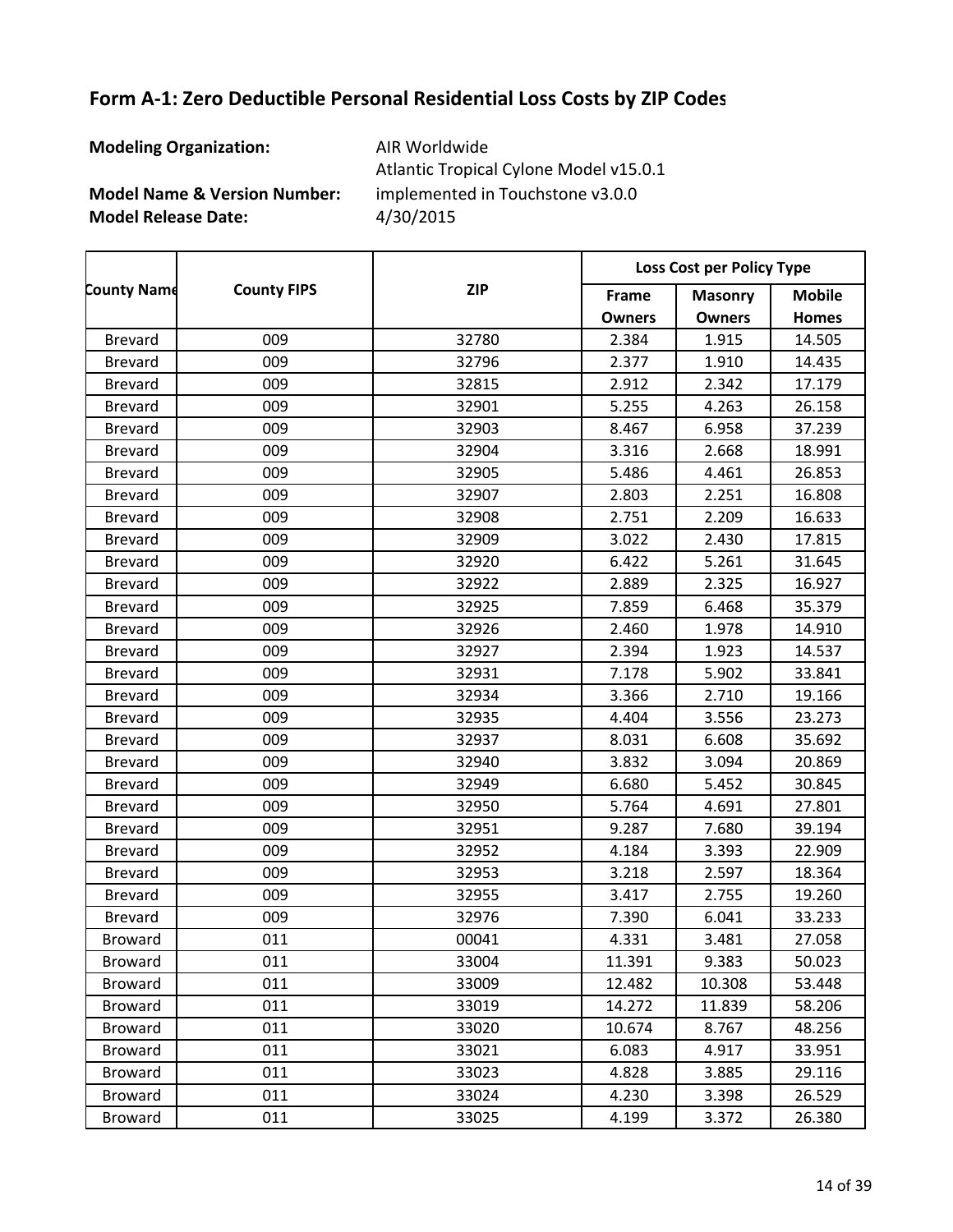**Modeling Organization:** AIR Worldwide

**Model Name & Version Number:**

**Model Release Date:** 4/30/2015 Atlantic Tropical Cylone Model v15.0.1 implemented in Touchstone v3.0.0

**Frame Owners Masonry Owners Mobile Homes County Name County FIPS Loss Cost per Policy Type ZIP** Brevard 009 32780 2.384 1.915 14.505 Brevard 009 32796 2.377 1.910 14.435 Brevard 009 32815 2.912 2.342 17.179 Brevard 009 32901 5.255 4.263 26.158 Brevard 009 32903 8.467 6.958 37.239 Brevard 009 32904 3.316 2.668 18.991 Brevard 009 32905 5.486 4.461 26.853 Brevard 009 32907 2.803 2.251 16.808 Brevard 009 32908 2.751 2.209 16.633 Brevard 009 32909 3.022 2.430 17.815 Brevard 009 32920 6.422 5.261 31.645 Brevard 009 32922 2.889 2.325 16.927 Brevard 009 32925 7.859 6.468 35.379 Brevard 009 32926 2.460 1.978 14.910 Brevard 009 32927 2.394 1.923 14.537 Brevard 009 32931 7.178 5.902 33.841 Brevard 009 32934 3.366 2.710 19.166 Brevard 009 32935 4.404 3.556 23.273 Brevard 009 32937 8.031 6.608 35.692 Brevard 009 32940 3.832 3.094 20.869 Brevard 009 32949 6.680 5.452 30.845 Brevard 009 32950 5.764 4.691 27.801 Brevard 009 32951 9.287 7.680 39.194 Brevard 009 32952 4.184 3.393 22.909 Brevard 009 32953 3.218 2.597 18.364 Brevard 009 32955 3.417 2.755 19.260 Brevard 009 32976 7.390 6.041 33.233 Broward 011 00041 4.331 3.481 27.058 Broward 011 33004 11.391 9.383 50.023 Broward 011 33009 12.482 10.308 53.448 Broward 011 33019 14.272 11.839 58.206 Broward 011 33020 10.674 8.767 48.256 Broward 011 33021 6.083 4.917 33.951 Broward 011 33023 4.828 3.885 29.116 Broward 011 33024 4.230 3.398 26.529 Broward 011 33025 4.199 3.372 26.380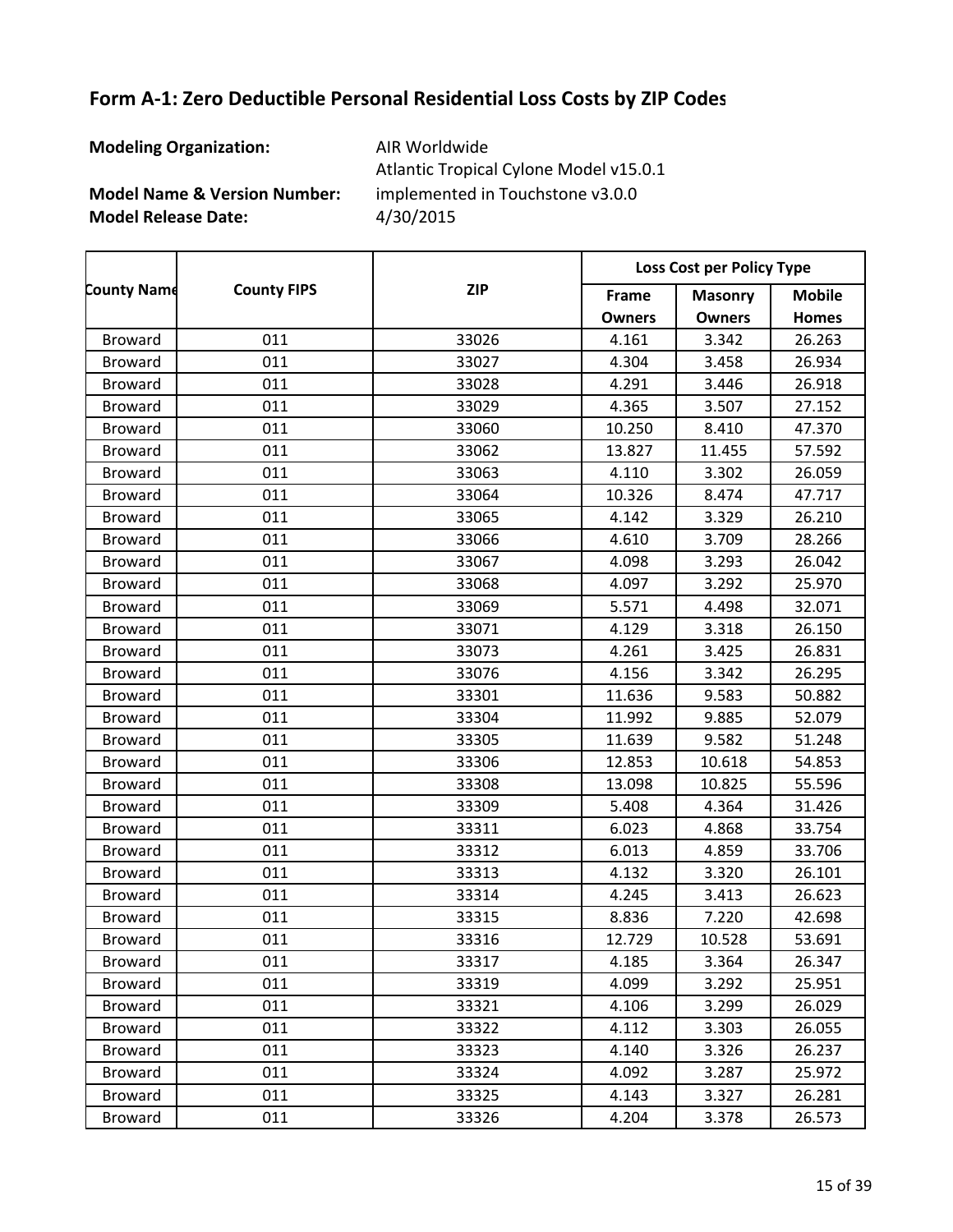**Modeling Organization:** AIR Worldwide

**Model Name & Version Number:**

**Model Release Date:** 4/30/2015 Atlantic Tropical Cylone Model v15.0.1 implemented in Touchstone v3.0.0

**Frame Owners Masonry Owners Mobile Homes County Name County FIPS Loss Cost per Policy Type ZIP** Broward 011 33026 4.161 3.342 26.263 Broward 011 33027 4.304 3.458 26.934 Broward 011 33028 4.291 3.446 26.918 Broward 011 33029 4.365 3.507 27.152 Broward 011 33060 10.250 8.410 47.370 Broward 011 33062 13.827 11.455 57.592 Broward 011 33063 4.110 3.302 26.059 Broward 011 33064 10.326 8.474 47.717 Broward 011 33065 4.142 3.329 26.210 Broward 011 33066 4.610 3.709 28.266 Broward 011 33067 4.098 3.293 26.042 Broward 011 33068 4.097 3.292 25.970 Broward 011 33069 5.571 4.498 32.071 Broward 011 33071 4.129 3.318 26.150 Broward 011 33073 4.261 3.425 26.831 Broward 011 33076 4.156 3.342 26.295 Broward 011 33301 11.636 9.583 50.882 Broward 011 33304 11.992 9.885 52.079 Broward 011 33305 11.639 9.582 51.248 Broward 011 33306 12.853 10.618 54.853 Broward 011 33308 13.098 10.825 55.596 Broward 011 33309 5.408 4.364 31.426 Broward 011 33311 6.023 4.868 33.754 Broward 011 33312 6.013 4.859 33.706 Broward 011 33313 4.132 3.320 26.101 Broward 011 33314 4.245 3.413 26.623 Broward 011 33315 8.836 7.220 42.698 Broward 011 33316 12.729 10.528 53.691 Broward 011 33317 4.185 3.364 26.347 Broward 011 33319 4.099 3.292 25.951 Broward 011 33321 4.106 3.299 26.029 Broward 011 33322 4.112 3.303 26.055 Broward 011 33323 4.140 3.326 26.237 Broward 011 33324 4.092 3.287 25.972 Broward 011 33325 4.143 3.327 26.281 Broward 011 33326 4.204 3.378 26.573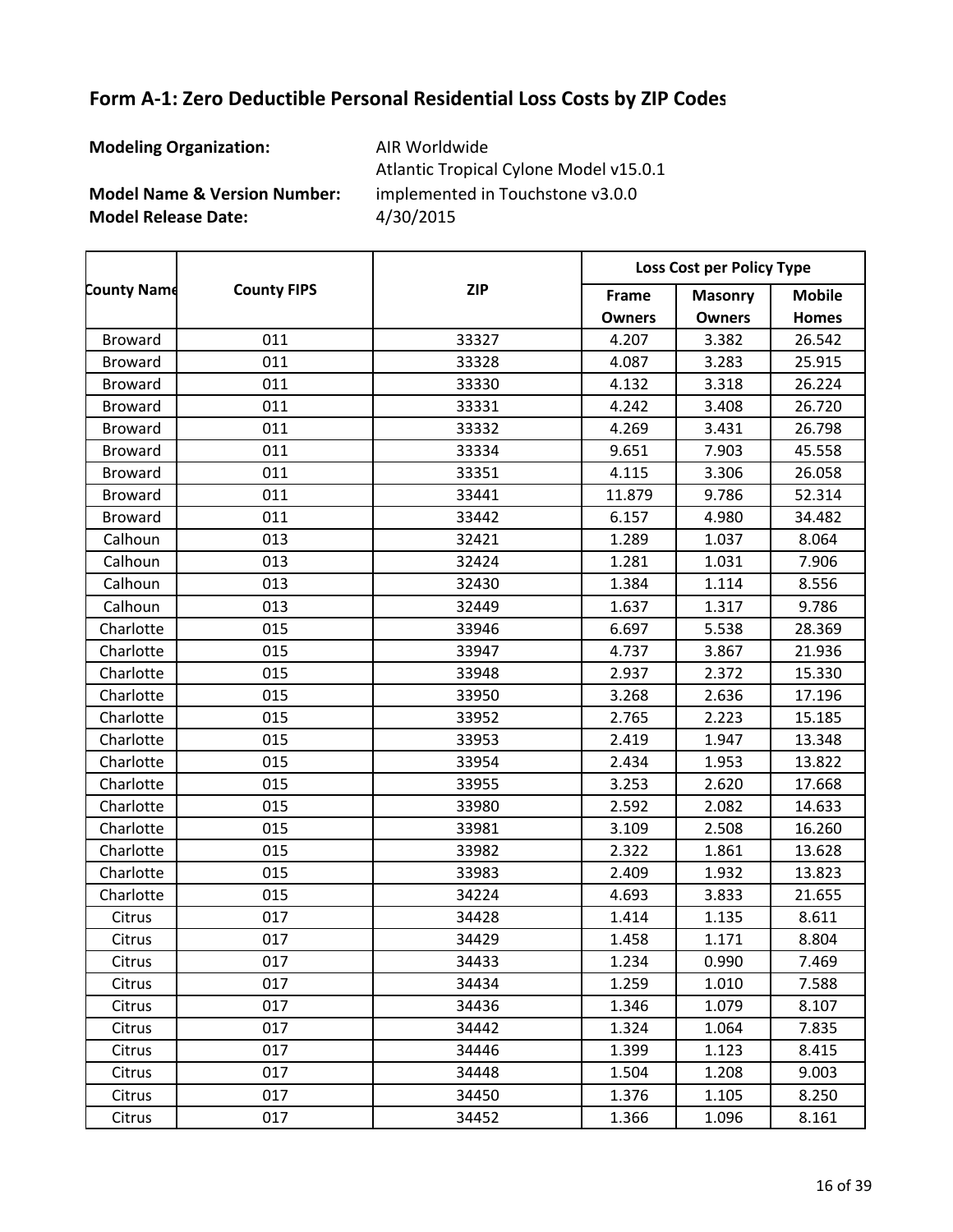**Modeling Organization:** AIR Worldwide

**Model Name & Version Number:**

**Model Release Date:** 4/30/2015 Atlantic Tropical Cylone Model v15.0.1 implemented in Touchstone v3.0.0

|                    |                    |            |               | Loss Cost per Policy Type |               |  |  |  |
|--------------------|--------------------|------------|---------------|---------------------------|---------------|--|--|--|
| <b>County Name</b> | <b>County FIPS</b> | <b>ZIP</b> | Frame         | <b>Masonry</b>            | <b>Mobile</b> |  |  |  |
|                    |                    |            | <b>Owners</b> | <b>Owners</b>             | <b>Homes</b>  |  |  |  |
| <b>Broward</b>     | 011                | 33327      | 4.207         | 3.382                     | 26.542        |  |  |  |
| <b>Broward</b>     | 011                | 33328      | 4.087         | 3.283                     | 25.915        |  |  |  |
| <b>Broward</b>     | 011                | 33330      | 4.132         | 3.318                     | 26.224        |  |  |  |
| <b>Broward</b>     | 011                | 33331      | 4.242         | 3.408                     | 26.720        |  |  |  |
| <b>Broward</b>     | 011                | 33332      | 4.269         | 3.431                     | 26.798        |  |  |  |
| <b>Broward</b>     | 011                | 33334      | 9.651         | 7.903                     | 45.558        |  |  |  |
| <b>Broward</b>     | 011                | 33351      | 4.115         | 3.306                     | 26.058        |  |  |  |
| <b>Broward</b>     | 011                | 33441      | 11.879        | 9.786                     | 52.314        |  |  |  |
| <b>Broward</b>     | 011                | 33442      | 6.157         | 4.980                     | 34.482        |  |  |  |
| Calhoun            | 013                | 32421      | 1.289         | 1.037                     | 8.064         |  |  |  |
| Calhoun            | 013                | 32424      | 1.281         | 1.031                     | 7.906         |  |  |  |
| Calhoun            | 013                | 32430      | 1.384         | 1.114                     | 8.556         |  |  |  |
| Calhoun            | 013                | 32449      | 1.637         | 1.317                     | 9.786         |  |  |  |
| Charlotte          | 015                | 33946      | 6.697         | 5.538                     | 28.369        |  |  |  |
| Charlotte          | 015                | 33947      | 4.737         | 3.867                     | 21.936        |  |  |  |
| Charlotte          | 015                | 33948      | 2.937         | 2.372                     | 15.330        |  |  |  |
| Charlotte          | 015                | 33950      | 3.268         | 2.636                     | 17.196        |  |  |  |
| Charlotte          | 015                | 33952      | 2.765         | 2.223                     | 15.185        |  |  |  |
| Charlotte          | 015                | 33953      | 2.419         | 1.947                     | 13.348        |  |  |  |
| Charlotte          | 015                | 33954      | 2.434         | 1.953                     | 13.822        |  |  |  |
| Charlotte          | 015                | 33955      | 3.253         | 2.620                     | 17.668        |  |  |  |
| Charlotte          | 015                | 33980      | 2.592         | 2.082                     | 14.633        |  |  |  |
| Charlotte          | 015                | 33981      | 3.109         | 2.508                     | 16.260        |  |  |  |
| Charlotte          | 015                | 33982      | 2.322         | 1.861                     | 13.628        |  |  |  |
| Charlotte          | 015                | 33983      | 2.409         | 1.932                     | 13.823        |  |  |  |
| Charlotte          | 015                | 34224      | 4.693         | 3.833                     | 21.655        |  |  |  |
| Citrus             | 017                | 34428      | 1.414         | 1.135                     | 8.611         |  |  |  |
| Citrus             | 017                | 34429      | 1.458         | 1.171                     | 8.804         |  |  |  |
| Citrus             | 017                | 34433      | 1.234         | 0.990                     | 7.469         |  |  |  |
| Citrus             | 017                | 34434      | 1.259         | 1.010                     | 7.588         |  |  |  |
| Citrus             | 017                | 34436      | 1.346         | 1.079                     | 8.107         |  |  |  |
| Citrus             | 017                | 34442      | 1.324         | 1.064                     | 7.835         |  |  |  |
| Citrus             | 017                | 34446      | 1.399         | 1.123                     | 8.415         |  |  |  |
| Citrus             | 017                | 34448      | 1.504         | 1.208                     | 9.003         |  |  |  |
| Citrus             | 017                | 34450      | 1.376         | 1.105                     | 8.250         |  |  |  |
| Citrus             | 017                | 34452      | 1.366         | 1.096                     | 8.161         |  |  |  |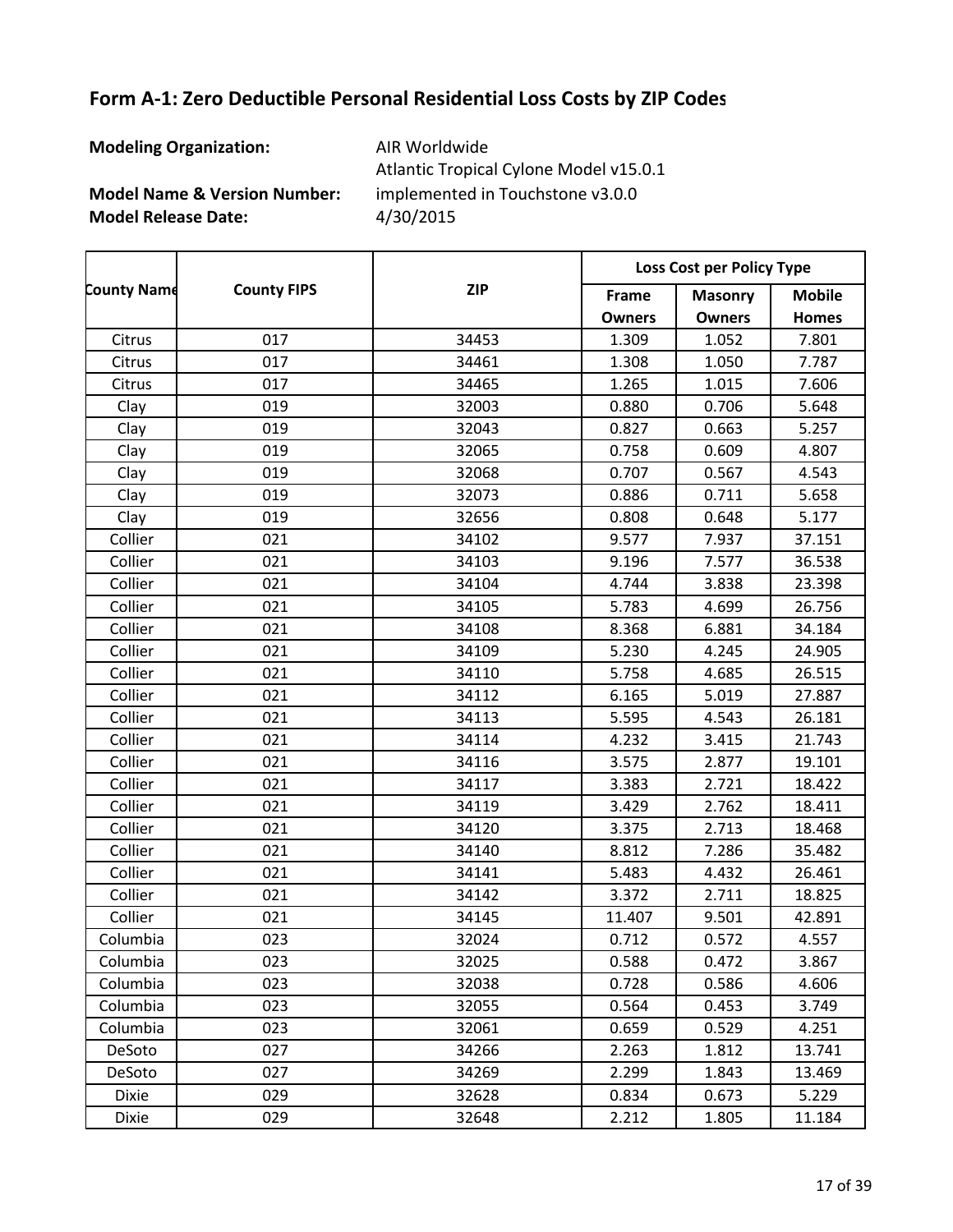**Modeling Organization:** AIR Worldwide

**Model Name & Version Number:**

**Model Release Date:** 4/30/2015 Atlantic Tropical Cylone Model v15.0.1 implemented in Touchstone v3.0.0

**Frame Owners Masonry Owners Mobile Homes County Name County FIPS Loss Cost per Policy Type ZIP** Citrus 017 34453 1.309 1.052 7.801 Citrus 1.050 | 017 | 34461 | 1.308 | 1.050 | 7.787 Citrus 017 34465 1.265 1.015 7.606 Clay 019 32003 0.880 0.706 5.648 Clay 019 32043 0.827 0.663 5.257 Clay 019 32065 0.758 0.609 4.807 Clay 019 32068 0.707 0.567 4.543 Clay 019 32073 0.886 0.711 5.658 Clay 019 32656 0.808 0.648 5.177 Collier 021 34102 9.577 7.937 37.151 Collier 021 34103 9.196 7.577 36.538 Collier 021 34104 4.744 3.838 23.398 Collier 021 34105 5.783 4.699 26.756 Collier 021 34108 8.368 6.881 34.184 Collier 021 34109 5.230 4.245 24.905 Collier 021 34110 5.758 4.685 26.515 Collier 021 34112 6.165 5.019 27.887 Collier 021 34113 5.595 4.543 26.181 Collier 021 34114 4.232 3.415 21.743 Collier 021 34116 3.575 2.877 19.101 Collier 021 34117 3.383 2.721 18.422 Collier 021 34119 3.429 2.762 18.411 Collier 021 34120 3.375 2.713 18.468 Collier 021 34140 8.812 7.286 35.482 Collier 021 34141 5.483 4.432 26.461 Collier 021 34142 3.372 2.711 18.825 Collier 021 34145 11.407 9.501 42.891 Columbia 023 32024 0.712 0.572 4.557 Columbia 023 32025 0.588 0.472 3.867 Columbia 023 32038 0.728 0.586 4.606 Columbia | 023 | 32055 | 0.564 | 0.453 | 3.749 Columbia 023 32061 0.659 0.529 4.251 DeSoto 027 34266 2.263 1.812 13.741 DeSoto 027 34269 2.299 1.843 13.469 Dixie 029 32628 0.834 0.673 5.229 Dixie 029 32648 2.212 1.805 11.184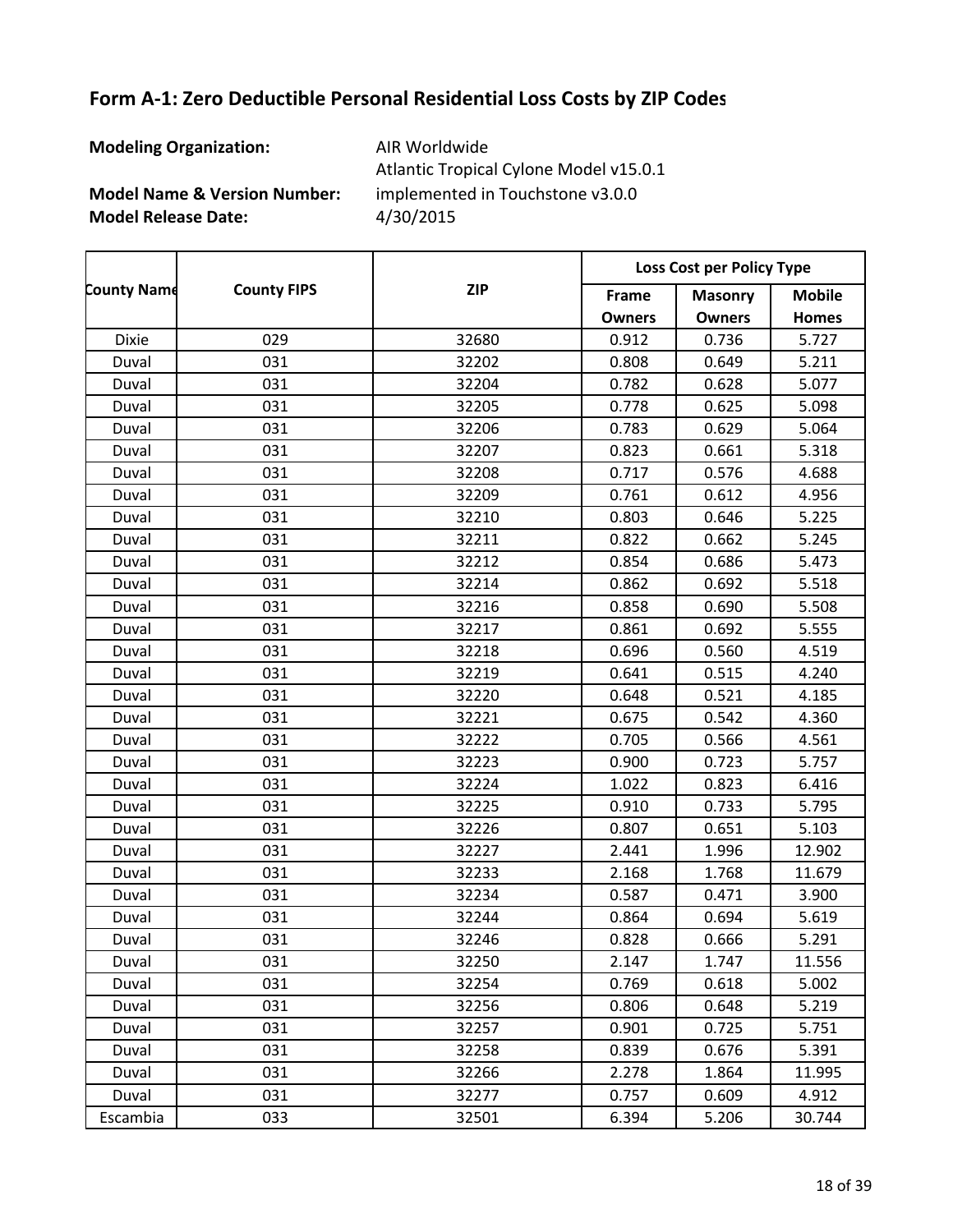**Modeling Organization:** AIR Worldwide

**Model Name & Version Number:**

**Model Release Date:** 4/30/2015 Atlantic Tropical Cylone Model v15.0.1 implemented in Touchstone v3.0.0

**Frame Owners Masonry Owners Mobile Homes County Name County FIPS Loss Cost per Policy Type ZIP** Dixie 029 32680 0.912 0.736 5.727 Duval 031 32202 0.808 0.649 5.211 Duval 031 32204 0.782 0.628 5.077 Duval 031 32205 0.778 0.625 5.098 Duval 031 32206 0.783 0.629 5.064 Duval 031 32207 0.823 0.661 5.318 Duval 031 32208 0.717 0.576 4.688 Duval 031 32209 0.761 0.612 4.956 Duval 031 32210 0.803 0.646 5.225 Duval 031 32211 0.822 0.662 5.245 Duval 031 32212 0.854 0.686 5.473 Duval 031 32214 0.862 0.692 5.518 Duval 031 32216 0.858 0.690 5.508 Duval 031 32217 0.861 0.692 5.555 Duval 031 32218 0.696 0.560 4.519 Duval 031 32219 0.641 0.515 4.240 Duval 031 32220 0.648 0.521 4.185 Duval 031 32221 0.675 0.542 4.360 Duval 031 32222 0.705 0.566 4.561 Duval 031 32223 0.900 0.723 5.757 Duval 031 32224 1.022 0.823 6.416 Duval 031 32225 0.910 0.733 5.795 Duval 031 32226 0.807 0.651 5.103 Duval 031 32227 2.441 1.996 12.902 Duval 031 32233 2.168 1.768 11.679 Duval 031 32234 0.587 0.471 3.900 Duval 031 32244 0.864 0.694 5.619 Duval 031 32246 0.828 0.666 5.291 Duval 031 32250 2.147 1.747 11.556 Duval 031 32254 0.769 0.618 5.002 Duval 031 32256 0.806 0.648 5.219 Duval 031 32257 0.901 0.725 5.751 Duval 031 32258 0.839 0.676 5.391 Duval 031 32266 2.278 1.864 11.995 Duval 031 32277 0.757 0.609 4.912 Escambia 033 32501 6.394 5.206 30.744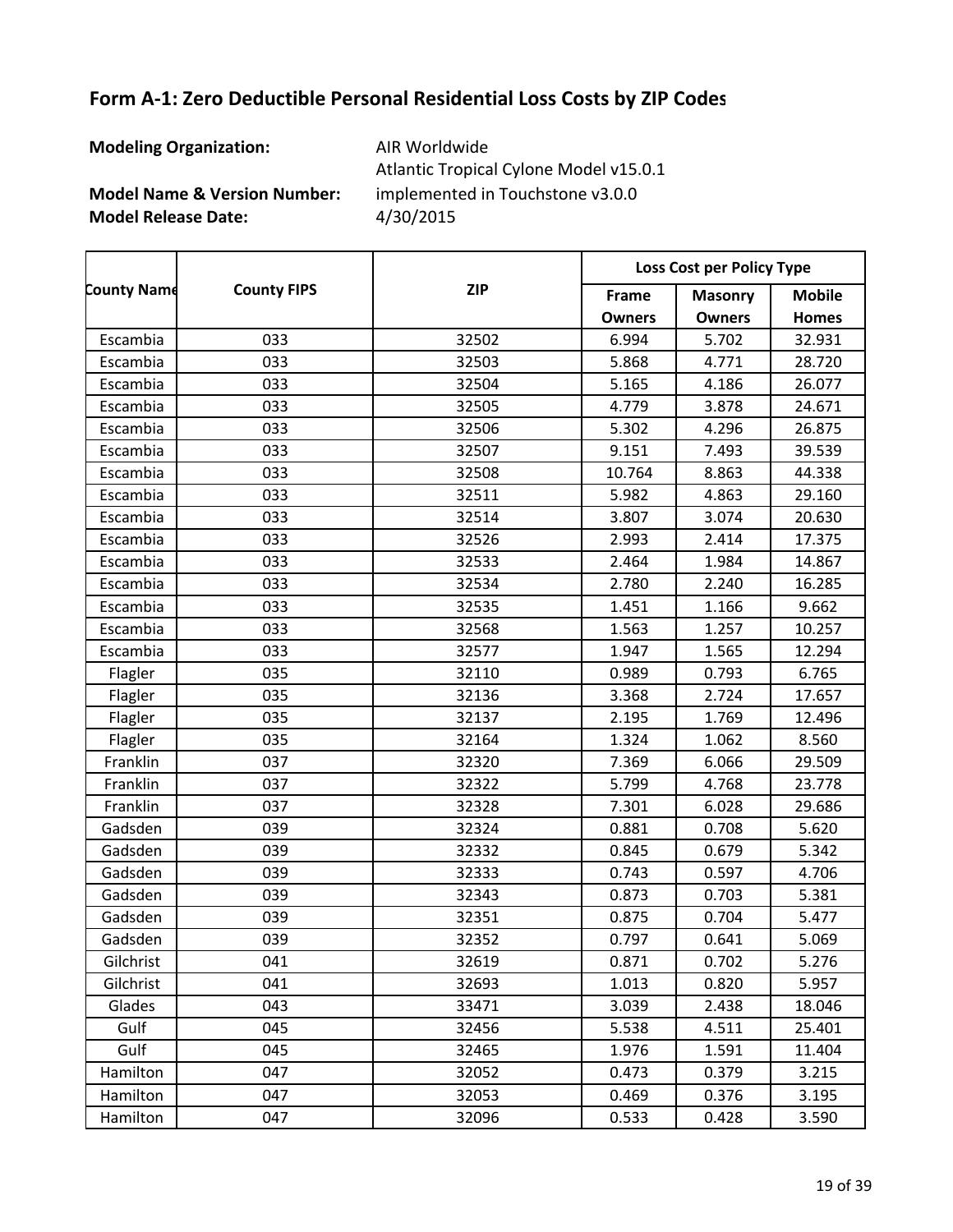**Modeling Organization:** AIR Worldwide

**Model Name & Version Number:**

**Model Release Date:** 4/30/2015 Atlantic Tropical Cylone Model v15.0.1 implemented in Touchstone v3.0.0

**Frame Owners Masonry Owners Mobile Homes County Name County FIPS Loss Cost per Policy Type ZIP** Escambia 033 32502 6.994 5.702 32.931 Escambia 033 32503 5.868 4.771 28.720 Escambia 033 32504 5.165 4.186 26.077 Escambia 033 32505 4.779 3.878 24.671 Escambia 033 32506 5.302 4.296 26.875 Escambia 033 32507 9.151 7.493 39.539 Escambia 033 32508 10.764 8.863 44.338 Escambia 033 32511 5.982 4.863 29.160 Escambia 033 32514 3.807 3.074 20.630 Escambia 033 32526 2.993 2.414 17.375 Escambia 033 32533 2.464 1.984 14.867 Escambia 033 32534 2.780 2.240 16.285 Escambia 033 32535 1.451 1.166 9.662 Escambia 033 32568 1.563 1.257 10.257 Escambia 033 32577 1.947 1.565 12.294 Flagler 035 32110 0.989 0.793 6.765 Flagler 035 32136 3.368 2.724 17.657 Flagler 035 32137 2.195 1.769 12.496 Flagler 035 32164 1.324 1.062 8.560 Franklin 037 32320 7.369 6.066 29.509 Franklin 037 32322 5.799 4.768 23.778 Franklin 037 32328 7.301 6.028 29.686 Gadsden 039 32324 0.881 0.708 5.620 Gadsden 039 32332 0.845 0.679 5.342 Gadsden 039 32333 0.743 0.597 4.706 Gadsden 039 32343 0.873 0.703 5.381 Gadsden 039 32351 0.875 0.704 5.477 Gadsden 039 32352 0.797 0.641 5.069 Gilchrist 041 32619 0.871 0.702 5.276 Gilchrist 041 32693 1.013 0.820 5.957 Glades 043 33471 3.039 2.438 18.046 Gulf 045 32456 5.538 4.511 25.401 Gulf 045 32465 1.976 1.591 11.404 Hamilton 047 32052 0.473 0.379 3.215 Hamilton 047 32053 0.469 0.376 3.195 Hamilton 047 32096 0.533 0.428 3.590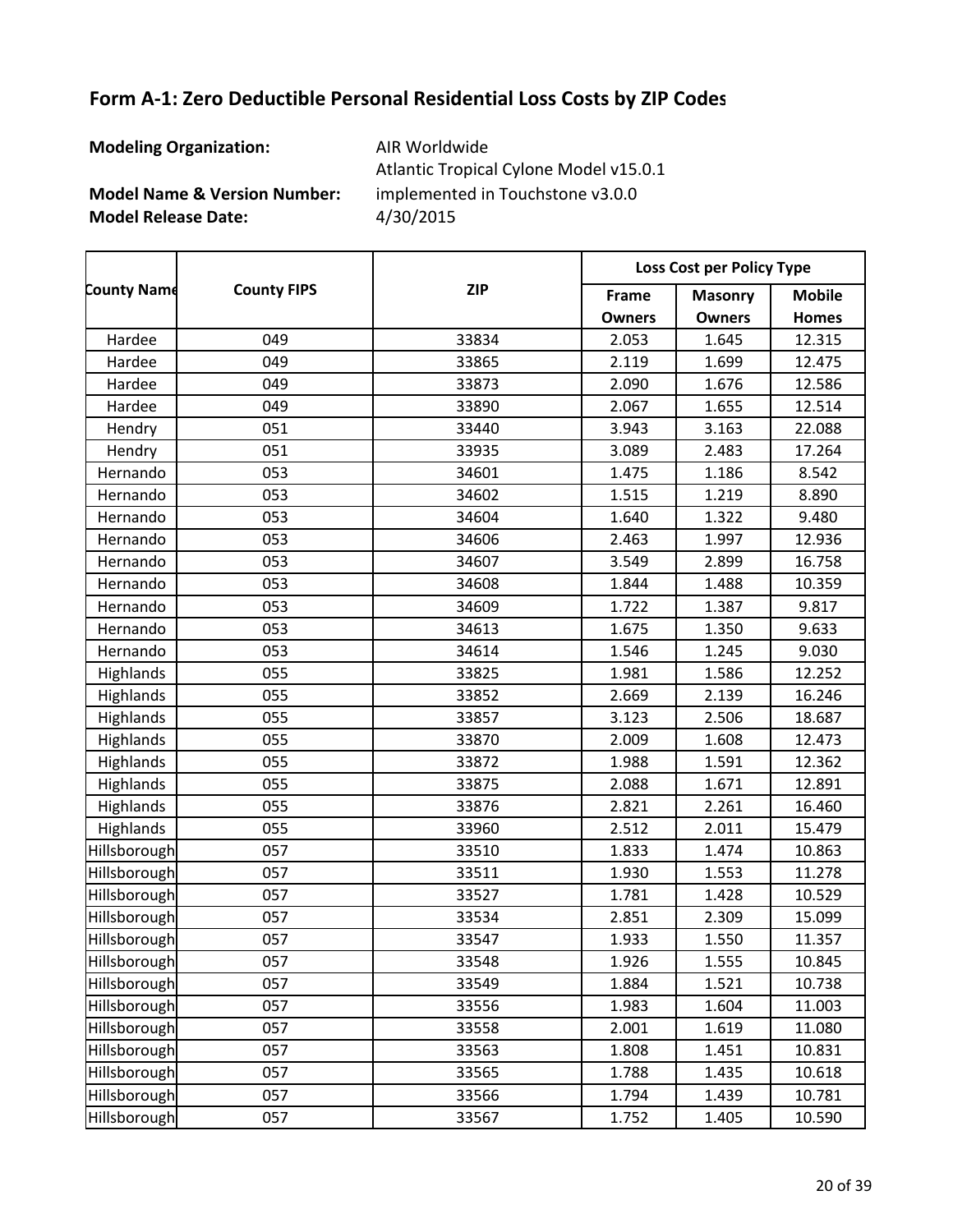**Modeling Organization:** AIR Worldwide

**Model Name & Version Number:**

**Model Release Date:** 4/30/2015 Atlantic Tropical Cylone Model v15.0.1 implemented in Touchstone v3.0.0

**Frame Owners Masonry Owners Mobile Homes County Name County FIPS Loss Cost per Policy Type ZIP** Hardee 049 33834 2.053 1.645 12.315 Hardee 049 33865 2.119 1.699 12.475 Hardee 049 33873 2.090 1.676 12.586 Hardee 049 33890 2.067 1.655 12.514 Hendry 051 33440 3.943 3.163 22.088 Hendry 051 33935 3.089 2.483 17.264 Hernando 053 34601 1.475 1.186 8.542 Hernando 053 34602 1.515 1.219 8.890 Hernando 053 34604 1.640 1.322 9.480 Hernando 053 34606 2.463 1.997 12.936 Hernando 053 34607 3.549 2.899 16.758 Hernando | 053 | 34608 | 1.844 | 1.488 | 10.359 Hernando 053 34609 1.722 1.387 9.817 Hernando | 053 | 34613 | 1.675 | 1.350 | 9.633 Hernando 053 34614 1.546 1.245 9.030 Highlands | 055 | 33825 | 1.981 | 1.586 | 12.252 Highlands | 055 | 33852 | 2.669 | 2.139 | 16.246 Highlands | 055 | 33857 | 3.123 | 2.506 | 18.687 Highlands | 055 | 33870 | 2.009 | 1.608 | 12.473 Highlands | CDT5 | 33872 | 1.988 | 1.591 | 12.362 Highlands | 055 | 33875 | 2.088 | 1.671 | 12.891 Highlands | 055 | 33876 | 2.821 | 2.261 | 16.460 Highlands | 055 | 33960 | 2.512 | 2.011 | 15.479 Hillsborough 057 | 33510 | 1.833 | 1.474 | 10.863 Hillsborough 057 | 33511 | 1.930 | 1.553 | 11.278 Hillsborough 057 33527 1.781 1.428 10.529 Hillsborough 057 33534 2.851 2.309 15.099 Hillsborough 057 33547 1.933 1.550 11.357 Hillsborough 057 33548 1.926 1.555 10.845 Hillsborough 057 33549 1.884 1.521 10.738 Hillsborough 057 | 33556 | 1.983 | 1.604 | 11.003 Hillsborough 057 33558 2.001 1.619 11.080 Hillsborough 057 33563 1.808 1.451 10.831 Hillsborough 057 33565 1.788 1.435 10.618 Hillsborough 057 33566 1.794 1.439 10.781 Hillsborough 057 33567 1.752 1.405 10.590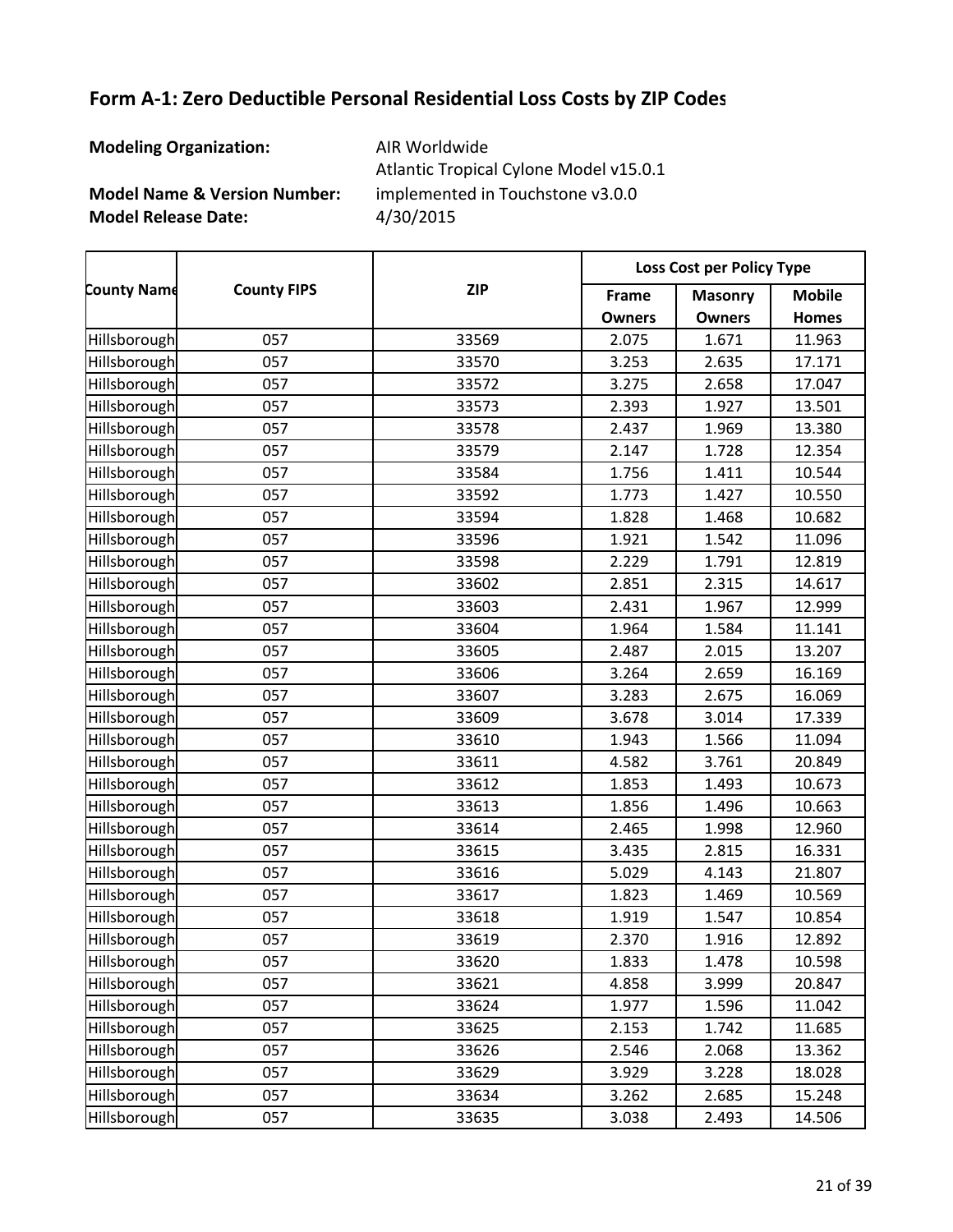**Modeling Organization:** AIR Worldwide

**Model Name & Version Number:**

**Model Release Date:** 4/30/2015 Atlantic Tropical Cylone Model v15.0.1 implemented in Touchstone v3.0.0

**Frame Owners Masonry Owners Mobile Homes County Name County FIPS Loss Cost per Policy Type ZIP** Hillsborough 057 33569 2.075 1.671 11.963 Hillsborough 057 33570 3.253 2.635 17.171 Hillsborough 057 33572 3.275 2.658 17.047 Hillsborough 057 33573 2.393 1.927 13.501 Hillsborough 057 | 33578 | 2.437 | 1.969 | 13.380 Hillsborough 057 33579 2.147 1.728 12.354 Hillsborough 057 | 33584 | 1.756 | 1.411 | 10.544 Hillsborough 057 33592 1.773 1.427 10.550 Hillsborough 057 33594 1.828 1.468 10.682 Hillsborough 057 33596 1.921 1.542 11.096 Hillsborough 057 33598 2.229 1.791 12.819 Hillsborough 057 33602 2.851 2.315 14.617 Hillsborough 057 33603 2.431 1.967 12.999 Hillsborough 057 33604 1.964 1.584 11.141 Hillsborough 057 33605 2.487 2.015 13.207 Hillsborough 057 33606 3.264 2.659 16.169 Hillsborough 057 33607 3.283 2.675 16.069 Hillsborough 057 33609 3.678 3.014 17.339 Hillsborough 057 33610 1.943 1.566 11.094 Hillsborough 057 33611 4.582 3.761 20.849 Hillsborough 057 33612 1.853 1.493 10.673 Hillsborough 057 33613 1.856 1.496 10.663 Hillsborough 057 33614 2.465 1.998 12.960 Hillsborough 057 33615 3.435 2.815 16.331 Hillsborough 057 33616 5.029 4.143 21.807 Hillsborough 057 33617 1.823 1.469 10.569 Hillsborough 057 33618 1.919 1.547 10.854 Hillsborough 057 33619 2.370 1.916 12.892 Hillsborough 057 | 33620 | 1.833 | 1.478 | 10.598 Hillsborough 057 33621 4.858 3.999 20.847 Hillsborough 057 33624 1.977 1.596 11.042 Hillsborough 057 33625 2.153 1.742 11.685 Hillsborough 057 33626 2.546 2.068 13.362 Hillsborough 057 33629 3.929 3.228 18.028 Hillsborough 057 33634 3.262 2.685 15.248 Hillsborough 057 33635 3.038 2.493 14.506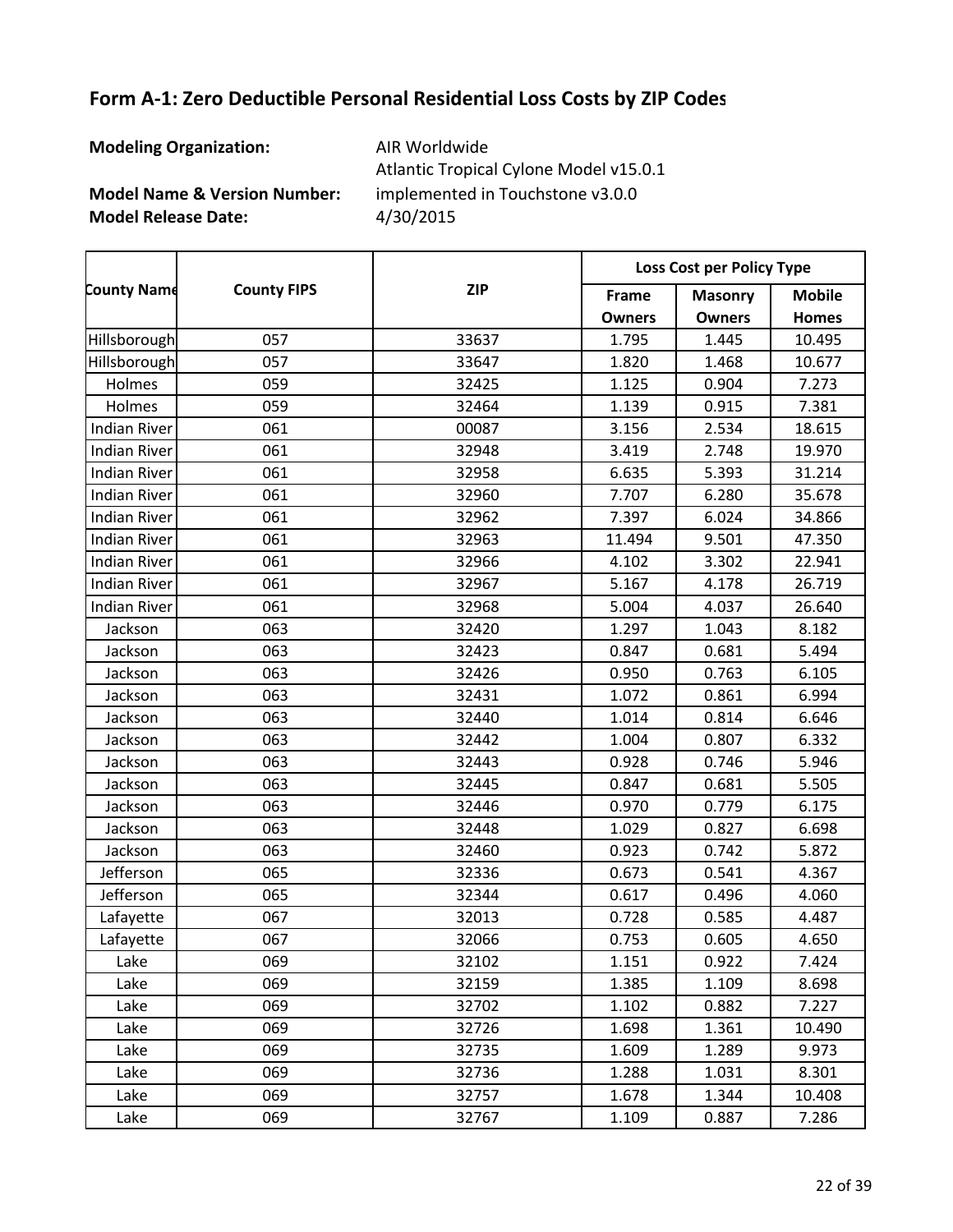**Modeling Organization:** AIR Worldwide

**Model Name & Version Number:**

**Model Release Date:** 4/30/2015 Atlantic Tropical Cylone Model v15.0.1 implemented in Touchstone v3.0.0

**Frame Owners Masonry Owners Mobile Homes County Name County FIPS Loss Cost per Policy Type ZIP** Hillsborough 057 33637 1.795 1.445 10.495 Hillsborough 057 33647 1.820 1.468 10.677 Holmes 059 32425 1.125 0.904 7.273 Holmes 059 32464 1.139 0.915 7.381 Indian River | 061 | 00087 | 3.156 | 2.534 | 18.615 Indian River | 061 | 32948 | 3.419 | 2.748 | 19.970 Indian River | 061 | 32958 | 6.635 | 5.393 | 31.214 1ndian River | 061 | 32960 | 7.707 | 6.280 | 35.678 Indian River | 061 | 32962 | 7.397 | 6.024 | 34.866 Indian River | 061 | 32963 | 11.494 | 9.501 | 47.350 Indian River | 061 | 32966 | 4.102 | 3.302 | 22.941 Indian River | 061 | 32967 | 5.167 | 4.178 | 26.719 Indian River | 061 | 32968 | 5.004 | 4.037 | 26.640 Jackson 063 32420 1.297 1.043 8.182 Jackson 063 32423 0.847 0.681 5.494 Jackson 063 32426 0.950 0.763 6.105 Jackson 063 32431 1.072 0.861 6.994 Jackson 063 32440 1.014 0.814 6.646 Jackson 063 32442 1.004 0.807 6.332 Jackson 063 32443 0.928 0.746 5.946 Jackson 063 32445 0.847 0.681 5.505 Jackson 063 32446 0.970 0.779 6.175 Jackson 063 32448 1.029 0.827 6.698 Jackson 063 32460 0.923 0.742 5.872 Jefferson 065 32336 0.673 0.541 4.367 Jefferson 065 32344 0.617 0.496 4.060 Lafayette 067 32013 0.728 0.585 4.487 Lafayette 067 32066 0.753 0.605 4.650 Lake 069 32102 1.151 0.922 7.424 Lake 069 32159 1.385 1.109 8.698 Lake 069 32702 1.102 0.882 7.227 Lake 069 32726 1.698 1.361 10.490 Lake 069 32735 1.609 1.289 9.973 Lake 069 32736 1.288 1.031 8.301 Lake 069 32757 1.678 1.344 10.408 Lake 069 32767 1.109 0.887 7.286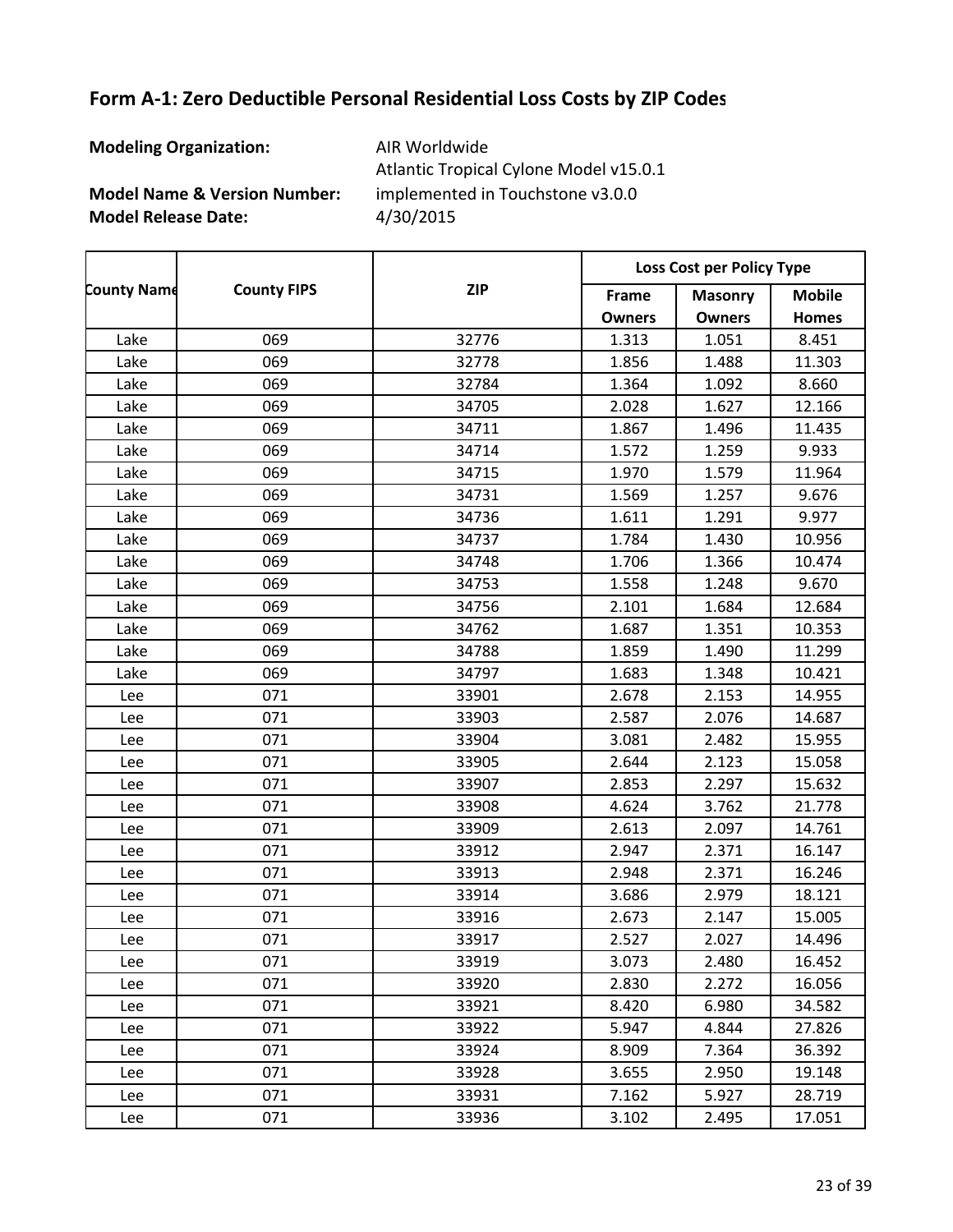**Modeling Organization:** AIR Worldwide

**Model Name & Version Number:**

**Model Release Date:** 4/30/2015 Atlantic Tropical Cylone Model v15.0.1 implemented in Touchstone v3.0.0

**Frame Owners Masonry Owners Mobile Homes County Name County FIPS Loss Cost per Policy Type ZIP** Lake 069 32776 1.313 1.051 8.451 Lake 069 32778 1.856 1.488 11.303 Lake 069 32784 1.364 1.092 8.660 Lake 069 34705 2.028 1.627 12.166 Lake 069 34711 1.867 1.496 11.435 Lake 069 34714 1.572 1.259 9.933 Lake 069 34715 1.970 1.579 11.964 Lake 069 34731 1.569 1.257 9.676 Lake 069 34736 1.611 1.291 9.977 Lake 069 34737 1.784 1.430 10.956 Lake 069 34748 1.706 1.366 10.474 Lake 069 34753 1.558 1.248 9.670 Lake 069 34756 2.101 1.684 12.684 Lake 069 34762 1.687 1.351 10.353 Lake 069 34788 1.859 1.490 11.299 Lake 069 34797 1.683 1.348 10.421 Lee 071 33901 2.678 2.153 14.955 Lee 071 33903 2.587 2.076 14.687 Lee 071 33904 3.081 2.482 15.955 Lee 071 33905 2.644 2.123 15.058 Lee 071 33907 2.853 2.297 15.632 Lee 071 33908 4.624 3.762 21.778 Lee 071 33909 2.613 2.097 14.761 Lee 071 33912 2.947 2.371 16.147 Lee 071 33913 2.948 2.371 16.246 Lee 071 33914 3.686 2.979 18.121 Lee 071 33916 2.673 2.147 15.005 Lee 071 33917 2.527 2.027 14.496 Lee 071 33919 3.073 2.480 16.452 Lee 071 33920 2.830 2.272 16.056 Lee 071 33921 8.420 6.980 34.582 Lee 071 33922 5.947 4.844 27.826 Lee 071 33924 8.909 7.364 36.392 Lee 071 33928 3.655 2.950 19.148 Lee 071 33931 7.162 5.927 28.719 Lee 071 33936 3.102 2.495 17.051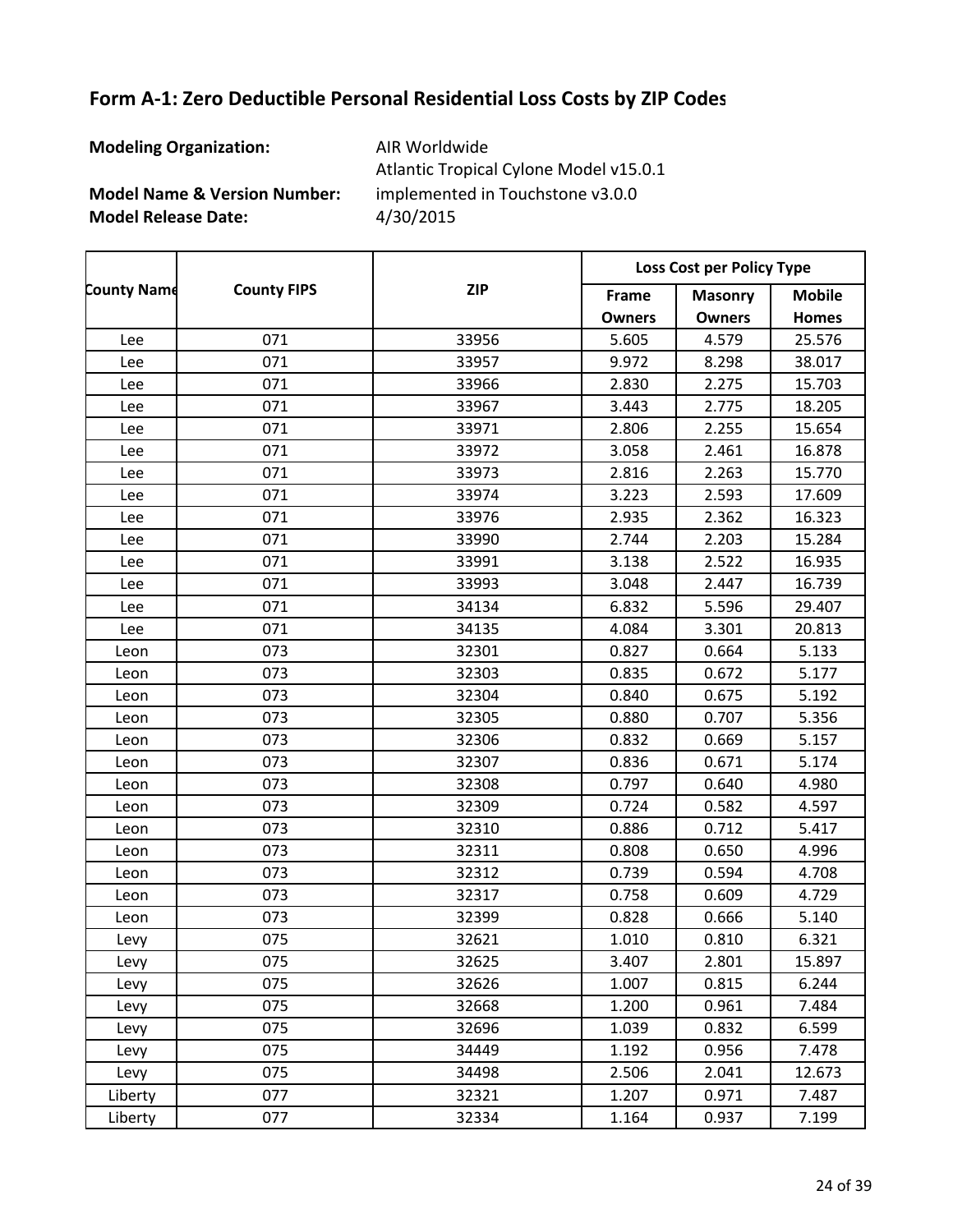**Modeling Organization:** AIR Worldwide

**Model Name & Version Number:**

**Model Release Date:** 4/30/2015 Atlantic Tropical Cylone Model v15.0.1 implemented in Touchstone v3.0.0

**Frame Owners Masonry Owners Mobile Homes County Name County FIPS Loss Cost per Policy Type ZIP** Lee 071 33956 5.605 4.579 25.576 Lee 071 33957 9.972 8.298 38.017 Lee 071 33966 2.830 2.275 15.703 Lee 071 33967 3.443 2.775 18.205 Lee 071 33971 2.806 2.255 15.654 Lee 071 33972 3.058 2.461 16.878 Lee 071 33973 2.816 2.263 15.770 Lee 071 33974 3.223 2.593 17.609 Lee 071 33976 2.935 2.362 16.323 Lee 071 33990 2.744 2.203 15.284 Lee 071 33991 3.138 2.522 16.935 Lee 071 33993 3.048 2.447 16.739 Lee 071 34134 6.832 5.596 29.407 Lee 071 34135 4.084 3.301 20.813 Leon 073 32301 0.827 0.664 5.133 Leon 073 32303 0.835 0.672 5.177 Leon 073 32304 0.840 0.675 5.192 Leon 073 32305 0.880 0.707 5.356 Leon 073 32306 0.832 0.669 5.157 Leon 073 32307 0.836 0.671 5.174 Leon 073 32308 0.797 0.640 4.980 Leon 073 32309 0.724 0.582 4.597 Leon 073 32310 0.886 0.712 5.417 Leon 073 32311 0.808 0.650 4.996 Leon 073 32312 0.739 0.594 4.708 Leon 073 32317 0.758 0.609 4.729 Leon 073 32399 0.828 0.666 5.140 Levy 075 32621 1.010 0.810 6.321 Levy 075 32625 3.407 2.801 15.897 Levy 075 32626 1.007 0.815 6.244 Levy 075 32668 1.200 0.961 7.484 Levy 075 32696 1.039 0.832 6.599 Levy 075 34449 1.192 0.956 7.478 Levy 075 34498 2.506 2.041 12.673 Liberty 077 32321 1.207 0.971 7.487 Liberty 077 32334 1.164 0.937 7.199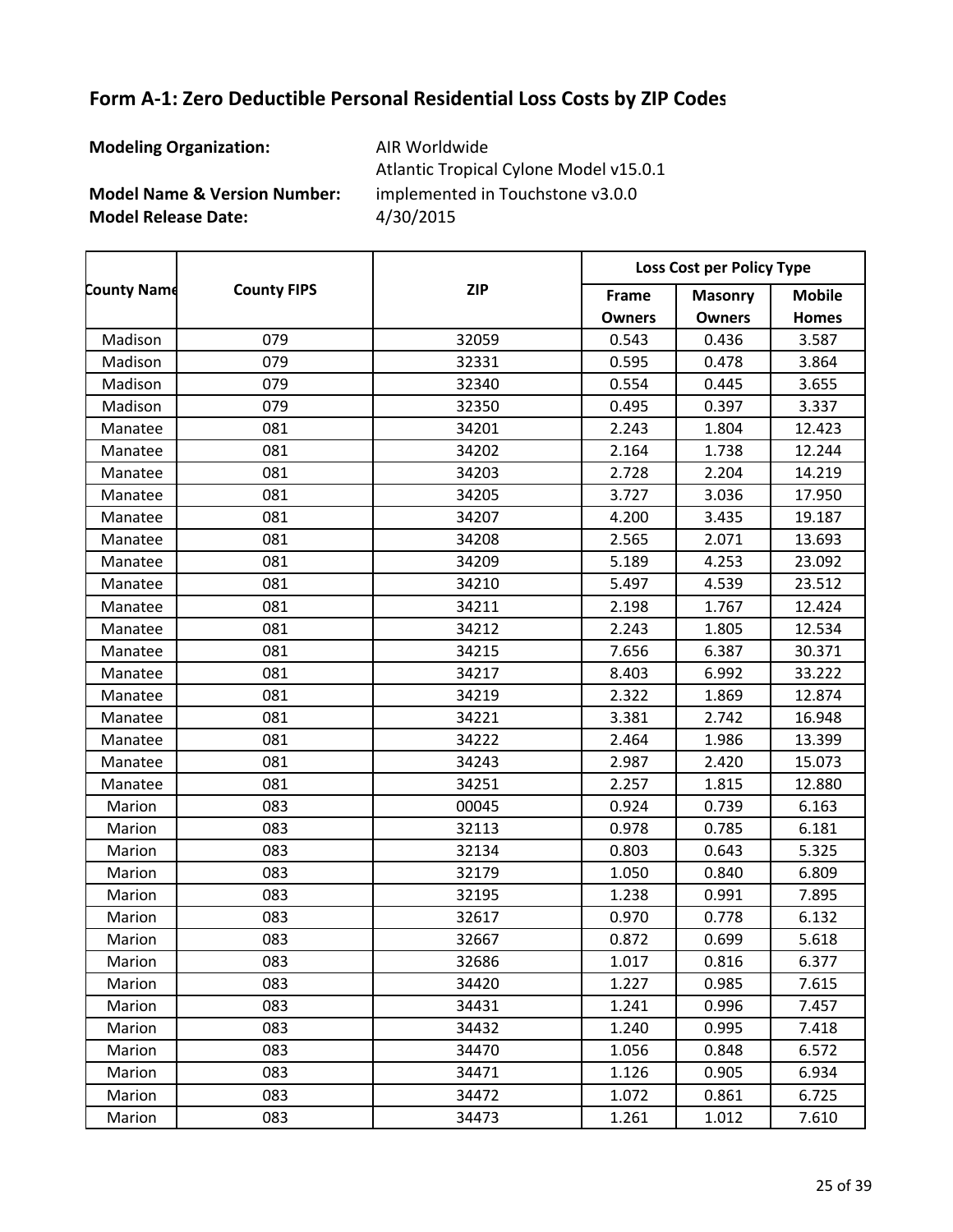**Modeling Organization:** AIR Worldwide

**Model Name & Version Number:**

**Model Release Date:** 4/30/2015 Atlantic Tropical Cylone Model v15.0.1 implemented in Touchstone v3.0.0

**Frame Owners Masonry Owners Mobile Homes County Name County FIPS Loss Cost per Policy Type ZIP** Madison 079 32059 0.543 0.436 3.587 Madison 079 32331 0.595 0.478 3.864 Madison 079 32340 0.554 0.445 3.655 Madison 079 32350 0.495 0.397 3.337 Manatee | 081 | 34201 | 2.243 | 1.804 | 12.423 Manatee | 081 | 34202 | 2.164 | 1.738 | 12.244 Manatee | 081 | 34203 | 2.728 | 2.204 | 14.219 Manatee | 081 | 34205 | 3.727 | 3.036 | 17.950 Manatee | 081 | 34207 | 4.200 | 3.435 | 19.187 Manatee | 081 | 34208 | 2.565 | 2.071 | 13.693 Manatee | 081 | 34209 | 5.189 | 4.253 | 23.092 Manatee | 081 | 34210 | 5.497 | 4.539 | 23.512 Manatee | 081 | 34211 | 2.198 | 1.767 | 12.424 Manatee | 081 | 34212 | 2.243 | 1.805 | 12.534 Manatee | 081 | 34215 | 7.656 | 6.387 | 30.371 Manatee | 081 | 34217 | 8.403 | 6.992 | 33.222 Manatee | 081 | 34219 | 2.322 | 1.869 | 12.874 Manatee | 081 | 34221 | 3.381 | 2.742 | 16.948 Manatee | 081 | 34222 | 2.464 | 1.986 | 13.399 Manatee | 081 | 34243 | 2.987 | 2.420 | 15.073 Manatee | 081 | 34251 | 2.257 | 1.815 | 12.880 Marion | 083 | 00045 | 0.924 | 0.739 | 6.163 Marion | 083 | 32113 | 0.978 | 0.785 | 6.181 Marion | 083 | 32134 | 0.803 | 0.643 | 5.325 Marion | 083 | 32179 | 1.050 | 0.840 | 6.809 Marion | 083 | 32195 | 1.238 | 0.991 | 7.895 Marion | 083 | 32617 | 0.970 | 0.778 | 6.132 Marion | 083 | 32667 | 0.872 | 0.699 | 5.618 Marion | 083 | 32686 | 1.017 | 0.816 | 6.377 Marion | 083 | 34420 | 1.227 | 0.985 | 7.615 Marion | 083 | 34431 | 1.241 | 0.996 | 7.457 Marion 083 34432 1.240 0.995 7.418 Marion | 083 | 34470 | 1.056 | 0.848 | 6.572 Marion | 083 | 34471 | 1.126 | 0.905 | 6.934 Marion | 083 | 34472 | 1.072 | 0.861 | 6.725 Marion | 083 | 34473 | 1.261 | 1.012 | 7.610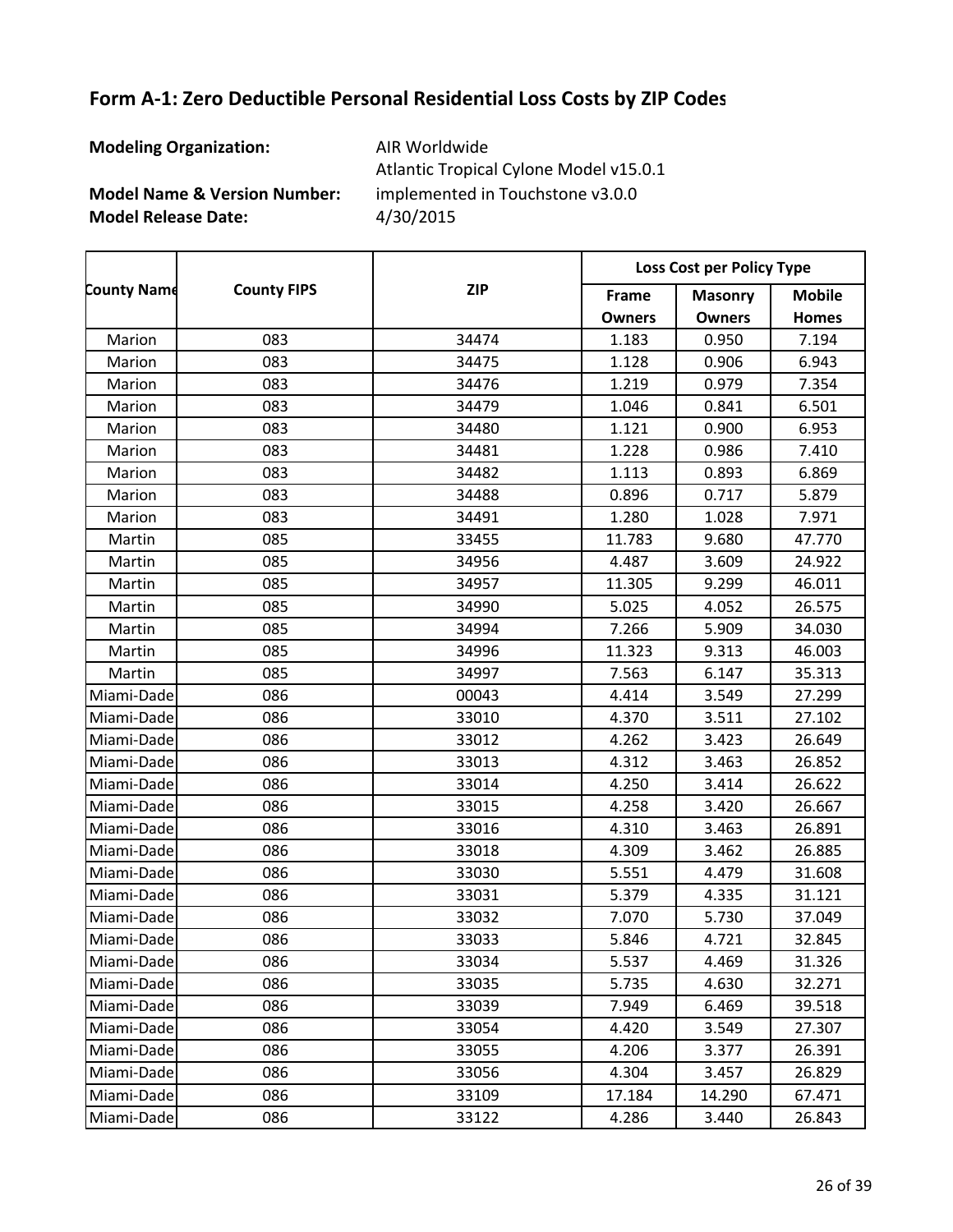**Modeling Organization:** AIR Worldwide

**Model Name & Version Number:**

**Model Release Date:** 4/30/2015 Atlantic Tropical Cylone Model v15.0.1 implemented in Touchstone v3.0.0

**Frame Owners Masonry Owners Mobile Homes County Name County FIPS Loss Cost per Policy Type ZIP** Marion | 083 | 34474 | 1.183 | 0.950 | 7.194 Marion | 083 | 34475 | 1.128 | 0.906 | 6.943 Marion | 083 | 34476 | 1.219 | 0.979 | 7.354 Marion | 083 | 34479 | 1.046 | 0.841 | 6.501 Marion | 083 | 34480 | 1.121 | 0.900 | 6.953 Marion | 083 | 34481 | 1.228 | 0.986 | 7.410 Marion | 083 | 34482 | 1.113 | 0.893 | 6.869 Marion | 083 | 34488 | 0.896 | 0.717 | 5.879 Marion | 083 | 34491 | 1.280 | 1.028 | 7.971 Martin 085 33455 11.783 9.680 47.770 Martin 085 34956 4.487 3.609 24.922 Martin 085 34957 11.305 9.299 46.011 Martin 085 34990 5.025 4.052 26.575 Martin 085 34994 7.266 5.909 34.030 Martin 085 34996 11.323 9.313 46.003 Martin 085 34997 7.563 6.147 35.313 Miami-Dade 086 | 00043 | 4.414 | 3.549 | 27.299 Miami-Dade 086 33010 4.370 3.511 27.102 Miami-Dade 086 33012 4.262 3.423 26.649 Miami-Dade 086 33013 4.312 3.463 26.852 Miami-Dade 086 33014 4.250 3.414 26.622 Miami-Dade 086 33015 4.258 3.420 26.667 Miami-Dade 086 33016 4.310 3.463 26.891 Miami-Dade 086 33018 4.309 3.462 26.885 Miami-Dade 086 33030 5.551 4.479 31.608 Miami-Dade 086 33031 5.379 4.335 31.121 Miami-Dade 086 33032 7.070 5.730 37.049 Miami-Dade 086 33033 5.846 4.721 32.845 Miami-Dade 086 33034 5.537 4.469 31.326 Miami-Dade 086 33035 5.735 4.630 32.271 Miami-Dade 086 33039 7.949 6.469 39.518 Miami-Dade 086 33054 4.420 3.549 27.307 Miami-Dade 086 33055 4.206 3.377 26.391 Miami-Dade 086 33056 4.304 3.457 26.829 Miami-Dade 086 33109 17.184 14.290 67.471 Miami-Dade 086 33122 4.286 3.440 26.843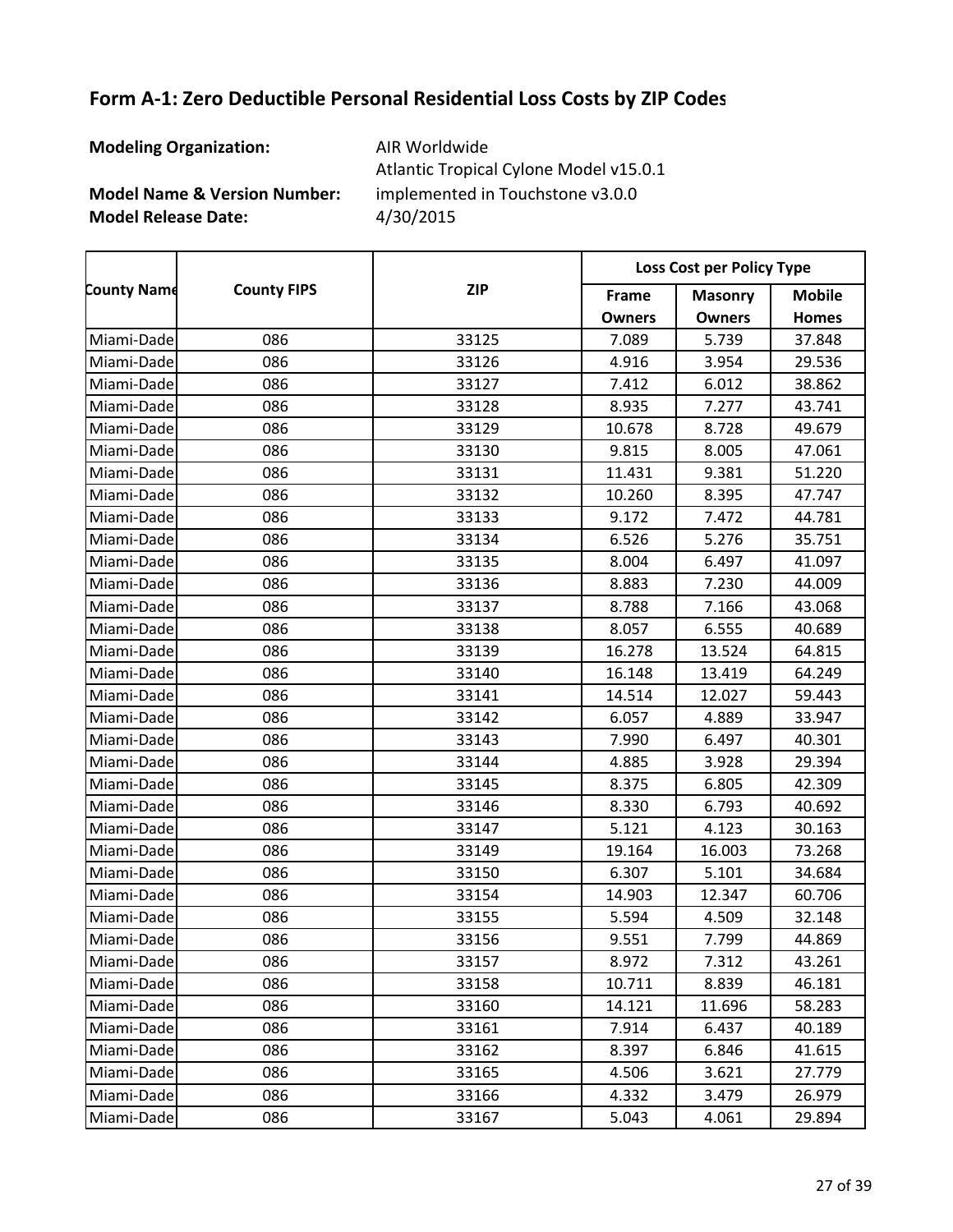**Modeling Organization:** AIR Worldwide

**Model Name & Version Number:**

**Model Release Date:** 4/30/2015 Atlantic Tropical Cylone Model v15.0.1 implemented in Touchstone v3.0.0

**Frame Owners Masonry Owners Mobile Homes County Name County FIPS Loss Cost per Policy Type ZIP** Miami-Dade 086 33125 7.089 5.739 37.848 Miami-Dade 086 33126 4.916 3.954 29.536 Miami-Dade 086 33127 7.412 6.012 38.862 Miami-Dade 086 33128 8.935 7.277 43.741 Miami-Dade 086 33129 10.678 8.728 49.679 Miami-Dade 086 33130 9.815 8.005 47.061 Miami-Dade 086 33131 11.431 9.381 51.220 Miami-Dade 086 33132 10.260 8.395 47.747 Miami-Dade 086 33133 9.172 7.472 44.781 Miami-Dade 086 | 33134 | 6.526 | 5.276 | 35.751 Miami-Dade 086 33135 8.004 6.497 41.097 Miami-Dade 086 33136 8.883 7.230 44.009 Miami-Dade 086 33137 8.788 7.166 43.068 Miami-Dade 086 33138 8.057 6.555 40.689 Miami-Dade 086 133139 16.278 13.524 64.815 Miami-Dade 086 33140 16.148 13.419 64.249 Miami-Dade 086 33141 14.514 12.027 59.443 Miami-Dade 086 33142 6.057 4.889 33.947 Miami-Dade 086 33143 7.990 6.497 40.301 Miami-Dade 086 33144 4.885 3.928 29.394 Miami-Dade 086 33145 8.375 6.805 42.309 Miami-Dade 086 33146 8.330 6.793 40.692 Miami-Dade 086 33147 5.121 4.123 30.163 Miami-Dade 086 33149 19.164 16.003 73.268 Miami-Dade 086 33150 6.307 5.101 34.684 Miami-Dade 086 33154 14.903 12.347 60.706 Miami-Dade 086 33155 5.594 4.509 32.148 Miami-Dade 086 33156 9.551 7.799 44.869 Miami-Dade 086 33157 8.972 7.312 43.261 Miami-Dade 086 33158 10.711 8.839 46.181 Miami-Dade 086 33160 14.121 11.696 58.283 Miami-Dade 086 33161 7.914 6.437 40.189 Miami-Dade 086 33162 8.397 6.846 41.615 Miami-Dade 086 | 33165 | 4.506 | 3.621 | 27.779 Miami-Dade 086 33166 4.332 3.479 26.979 Miami-Dade 086 33167 5.043 4.061 29.894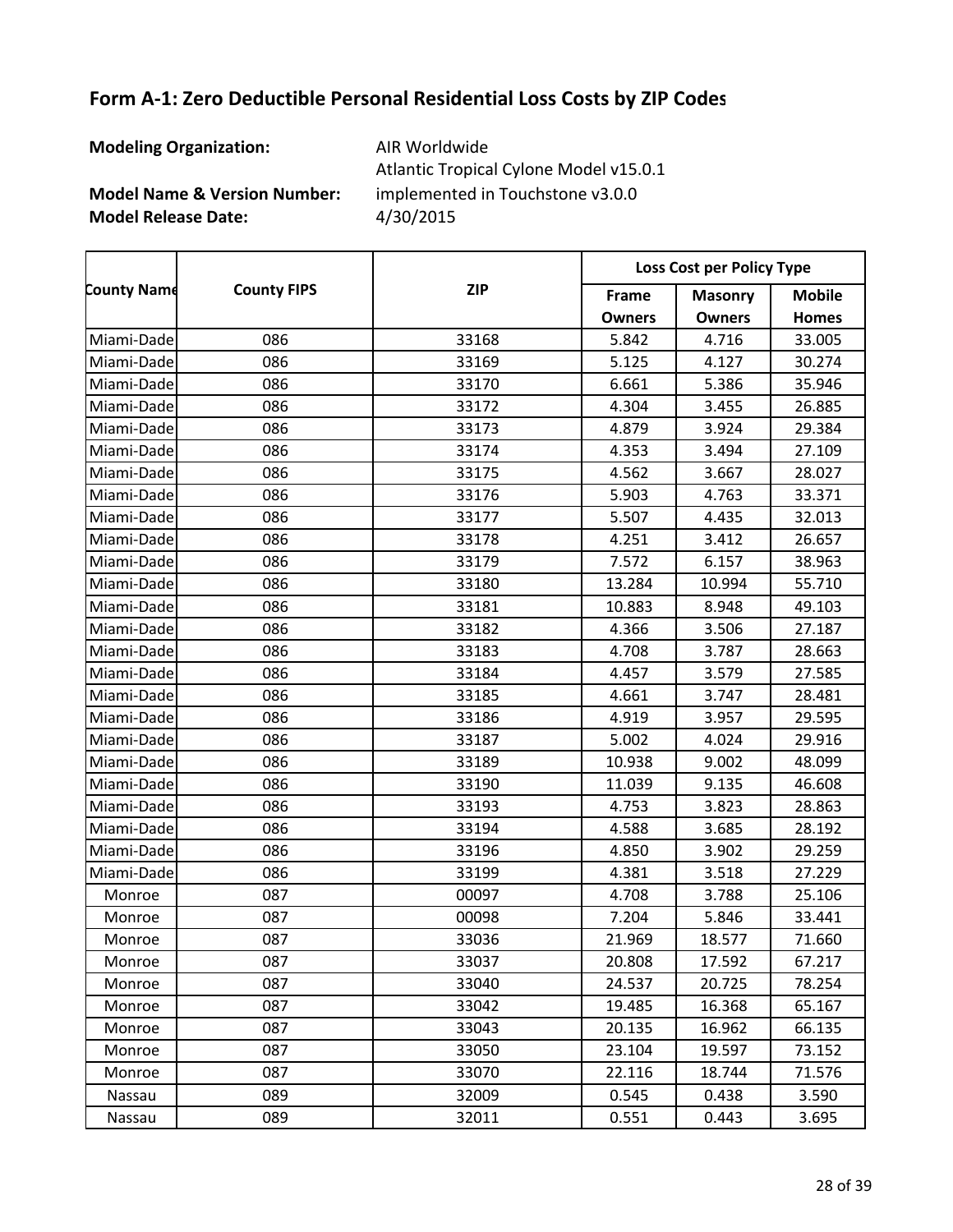**Modeling Organization:** AIR Worldwide

**Model Name & Version Number:**

**Model Release Date:** 4/30/2015 Atlantic Tropical Cylone Model v15.0.1 implemented in Touchstone v3.0.0

**Frame Owners Masonry Owners Mobile Homes County Name County FIPS Loss Cost per Policy Type ZIP** Miami-Dade 086 33168 5.842 4.716 33.005 Miami-Dade 086 33169 5.125 4.127 30.274 Miami-Dade 086 33170 6.661 5.386 35.946 Miami-Dade 086 33172 4.304 3.455 26.885 Miami-Dade 086 33173 4.879 3.924 29.384 Miami-Dade 086 33174 4.353 3.494 27.109 Miami-Dade 086 33175 4.562 3.667 28.027 Miami-Dade 086 33176 5.903 4.763 33.371 Miami-Dade 086 33177 5.507 4.435 32.013 Miami-Dade 086 | 33178 | 4.251 | 3.412 | 26.657 Miami-Dade 086 33179 7.572 6.157 38.963 Miami-Dade 086 33180 13.284 10.994 55.710 Miami-Dade 086 33181 10.883 8.948 49.103 Miami-Dade 086 33182 4.366 3.506 27.187 Miami-Dade 086 33183 4.708 3.787 28.663 Miami-Dade 086 33184 4.457 3.579 27.585 Miami-Dade 086 33185 4.661 3.747 28.481 Miami-Dade 086 33186 4.919 3.957 29.595 Miami-Dade 086 33187 5.002 4.024 29.916 Miami-Dade 086 33189 10.938 9.002 48.099 Miami-Dade 086 33190 11.039 9.135 46.608 Miami-Dade 086 33193 4.753 3.823 28.863 Miami-Dade 086 33194 4.588 3.685 28.192 Miami-Dade 086 33196 4.850 3.902 29.259 Miami-Dade 086 33199 4.381 3.518 27.229 Monroe 087 00097 4.708 3.788 25.106 Monroe 087 00098 7.204 5.846 33.441 Monroe 087 33036 21.969 18.577 71.660 Monroe 087 33037 20.808 17.592 67.217 Monroe 087 33040 24.537 20.725 78.254 Monroe 087 33042 19.485 16.368 65.167 Monroe 087 33043 20.135 16.962 66.135 Monroe 087 33050 23.104 19.597 73.152 Monroe 087 33070 22.116 18.744 71.576 Nassau 089 32009 0.545 0.438 3.590 Nassau 089 32011 0.551 0.443 3.695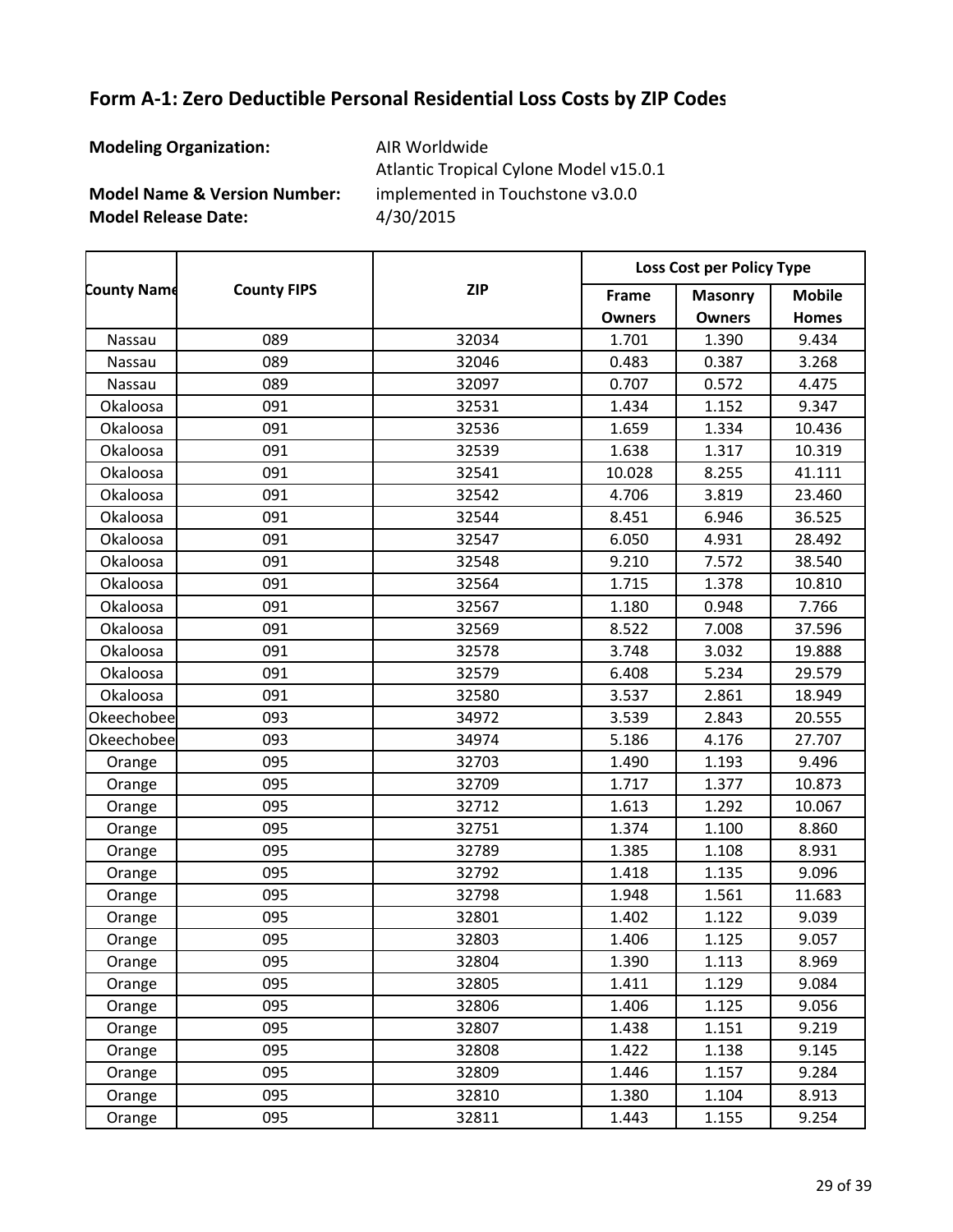**Modeling Organization:** AIR Worldwide

**Model Name & Version Number:**

**Model Release Date:** 4/30/2015 Atlantic Tropical Cylone Model v15.0.1 implemented in Touchstone v3.0.0

**Frame Owners Masonry Owners Mobile Homes County Name County FIPS Loss Cost per Policy Type ZIP** Nassau 089 32034 1.701 1.390 9.434 Nassau 089 32046 0.483 0.387 3.268 Nassau 089 32097 0.707 0.572 4.475 Okaloosa 091 32531 1.434 1.152 9.347 Okaloosa 091 32536 1.659 1.334 10.436 Okaloosa 091 32539 1.638 1.317 10.319 Okaloosa 091 32541 10.028 8.255 41.111 Okaloosa 091 32542 4.706 3.819 23.460 Okaloosa 091 32544 8.451 6.946 36.525 Okaloosa 091 32547 6.050 4.931 28.492 Okaloosa 091 32548 9.210 7.572 38.540 Okaloosa 091 32564 1.715 1.378 10.810 Okaloosa 091 32567 1.180 0.948 7.766 Okaloosa 091 32569 8.522 7.008 37.596 Okaloosa 091 32578 3.748 3.032 19.888 Okaloosa 091 32579 6.408 5.234 29.579 Okaloosa 091 32580 3.537 2.861 18.949 Okeechobee 093 34972 3.539 2.843 20.555 Okeechobee 093 34974 5.186 4.176 27.707 Orange | 095 | 32703 | 1.490 | 1.193 | 9.496 Orange | 095 | 32709 | 1.717 | 1.377 | 10.873 Orange | 095 | 32712 | 1.613 | 1.292 | 10.067 Orange | 095 | 32751 | 1.374 | 1.100 | 8.860 Orange | 095 | 32789 | 1.385 | 1.108 | 8.931 Orange | 095 | 32792 | 1.418 | 1.135 | 9.096 Orange | 095 | 32798 | 1.948 | 1.561 | 11.683 Orange | 095 | 32801 | 1.402 | 1.122 | 9.039 Orange | 095 | 32803 | 1.406 | 1.125 | 9.057 Orange | 095 | 32804 | 1.390 | 1.113 | 8.969 Orange | 095 | 32805 | 1.411 | 1.129 | 9.084 Orange | 095 | 32806 | 1.406 | 1.125 | 9.056 Orange | 095 | 32807 | 1.438 | 1.151 | 9.219 Orange | 095 | 32808 | 1.422 | 1.138 | 9.145 Orange | 095 | 32809 | 1.446 | 1.157 | 9.284 Orange | 095 | 32810 | 1.380 | 1.104 | 8.913 Orange | 095 | 32811 | 1.443 | 1.155 | 9.254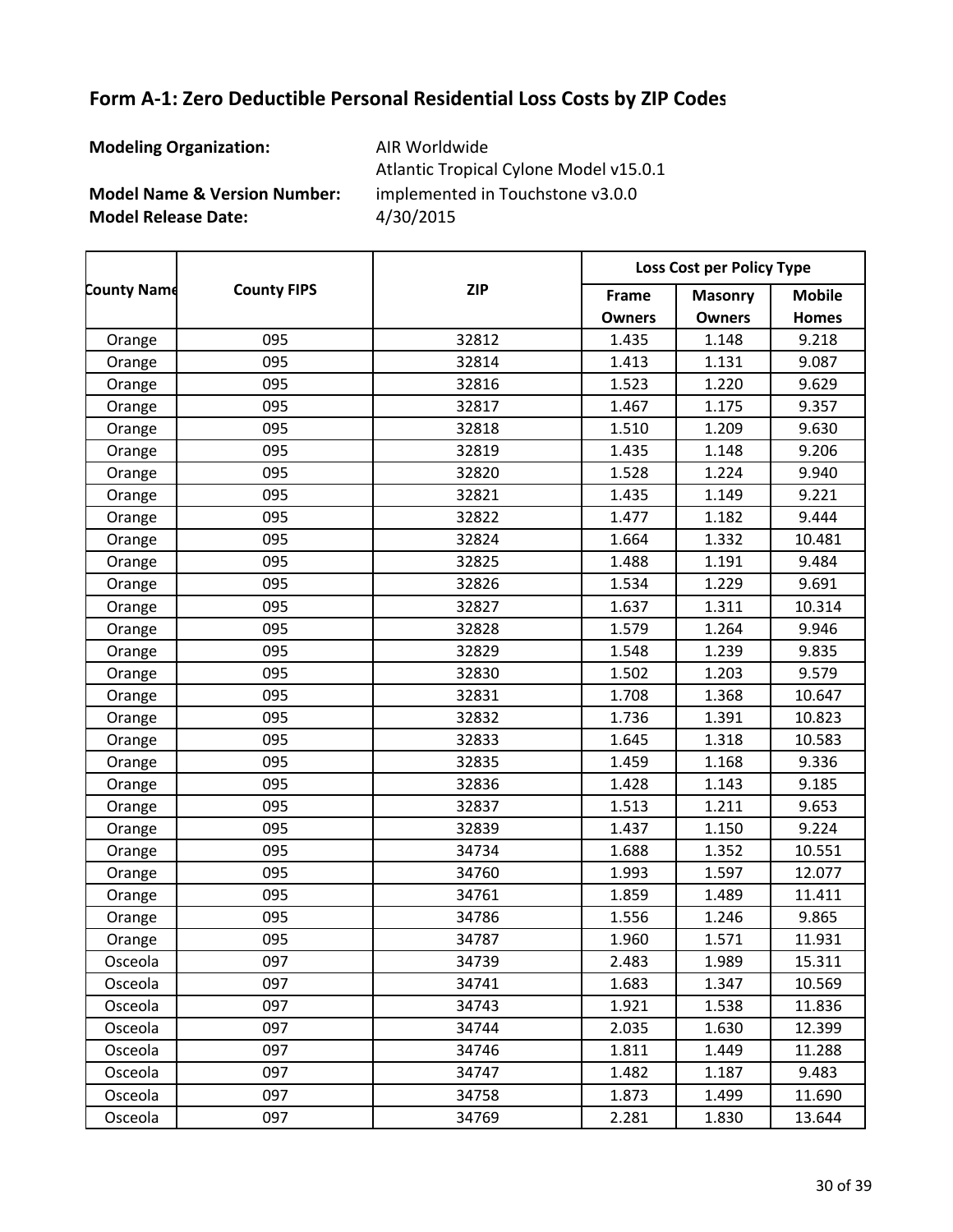**Modeling Organization:** AIR Worldwide

**Model Name & Version Number:**

**Model Release Date:** 4/30/2015 Atlantic Tropical Cylone Model v15.0.1 implemented in Touchstone v3.0.0

**Frame Owners Masonry Owners Mobile Homes County Name County FIPS Loss Cost per Policy Type ZIP** Orange | 095 | 32812 | 1.435 | 1.148 | 9.218 Orange | 095 | 32814 | 1.413 | 1.131 | 9.087 Orange | 095 | 32816 | 1.523 | 1.220 | 9.629 Orange | 095 | 32817 | 1.467 | 1.175 | 9.357 Orange | 095 | 32818 | 1.510 | 1.209 | 9.630 Orange | 095 | 32819 | 1.435 | 1.148 | 9.206 Orange | 095 | 32820 | 1.528 | 1.224 | 9.940 Orange | 095 | 32821 | 1.435 | 1.149 | 9.221 Orange | 095 | 32822 | 1.477 | 1.182 | 9.444 Orange | 095 | 32824 | 1.664 | 1.332 | 10.481 Orange | 095 | 32825 | 1.488 | 1.191 | 9.484 Orange | 095 | 32826 | 1.534 | 1.229 | 9.691 Orange | 095 | 32827 | 1.637 | 1.311 | 10.314 Orange | 095 | 32828 | 1.579 | 1.264 | 9.946 Orange | 095 | 32829 | 1.548 | 1.239 | 9.835 Orange | 095 | 32830 | 1.502 | 1.203 | 9.579 Orange | 095 | 32831 | 1.708 | 1.368 | 10.647 Orange | 095 | 32832 | 1.736 | 1.391 | 10.823 Orange | 095 | 32833 | 1.645 | 1.318 | 10.583 Orange | 095 | 32835 | 1.459 | 1.168 | 9.336 Orange | 095 | 32836 | 1.428 | 1.143 | 9.185 Orange | 095 | 32837 | 1.513 | 1.211 | 9.653 Orange | 095 | 32839 | 1.437 | 1.150 | 9.224 Orange | 095 | 34734 | 1.688 | 1.352 | 10.551 Orange | 095 | 34760 | 1.993 | 1.597 | 12.077 Orange | 095 | 34761 | 1.859 | 1.489 | 11.411 Orange | 095 | 34786 | 1.556 | 1.246 | 9.865 Orange | 095 | 34787 | 1.960 | 1.571 | 11.931 Osceola 097 34739 2.483 1.989 15.311 Osceola 097 34741 1.683 1.347 10.569 Osceola 097 34743 1.921 1.538 11.836 Osceola 097 34744 2.035 1.630 12.399 Osceola 097 34746 1.811 1.449 11.288 Osceola 097 34747 1.482 1.187 9.483 Osceola 097 34758 1.873 1.499 11.690 Osceola 097 34769 2.281 1.830 13.644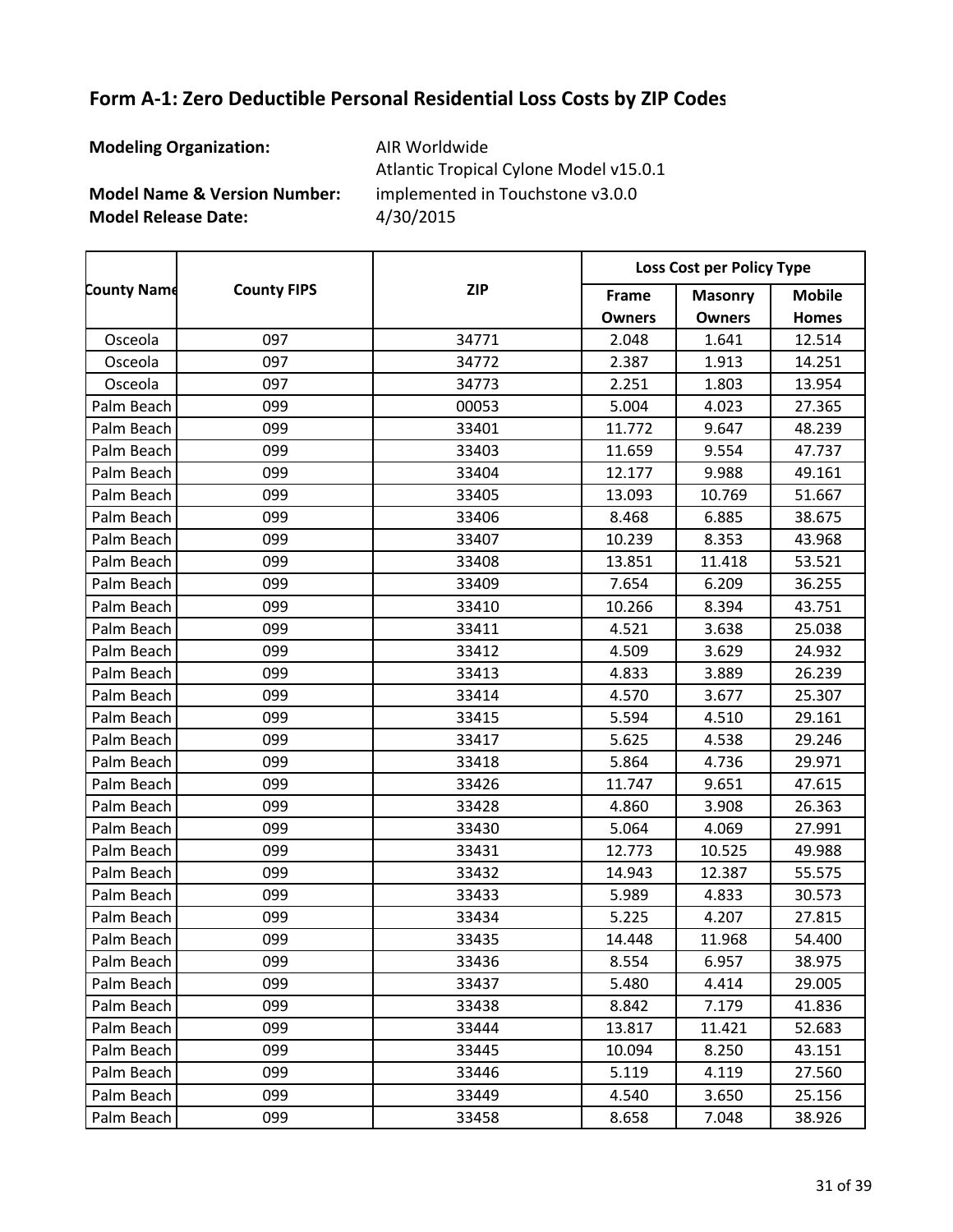**Modeling Organization:** AIR Worldwide

**Model Name & Version Number:**

**Model Release Date:** 4/30/2015 Atlantic Tropical Cylone Model v15.0.1 implemented in Touchstone v3.0.0

**Frame Owners Masonry Owners Mobile Homes County Name County FIPS Loss Cost per Policy Type ZIP** Osceola 097 34771 2.048 1.641 12.514 Osceola 097 34772 2.387 1.913 14.251 Osceola 097 34773 2.251 1.803 13.954 Palm Beach 099 00053 5.004 4.023 27.365 Palm Beach 099 33401 11.772 9.647 48.239 Palm Beach 099 33403 11.659 9.554 47.737 Palm Beach 099 33404 12.177 9.988 49.161 Palm Beach 099 33405 13.093 10.769 51.667 Palm Beach 099 33406 8.468 6.885 38.675 Palm Beach 099 33407 10.239 8.353 43.968 Palm Beach | 099 | 33408 | 13.851 | 11.418 | 53.521 Palm Beach 099 33409 7.654 6.209 36.255 Palm Beach 099 33410 10.266 8.394 43.751 Palm Beach 099 33411 4.521 3.638 25.038 Palm Beach 099 33412 4.509 3.629 24.932 Palm Beach 099 33413 4.833 3.889 26.239 Palm Beach | 099 | 33414 | 4.570 | 3.677 | 25.307 Palm Beach 099 33415 5.594 4.510 29.161 Palm Beach 099 33417 5.625 4.538 29.246 Palm Beach 099 33418 5.864 4.736 29.971 Palm Beach 099 33426 11.747 9.651 47.615 Palm Beach 099 33428 4.860 3.908 26.363 Palm Beach 099 33430 5.064 4.069 27.991 Palm Beach 099 33431 12.773 10.525 49.988 Palm Beach 099 33432 14.943 12.387 55.575 Palm Beach 099 33433 5.989 4.833 30.573 Palm Beach 099 33434 5.225 4.207 27.815 Palm Beach 099 33435 14.448 11.968 54.400 Palm Beach 099 33436 8.554 6.957 38.975 Palm Beach 099 33437 5.480 4.414 29.005 Palm Beach 099 33438 8.842 7.179 41.836 Palm Beach 099 33444 13.817 11.421 52.683 Palm Beach 099 33445 10.094 8.250 43.151 Palm Beach 099 33446 5.119 4.119 27.560 Palm Beach 099 33449 4.540 3.650 25.156 Palm Beach 099 33458 8.658 7.048 38.926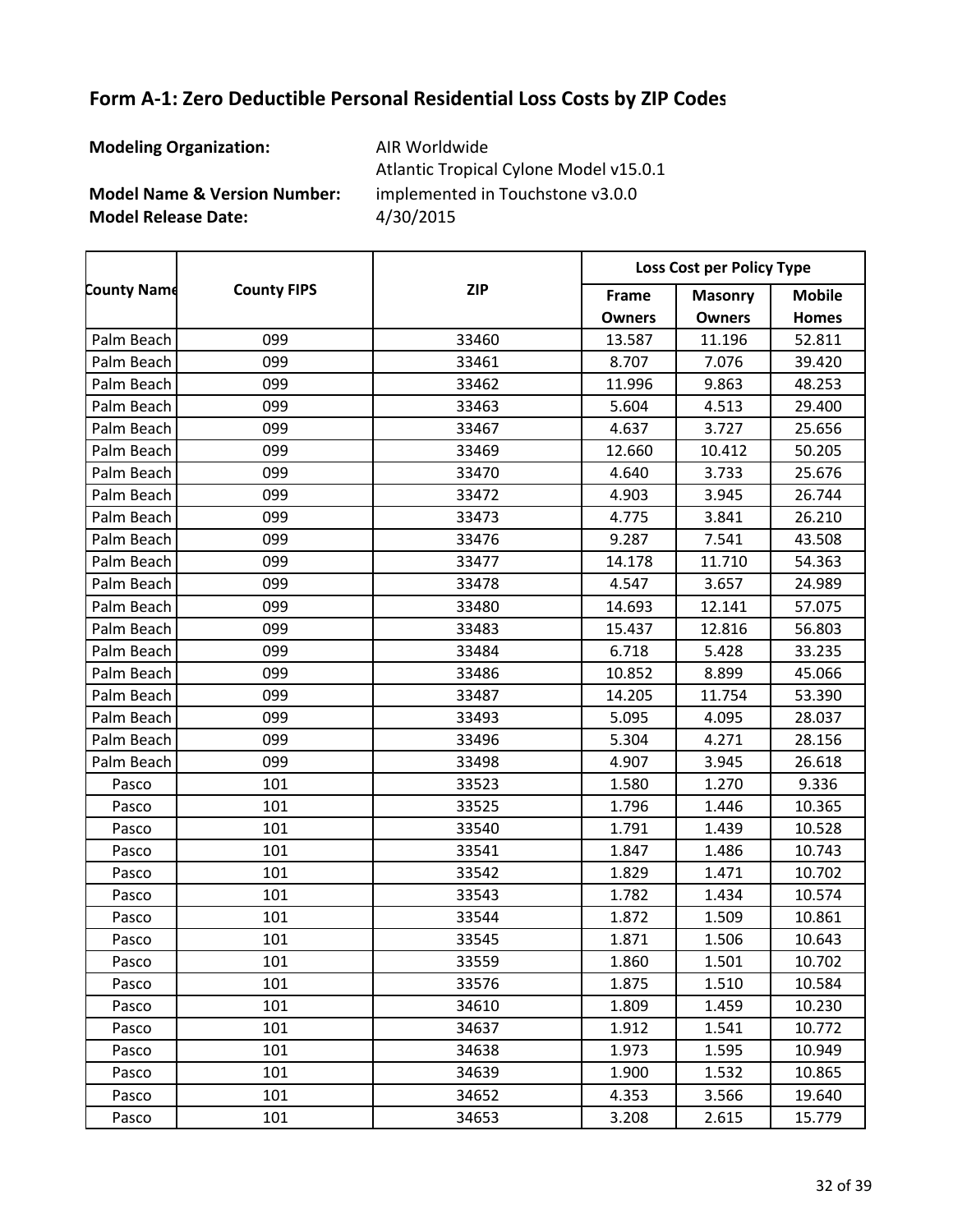**Modeling Organization:** AIR Worldwide

**Model Name & Version Number:**

**Model Release Date:** 4/30/2015 Atlantic Tropical Cylone Model v15.0.1 implemented in Touchstone v3.0.0

**Frame Owners Masonry Owners Mobile Homes County Name County FIPS Loss Cost per Policy Type ZIP** Palm Beach | 099 | 33460 | 13.587 | 11.196 | 52.811 Palm Beach 099 33461 8.707 7.076 39.420 Palm Beach 099 33462 11.996 9.863 48.253 Palm Beach 099 33463 5.604 4.513 29.400 Palm Beach 099 33467 4.637 3.727 25.656 Palm Beach 099 33469 12.660 10.412 50.205 Palm Beach 099 33470 4.640 3.733 25.676 Palm Beach 099 33472 4.903 3.945 26.744 Palm Beach 099 33473 4.775 3.841 26.210 Palm Beach 099 33476 9.287 7.541 43.508 Palm Beach 099 33477 14.178 11.710 54.363 Palm Beach 099 33478 4.547 3.657 24.989 Palm Beach 099 33480 14.693 12.141 57.075 Palm Beach | 099 | 33483 | 15.437 | 12.816 | 56.803 Palm Beach | 099 | 33484 | 6.718 | 5.428 | 33.235 Palm Beach 099 33486 10.852 8.899 45.066 Palm Beach 099 33487 14.205 11.754 53.390 Palm Beach 099 33493 5.095 4.095 28.037 Palm Beach 099 33496 5.304 4.271 28.156 Palm Beach 099 33498 4.907 3.945 26.618 Pasco | 101 | 33523 | 1.580 | 1.270 | 9.336 Pasco | 101 | 33525 | 1.796 | 1.446 | 10.365 Pasco | 101 | 33540 | 1.791 | 1.439 | 10.528 Pasco | 101 | 33541 | 1.847 | 1.486 | 10.743 Pasco | 101 | 33542 | 1.829 | 1.471 | 10.702 Pasco | 101 | 33543 | 1.782 | 1.434 | 10.574 Pasco | 101 | 33544 | 1.872 | 1.509 | 10.861 Pasco | 101 | 33545 | 1.871 | 1.506 | 10.643 Pasco | 101 | 33559 | 1.860 | 1.501 | 10.702 Pasco | 101 | 33576 | 1.875 | 1.510 | 10.584 Pasco | 101 | 34610 | 1.809 | 1.459 | 10.230 Pasco | 101 | 34637 | 1.912 | 1.541 | 10.772 Pasco | 101 | 34638 | 1.973 | 1.595 | 10.949 Pasco | 101 | 34639 | 1.900 | 1.532 | 10.865 Pasco | 101 | 34652 | 4.353 | 3.566 | 19.640 Pasco | 101 | 34653 | 3.208 | 2.615 | 15.779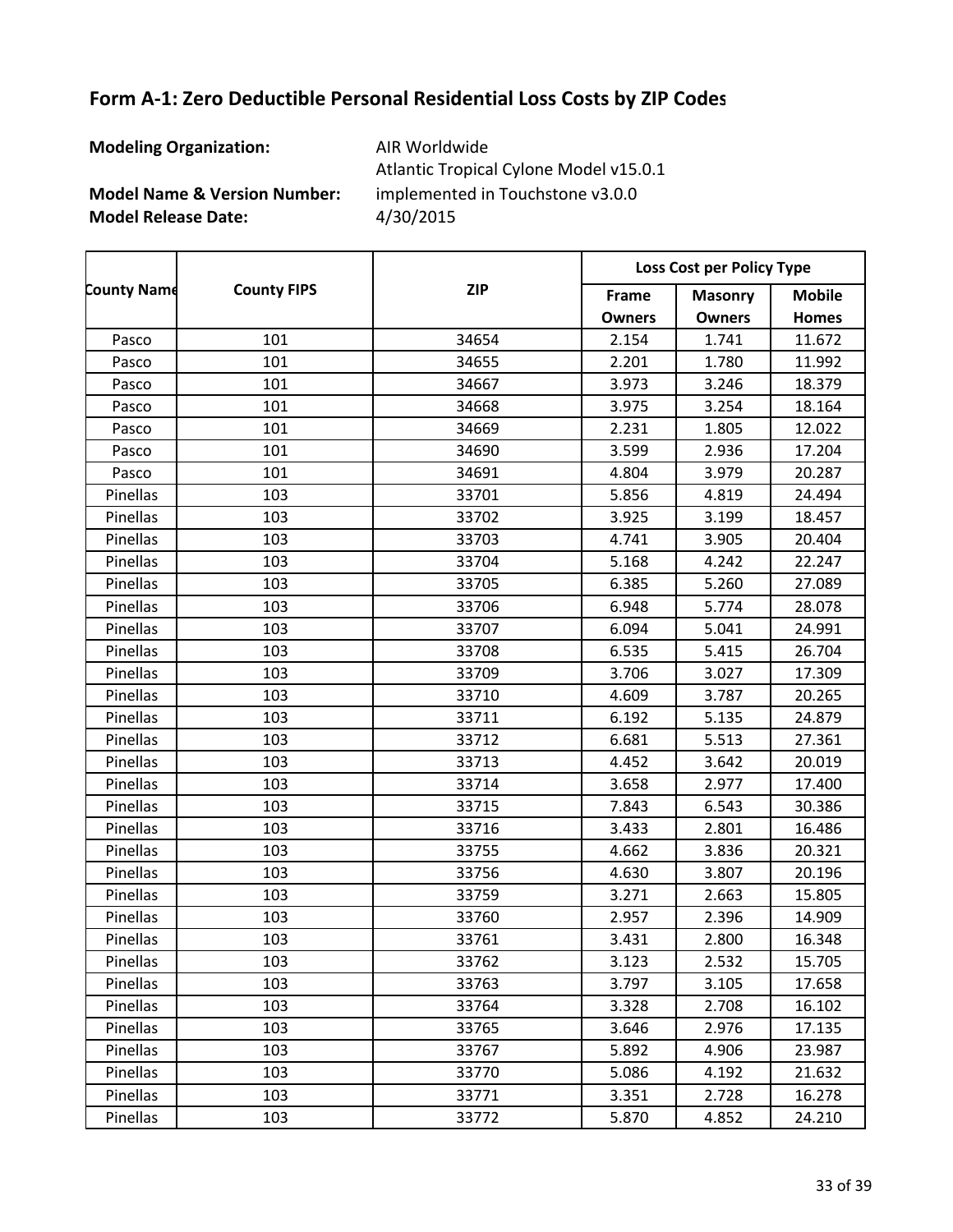**Modeling Organization:** AIR Worldwide

**Model Name & Version Number:**

**Model Release Date:** 4/30/2015 Atlantic Tropical Cylone Model v15.0.1 implemented in Touchstone v3.0.0

**Frame Owners Masonry Owners Mobile Homes County Name County FIPS Loss Cost per Policy Type ZIP** Pasco | 101 | 34654 | 2.154 | 1.741 | 11.672 Pasco | 101 | 34655 | 2.201 | 1.780 | 11.992 Pasco | 101 | 34667 | 3.973 | 3.246 | 18.379 Pasco | 101 | 34668 | 3.975 | 3.254 | 18.164 Pasco | 101 | 34669 | 2.231 | 1.805 | 12.022 Pasco | 101 | 34690 | 3.599 | 2.936 | 17.204 Pasco | 101 | 34691 | 4.804 | 3.979 | 20.287 Pinellas | 103 | 33701 | 5.856 | 4.819 | 24.494 Pinellas | 103 | 33702 | 3.925 | 3.199 | 18.457 Pinellas | 103 | 33703 | 4.741 | 3.905 | 20.404 Pinellas | 103 | 33704 | 5.168 | 4.242 | 22.247 Pinellas | 103 | 33705 | 6.385 | 5.260 | 27.089 Pinellas | 103 | 33706 | 6.948 | 5.774 | 28.078 Pinellas | 103 | 33707 | 6.094 | 5.041 | 24.991 Pinellas | 103 | 33708 | 6.535 | 5.415 | 26.704 Pinellas | 103 | 33709 | 3.706 | 3.027 | 17.309 Pinellas | 103 | 33710 | 4.609 | 3.787 | 20.265 Pinellas | 103 | 33711 | 6.192 | 5.135 | 24.879 Pinellas | 103 | 33712 | 6.681 | 5.513 | 27.361 Pinellas | 103 | 33713 | 4.452 | 3.642 | 20.019 Pinellas | 103 | 33714 | 3.658 | 2.977 | 17.400 Pinellas | 103 | 33715 | 7.843 | 6.543 | 30.386 Pinellas | 103 | 33716 | 3.433 | 2.801 | 16.486 Pinellas | 103 | 33755 | 4.662 | 3.836 | 20.321 Pinellas | 103 | 33756 | 4.630 | 3.807 | 20.196 Pinellas | 103 | 33759 | 3.271 | 2.663 | 15.805 Pinellas | 103 | 33760 | 2.957 | 2.396 | 14.909 Pinellas | 103 | 33761 | 3.431 | 2.800 | 16.348 Pinellas | 103 | 33762 | 3.123 | 2.532 | 15.705 Pinellas | 103 | 33763 | 3.797 | 3.105 | 17.658 Pinellas | 103 | 33764 | 3.328 | 2.708 | 16.102 Pinellas | 103 | 33765 | 3.646 | 2.976 | 17.135 Pinellas | 103 | 33767 | 5.892 | 4.906 | 23.987 Pinellas | 103 | 33770 | 5.086 | 4.192 | 21.632 Pinellas | 103 | 33771 | 3.351 | 2.728 | 16.278 Pinellas | 103 | 33772 | 5.870 | 4.852 | 24.210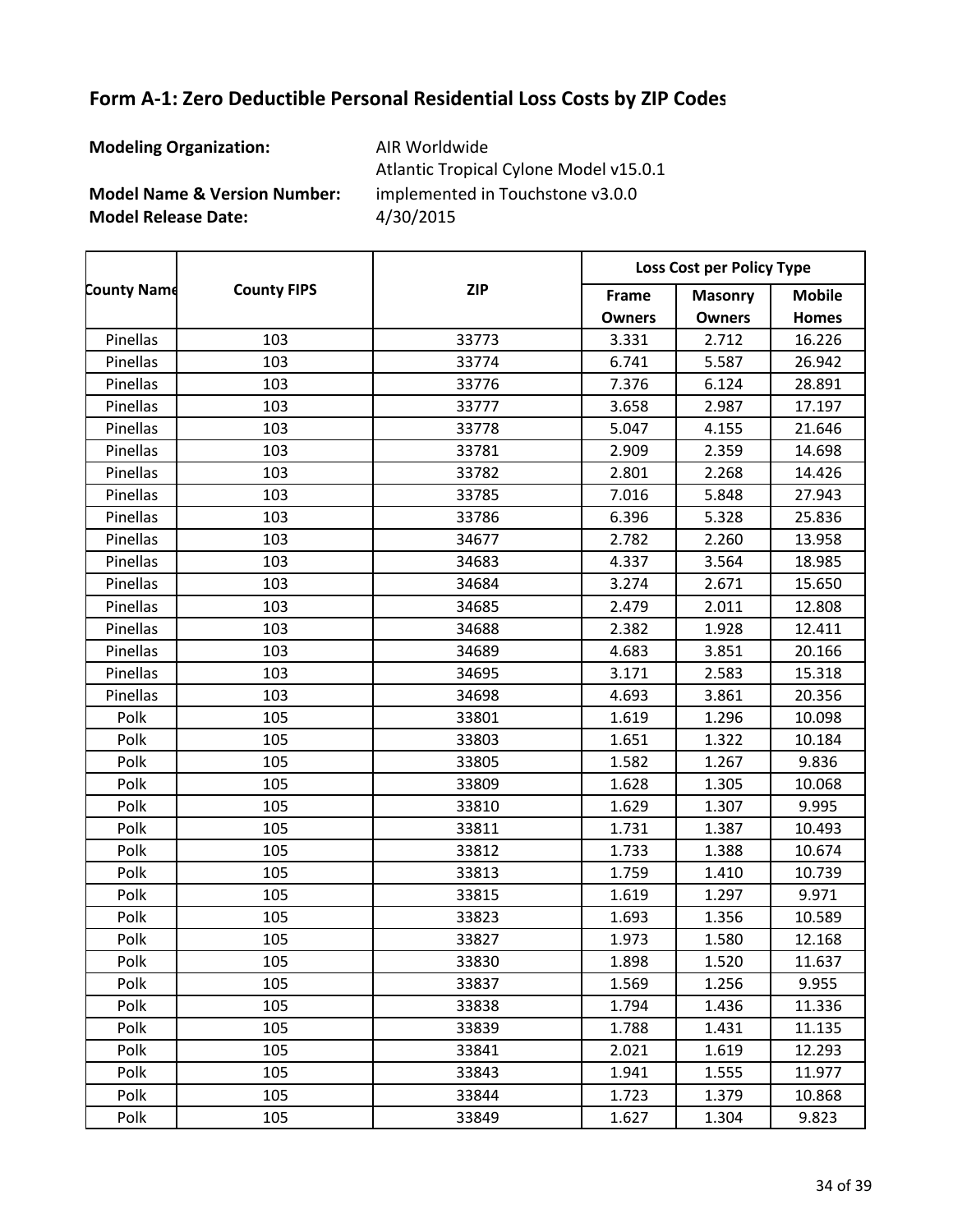**Modeling Organization:** AIR Worldwide

**Model Name & Version Number:**

**Model Release Date:** 4/30/2015 Atlantic Tropical Cylone Model v15.0.1 implemented in Touchstone v3.0.0

**Frame Owners Masonry Owners Mobile Homes County Name County FIPS Loss Cost per Policy Type ZIP** Pinellas | 103 | 33773 | 3.331 | 2.712 | 16.226 Pinellas | 103 | 33774 | 6.741 | 5.587 | 26.942 Pinellas | 103 | 33776 | 7.376 | 6.124 | 28.891 Pinellas | 103 | 33777 | 3.658 | 2.987 | 17.197 Pinellas | 103 | 33778 | 5.047 | 4.155 | 21.646 Pinellas | 103 | 33781 | 2.909 | 2.359 | 14.698 Pinellas | 103 | 33782 | 2.801 | 2.268 | 14.426 Pinellas | 103 | 33785 | 7.016 | 5.848 | 27.943 Pinellas | 103 | 33786 | 5.328 | 25.836 Pinellas | 103 | 34677 | 2.782 | 2.260 | 13.958 Pinellas | 103 | 34683 | 4.337 | 3.564 | 18.985 Pinellas | 103 | 34684 | 3.274 | 2.671 | 15.650 Pinellas | 103 | 34685 | 2.479 | 2.011 | 12.808 Pinellas | 103 | 34688 | 2.382 | 1.928 | 12.411 Pinellas | 103 | 34689 | 4.683 | 3.851 | 20.166 Pinellas | 103 | 34695 | 3.171 | 2.583 | 15.318 Pinellas | 103 | 34698 | 4.693 | 3.861 | 20.356 Polk 105 33801 1.619 1.296 10.098 Polk 105 33803 1.651 1.322 10.184 Polk 105 33805 1.582 1.267 9.836 Polk 105 33809 1.628 1.305 10.068 Polk | 105 | 33810 | 1.629 | 1.307 | 9.995 Polk 105 33811 1.731 1.387 10.493 Polk | 105 | 33812 | 1.733 | 1.388 | 10.674 Polk 105 33813 1.759 1.410 10.739 Polk 105 33815 1.619 1.297 9.971 Polk 105 33823 1.693 1.356 10.589 Polk 105 33827 1.973 1.580 12.168 Polk | 105 | 33830 | 1.898 | 1.520 | 11.637 Polk | 105 | 33837 | 1.569 | 1.256 | 9.955 Polk | 105 | 33838 | 1.794 | 1.436 | 11.336 Polk | 105 | 33839 | 1.788 | 1.431 | 11.135 Polk 105 33841 2.021 1.619 12.293 Polk 105 33843 1.941 1.555 11.977 Polk 105 33844 1.723 1.379 10.868 Polk | 105 105 33849 | 1.627 | 1.304 | 9.823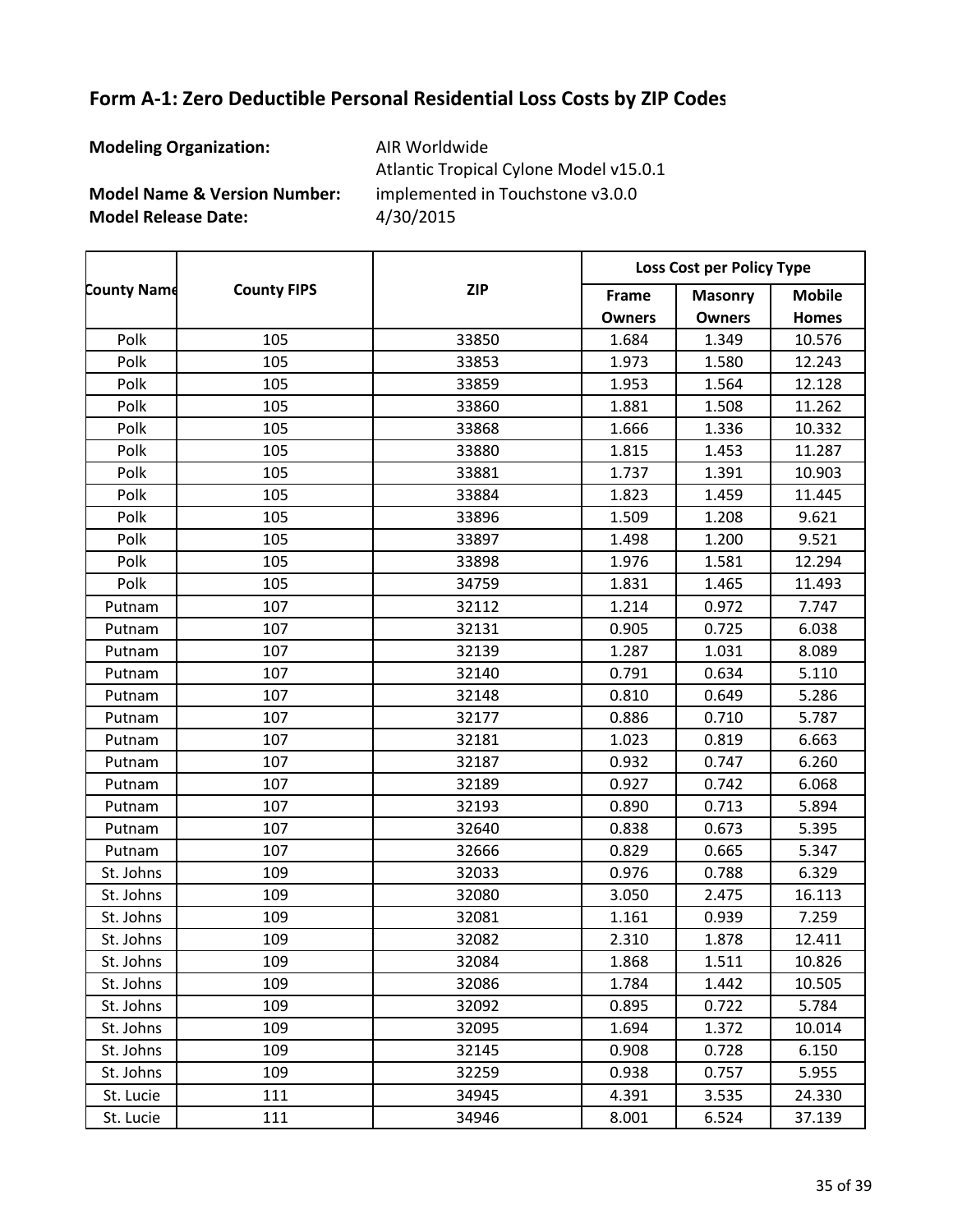**Modeling Organization:** AIR Worldwide

**Model Name & Version Number:**

**Model Release Date:** 4/30/2015 Atlantic Tropical Cylone Model v15.0.1 implemented in Touchstone v3.0.0

**Frame Owners Masonry Owners Mobile Homes County Name County FIPS Loss Cost per Policy Type ZIP** Polk 105 33850 1.684 1.349 10.576 Polk 105 33853 1.973 1.580 12.243 Polk 105 33859 1.953 1.564 12.128 Polk 105 33860 1.881 1.508 11.262 Polk | 105 | 33868 | 1.666 | 1.336 | 10.332 Polk 105 33880 1.815 1.453 11.287 Polk | 105 | 33881 | 1.737 | 1.391 | 10.903 Polk 105 33884 1.823 1.459 11.445 Polk | 105 105 33896 | 1.509 | 1.208 | 9.621 Polk | 105 | 33897 | 1.498 | 1.200 | 9.521 Polk 105 33898 1.976 1.581 12.294 Polk 105 34759 1.831 1.465 11.493 Putnam | 107 | 32112 | 1.214 | 0.972 | 7.747 Putnam | 107 | 32131 | 0.905 | 0.725 | 6.038 Putnam | 107 | 32139 | 1.287 | 1.031 | 8.089 Putnam | 107 | 32140 | 0.791 | 0.634 | 5.110 Putnam | 107 | 32148 | 0.810 | 0.649 | 5.286 Putnam | 107 | 32177 | 0.886 | 0.710 | 5.787 Putnam | 107 | 32181 | 1.023 | 0.819 | 6.663 Putnam | 107 | 32187 | 0.932 | 0.747 | 6.260 Putnam | 107 | 32189 | 0.927 | 0.742 | 6.068 Putnam | 107 | 32193 | 0.890 | 0.713 | 5.894 Putnam | 107 | 32640 | 0.838 | 0.673 | 5.395 Putnam | 107 | 32666 | 0.829 | 0.665 | 5.347 St. Johns 109 32033 0.976 0.788 6.329 St. Johns 109 32080 3.050 2.475 16.113 St. Johns 109 32081 1.161 0.939 7.259 St. Johns 109 32082 2.310 1.878 12.411 St. Johns 109 32084 1.868 1.511 10.826 St. Johns 109 32086 1.784 1.442 10.505 St. Johns 109 32092 0.895 0.722 5.784 St. Johns 109 32095 1.694 1.372 10.014 St. Johns 109 32145 0.908 0.728 6.150 St. Johns 109 32259 0.938 0.757 5.955 St. Lucie 111 34945 4.391 3.535 24.330 St. Lucie | 111 | 34946 | 8.001 | 6.524 | 37.139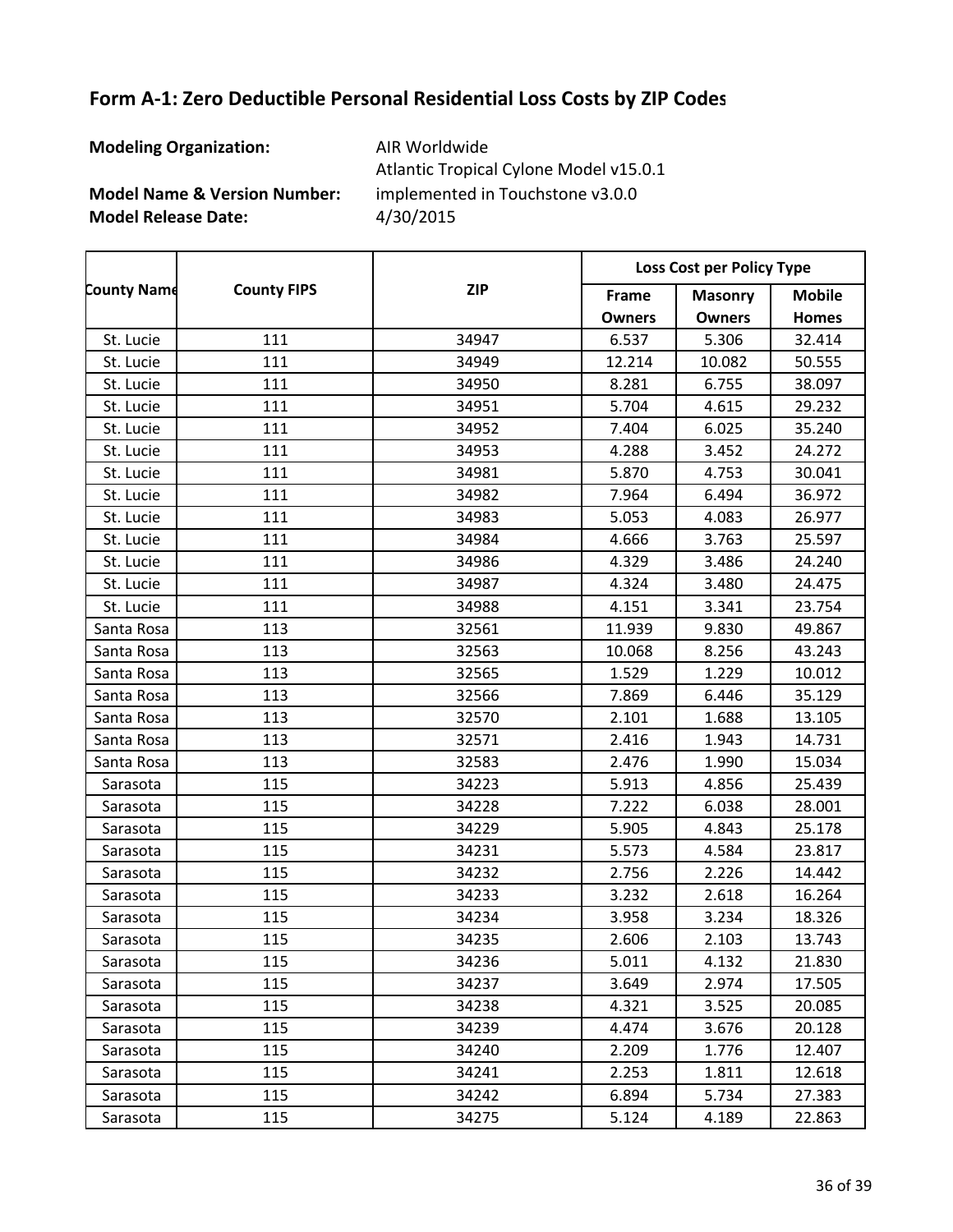**Modeling Organization:** AIR Worldwide

**Model Name & Version Number:**

**Model Release Date:** 4/30/2015 Atlantic Tropical Cylone Model v15.0.1 implemented in Touchstone v3.0.0

**Frame Owners Masonry Owners Mobile Homes County Name County FIPS Loss Cost per Policy Type ZIP** St. Lucie | 111 | 34947 | 6.537 | 5.306 | 32.414 St. Lucie 111 34949 12.214 10.082 50.555 St. Lucie 111 34950 8.281 6.755 38.097 St. Lucie 111 34951 5.704 4.615 29.232 St. Lucie 111 34952 7.404 6.025 35.240 St. Lucie 111 34953 4.288 3.452 24.272 St. Lucie 111 34981 5.870 4.753 30.041 St. Lucie 111 34982 7.964 6.494 36.972 St. Lucie 111 34983 5.053 4.083 26.977 St. Lucie | 111 | 34984 | 4.666 | 3.763 | 25.597 St. Lucie | 111 | 34986 | 4.329 | 3.486 | 24.240 St. Lucie 111 34987 4.324 3.480 24.475 St. Lucie | 111 | 34988 | 4.151 | 3.341 | 23.754 Santa Rosa 113 32561 11.939 9.830 49.867 Santa Rosa 113 32563 10.068 8.256 43.243 Santa Rosa 113 32565 1.529 1.229 10.012 Santa Rosa 113 32566 7.869 6.446 35.129 Santa Rosa 113 32570 2.101 1.688 13.105 Santa Rosa 113 32571 2.416 1.943 14.731 Santa Rosa 113 32583 2.476 1.990 15.034 Sarasota 115 34223 5.913 4.856 25.439 Sarasota 115 34228 7.222 6.038 28.001 Sarasota 115 34229 5.905 4.843 25.178 Sarasota 115 34231 5.573 4.584 23.817 Sarasota 115 34232 2.756 2.226 14.442 Sarasota 115 34233 3.232 2.618 16.264 Sarasota 115 34234 3.958 3.234 18.326 Sarasota 115 34235 2.606 2.103 13.743 Sarasota 115 34236 5.011 4.132 21.830 Sarasota 115 34237 3.649 2.974 17.505 Sarasota 115 34238 4.321 3.525 20.085 Sarasota 115 34239 4.474 3.676 20.128 Sarasota 115 34240 2.209 1.776 12.407 Sarasota 115 34241 2.253 1.811 12.618 Sarasota 115 34242 6.894 5.734 27.383 Sarasota 115 34275 5.124 4.189 22.863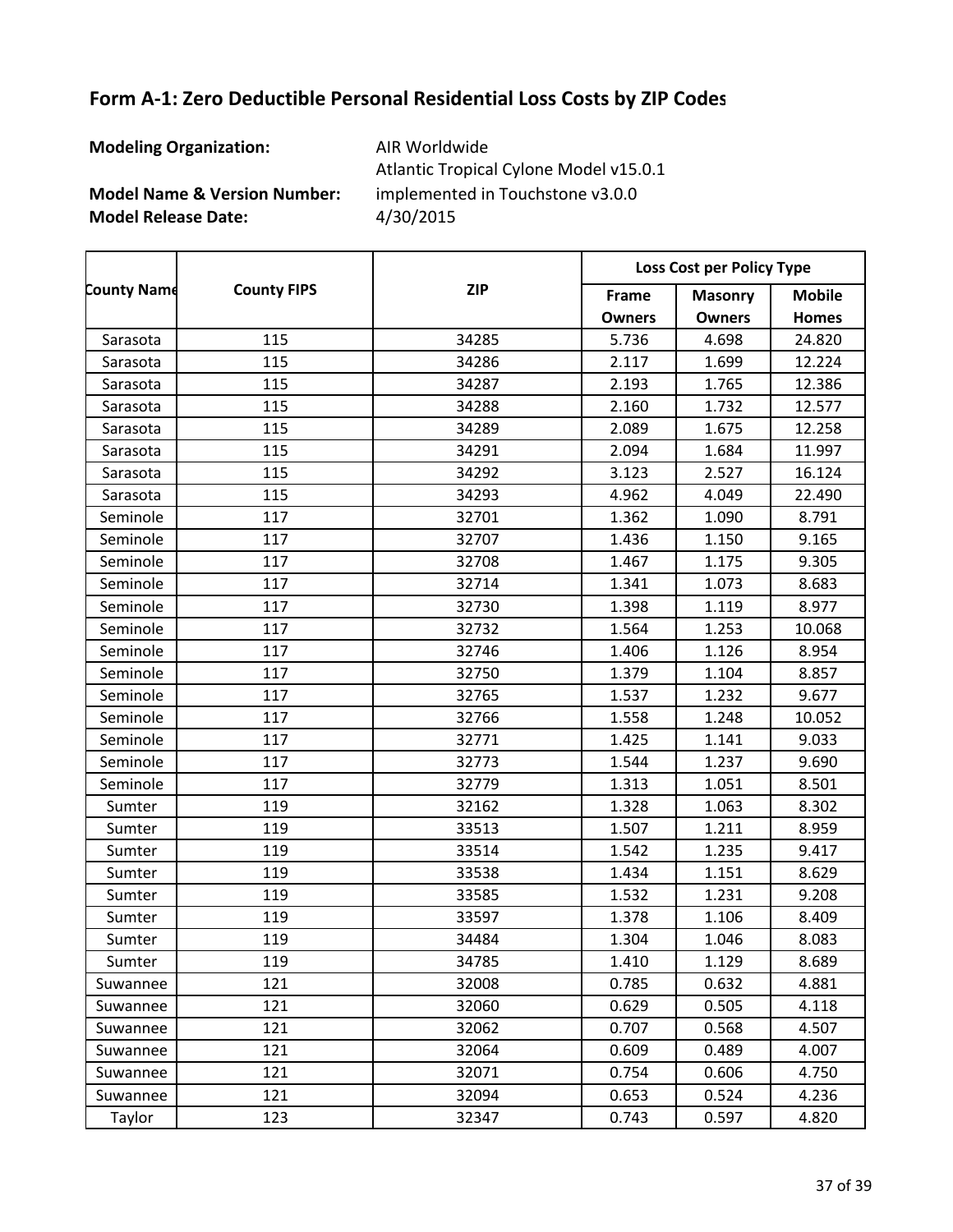**Modeling Organization:** AIR Worldwide

**Model Name & Version Number:**

**Model Release Date:** 4/30/2015 Atlantic Tropical Cylone Model v15.0.1 implemented in Touchstone v3.0.0

**Frame Owners Masonry Owners Mobile Homes County Name County FIPS Loss Cost per Policy Type ZIP** Sarasota 115 34285 5.736 4.698 24.820 Sarasota 115 34286 2.117 1.699 12.224 Sarasota 115 34287 2.193 1.765 12.386 Sarasota 115 34288 2.160 1.732 12.577 Sarasota 115 34289 2.089 1.675 12.258 Sarasota 115 34291 2.094 1.684 11.997 Sarasota 115 34292 3.123 2.527 16.124 Sarasota 115 34293 4.962 4.049 22.490 Seminole | 117 | 32701 | 1.362 | 1.090 | 8.791 Seminole | 117 | 32707 | 1.436 | 1.150 | 9.165 Seminole | 117 | 32708 | 1.467 | 1.175 | 9.305 Seminole | 117 | 32714 | 1.341 | 1.073 | 8.683 Seminole | 117 | 32730 | 1.398 | 1.119 | 8.977 Seminole | 117 | 32732 | 1.564 | 1.253 | 10.068 Seminole | 117 | 32746 | 1.406 | 1.126 | 8.954 Seminole | 117 | 32750 | 1.379 | 1.104 | 8.857 Seminole | 117 | 32765 | 1.537 | 1.232 | 9.677 Seminole | 117 | 32766 | 1.558 | 1.248 | 10.052 Seminole | 117 | 32771 | 1.425 | 1.141 | 9.033 Seminole | 117 | 32773 | 1.544 | 1.237 | 9.690 Seminole | 117 | 32779 | 1.313 | 1.051 | 8.501 Sumter 119 32162 1.328 1.063 8.302 Sumter 119 33513 1.507 1.211 8.959 Sumter 119 33514 1.542 1.235 9.417 Sumter 119 33538 1.434 1.151 8.629 Sumter 119 33585 1.532 1.231 9.208 Sumter 119 33597 1.378 1.106 8.409 Sumter 119 34484 1.304 1.046 8.083 Sumter 119 34785 1.410 1.129 8.689 Suwannee | 121 | 32008 | 0.785 | 0.632 | 4.881 Suwannee | 121 | 32060 | 0.629 | 0.505 | 4.118 Suwannee | 121 | 32062 | 0.707 | 0.568 | 4.507 Suwannee 121 32064 0.609 0.489 4.007 Suwannee 121 32071 0.754 0.606 4.750 Suwannee 121 32094 0.653 0.524 4.236 Taylor 123 32347 0.743 0.597 4.820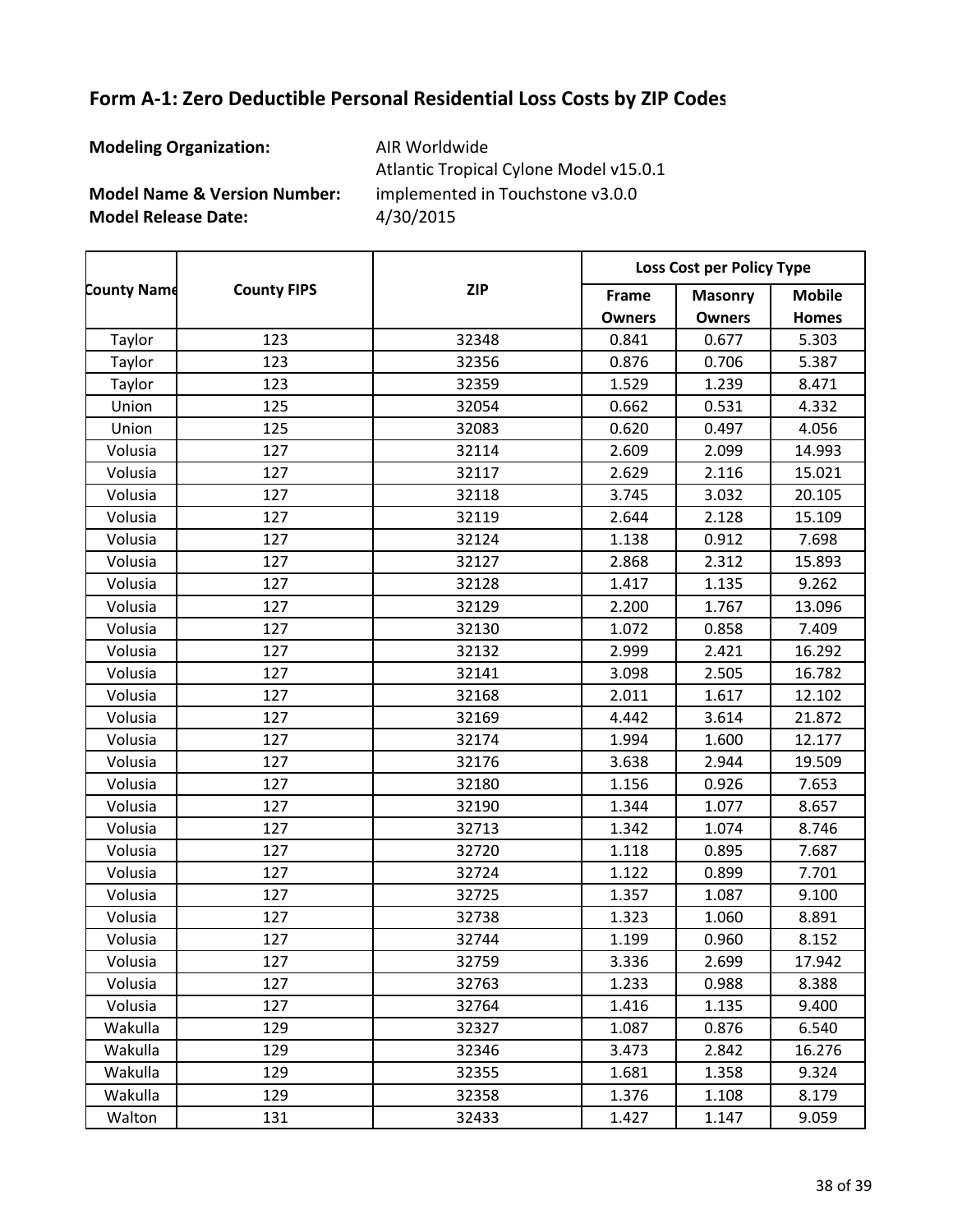**Modeling Organization:** AIR Worldwide

**Model Name & Version Number:**

**Model Release Date:** 4/30/2015 Atlantic Tropical Cylone Model v15.0.1 implemented in Touchstone v3.0.0

**Frame Owners Masonry Owners Mobile Homes County Name County FIPS Loss Cost per Policy Type ZIP** Taylor 123 32348 0.841 0.677 5.303 Taylor 123 32356 0.876 0.706 5.387 Taylor 123 32359 1.529 1.239 8.471 Union 125 32054 0.662 0.531 4.332 Union 125 32083 0.620 0.497 4.056 Volusia 127 32114 2.609 2.099 14.993 Volusia 127 32117 2.629 2.116 15.021 Volusia 127 32118 3.745 3.032 20.105 Volusia 127 32119 2.644 2.128 15.109 Volusia 127 32124 1.138 0.912 7.698 Volusia 127 32127 2.868 2.312 15.893 Volusia 127 32128 1.417 1.135 9.262 Volusia 127 32129 2.200 1.767 13.096 Volusia 127 32130 1.072 0.858 7.409 Volusia 127 32132 2.999 2.421 16.292 Volusia 127 32141 3.098 2.505 16.782 Volusia 127 32168 2.011 1.617 12.102 Volusia 127 32169 4.442 3.614 21.872 Volusia 127 32174 1.994 1.600 12.177 Volusia 127 32176 3.638 2.944 19.509 Volusia 127 32180 1.156 0.926 7.653 Volusia 127 32190 1.344 1.077 8.657 Volusia 127 32713 1.342 1.074 8.746 Volusia 127 32720 1.118 0.895 7.687 Volusia 127 32724 1.122 0.899 7.701 Volusia 127 32725 1.357 1.087 9.100 Volusia 127 32738 1.323 1.060 8.891 Volusia 127 32744 1.199 0.960 8.152 Volusia 127 32759 3.336 2.699 17.942 Volusia 127 32763 1.233 0.988 8.388 Volusia 127 32764 1.416 1.135 9.400 Wakulla 129 32327 1.087 0.876 6.540 Wakulla 129 32346 3.473 2.842 16.276 Wakulla 129 32355 1.681 1.358 9.324 Wakulla 129 32358 1.376 1.108 8.179 Walton 131 32433 1.427 1.147 9.059